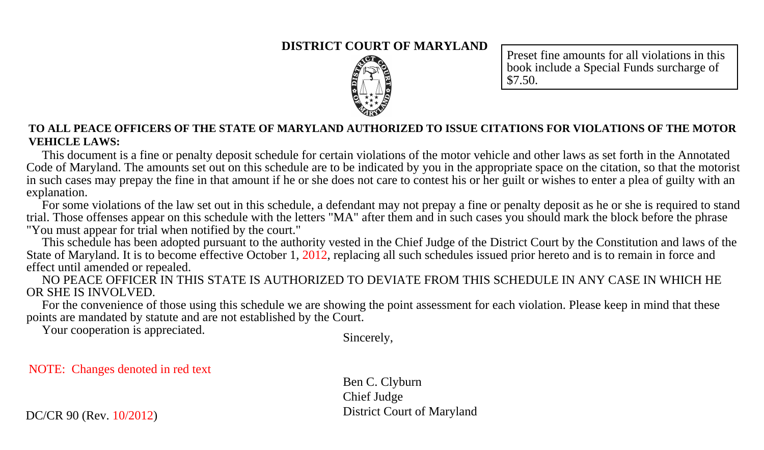#### **DISTRICT COURT OF MARYLAND**



Preset fine amounts for all violations in this book include a Special Funds surcharge of \$7.50.

#### **TO ALL PEACE OFFICERS OF THE STATE OF MARYLAND AUTHORIZED TO ISSUE CITATIONS FOR VIOLATIONS OF THE MOTOR VEHICLE LAWS:**

 This document is a fine or penalty deposit schedule for certain violations of the motor vehicle and other laws as set forth in the Annotated Code of Maryland. The amounts set out on this schedule are to be indicated by you in the appropriate space on the citation, so that the motorist in such cases may prepay the fine in that amount if he or she does not care to contest his or her guilt or wishes to enter a plea of guilty with an explanation.

 For some violations of the law set out in this schedule, a defendant may not prepay a fine or penalty deposit as he or she is required to stand trial. Those offenses appear on this schedule with the letters "MA" after them and in such cases you should mark the block before the phrase "You must appear for trial when notified by the court."

 This schedule has been adopted pursuant to the authority vested in the Chief Judge of the District Court by the Constitution and laws of the State of Maryland. It is to become effective October 1, 2012, replacing all such schedules issued prior hereto and is to remain in force and effect until amended or repealed.

 NO PEACE OFFICER IN THIS STATE IS AUTHORIZED TO DEVIATE FROM THIS SCHEDULE IN ANY CASE IN WHICH HE OR SHE IS INVOLVED.

 For the convenience of those using this schedule we are showing the point assessment for each violation. Please keep in mind that these points are mandated by statute and are not established by the Court.

Your cooperation is appreciated.

Sincerely,

NOTE: Changes denoted in red text

Ben C. Clyburn Chief Judge District Court of Maryland

DC/CR 90 (Rev. 10/2012)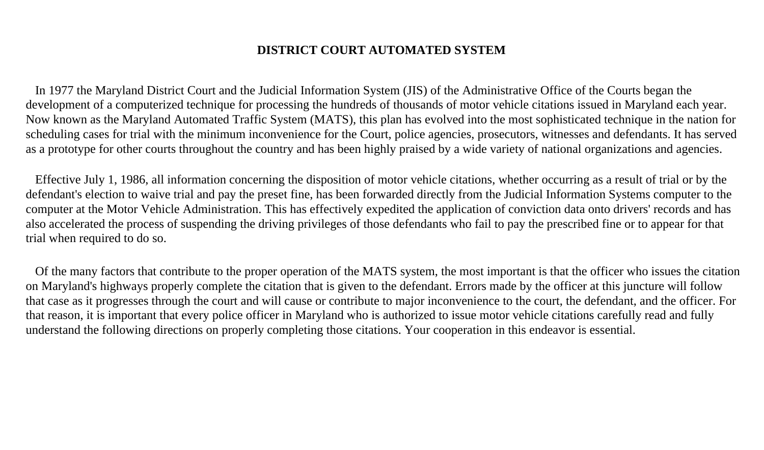### **DISTRICT COURT AUTOMATED SYSTEM**

 In 1977 the Maryland District Court and the Judicial Information System (JIS) of the Administrative Office of the Courts began the development of a computerized technique for processing the hundreds of thousands of motor vehicle citations issued in Maryland each year. Now known as the Maryland Automated Traffic System (MATS), this plan has evolved into the most sophisticated technique in the nation for scheduling cases for trial with the minimum inconvenience for the Court, police agencies, prosecutors, witnesses and defendants. It has served as a prototype for other courts throughout the country and has been highly praised by a wide variety of national organizations and agencies.

 Effective July 1, 1986, all information concerning the disposition of motor vehicle citations, whether occurring as a result of trial or by the defendant's election to waive trial and pay the preset fine, has been forwarded directly from the Judicial Information Systems computer to the computer at the Motor Vehicle Administration. This has effectively expedited the application of conviction data onto drivers' records and has also accelerated the process of suspending the driving privileges of those defendants who fail to pay the prescribed fine or to appear for that trial when required to do so.

 Of the many factors that contribute to the proper operation of the MATS system, the most important is that the officer who issues the citation on Maryland's highways properly complete the citation that is given to the defendant. Errors made by the officer at this juncture will follow that case as it progresses through the court and will cause or contribute to major inconvenience to the court, the defendant, and the officer. For that reason, it is important that every police officer in Maryland who is authorized to issue motor vehicle citations carefully read and fully understand the following directions on properly completing those citations. Your cooperation in this endeavor is essential.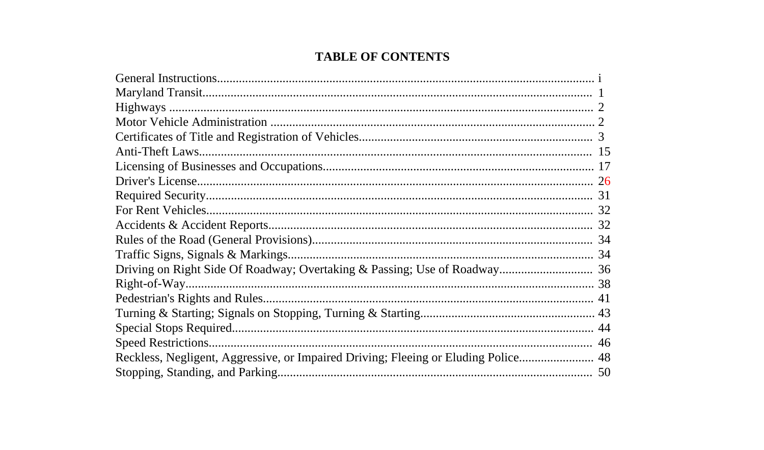## **TABLE OF CONTENTS**

| Reckless, Negligent, Aggressive, or Impaired Driving; Fleeing or Eluding Police 48 |  |
|------------------------------------------------------------------------------------|--|
|                                                                                    |  |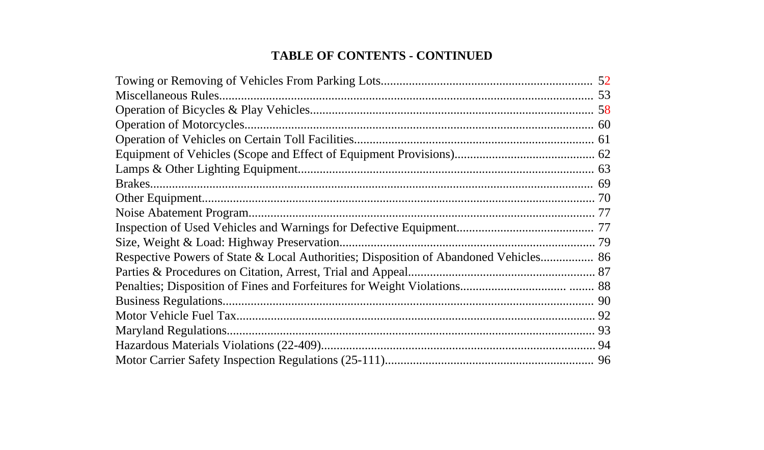# **TABLE OF CONTENTS - CONTINUED**

| Respective Powers of State & Local Authorities; Disposition of Abandoned Vehicles 86 |  |
|--------------------------------------------------------------------------------------|--|
|                                                                                      |  |
|                                                                                      |  |
|                                                                                      |  |
|                                                                                      |  |
|                                                                                      |  |
|                                                                                      |  |
|                                                                                      |  |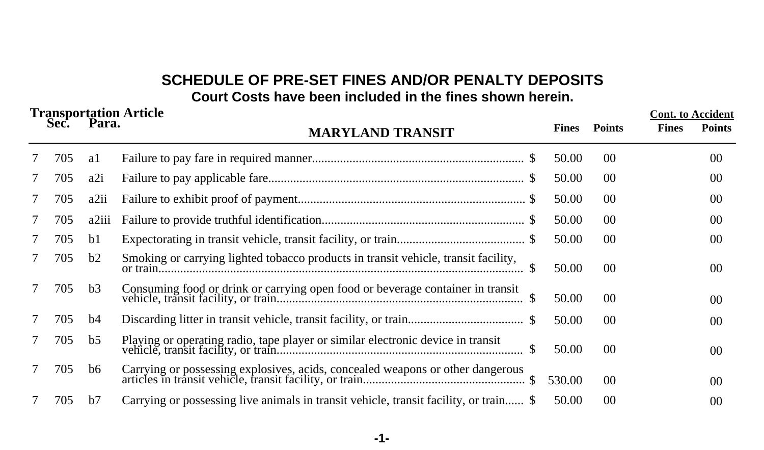# **SCHEDULE OF PRE-SET FINES AND/OR PENALTY DEPOSITS Court Costs have been included in the fines shown herein.**

| <b>Transportation Article</b><br>Sec. |     | Para.          | <b>MARYLAND TRANSIT</b>                                                            | <b>Fines</b> | <b>Points</b>  | <b>Cont.</b> to Accident<br><b>Fines</b> | <b>Points</b>   |
|---------------------------------------|-----|----------------|------------------------------------------------------------------------------------|--------------|----------------|------------------------------------------|-----------------|
|                                       | 705 | a1             |                                                                                    | 50.00        | 0 <sup>0</sup> |                                          | 00 <sup>2</sup> |
| 7                                     | 705 | a2i            |                                                                                    | 50.00        | 00             |                                          | 00              |
| 7                                     | 705 | a2ii           |                                                                                    | 50.00        | 00             |                                          | $00\,$          |
| 7                                     | 705 | a2iii          |                                                                                    | 50.00        | 00             |                                          | $00\,$          |
| 7                                     | 705 | b1             |                                                                                    | 50.00        | 0 <sup>0</sup> |                                          | 00 <sup>0</sup> |
| 7                                     | 705 | b2             | Smoking or carrying lighted tobacco products in transit vehicle, transit facility, | 50.00        | 00             |                                          | 00 <sup>°</sup> |
|                                       | 705 | b3             | Consuming food or drink or carrying open food or beverage container in transit     | 50.00        | 00             |                                          | $00\,$          |
|                                       | 705 | b4             |                                                                                    | 50.00        | $00\,$         |                                          | 00 <sup>0</sup> |
| 7                                     | 705 | b <sub>5</sub> |                                                                                    | 50.00        | 00             |                                          | 00 <sup>0</sup> |
|                                       | 705 | b6             |                                                                                    | 530.00       | 00             |                                          | 00 <sup>0</sup> |
|                                       | 705 | b7             |                                                                                    | 50.00        | 0 <sup>0</sup> |                                          | 00              |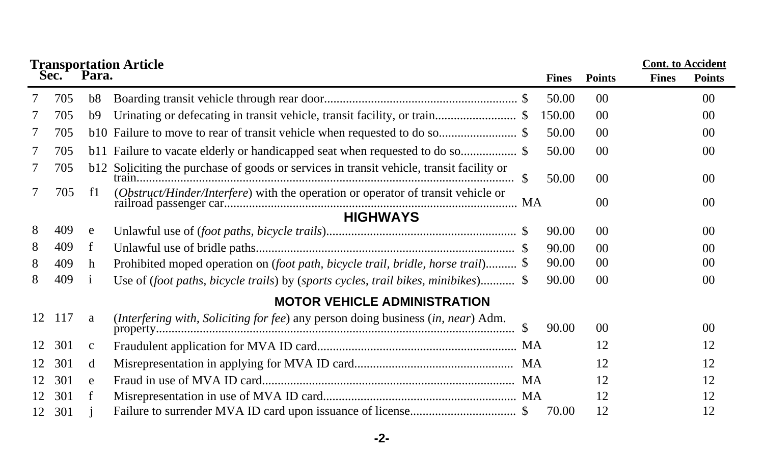|    |                 |              | <b>Transportation Article</b>                                                            |    |              |                 | <b>Cont.</b> to Accident |                 |  |  |
|----|-----------------|--------------|------------------------------------------------------------------------------------------|----|--------------|-----------------|--------------------------|-----------------|--|--|
|    | Sec.            | Para.        |                                                                                          |    | <b>Fines</b> | <b>Points</b>   | <b>Fines</b>             | <b>Points</b>   |  |  |
|    | 705             | b8           |                                                                                          |    | 50.00        | 0 <sup>0</sup>  |                          | 00              |  |  |
|    | 705             | b9           |                                                                                          |    | 150.00       | 00              |                          | 00              |  |  |
|    | 705             |              |                                                                                          |    | 50.00        | 0 <sup>0</sup>  |                          | 00 <sup>0</sup> |  |  |
|    | 705             |              |                                                                                          |    | 50.00        | 0 <sup>0</sup>  |                          | 00 <sup>0</sup> |  |  |
|    | 705             |              | b12 Soliciting the purchase of goods or services in transit vehicle, transit facility or | S. | 50.00        | 00 <sup>0</sup> |                          | 00              |  |  |
|    | 705             | f1           | (Obstruct/Hinder/Interfere) with the operation or operator of transit vehicle or         |    |              | 0 <sup>0</sup>  |                          | $00\,$          |  |  |
|    | <b>HIGHWAYS</b> |              |                                                                                          |    |              |                 |                          |                 |  |  |
| 8  | 409             | e            |                                                                                          |    | 90.00        | 00              |                          | 00              |  |  |
| 8  | 409             | f            |                                                                                          |    | 90.00        | 0 <sup>0</sup>  |                          | 00 <sup>2</sup> |  |  |
| 8  | 409             | h            | Prohibited moped operation on (foot path, bicycle trail, bridle, horse trail) \$         |    | 90.00        | 00              |                          | 00 <sup>2</sup> |  |  |
| 8  | 409             | $\mathbf{1}$ | Use of (foot paths, bicycle trails) by (sports cycles, trail bikes, minibikes) \$        |    | 90.00        | 0 <sup>0</sup>  |                          | 00              |  |  |
|    |                 |              | <b>MOTOR VEHICLE ADMINISTRATION</b>                                                      |    |              |                 |                          |                 |  |  |
| 12 | 117             | a            | (Interfering with, Soliciting for fee) any person doing business (in, near) Adm.         |    | 90.00        | 00              |                          | 00              |  |  |
| 12 | 301             | $\mathbf c$  |                                                                                          |    |              | 12              |                          | 12              |  |  |
| 12 | 301             | d            |                                                                                          |    |              | 12              |                          | 12              |  |  |
| 12 | 301             | e            |                                                                                          |    |              | 12              |                          | 12              |  |  |
| 12 | 301             | f            |                                                                                          |    |              | 12              |                          | 12              |  |  |
| 12 | 301             |              |                                                                                          |    | 70.00        | 12              |                          | 12              |  |  |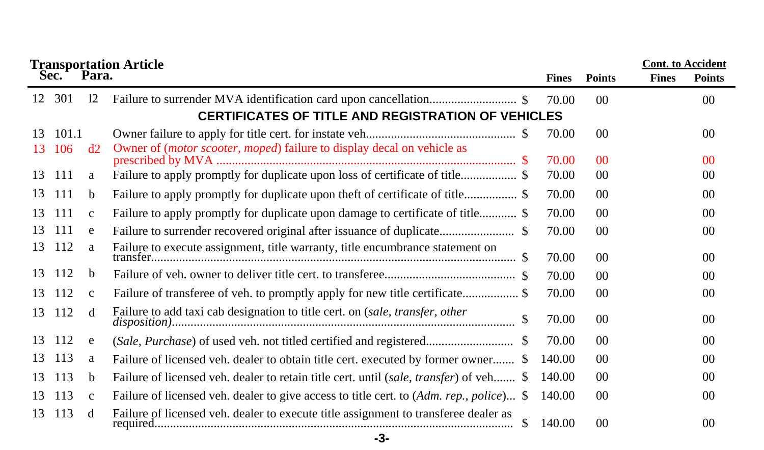|    | <b>Cont.</b> to Accident<br><b>Transportation Article</b> |              |                                                                                            |              |                 |              |                 |  |
|----|-----------------------------------------------------------|--------------|--------------------------------------------------------------------------------------------|--------------|-----------------|--------------|-----------------|--|
|    | Sec.                                                      | Para.        |                                                                                            | <b>Fines</b> | <b>Points</b>   | <b>Fines</b> | <b>Points</b>   |  |
| 12 | 301                                                       | 12           |                                                                                            | 70.00        | 00 <sup>0</sup> |              | 00 <sup>1</sup> |  |
|    |                                                           |              | <b>CERTIFICATES OF TITLE AND REGISTRATION OF VEHICLES</b>                                  |              |                 |              |                 |  |
| 13 | 101.1                                                     |              |                                                                                            | 70.00        | 0 <sup>0</sup>  |              | 00 <sup>2</sup> |  |
| 13 | 106                                                       | d2           | Owner of ( <i>motor scooter, moped</i> ) failure to display decal on vehicle as            |              |                 |              |                 |  |
|    |                                                           |              |                                                                                            | 70.00        | 0 <sup>0</sup>  |              | 0 <sup>0</sup>  |  |
| 13 | 111                                                       | a            | Failure to apply promptly for duplicate upon loss of certificate of title\$                | 70.00        | 00 <sup>0</sup> |              | 00 <sup>0</sup> |  |
| 13 | 111                                                       | b            | Failure to apply promptly for duplicate upon theft of certificate of title\$               | 70.00        | 0 <sup>0</sup>  |              | 00 <sup>2</sup> |  |
| 13 | 111                                                       | $\mathbf{C}$ |                                                                                            | 70.00        | 00 <sup>0</sup> |              | 00 <sup>2</sup> |  |
| 13 | 111                                                       | e            |                                                                                            | 70.00        | 00 <sup>0</sup> |              | 00 <sup>0</sup> |  |
| 13 | 112                                                       | a            | Failure to execute assignment, title warranty, title encumbrance statement on<br>transfer. | 70.00        | 00 <sup>0</sup> |              | 00              |  |
| 13 | 112                                                       | b            |                                                                                            | 70.00        | 00 <sup>0</sup> |              | 00 <sup>2</sup> |  |
| 13 | 112                                                       | $\mathbf{C}$ | Failure of transferee of veh. to promptly apply for new title certificate\$                | 70.00        | 00 <sup>0</sup> |              | 00 <sup>2</sup> |  |
|    | 13 112                                                    | d            | Failure to add taxi cab designation to title cert. on (sale, transfer, other               | 70.00        | 00 <sup>0</sup> |              | 00              |  |
| 13 | 112                                                       | e            |                                                                                            | 70.00        | 0 <sup>0</sup>  |              | 00              |  |
| 13 | 113                                                       | a            | Failure of licensed veh. dealer to obtain title cert. executed by former owner \$          | 140.00       | 00 <sup>0</sup> |              | 00 <sup>2</sup> |  |
| 13 | 113                                                       | b.           | Failure of licensed veh. dealer to retain title cert. until (sale, transfer) of veh \$     | 140.00       | 00 <sup>0</sup> |              | 00 <sup>2</sup> |  |
| 13 | 113                                                       | $\mathbf{c}$ | Failure of licensed veh. dealer to give access to title cert. to (Adm. rep., police) \$    | 140.00       | 00 <sup>0</sup> |              | 00 <sup>1</sup> |  |
| 13 | 113                                                       | d            | Failure of licensed veh. dealer to execute title assignment to transferee dealer as        | 140.00       | 00 <sup>0</sup> |              | 00 <sup>0</sup> |  |
|    |                                                           |              | -3-                                                                                        |              |                 |              |                 |  |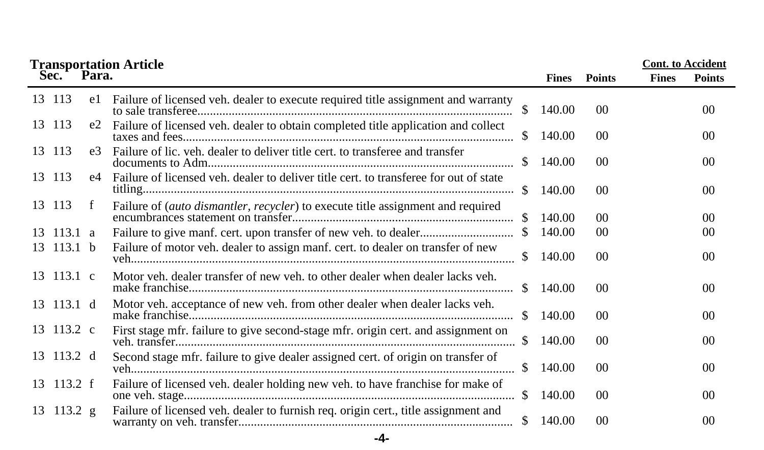|     |                          |                | <b>Transportation Article</b>                                                         |               |        |                 | <b>Cont.</b> to Accident |                 |
|-----|--------------------------|----------------|---------------------------------------------------------------------------------------|---------------|--------|-----------------|--------------------------|-----------------|
|     | Sec.                     | Para.          |                                                                                       |               | Fines  | <b>Points</b>   | <b>Fines</b>             | <b>Points</b>   |
|     | 13 113                   | e1             | Failure of licensed veh. dealer to execute required title assignment and warranty     | \$            | 140.00 | 0 <sup>0</sup>  |                          | 00 <sup>1</sup> |
|     | 13 113                   | e2             | Failure of licensed veh. dealer to obtain completed title application and collect     | S.            | 140.00 | 0 <sup>0</sup>  |                          | 0 <sup>0</sup>  |
|     | 13 113                   | e <sup>3</sup> | Failure of lic. veh. dealer to deliver title cert. to transferee and transfer         | \$            | 140.00 | 0 <sup>0</sup>  |                          | 00 <sup>1</sup> |
|     | 13 113                   | e4             | Failure of licensed veh. dealer to deliver title cert, to transferee for out of state | S.            | 140.00 | 0 <sup>0</sup>  |                          | 0 <sup>0</sup>  |
|     | 13 113                   | f              | Failure of (auto dismantler, recycler) to execute title assignment and required       | SS.           | 140.00 | 00              |                          | 00              |
| 13. | 113.1 a                  |                |                                                                                       |               | 140.00 | 00 <sup>0</sup> |                          | 00              |
|     | 13 113.1 b               |                | Failure of motor veh. dealer to assign manf. cert. to dealer on transfer of new       |               | 140.00 | 0 <sup>0</sup>  |                          | 0 <sup>0</sup>  |
|     | $13 \quad 113.1 \quad c$ |                | Motor veh. dealer transfer of new veh. to other dealer when dealer lacks veh.         | \$            | 140.00 | 0 <sup>0</sup>  |                          | 00              |
|     | $13 \t113.1 d$           |                | Motor veh. acceptance of new veh. from other dealer when dealer lacks veh.            | <sup>\$</sup> | 140.00 | 0 <sup>0</sup>  |                          | 00              |
|     | 13 113.2 c               |                | First stage mfr. failure to give second-stage mfr. origin cert. and assignment on     |               | 140.00 | 0 <sup>0</sup>  |                          | 00              |
|     | 13 113.2 d               |                | Second stage mfr. failure to give dealer assigned cert. of origin on transfer of      | \$.           | 140.00 | 0 <sup>0</sup>  |                          | 00 <sup>1</sup> |
|     | $13 \quad 113.2 \quad f$ |                | Failure of licensed veh. dealer holding new veh. to have franchise for make of        |               | 140.00 | 00 <sup>0</sup> |                          | 00 <sup>0</sup> |
|     | 13 113.2 g               |                | Failure of licensed veh. dealer to furnish req. origin cert., title assignment and    | \$            | 140.00 | 0 <sup>0</sup>  |                          | 00              |
|     |                          |                | -4-                                                                                   |               |        |                 |                          |                 |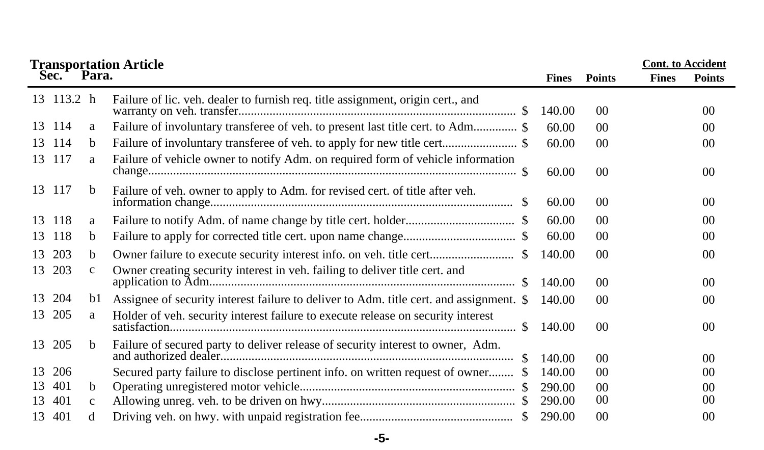|    |            |              | <b>Transportation Article</b>                                                           |              |                 | <b>Cont.</b> to Accident |                 |
|----|------------|--------------|-----------------------------------------------------------------------------------------|--------------|-----------------|--------------------------|-----------------|
|    | Sec.       | Para.        |                                                                                         | <b>Fines</b> | <b>Points</b>   | <b>Fines</b>             | <b>Points</b>   |
|    | 13 113.2 h |              | Failure of lic. veh. dealer to furnish req. title assignment, origin cert., and         | 140.00       | 0 <sup>0</sup>  |                          | 00              |
|    | 13 114     | a            | Failure of involuntary transferee of veh. to present last title cert. to Adm \$         | 60.00        | 00 <sup>0</sup> |                          | 00 <sup>2</sup> |
|    | 13 114     | b            | Failure of involuntary transferee of veh. to apply for new title cert\$                 | 60.00        | 00 <sup>0</sup> |                          | 00              |
| 13 | 117        | a            | Failure of vehicle owner to notify Adm. on required form of vehicle information         | 60.00        | 0 <sup>0</sup>  |                          | 00              |
|    | 13 117     | b            | Failure of veh. owner to apply to Adm. for revised cert. of title after veh.            | 60.00        | 00 <sup>0</sup> |                          | 00              |
|    | 13 118     | a            |                                                                                         | 60.00        | 00 <sup>0</sup> |                          | 00              |
| 13 | 118        | b.           |                                                                                         | 60.00        | 0 <sup>0</sup>  |                          | 00 <sup>2</sup> |
| 13 | 203        | b            |                                                                                         | 140.00       | 0 <sup>0</sup>  |                          | 00              |
|    | 13 203     | $\mathbf{C}$ | Owner creating security interest in veh. failing to deliver title cert. and             | 140.00       | 00 <sup>0</sup> |                          | 00              |
| 13 | 204        | b1           | Assignee of security interest failure to deliver to Adm. title cert. and assignment. \$ | 140.00       | 0 <sup>0</sup>  |                          | 00 <sup>0</sup> |
| 13 | 205        | a            | Holder of veh. security interest failure to execute release on security interest        | 140.00       | 00 <sup>0</sup> |                          | 00 <sup>0</sup> |
| 13 | 205        | b.           | Failure of secured party to deliver release of security interest to owner, Adm.<br>S.   | 140.00       | 00 <sup>0</sup> |                          | 00              |
| 13 | 206        |              | Secured party failure to disclose pertinent info. on written request of owner           | 140.00       | 00 <sup>0</sup> |                          | 00 <sup>2</sup> |
| 13 | 401        | b.           |                                                                                         | 290.00       | 00 <sup>0</sup> |                          | 00 <sup>0</sup> |
| 13 | 401        | $\mathbf{C}$ |                                                                                         | 290.00       | $00\,$          |                          | 00              |
| 13 | 401        |              |                                                                                         | 290.00       | 0 <sup>0</sup>  |                          | 0 <sup>0</sup>  |

### **-5-**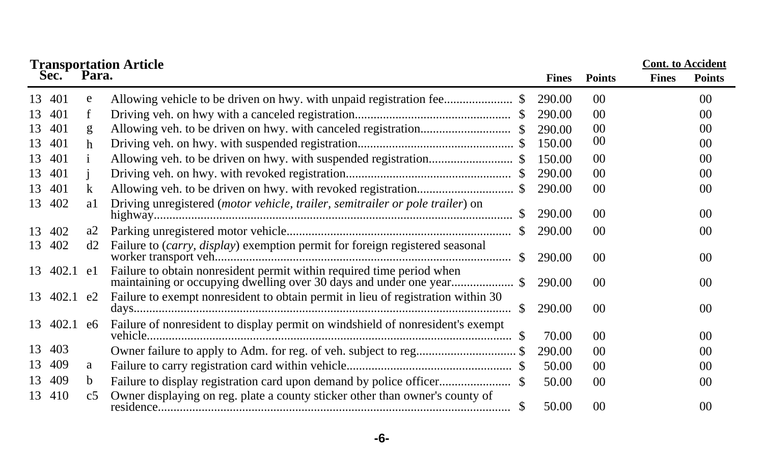|    |             |                | <b>Transportation Article</b>                                                    |     |              |                 | <b>Cont. to Accident</b> |                |  |
|----|-------------|----------------|----------------------------------------------------------------------------------|-----|--------------|-----------------|--------------------------|----------------|--|
|    | Sec.        | Para.          |                                                                                  |     | <b>Fines</b> | <b>Points</b>   | <b>Fines</b>             | <b>Points</b>  |  |
| 13 | 401         | e              |                                                                                  |     | 290.00       | 00              |                          | 0 <sup>0</sup> |  |
| 13 | 401         | f              |                                                                                  |     | 290.00       | 00              |                          | 0 <sup>0</sup> |  |
| 13 | 401         | g              |                                                                                  |     | 290.00       | 0 <sup>0</sup>  |                          | 0 <sup>0</sup> |  |
| 13 | 401         | h              |                                                                                  |     | 150.00       | 00              |                          | 0 <sup>0</sup> |  |
| 13 | 401         |                |                                                                                  |     | 150.00       | 00              |                          | 0 <sup>0</sup> |  |
| 13 | 401         |                |                                                                                  |     | 290.00       | 00              |                          | 00             |  |
| 13 | 401         | k              |                                                                                  |     | 290.00       | 00              |                          | 00             |  |
|    | 13 402      | a1             | Driving unregistered (motor vehicle, trailer, semitrailer or pole trailer) on    |     | 290.00       | 00 <sup>0</sup> |                          | 0 <sup>0</sup> |  |
| 13 | 402         | a2             |                                                                                  |     | 290.00       | 00              |                          | 0 <sup>0</sup> |  |
|    | 13 402      | d2             | Failure to (carry, display) exemption permit for foreign registered seasonal     |     | 290.00       | $00\,$          |                          | 0 <sup>0</sup> |  |
|    | 13 402.1 e1 |                | Failure to obtain nonresident permit within required time period when            |     | 290.00       | 00              |                          | 00             |  |
|    | 13 402.1 e2 |                | Failure to exempt nonresident to obtain permit in lieu of registration within 30 | \$. | 290.00       | 00              |                          | 0 <sup>0</sup> |  |
|    | 13 402.1 e6 |                | Failure of nonresident to display permit on windshield of nonresident's exempt   |     | 70.00        | 00 <sup>0</sup> |                          | 0 <sup>0</sup> |  |
| 13 | 403         |                | Owner failure to apply to Adm. for reg. of veh. subject to reg\$                 |     | 290.00       | $00\,$          |                          | 0 <sup>0</sup> |  |
| 13 | 409         | a              |                                                                                  |     | 50.00        | 00              |                          | 0 <sup>0</sup> |  |
| 13 | 409         | b              |                                                                                  |     | 50.00        | $00\,$          |                          | 0 <sup>0</sup> |  |
| 13 | 410         | c <sub>5</sub> | Owner displaying on reg. plate a county sticker other than owner's county of     |     | 50.00        | 0 <sup>0</sup>  |                          | 00             |  |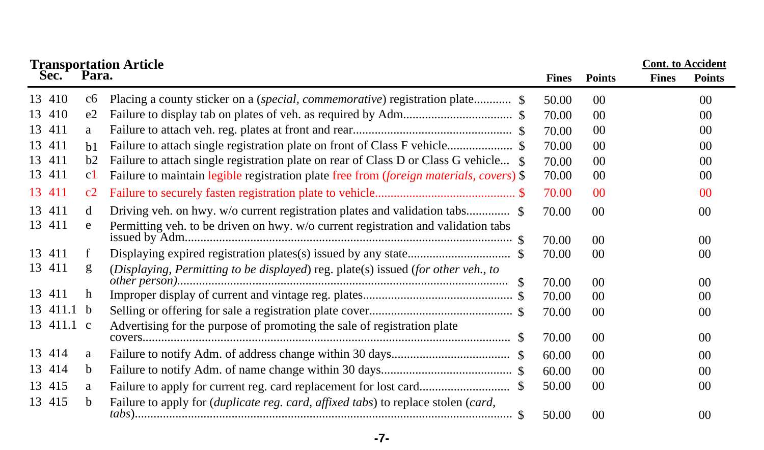| <b>Transportation Article</b> |             |                                                                                         | <b>Cont.</b> to Accident |                |              |                 |
|-------------------------------|-------------|-----------------------------------------------------------------------------------------|--------------------------|----------------|--------------|-----------------|
| Sec.                          | Para.       |                                                                                         | <b>Fines</b>             | <b>Points</b>  | <b>Fines</b> | <b>Points</b>   |
| 13 410                        | c6          | Placing a county sticker on a (special, commemorative) registration plate \$            | 50.00                    | 00             |              | 0 <sup>0</sup>  |
| 13 410                        | e2          |                                                                                         | 70.00                    | 00             |              | 00              |
| 13 411                        | a           |                                                                                         | 70.00                    | 00             |              | 0 <sup>0</sup>  |
| 13 411                        | b1          |                                                                                         | 70.00                    | $00\,$         |              | 0 <sup>0</sup>  |
| 13 411                        | b2          | Failure to attach single registration plate on rear of Class D or Class G vehicle \$    | 70.00                    | 00             |              | 00              |
| 13 411                        | c1          | Failure to maintain legible registration plate free from (foreign materials, covers) \$ | 70.00                    | 00             |              | 00              |
| 13 411                        | c2          |                                                                                         | 70.00                    | $00\,$         |              | 0 <sup>0</sup>  |
| 13 411                        | d           |                                                                                         | 70.00                    | $00\,$         |              | 0 <sup>0</sup>  |
| 13 411                        | e           | Permitting veh. to be driven on hwy. w/o current registration and validation tabs       | 70.00                    | 00             |              | 00 <sup>0</sup> |
| 13 411                        | f           |                                                                                         | 70.00                    | 00             |              | 0 <sup>0</sup>  |
| 13 411                        | g           | (Displaying, Permitting to be displayed) reg. plate(s) issued (for other veh., to       |                          |                |              |                 |
| 13 411                        | h           | -SS                                                                                     | 70.00                    | 0 <sup>0</sup> |              | 00 <sup>0</sup> |
|                               |             |                                                                                         | 70.00                    | 00             |              | 00              |
| 13 411.1 b                    |             |                                                                                         | 70.00                    | 00             |              | 0 <sup>0</sup>  |
| 13 411.1 c                    |             | Advertising for the purpose of promoting the sale of registration plate                 | 70.00                    | $00\,$         |              | 0 <sup>0</sup>  |
| 13 414                        | a           |                                                                                         | 60.00                    | 00             |              | 00              |
| 13 414                        | $\mathbf b$ |                                                                                         | 60.00                    | 0 <sup>0</sup> |              | 00              |
| 13 415                        | a           |                                                                                         | 50.00                    | 00             |              | 00              |
| 13 415                        | b           | Failure to apply for (duplicate reg. card, affixed tabs) to replace stolen (card,       | 50.00                    | $00\,$         |              | 0 <sup>0</sup>  |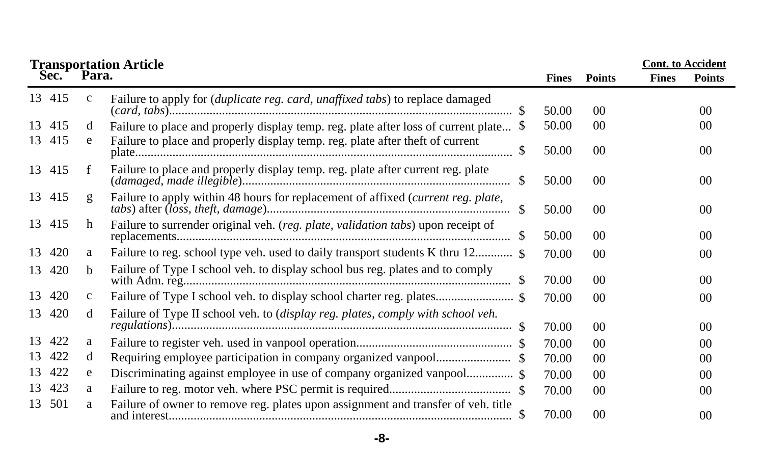|    |        |              | <b>Transportation Article<br/>Sec. Para.</b>                                           |              |                 | <b>Cont.</b> to Accident |                |
|----|--------|--------------|----------------------------------------------------------------------------------------|--------------|-----------------|--------------------------|----------------|
|    |        |              |                                                                                        | <b>Fines</b> | <b>Points</b>   | <b>Fines</b>             | <b>Points</b>  |
|    | 13 415 | $\mathbf{c}$ | Failure to apply for (duplicate reg. card, unaffixed tabs) to replace damaged<br>\$.   | 50.00        | 00 <sup>°</sup> |                          | 0 <sup>0</sup> |
| 13 | 415    | d            | Failure to place and properly display temp. reg. plate after loss of current plate \$  | 50.00        | $00\,$          |                          | 00             |
|    | 13 415 | e            | Failure to place and properly display temp. reg. plate after theft of current          | 50.00        | $00\,$          |                          | 0 <sup>0</sup> |
|    | 13 415 |              | Failure to place and properly display temp. reg. plate after current reg. plate        | 50.00        | $00\,$          |                          | 0 <sup>0</sup> |
|    | 13 415 | g            | Failure to apply within 48 hours for replacement of affixed (current reg. plate,       | 50.00        | $00\,$          |                          | $00\,$         |
|    | 13 415 | h            | Failure to surrender original veh. (reg. plate, validation tabs) upon receipt of<br>\$ | 50.00        | $00\,$          |                          | 0 <sup>0</sup> |
| 13 | 420    | a            |                                                                                        | 70.00        | 00 <sup>0</sup> |                          | 0 <sup>0</sup> |
| 13 | 420    | <sub>b</sub> | Failure of Type I school veh. to display school bus reg. plates and to comply          | 70.00        | $00\,$          |                          | 0 <sup>0</sup> |
| 13 | 420    | $\mathbf{c}$ |                                                                                        | 70.00        | $00\,$          |                          | 0 <sup>0</sup> |
| 13 | 420    | d            | Failure of Type II school veh. to (display reg. plates, comply with school veh.        | 70.00        | $00\,$          |                          | $00\,$         |
| 13 | 422    | a            |                                                                                        | 70.00        | 00 <sup>0</sup> |                          | 0 <sup>0</sup> |
| 13 | 422    | d            |                                                                                        | 70.00        | 00 <sup>°</sup> |                          | 0 <sup>0</sup> |
| 13 | 422    | e            | Discriminating against employee in use of company organized vanpool \$                 | 70.00        | 00 <sup>2</sup> |                          | 00             |
| 13 | 423    | a            |                                                                                        | 70.00        | 00 <sup>°</sup> |                          | 0 <sup>0</sup> |
| 13 | 501    | a            | Failure of owner to remove reg. plates upon assignment and transfer of veh. title      | 70.00        | 00 <sup>°</sup> |                          | 0 <sup>0</sup> |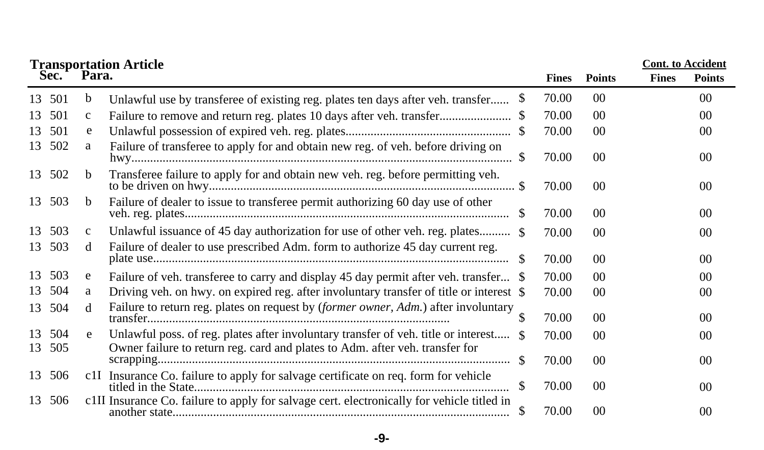|    |        |              | <b>Transportation Article</b>                                                              |     |              |                 | <b>Cont.</b> to Accident |                |
|----|--------|--------------|--------------------------------------------------------------------------------------------|-----|--------------|-----------------|--------------------------|----------------|
|    | Sec.   | Para.        |                                                                                            |     | <b>Fines</b> | <b>Points</b>   | <b>Fines</b>             | <b>Points</b>  |
|    | 13 501 | b            | Unlawful use by transferee of existing reg. plates ten days after veh. transfer            | \$  | 70.00        | $00\,$          |                          | 00             |
| 13 | 501    | c            |                                                                                            |     | 70.00        | $00\,$          |                          | 0 <sup>0</sup> |
| 13 | 501    | e            |                                                                                            |     | 70.00        | 00 <sup>2</sup> |                          | 0 <sup>0</sup> |
|    | 13 502 | a            | Failure of transferee to apply for and obtain new reg. of veh. before driving on           |     | 70.00        | $00\,$          |                          | 0 <sup>0</sup> |
| 13 | 502    | b            | Transferee failure to apply for and obtain new veh. reg. before permitting veh.            |     | 70.00        | $00\,$          |                          | 0 <sup>0</sup> |
|    | 13 503 | b            | Failure of dealer to issue to transferee permit authorizing 60 day use of other            | -\$ | 70.00        | $00\,$          |                          | 0 <sup>0</sup> |
| 13 | 503    | $\mathbf{C}$ | Unlawful issuance of 45 day authorization for use of other veh. reg. plates \$             |     | 70.00        | 00 <sup>2</sup> |                          | 00             |
| 13 | 503    | d            | Failure of dealer to use prescribed Adm. form to authorize 45 day current reg.             | - S | 70.00        | $00\,$          |                          | 0 <sup>0</sup> |
| 13 | 503    | e            | Failure of veh. transferee to carry and display 45 day permit after veh. transfer \$       |     | 70.00        | 00 <sup>0</sup> |                          | 0 <sup>0</sup> |
| 13 | 504    | a            | Driving veh. on hwy. on expired reg. after involuntary transfer of title or interest \$    |     | 70.00        | 00 <sup>2</sup> |                          | 0 <sup>0</sup> |
| 13 | 504    | d            | Failure to return reg. plates on request by (former owner, Adm.) after involuntary         |     | 70.00        | $00\,$          |                          | 0 <sup>0</sup> |
| 13 | 504    | e            | Unlawful poss. of reg. plates after involuntary transfer of veh. title or interest \$      |     | 70.00        | 00 <sup>°</sup> |                          | 0 <sup>0</sup> |
| 13 | 505    |              | Owner failure to return reg. card and plates to Adm. after veh. transfer for               |     | 70.00        | $00\,$          |                          | 0 <sup>0</sup> |
|    | 13 506 |              | c1I Insurance Co. failure to apply for salvage certificate on req. form for vehicle        | \$  | 70.00        | $00\,$          |                          | 0 <sup>0</sup> |
|    | 13 506 |              | c1II Insurance Co. failure to apply for salvage cert. electronically for vehicle titled in | S   | 70.00        | 00 <sup>°</sup> |                          | 0 <sup>0</sup> |

**-9-**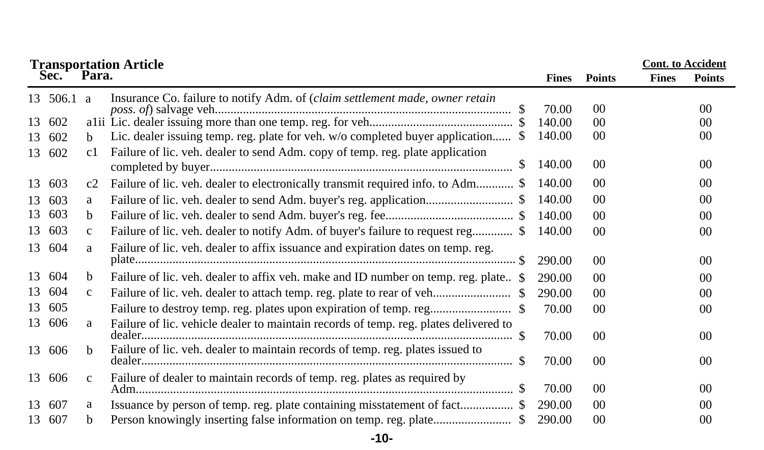|    |            |              | <b>Transportation Article</b>                                                        |              |                 | <b>Cont.</b> to Accident |                 |
|----|------------|--------------|--------------------------------------------------------------------------------------|--------------|-----------------|--------------------------|-----------------|
|    | Sec.       | Para.        |                                                                                      | <b>Fines</b> | <b>Points</b>   | <b>Fines</b>             | <b>Points</b>   |
|    | 13 506.1 a |              | Insurance Co. failure to notify Adm. of (claim settlement made, owner retain         | 70.00        | 00              |                          | 00 <sup>0</sup> |
| 13 | 602        |              |                                                                                      | 140.00       | 00              |                          | $00\,$          |
| 13 | 602        | b.           | Lic. dealer issuing temp. reg. plate for veh. w/o completed buyer application \$     | 140.00       | $00\,$          |                          | 00 <sup>2</sup> |
|    | 13 602     | c1           | Failure of lic. veh. dealer to send Adm. copy of temp. reg. plate application        |              |                 |                          |                 |
|    |            |              |                                                                                      | 140.00       | 00 <sup>0</sup> |                          | 0 <sup>0</sup>  |
|    | 13 603     | c2           | Failure of lic. veh. dealer to electronically transmit required info. to Adm \$      | 140.00       | 0 <sup>0</sup>  |                          | 00              |
| 13 | 603        | a            |                                                                                      | 140.00       | 0 <sup>0</sup>  |                          | 00 <sup>0</sup> |
| 13 | 603        | b            |                                                                                      | 140.00       | 00              |                          | $00\,$          |
| 13 | 603        | $\mathbf{c}$ | Failure of lic. veh. dealer to notify Adm. of buyer's failure to request reg \$      | 140.00       | 00              |                          | $00\,$          |
|    | 13 604     | a            | Failure of lic. veh. dealer to affix issuance and expiration dates on temp. reg.     |              |                 |                          |                 |
|    |            |              |                                                                                      | 290.00       | 00              |                          | 00 <sup>0</sup> |
| 13 | 604        | b            | Failure of lic. veh. dealer to affix veh. make and ID number on temp. reg. plate \$  | 290.00       | 0 <sup>0</sup>  |                          | 00 <sup>0</sup> |
| 13 | 604        | c            |                                                                                      | 290.00       | 00              |                          | 00 <sup>2</sup> |
| 13 | 605        |              |                                                                                      | 70.00        | 00 <sup>0</sup> |                          | 0 <sup>0</sup>  |
|    | 13 606     | a            | Failure of lic. vehicle dealer to maintain records of temp. reg. plates delivered to |              |                 |                          |                 |
|    |            |              |                                                                                      | 70.00        | 00 <sup>0</sup> |                          | 00 <sup>0</sup> |
|    | 13 606     | b.           | Failure of lic. veh. dealer to maintain records of temp. reg. plates issued to       | 70.00        | 00 <sup>0</sup> |                          | $00\,$          |
|    | 13 606     | $\mathbf{C}$ | Failure of dealer to maintain records of temp. reg. plates as required by            |              |                 |                          |                 |
|    |            |              |                                                                                      | 70.00        | 00 <sup>0</sup> |                          | 0 <sup>0</sup>  |
| 13 | 607        | a            | Issuance by person of temp. reg. plate containing misstatement of fact \$            | 290.00       | $00\,$          |                          | 0 <sup>0</sup>  |
| 13 | 607        | b            |                                                                                      | 290.00       | $00\,$          |                          | 0 <sup>0</sup>  |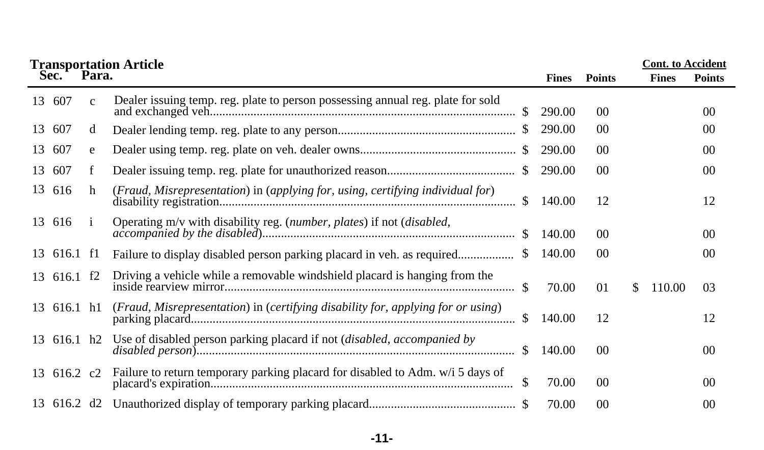|    |             |              | <b>Transportation Article</b>                                                       |               |              |                 |    | <b>Cont.</b> to Accident |                 |
|----|-------------|--------------|-------------------------------------------------------------------------------------|---------------|--------------|-----------------|----|--------------------------|-----------------|
|    | Sec.        | Para.        |                                                                                     |               | <b>Fines</b> | <b>Points</b>   |    | <b>Fines</b>             | <b>Points</b>   |
|    | 13 607      | $\mathbf{c}$ | Dealer issuing temp. reg. plate to person possessing annual reg. plate for sold     |               | 290.00       | $00\,$          |    |                          | 00 <sup>0</sup> |
| 13 | 607         | d            |                                                                                     |               | 290.00       | 00 <sup>0</sup> |    |                          | 00 <sup>0</sup> |
| 13 | 607         | e            |                                                                                     |               | 290.00       | 00 <sup>0</sup> |    |                          | 00 <sup>0</sup> |
| 13 | 607         | f            |                                                                                     | -SS           | 290.00       | $00\,$          |    |                          | 00 <sup>0</sup> |
| 13 | 616         | h            | (Fraud, Misrepresentation) in (applying for, using, certifying individual for)      | <sup>\$</sup> | 140.00       | 12              |    |                          | 12              |
|    | 13 616      |              | Operating m/v with disability reg. (number, plates) if not (disabled,               |               | 140.00       | 00 <sup>0</sup> |    |                          | 00 <sup>0</sup> |
|    | 13 616.1 f1 |              |                                                                                     |               | 140.00       | 00 <sup>0</sup> |    |                          | 00 <sup>0</sup> |
|    | 13 616.1 f2 |              |                                                                                     | \$.           | 70.00        | 01              | S. | 110.00                   | 03              |
|    | 13 616.1 h1 |              | (Fraud, Misrepresentation) in (certifying disability for, applying for or using)    | $\mathcal{S}$ | 140.00       | 12              |    |                          | 12              |
|    |             |              | 13 616.1 h2 Use of disabled person parking placard if not (disabled, accompanied by | <sup>\$</sup> | 140.00       | 00 <sup>0</sup> |    |                          | $00\,$          |
|    | 13 616.2 c2 |              | Failure to return temporary parking placard for disabled to Adm. w/i 5 days of      | S.            | 70.00        | $00\,$          |    |                          | 00 <sup>0</sup> |
|    |             |              |                                                                                     |               | 70.00        | 00 <sup>0</sup> |    |                          | 00 <sup>0</sup> |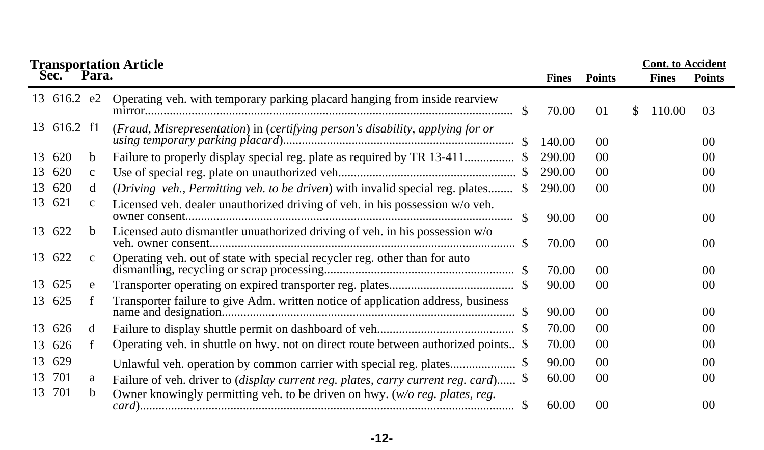|    |             |              | <b>Transportation Article</b>                                                              |     |              |                 |    | <b>Cont. to Accident</b> |                 |
|----|-------------|--------------|--------------------------------------------------------------------------------------------|-----|--------------|-----------------|----|--------------------------|-----------------|
|    | Sec.        | Para.        |                                                                                            |     | <b>Fines</b> | <b>Points</b>   |    | <b>Fines</b>             | <b>Points</b>   |
|    | 13 616.2 e2 |              | Operating veh. with temporary parking placard hanging from inside rearview                 |     | 70.00        | 01              | S. | 110.00                   | 03              |
|    | 13 616.2 f1 |              | (Fraud, Misrepresentation) in (certifying person's disability, applying for or             |     | 140.00       | 00              |    |                          | 00 <sup>0</sup> |
| 13 | 620         | b            | Failure to properly display special reg. plate as required by TR 13-411                    |     | 290.00       | 00              |    |                          | 0 <sup>0</sup>  |
| 13 | 620         | $\mathbf{c}$ |                                                                                            |     | 290.00       | $00\,$          |    |                          | 00              |
| 13 | 620         | d            | (Driving veh., Permitting veh. to be driven) with invalid special reg. plates              | -SS | 290.00       | 00              |    |                          | 0 <sup>0</sup>  |
| 13 | 621         | $\mathbf{C}$ | Licensed veh. dealer unauthorized driving of veh. in his possession w/o veh.               | S.  | 90.00        | 00              |    |                          | $00\,$          |
|    | 13 622      | <sub>b</sub> | Licensed auto dismantler unuathorized driving of veh. in his possession w/o                |     | 70.00        | $00\,$          |    |                          | 0 <sup>0</sup>  |
|    | 13 622      | $\mathbf{c}$ | Operating veh. out of state with special recycler reg. other than for auto                 |     | 70.00        | 00 <sup>°</sup> |    |                          | 0 <sup>0</sup>  |
| 13 | 625         | e            |                                                                                            |     | 90.00        | $00\,$          |    |                          | 0 <sup>0</sup>  |
|    | 13 625      |              | Transporter failure to give Adm. written notice of application address, business           |     | 90.00        | 00              |    |                          | 0 <sup>0</sup>  |
| 13 | 626         | d            |                                                                                            |     | 70.00        | $00\,$          |    |                          | 0 <sup>0</sup>  |
| 13 | 626         |              | Operating veh. in shuttle on hwy. not on direct route between authorized points \$         |     | 70.00        | 00              |    |                          | 00              |
| 13 | 629         |              | Unlawful veh. operation by common carrier with special reg. plates                         |     | 90.00        | 00              |    |                          | 0 <sup>0</sup>  |
| 13 | 701         | a            | Failure of veh. driver to <i>(display current reg. plates, carry current reg. card)</i> \$ |     | 60.00        | 00              |    |                          | $00\,$          |
| 13 | 701         | b            | Owner knowingly permitting veh. to be driven on hwy. ( $w/o$ reg. plates, reg.             | S.  | 60.00        | 0 <sup>0</sup>  |    |                          | 00              |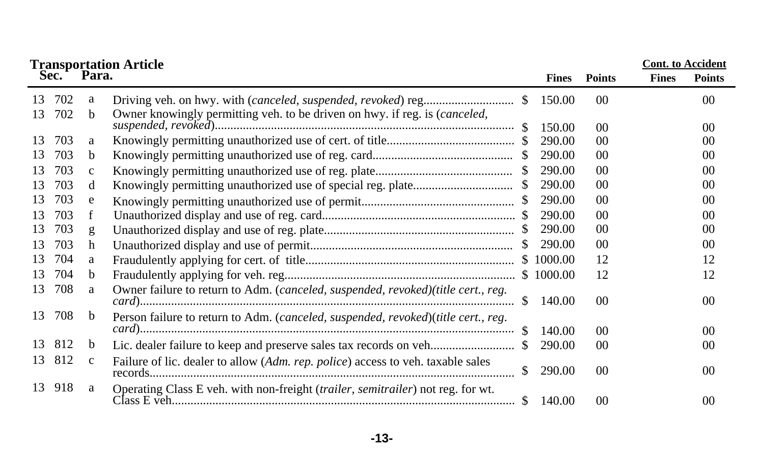|          |            |              | <b>Transportation Article</b>                                                     |               |              | <b>Cont.</b> to Accident |              |                 |  |  |
|----------|------------|--------------|-----------------------------------------------------------------------------------|---------------|--------------|--------------------------|--------------|-----------------|--|--|
|          | Sec.       | Para.        |                                                                                   |               | <b>Fines</b> | <b>Points</b>            | <b>Fines</b> | <b>Points</b>   |  |  |
| 13<br>13 | 702<br>702 | a<br>b.      | Owner knowingly permitting veh. to be driven on hwy. if reg. is (canceled,        | \$            | 150.00       | 00 <sup>0</sup>          |              | 00 <sup>1</sup> |  |  |
|          |            |              |                                                                                   | £.            | 150.00       | 00 <sup>2</sup>          |              | 00 <sup>0</sup> |  |  |
| 13       | 703        | a            |                                                                                   |               | 290.00       | 00 <sup>0</sup>          |              | 00 <sup>2</sup> |  |  |
| 13       | 703        | b.           |                                                                                   | \$.           | 290.00       | 00 <sup>0</sup>          |              | 00 <sup>0</sup> |  |  |
| 13       | 703        | $\mathbf{C}$ |                                                                                   | S.            | 290.00       | $00\,$                   |              | 00 <sup>0</sup> |  |  |
| 13       | 703        | d            |                                                                                   | S.            | 290.00       | 00 <sup>0</sup>          |              | 00 <sup>2</sup> |  |  |
| 13       | 703        | e            |                                                                                   | S.            | 290.00       | 00 <sup>0</sup>          |              | 00 <sup>0</sup> |  |  |
| 13       | 703        | f            |                                                                                   |               | 290.00       | 00 <sup>0</sup>          |              | 00 <sup>0</sup> |  |  |
| 13       | 703        | g            |                                                                                   | S.            | 290.00       | 00 <sup>0</sup>          |              | 00 <sup>0</sup> |  |  |
| 13       | 703        | h            |                                                                                   | <sup>\$</sup> | 290.00       | $00\,$                   |              | 00 <sup>2</sup> |  |  |
| 13       | 704        | a            |                                                                                   |               | \$1000.00    | 12                       |              | 12              |  |  |
| 13       | 704        | b.           |                                                                                   |               | \$1000.00    | 12                       |              | 12              |  |  |
| 13       | 708        | a            | Owner failure to return to Adm. (canceled, suspended, revoked)(title cert., reg.  | \$.           | 140.00       | 00 <sup>2</sup>          |              | $00\,$          |  |  |
| 13       | 708        | b            | Person failure to return to Adm. (canceled, suspended, revoked)(title cert., reg. | -S            | 140.00       | 00 <sup>0</sup>          |              | 00 <sup>0</sup> |  |  |
| 13       | 812        | b            |                                                                                   | S.            | 290.00       | 00 <sup>2</sup>          |              | 00 <sup>2</sup> |  |  |
| 13       | 812        | $\mathbf{c}$ | Failure of lic. dealer to allow (Adm. rep. police) access to veh. taxable sales   | S.            | 290.00       | 00 <sup>0</sup>          |              | 00 <sup>0</sup> |  |  |
| 13       | 918        | a            | Operating Class E veh. with non-freight (trailer, semitrailer) not reg. for wt.   | S.            | 140.00       | 00 <sup>0</sup>          |              | 00 <sup>0</sup> |  |  |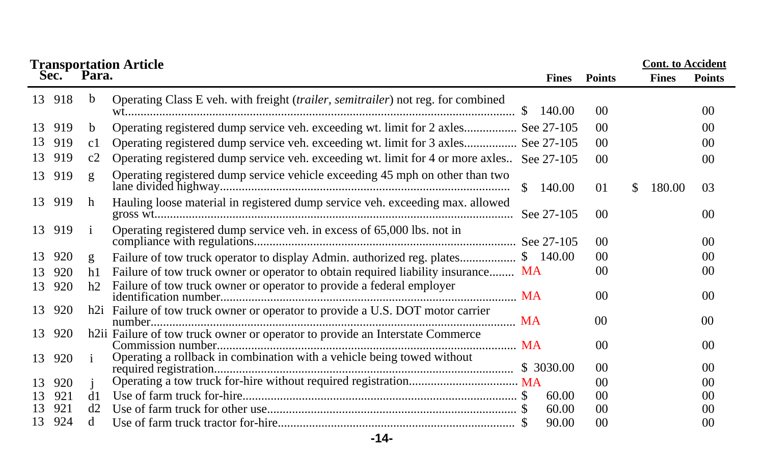|    |        |              |                                                                                           | <b>Cont.</b> to Accident |                 |               |                |
|----|--------|--------------|-------------------------------------------------------------------------------------------|--------------------------|-----------------|---------------|----------------|
|    |        |              | <b>Transportation Article<br/>Sec. Para.</b>                                              | <b>Fines</b>             | <b>Points</b>   | <b>Fines</b>  | <b>Points</b>  |
|    | 13 918 | b            | Operating Class E veh. with freight (trailer, semitrailer) not reg. for combined          | 140.00                   | 00 <sup>0</sup> |               | 00             |
| 13 | 919    | b            | Operating registered dump service veh. exceeding wt. limit for 2 axles See 27-105         |                          | 00 <sup>0</sup> |               | 00             |
| 13 | 919    | c1           | Operating registered dump service veh. exceeding wt. limit for 3 axles See 27-105         |                          | 00 <sup>0</sup> |               | 00             |
| 13 | 919    | c2           | Operating registered dump service veh. exceeding wt. limit for 4 or more axles See 27-105 |                          | 00 <sup>0</sup> |               | 00             |
| 13 | 919    | $\mathbf{g}$ | Operating registered dump service vehicle exceeding 45 mph on other than two              |                          | 0 <sub>1</sub>  | \$.<br>180.00 | 03             |
|    | 13 919 | h            | Hauling loose material in registered dump service veh. exceeding max. allowed             |                          | 0 <sup>0</sup>  |               | 00             |
|    | 13 919 |              | Operating registered dump service veh. in excess of 65,000 lbs. not in                    |                          | 00 <sup>0</sup> |               | 00             |
| 13 | 920    | g            | Failure of tow truck operator to display Admin. authorized reg. plates \$ 140.00          |                          | 00 <sup>0</sup> |               | 00             |
| 13 | 920    | h1           | Failure of tow truck owner or operator to obtain required liability insurance MA          |                          | 0 <sup>0</sup>  |               | 00             |
| 13 | 920    | h2           | Failure of tow truck owner or operator to provide a federal employer                      |                          | 00 <sup>0</sup> |               | 00             |
| 13 | 920    |              | h2i Failure of tow truck owner or operator to provide a U.S. DOT motor carrier            |                          | 0 <sup>0</sup>  |               | 0 <sup>0</sup> |
| 13 | 920    |              | h2ii Failure of tow truck owner or operator to provide an Interstate Commerce             |                          |                 |               |                |
|    |        |              |                                                                                           |                          | 0 <sup>0</sup>  |               | 00             |
| 13 | 920    |              | Operating a rollback in combination with a vehicle being towed without                    |                          | 0 <sup>0</sup>  |               | 00             |
| 13 | 920    |              |                                                                                           |                          | $00\,$          |               | 00             |
| 13 | 921    | d1           |                                                                                           | 60.00                    | 0 <sup>0</sup>  |               | 00             |
| 13 | 921    | d2           |                                                                                           | 60.00                    | 0 <sup>0</sup>  |               | 00             |
| 13 | 924    | d            |                                                                                           | 90.00                    | 0 <sup>0</sup>  |               | $00\,$         |

**-14-**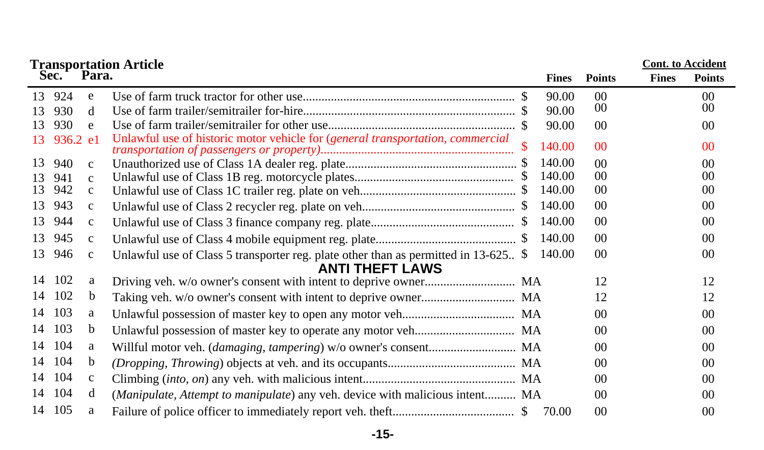| <b>Cont.</b> to Accident<br><b>Transportation Article<br/>Sec. Para.</b> |            |              |                                                                                      |              |              |                 |              |                 |  |  |
|--------------------------------------------------------------------------|------------|--------------|--------------------------------------------------------------------------------------|--------------|--------------|-----------------|--------------|-----------------|--|--|
|                                                                          |            |              |                                                                                      |              | <b>Fines</b> | <b>Points</b>   | <b>Fines</b> | <b>Points</b>   |  |  |
| 13                                                                       | 924        | e            |                                                                                      |              | 90.00        | 00 <sup>0</sup> |              | 00 <sup>0</sup> |  |  |
| 13                                                                       | 930        | d            |                                                                                      |              | 90.00        | 00              |              | 00              |  |  |
| 13                                                                       | 930        | e            |                                                                                      |              | 90.00        | 00              |              | 00 <sup>2</sup> |  |  |
| 13.                                                                      | $936.2$ e1 |              | Unlawful use of historic motor vehicle for (general transportation, commercial       |              | 140.00       | 0 <sup>0</sup>  |              | 0 <sup>0</sup>  |  |  |
| 13                                                                       | 940        | $\mathbf{c}$ |                                                                                      |              | 140.00       | 00 <sup>0</sup> |              | 00              |  |  |
| 13                                                                       | 941        | $\mathbf{c}$ |                                                                                      |              | 140.00       | 00 <sup>0</sup> |              | 00              |  |  |
| 13                                                                       | 942        | $\mathbf{C}$ |                                                                                      |              | 140.00       | 00              |              | 00              |  |  |
| 13                                                                       | 943        | $\mathbf{c}$ |                                                                                      | <sup>S</sup> | 140.00       | 00 <sup>0</sup> |              | 00              |  |  |
| 13                                                                       | 944        | $\mathbf{C}$ |                                                                                      |              | 140.00       | 00              |              | 00              |  |  |
| 13                                                                       | 945        | $\mathbf{c}$ |                                                                                      |              | 140.00       | 00 <sup>0</sup> |              | 00              |  |  |
| 13                                                                       | 946        | $\mathbf{C}$ | Unlawful use of Class 5 transporter reg. plate other than as permitted in 13-625 $\$ |              | 140.00       | 00              |              | 00              |  |  |
|                                                                          |            |              | <b>ANTI THEFT LAWS</b>                                                               |              |              |                 |              |                 |  |  |
| 14                                                                       | 102        | a            |                                                                                      |              |              | 12              |              | 12              |  |  |
|                                                                          | 14 102     | b            |                                                                                      |              |              | 12              |              | 12              |  |  |
| 14                                                                       | 103        | a            |                                                                                      |              |              | 00 <sup>0</sup> |              | 00              |  |  |
| 14                                                                       | 103        | b            |                                                                                      |              |              | 0 <sup>0</sup>  |              | 00              |  |  |
| 14                                                                       | 104        | a            |                                                                                      |              |              | 00 <sup>0</sup> |              | 00              |  |  |
| 14                                                                       | 104        | <sub>b</sub> |                                                                                      |              |              | $00\,$          |              | 00              |  |  |
| 14                                                                       | 104        | $\mathbf{C}$ |                                                                                      |              |              | 0 <sup>0</sup>  |              | 00              |  |  |
| 14                                                                       | 104        | d            | (Manipulate, Attempt to manipulate) any veh. device with malicious intent MA         |              |              | 00 <sup>0</sup> |              | 00              |  |  |
|                                                                          | 14 105     | a            |                                                                                      |              |              | $00\,$          |              | 00              |  |  |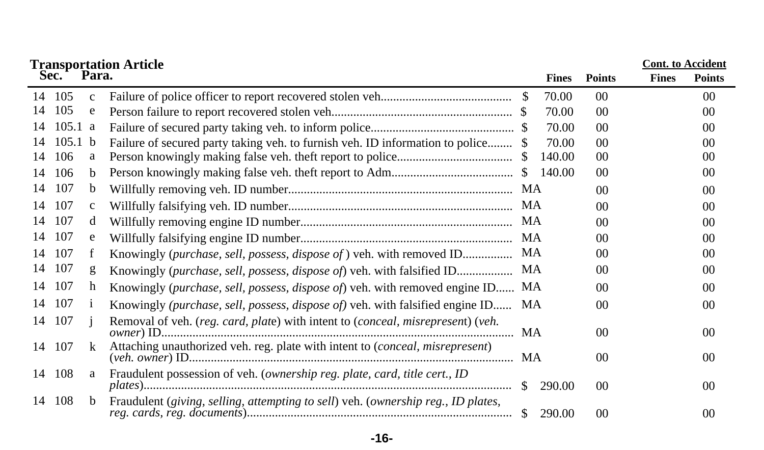|    |                    |              | <b>Transportation Article</b>                                                     |              |              |                 |              | <b>Cont.</b> to Accident |
|----|--------------------|--------------|-----------------------------------------------------------------------------------|--------------|--------------|-----------------|--------------|--------------------------|
|    | Sec.               | Para.        |                                                                                   |              | <b>Fines</b> | <b>Points</b>   | <b>Fines</b> | <b>Points</b>            |
| 14 | 105                | $\mathbf{C}$ |                                                                                   | <sup>S</sup> | 70.00        | $00\,$          |              | 00                       |
| 14 | 105                | e            |                                                                                   |              | 70.00        | 00 <sup>1</sup> |              | 00                       |
| 14 | $105.1 \text{ a}$  |              |                                                                                   |              | 70.00        | 00 <sup>2</sup> |              | 0 <sup>0</sup>           |
| 14 | 105.1 <sub>b</sub> |              | Failure of secured party taking veh. to furnish veh. ID information to police \$  |              | 70.00        | 00 <sup>1</sup> |              | 00                       |
| 14 | 106                | a            |                                                                                   | S            | 140.00       | 00 <sup>1</sup> |              | 00                       |
| 14 | 106                | b.           |                                                                                   |              | 140.00       | 00 <sup>1</sup> |              | 0 <sup>0</sup>           |
| 14 | 107                | b            |                                                                                   |              |              | 00 <sup>0</sup> |              | 0 <sup>0</sup>           |
| 14 | 107                | $\mathbf{C}$ |                                                                                   |              |              | 00 <sup>2</sup> |              | 0 <sup>0</sup>           |
| 14 | 107                | d            |                                                                                   | MA           |              | 00 <sup>°</sup> |              | 0 <sup>0</sup>           |
| 14 | 107                | e            |                                                                                   | MA           |              | 00 <sup>0</sup> |              | 0 <sup>0</sup>           |
| 14 | 107                |              | Knowingly (purchase, sell, possess, dispose of) veh. with removed ID              | MA           |              | 00 <sup>°</sup> |              | 00                       |
| 14 | 107                | g            | Knowingly (purchase, sell, possess, dispose of) veh. with falsified ID            | МA           |              | 00 <sup>1</sup> |              | 0 <sup>0</sup>           |
| 14 | 107                | h            | Knowingly (purchase, sell, possess, dispose of) veh. with removed engine ID       | MA           |              | 00 <sup>°</sup> |              | 00                       |
| 14 | 107                |              | Knowingly (purchase, sell, possess, dispose of) veh. with falsified engine ID     | MA           |              | 00 <sup>0</sup> |              | 0 <sup>0</sup>           |
| 14 | 107                |              | Removal of veh. (reg. card, plate) with intent to (conceal, misrepresent) (veh.   | MA           |              | 00 <sup>1</sup> |              | 0 <sup>0</sup>           |
| 14 | 107                | $\mathbf{k}$ | Attaching unauthorized veh. reg. plate with intent to (conceal, misrepresent)     |              |              | 00 <sup>1</sup> |              | $00\,$                   |
|    | 14 108             | a            | Fraudulent possession of veh. (ownership reg. plate, card, title cert., ID        | \$           | 290.00       | 00 <sup>1</sup> |              | $00\,$                   |
| 14 | 108                | b.           | Fraudulent (giving, selling, attempting to sell) veh. (ownership reg., ID plates, | <sup>S</sup> | 290.00       | 00 <sup>0</sup> |              | 00 <sup>0</sup>          |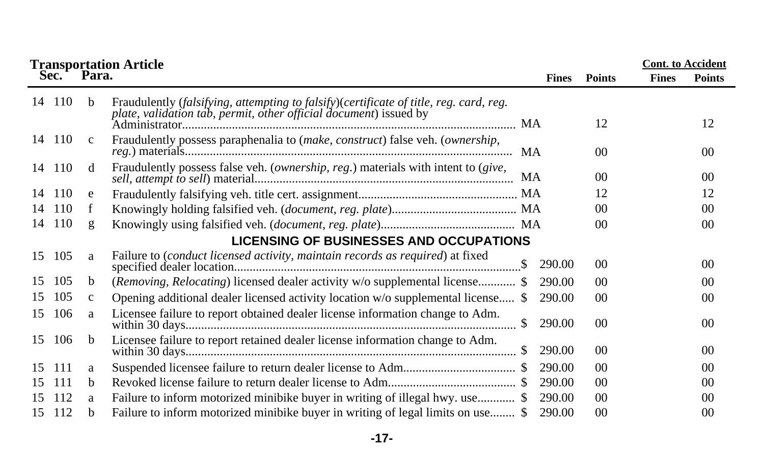|    | <b>Transportation Article</b>                  |              | <b>Cont.</b> to Accident                                                                                                                                    |                         |                 |              |                 |  |  |  |
|----|------------------------------------------------|--------------|-------------------------------------------------------------------------------------------------------------------------------------------------------------|-------------------------|-----------------|--------------|-----------------|--|--|--|
|    | Sec.                                           | Para.        |                                                                                                                                                             | <b>Fines</b>            | <b>Points</b>   | <b>Fines</b> | <b>Points</b>   |  |  |  |
|    | 14 110                                         | b.           | Fraudulently (falsifying, attempting to falsify)(certificate of title, reg. card, reg.<br>plate, validation tab, permit, other official document) issued by |                         | 12              |              | 12              |  |  |  |
|    | 14 110                                         | $\mathbf{c}$ | Fraudulently possess paraphenalia to (make, construct) false veh. (ownership,                                                                               |                         | 00 <sup>0</sup> |              | 00 <sup>2</sup> |  |  |  |
|    | 14 110                                         | d            | Fraudulently possess false veh. (ownership, reg.) materials with intent to (give,                                                                           | MA                      | 00 <sup>0</sup> |              | 00 <sup>2</sup> |  |  |  |
| 14 | 110                                            | e            |                                                                                                                                                             |                         | 12              |              | 12              |  |  |  |
| 14 | 110                                            |              |                                                                                                                                                             |                         | 00 <sup>0</sup> |              | 00 <sup>2</sup> |  |  |  |
| 14 | 110                                            | g            |                                                                                                                                                             |                         | 00 <sup>0</sup> |              | 00 <sup>2</sup> |  |  |  |
|    | <b>LICENSING OF BUSINESSES AND OCCUPATIONS</b> |              |                                                                                                                                                             |                         |                 |              |                 |  |  |  |
| 15 | 105                                            | a            | Failure to (conduct licensed activity, maintain records as required) at fixed                                                                               | 290.00                  | 00 <sup>1</sup> |              | 00 <sup>2</sup> |  |  |  |
| 15 | 105                                            | b            | (Removing, Relocating) licensed dealer activity w/o supplemental license \$                                                                                 | 290.00                  | 00 <sup>0</sup> |              | 00 <sup>2</sup> |  |  |  |
| 15 | 105                                            | $\mathbf{c}$ | Opening additional dealer licensed activity location w/o supplemental license \$                                                                            | 290.00                  | 00              |              | 00              |  |  |  |
| 15 | 106                                            | a            | Licensee failure to report obtained dealer license information change to Adm.                                                                               | 290.00<br><sup>\$</sup> | 00 <sup>1</sup> |              | 00 <sup>2</sup> |  |  |  |
| 15 | 106                                            | <sub>b</sub> | Licensee failure to report retained dealer license information change to Adm.                                                                               | 290.00                  | 00 <sup>0</sup> |              | 00 <sup>2</sup> |  |  |  |
| 15 | 111                                            | a            |                                                                                                                                                             | 290.00                  | $00\,$          |              | 00 <sup>2</sup> |  |  |  |
| 15 | 111                                            | b.           |                                                                                                                                                             | 290.00                  | 00 <sup>0</sup> |              | 00 <sup>2</sup> |  |  |  |
| 15 | 112                                            | a            | Failure to inform motorized minibike buyer in writing of illegal hwy. use \$                                                                                | 290.00                  | 00 <sup>0</sup> |              | 00 <sup>2</sup> |  |  |  |
| 15 | 112                                            | b.           | Failure to inform motorized minibike buyer in writing of legal limits on use \$                                                                             | 290.00                  | 00 <sup>0</sup> |              | 0 <sup>0</sup>  |  |  |  |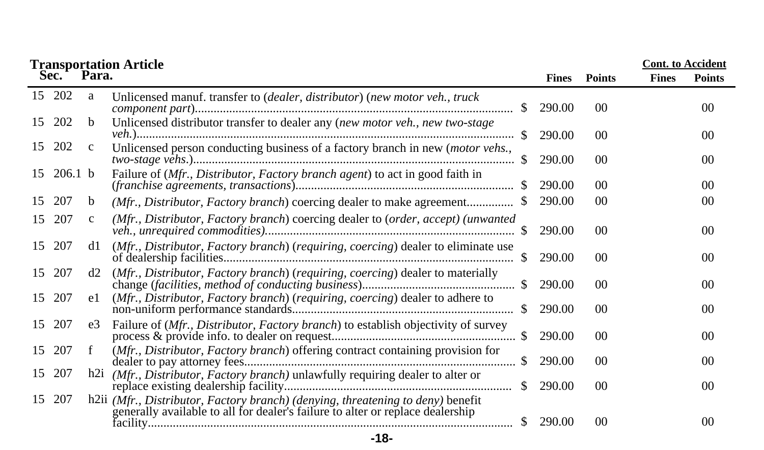|    |                    |              | <b>Transportation Article</b>                                                                                                                                                     |              |                | <b>Cont.</b> to Accident |                 |
|----|--------------------|--------------|-----------------------------------------------------------------------------------------------------------------------------------------------------------------------------------|--------------|----------------|--------------------------|-----------------|
|    | Sec.               | Para.        |                                                                                                                                                                                   | <b>Fines</b> | <b>Points</b>  | <b>Fines</b>             | <b>Points</b>   |
|    | 15 202             | a            | Unlicensed manuf. transfer to (dealer, distributor) (new motor veh., truck                                                                                                        | 290.00       | 0 <sup>0</sup> |                          | 00              |
| 15 | 202                | b.           | Unlicensed distributor transfer to dealer any (new motor veh., new two-stage<br><sup>\$</sup>                                                                                     | 290.00       | 0 <sup>0</sup> |                          | 00              |
| 15 | 202                | $\mathbf{c}$ | Unlicensed person conducting business of a factory branch in new (motor vehs.,<br>$\mathbb{S}$                                                                                    | 290.00       | 0 <sup>0</sup> |                          | 00              |
| 15 | 206.1 <sub>b</sub> |              | Failure of (Mfr., Distributor, Factory branch agent) to act in good faith in<br>$(franchise\ agreenents, transactions).$                                                          | 290.00       | 0 <sup>0</sup> |                          | 00 <sup>2</sup> |
| 15 | 207                | b            | (Mfr., Distributor, Factory branch) coercing dealer to make agreement                                                                                                             | 290.00       | 0 <sup>0</sup> |                          | 00              |
| 15 | 207                | $\mathbf{c}$ | (Mfr., Distributor, Factory branch) coercing dealer to (order, accept) (unwanted<br>-SS                                                                                           | 290.00       | 0 <sup>0</sup> |                          | 00 <sup>2</sup> |
| 15 | 207                | d1           | (Mfr., Distributor, Factory branch) (requiring, coercing) dealer to eliminate use<br><sup>\$</sup>                                                                                | 290.00       | 0 <sup>0</sup> |                          | 00 <sup>2</sup> |
| 15 | 207                | d2           | (Mfr., Distributor, Factory branch) (requiring, coercing) dealer to materially<br>-SS                                                                                             | 290.00       | 0 <sup>0</sup> |                          | 00              |
| 15 | 207                | el           | (Mfr., Distributor, Factory branch) (requiring, coercing) dealer to adhere to<br><sup>\$</sup>                                                                                    | 290.00       | 0 <sup>0</sup> |                          | 00 <sup>2</sup> |
| 15 | 207                | e3           | Failure of (Mfr., Distributor, Factory branch) to establish objectivity of survey                                                                                                 | 290.00       | 00             |                          | 00              |
| 15 | 207                | f            | (Mfr., Distributor, Factory branch) offering contract containing provision for<br>\$                                                                                              | 290.00       | 0 <sup>0</sup> |                          | 00              |
| 15 | 207                |              | h2i (Mfr., Distributor, Factory branch) unlawfully requiring dealer to alter or<br><sup>\$</sup>                                                                                  | 290.00       | 0 <sup>0</sup> |                          | 00              |
| 15 | 207                |              | h2ii (Mfr., Distributor, Factory branch) (denying, threatening to deny) benefit<br>generally available to all for dealer's failure to alter or replace dealership<br><sup>S</sup> | 290.00       | 0 <sup>0</sup> |                          | 0 <sup>0</sup>  |
|    |                    |              |                                                                                                                                                                                   |              |                |                          |                 |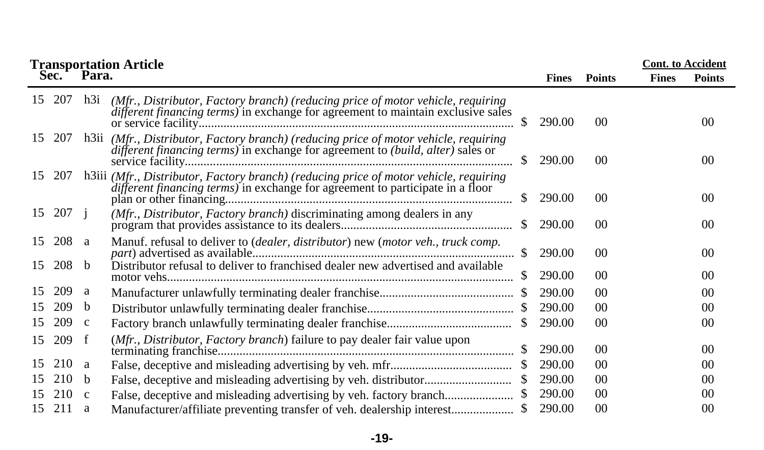|    |     |                 | <b>Transportation Article<br/>Sec. Para.</b>                                                                                                                            |               |              | <b>Cont.</b> to Accident |              |               |
|----|-----|-----------------|-------------------------------------------------------------------------------------------------------------------------------------------------------------------------|---------------|--------------|--------------------------|--------------|---------------|
|    |     |                 |                                                                                                                                                                         |               | <b>Fines</b> | <b>Points</b>            | <b>Fines</b> | <b>Points</b> |
| 15 | 207 | h <sub>3i</sub> | (Mfr., Distributor, Factory branch) (reducing price of motor vehicle, requiring<br>different financing terms) in exchange for agreement to maintain exclusive sales     |               | 290.00       | 0 <sup>0</sup>           |              | 00            |
| 15 | 207 |                 | h3ii (Mfr., Distributor, Factory branch) (reducing price of motor vehicle, requiring<br>different financing terms) in exchange for agreement to (build, alter) sales or | <sup>S</sup>  | 290.00       | 0 <sup>0</sup>           |              | 00            |
| 15 | 207 |                 | h3iii (Mfr., Distributor, Factory branch) (reducing price of motor vehicle, requiring<br>different financing terms) in exchange for agreement to participate in a floor | S.            | 290.00       | 00                       |              | 00            |
| 15 | 207 |                 | (Mfr., Distributor, Factory branch) discriminating among dealers in any                                                                                                 |               | 290.00       | 0 <sup>0</sup>           |              | 00            |
| 15 | 208 | a               | Manuf. refusal to deliver to (dealer, distributor) new (motor veh., truck comp.                                                                                         | <sup>\$</sup> | 290.00       | 0 <sup>0</sup>           |              | 00            |
| 15 | 208 | <sub>b</sub>    | Distributor refusal to deliver to franchised dealer new advertised and available                                                                                        |               | 290.00       | 0 <sup>0</sup>           |              | 00            |
| 15 | 209 | a               |                                                                                                                                                                         |               | 290.00       | 0 <sup>0</sup>           |              | 00            |
| 15 | 209 | b               |                                                                                                                                                                         |               | 290.00       | 0 <sup>0</sup>           |              | 00            |
| 15 | 209 | $\mathbf c$     |                                                                                                                                                                         | <sup>S</sup>  | 290.00       | 0 <sup>0</sup>           |              | 00            |
| 15 | 209 | f               | (Mfr., Distributor, Factory branch) failure to pay dealer fair value upon                                                                                               |               | 290.00       | 0 <sup>0</sup>           |              | 00            |
| 15 | 210 | a               |                                                                                                                                                                         |               | 290.00       | 0 <sup>0</sup>           |              | 00            |
| 15 | 210 | b               |                                                                                                                                                                         |               | 290.00       | 0 <sup>0</sup>           |              | 00            |
| 15 | 210 | $\mathbf{c}$    |                                                                                                                                                                         |               | 290.00       | 0 <sup>0</sup>           |              | 00            |
| 15 | 211 | a               | Manufacturer/affiliate preventing transfer of veh. dealership interest                                                                                                  |               | 290.00       | 0 <sup>0</sup>           |              | 00            |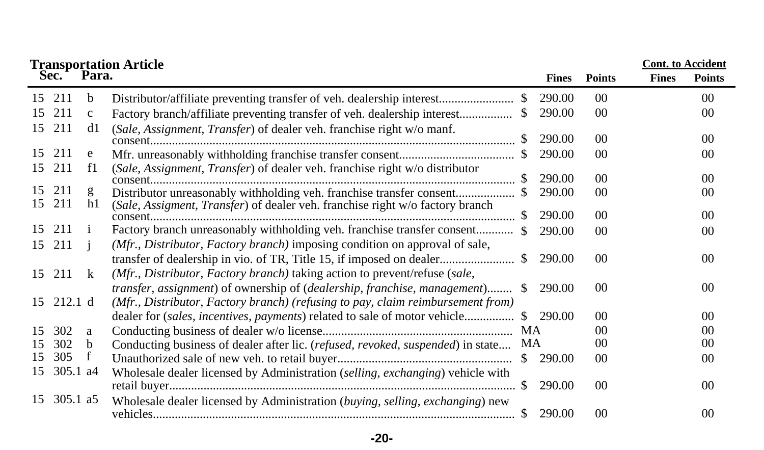|    |             |              | <b>Transportation Article<br/>Sec. Para.</b>                                     |               |              |                |              | <b>Cont. to Accident</b> |
|----|-------------|--------------|----------------------------------------------------------------------------------|---------------|--------------|----------------|--------------|--------------------------|
|    |             |              |                                                                                  |               | <b>Fines</b> | <b>Points</b>  | <b>Fines</b> | <b>Points</b>            |
| 15 | 211         | b            | Distributor/affiliate preventing transfer of veh. dealership interest            |               | 290.00       | 00             |              | 0 <sup>0</sup>           |
| 15 | 211         | $\mathbf{C}$ | Factory branch/affiliate preventing transfer of veh. dealership interest         | S.            | 290.00       | 00             |              | $00\,$                   |
| 15 | 211         | d1           | (Sale, Assignment, Transfer) of dealer veh. franchise right w/o manf.            |               |              |                |              |                          |
|    |             |              |                                                                                  |               | 290.00       | 0 <sup>0</sup> |              | 00                       |
| 15 | 211         | e            |                                                                                  |               | 290.00       | 00             |              | 00                       |
| 15 | 211         | f1           | (Sale, Assignment, Transfer) of dealer veh. franchise right w/o distributor      |               |              |                |              |                          |
|    |             |              |                                                                                  |               | 290.00       | 00             |              | 0 <sup>0</sup>           |
| 15 | 211         | g            |                                                                                  |               | 290.00       | $00\,$         |              | $00\,$                   |
| 15 | 211         | h1           | (Sale, Assigment, Transfer) of dealer veh. franchise right w/o factory branch    | -SS           | 290.00       | 00             |              | 00                       |
| 15 | 211         |              |                                                                                  |               |              |                |              |                          |
|    |             |              |                                                                                  |               | 290.00       | 00             |              | $00\,$                   |
| 15 | 211         |              | (Mfr., Distributor, Factory branch) imposing condition on approval of sale,      |               |              |                |              |                          |
|    |             |              |                                                                                  |               | 290.00       | 00             |              | 00                       |
|    | 15 211      | k            | (Mfr., Distributor, Factory branch) taking action to prevent/refuse (sale,       |               |              |                |              |                          |
|    |             |              | transfer, assignment) of ownership of (dealership, franchise, management)        | S.            | 290.00       | 00             |              | 00                       |
|    | 15 212.1 d  |              | (Mfr., Distributor, Factory branch) (refusing to pay, claim reimbursement from)  |               |              |                |              |                          |
|    |             |              | dealer for <i>(sales, incentives, payments)</i> related to sale of motor vehicle | SS.           | 290.00       | 00             |              | 00                       |
| 15 | 302         | a            |                                                                                  | <b>MA</b>     |              | 00             |              | 0 <sup>0</sup>           |
| 15 | 302         | b            | Conducting business of dealer after lic. (refused, revoked, suspended) in state  | MA            |              | 0 <sup>0</sup> |              | 00                       |
| 15 | 305         | f            |                                                                                  | $\mathcal{S}$ | 290.00       | 00             |              | $00\,$                   |
| 15 | 305.1 a4    |              | Wholesale dealer licensed by Administration (selling, exchanging) vehicle with   |               |              |                |              |                          |
|    |             |              |                                                                                  | -SS           | 290.00       | 0 <sup>0</sup> |              | $00\,$                   |
|    | 15 305.1 a5 |              | Wholesale dealer licensed by Administration (buying, selling, exchanging) new    |               |              |                |              |                          |
|    |             |              |                                                                                  |               | 290.00       | 00             |              | 00                       |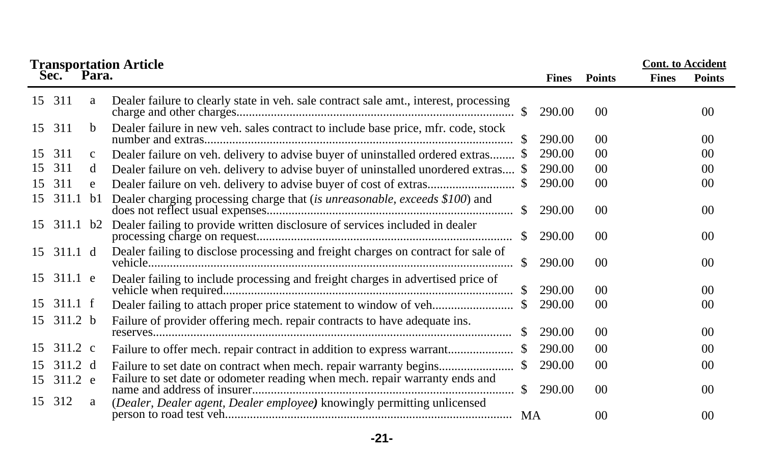|    |                       |              | <b>Transportation Article<br/>Sec. Para.</b>                                          |               |              |                 | <b>Cont.</b> to Accident |                |
|----|-----------------------|--------------|---------------------------------------------------------------------------------------|---------------|--------------|-----------------|--------------------------|----------------|
|    |                       |              |                                                                                       |               | <b>Fines</b> | <b>Points</b>   | <b>Fines</b>             | <b>Points</b>  |
|    | 15 311                | a            | Dealer failure to clearly state in veh. sale contract sale amt., interest, processing |               | 290.00       | 00 <sup>0</sup> |                          | 00             |
|    | 15 311                | h.           | Dealer failure in new veh. sales contract to include base price, mfr. code, stock     | SS.           | 290.00       | 00 <sup>0</sup> |                          | 0 <sup>0</sup> |
| 15 | 311                   | $\mathbf{c}$ | Dealer failure on veh. delivery to advise buyer of uninstalled ordered extras \$      |               | 290.00       | 00 <sup>0</sup> |                          | 00             |
| 15 | 311                   | d            | Dealer failure on veh. delivery to advise buyer of uninstalled unordered extras \$    |               | 290.00       | 0 <sup>0</sup>  |                          | 00             |
| 15 | 311                   | e            |                                                                                       |               | 290.00       | 00 <sup>0</sup> |                          | 00             |
|    | 15 311.1              | b1           | Dealer charging processing charge that (is unreasonable, exceeds \$100) and           |               | 290.00       | 00 <sup>0</sup> |                          | 00             |
|    | 15 311.1 b2           |              | Dealer failing to provide written disclosure of services included in dealer           | <sup>\$</sup> | 290.00       | 00 <sup>0</sup> |                          | 00             |
|    | 15 311.1 d            |              | Dealer failing to disclose processing and freight charges on contract for sale of     | <sup>\$</sup> | 290.00       | 00 <sup>0</sup> |                          | 00             |
|    | 15 311.1 e            |              | Dealer failing to include processing and freight charges in advertised price of       |               | 290.00       | 00 <sup>0</sup> |                          | 0 <sup>0</sup> |
| 15 | $311.1 \text{ f}$     |              |                                                                                       |               | 290.00       | 00 <sup>0</sup> |                          | 0 <sup>0</sup> |
|    | 15 311.2 b            |              | Failure of provider offering mech. repair contracts to have adequate ins.             | <sup>\$</sup> | 290.00       | 00 <sup>0</sup> |                          | 00             |
|    | 15 311.2 c            |              | Failure to offer mech. repair contract in addition to express warrant                 |               | 290.00       | 00 <sup>0</sup> |                          | 00             |
| 15 | 311.2 d<br>15 311.2 e |              | Failure to set date or odometer reading when mech. repair warranty ends and           | <sup>S</sup>  | 290.00       | 00 <sup>0</sup> |                          | 00             |
| 15 | 312                   | a            |                                                                                       | <sup>\$</sup> | 290.00       | 00 <sup>0</sup> |                          | 00             |
|    |                       |              | (Dealer, Dealer agent, Dealer employee) knowingly permitting unlicensed               |               |              | 00 <sup>0</sup> |                          | 00             |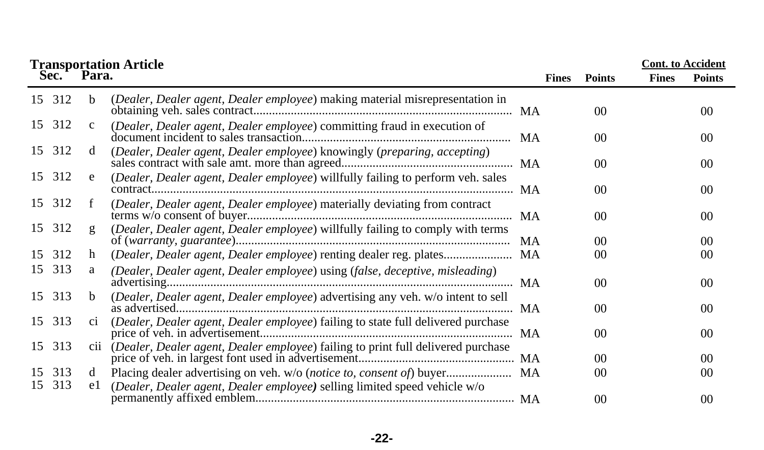|                   |              | <b>Transportation Article</b>                                                        |              |                | <b>Cont.</b> to Accident |                 |
|-------------------|--------------|--------------------------------------------------------------------------------------|--------------|----------------|--------------------------|-----------------|
| Sec. <sup>+</sup> | Para.        |                                                                                      | <b>Fines</b> | <b>Points</b>  | <b>Fines</b>             | <b>Points</b>   |
| 15 312            | b.           | (Dealer, Dealer agent, Dealer employee) making material misrepresentation in         |              | 0 <sup>0</sup> |                          | 00              |
| 15 312            | $\mathbf{c}$ | (Dealer, Dealer agent, Dealer employee) committing fraud in execution of             |              | 00             |                          | 00              |
| 15 312            | d            | (Dealer, Dealer agent, Dealer employee) knowingly (preparing, accepting)             |              | 0 <sup>0</sup> |                          | 00              |
| 15 312            | e            | (Dealer, Dealer agent, Dealer employee) willfully failing to perform veh. sales      |              | 0 <sup>0</sup> |                          | 00 <sup>2</sup> |
| 15 312            |              | (Dealer, Dealer agent, Dealer employee) materially deviating from contract           |              | 0 <sup>0</sup> |                          | $00\,$          |
| 15 312            | g            | (Dealer, Dealer agent, Dealer employee) willfully failing to comply with terms       |              | 0 <sup>0</sup> |                          | 00              |
| 15 312            | h            | (Dealer, Dealer agent, Dealer employee) renting dealer reg. plates MA                |              | 0 <sup>0</sup> |                          | 00              |
| 15 313            | a            | (Dealer, Dealer agent, Dealer employee) using (false, deceptive, misleading)         |              | 0 <sup>0</sup> |                          | 00              |
| 15 313            | h.           | (Dealer, Dealer agent, Dealer employee) advertising any veh. w/o intent to sell      |              | 0 <sup>0</sup> |                          | 00              |
| 15 313            | C1           | (Dealer, Dealer agent, Dealer employee) failing to state full delivered purchase     |              | 0 <sup>0</sup> |                          | 00              |
| 15 313            |              | cii (Dealer, Dealer agent, Dealer employee) failing to print full delivered purchase |              | 0 <sup>0</sup> |                          | 00              |
| 15 313            | d            |                                                                                      |              | 0 <sup>0</sup> |                          | 00              |
| 313<br>15         | e l          | (Dealer, Dealer agent, Dealer employee) selling limited speed vehicle w/o            |              | 0 <sup>0</sup> |                          | 00              |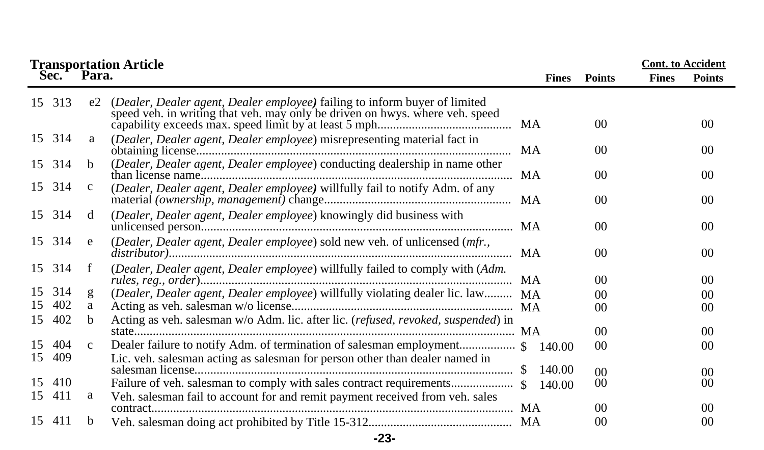|          |            |              | <b>Transportation Article</b>                                                                                                                              |              |                 |              | <b>Cont.</b> to Accident |
|----------|------------|--------------|------------------------------------------------------------------------------------------------------------------------------------------------------------|--------------|-----------------|--------------|--------------------------|
|          | Sec.       | Para.        |                                                                                                                                                            | <b>Fines</b> | <b>Points</b>   | <b>Fines</b> | <b>Points</b>            |
|          | 15 313     | e2           | (Dealer, Dealer agent, Dealer employee) failing to inform buyer of limited<br>speed veh. in writing that veh. may only be driven on hwys. where veh. speed |              | 00 <sup>0</sup> |              | 00 <sup>2</sup>          |
|          | 15 314     | a            | (Dealer, Dealer agent, Dealer employee) misrepresenting material fact in                                                                                   | MA           | 0 <sup>0</sup>  |              | 00 <sup>2</sup>          |
|          | 15 314     | <sub>h</sub> | (Dealer, Dealer agent, Dealer employee) conducting dealership in name other                                                                                |              | 00 <sup>2</sup> |              | 00 <sup>2</sup>          |
|          | 15 314     | $\mathbf{c}$ | (Dealer, Dealer agent, Dealer employee) willfully fail to notify Adm. of any                                                                               |              | $00\,$          |              | 00                       |
|          | 15 314     | d            | (Dealer, Dealer agent, Dealer employee) knowingly did business with                                                                                        |              | 00 <sup>0</sup> |              | 00 <sup>2</sup>          |
|          | 15 314     | e            | (Dealer, Dealer agent, Dealer employee) sold new veh. of unlicensed (mfr.,                                                                                 |              | 00              |              | 00                       |
|          | 15 314     | f            | (Dealer, Dealer agent, Dealer employee) willfully failed to comply with (Adm.                                                                              | <b>MA</b>    | 00 <sup>0</sup> |              | 00 <sup>2</sup>          |
| 15       | 314        | g            | (Dealer, Dealer agent, Dealer employee) willfully violating dealer lic. law                                                                                | <b>MA</b>    | 00              |              | 00 <sup>2</sup>          |
| 15       | 402        | a            |                                                                                                                                                            |              | 00 <sup>0</sup> |              | 00                       |
| 15       | 402        | <sub>b</sub> | Acting as veh. salesman w/o Adm. lic. after lic. (refused, revoked, suspended) in                                                                          |              | 00 <sup>0</sup> |              | 00 <sup>2</sup>          |
| 15<br>15 | 404<br>409 | $\mathbf{c}$ | Lic. veh. salesman acting as salesman for person other than dealer named in                                                                                | 140.00       | 00              |              | 00                       |
|          |            |              |                                                                                                                                                            | 140.00       | 0 <sup>0</sup>  |              | 00                       |
| 15       | 410        |              |                                                                                                                                                            | 140.00       | 00              |              | 00                       |
| 15       | 411        | а            | Veh. salesman fail to account for and remit payment received from veh. sales                                                                               |              | 00              |              | 00 <sup>2</sup>          |
|          | 15 411     | <sub>b</sub> |                                                                                                                                                            |              | $00\,$          |              | 00                       |

**-23-**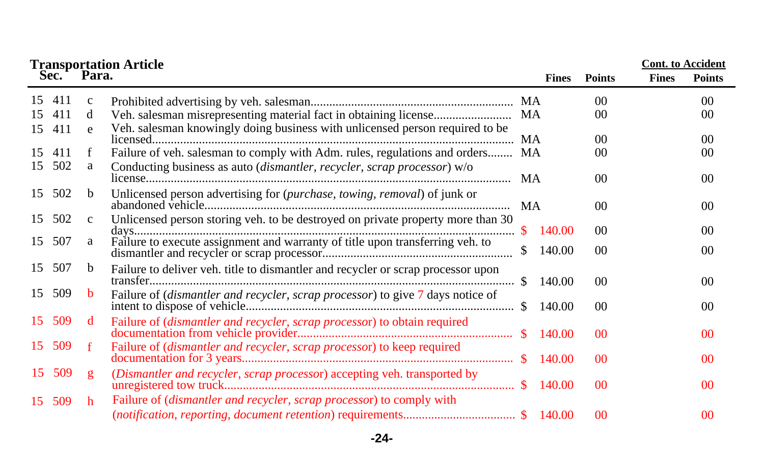|    |        |              | <b>Transportation Article</b>                                                    |           |              |                 | <b>Cont.</b> to Accident |                 |
|----|--------|--------------|----------------------------------------------------------------------------------|-----------|--------------|-----------------|--------------------------|-----------------|
|    | Sec.   | Para.        |                                                                                  |           | <b>Fines</b> | <b>Points</b>   | <b>Fines</b>             | <b>Points</b>   |
|    | 15 411 | $\mathbf{c}$ |                                                                                  | MA        |              | 00 <sup>0</sup> |                          | 00              |
| 15 | 411    | d            |                                                                                  | <b>MA</b> |              | 00 <sup>0</sup> |                          | 00              |
|    | 15 411 | e            | Veh. salesman knowingly doing business with unlicensed person required to be     |           |              |                 |                          |                 |
|    |        |              |                                                                                  | MA        |              | 00 <sup>0</sup> |                          | $00\,$          |
| 15 | 411    | f            | Failure of veh. salesman to comply with Adm. rules, regulations and orders MA    |           |              | 00              |                          | 00              |
| 15 | 502    | a            | Conducting business as auto (dismantler, recycler, scrap processor) w/o          |           |              |                 |                          |                 |
|    |        |              |                                                                                  | MA        |              | 00 <sup>0</sup> |                          | 00 <sup>2</sup> |
| 15 | 502    | <sub>b</sub> | Unlicensed person advertising for (purchase, towing, removal) of junk or         |           |              |                 |                          |                 |
|    |        |              |                                                                                  |           |              | 00 <sup>0</sup> |                          | 00 <sup>2</sup> |
| 15 | 502    | $\mathbf{C}$ | Unlicensed person storing veh. to be destroyed on private property more than 30  |           |              |                 |                          |                 |
| 15 | 507    | a            |                                                                                  | -SS       | 140.00       | 00              |                          | 00              |
|    |        |              |                                                                                  |           | 140.00       | 00 <sup>0</sup> |                          | 00              |
| 15 | 507    | b            | Failure to deliver veh. title to dismantler and recycler or scrap processor upon |           |              |                 |                          |                 |
|    |        |              |                                                                                  | -S        | 140.00       | 00 <sup>2</sup> |                          | 00 <sup>2</sup> |
| 15 | 509    | b            | Failure of (dismantler and recycler, scrap processor) to give 7 days notice of   |           |              |                 |                          |                 |
|    |        |              |                                                                                  |           | 140.00       | 00 <sup>0</sup> |                          | $00\,$          |
| 15 | 509    | d            | Failure of (dismantler and recycler, scrap processor) to obtain required         |           |              |                 |                          |                 |
|    |        |              |                                                                                  |           | 140.00       | 0 <sup>0</sup>  |                          | 00              |
|    | 15 509 | $-f$         | Failure of (dismantler and recycler, scrap processor) to keep required           |           |              |                 |                          |                 |
|    |        |              |                                                                                  |           | 140.00       | 0 <sup>0</sup>  |                          | 0 <sup>0</sup>  |
|    | 15 509 | g            | (Dismantler and recycler, scrap processor) accepting veh. transported by         |           |              |                 |                          |                 |
|    |        |              |                                                                                  |           |              | 0 <sup>0</sup>  |                          | 0 <sup>0</sup>  |
|    | 15 509 | h            | Failure of (dismantler and recycler, scrap processor) to comply with             |           |              |                 |                          |                 |
|    |        |              |                                                                                  |           |              | 0 <sup>0</sup>  |                          | 00              |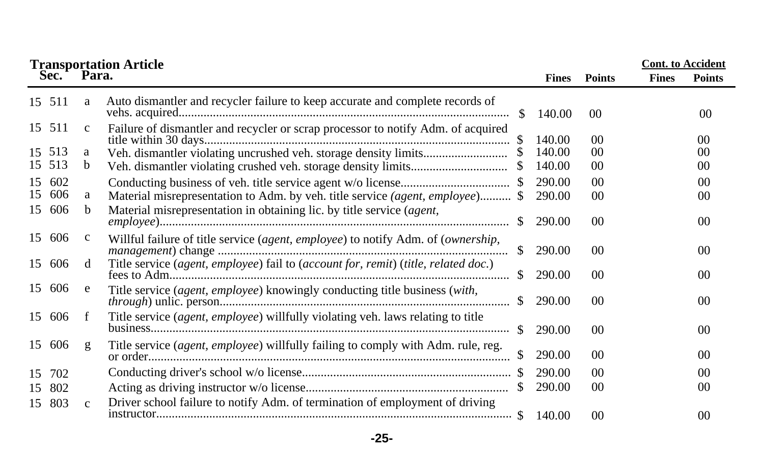|    | <b>Transportation Article</b> |              | <b>Cont.</b> to Accident                                                           |               |              |                 |              |                 |
|----|-------------------------------|--------------|------------------------------------------------------------------------------------|---------------|--------------|-----------------|--------------|-----------------|
|    | Sec. Para.                    |              |                                                                                    |               | <b>Fines</b> | <b>Points</b>   | <b>Fines</b> | <b>Points</b>   |
|    | 15 511                        | a            | Auto dismantler and recycler failure to keep accurate and complete records of      | -S            | 140.00       | 00              |              | 00              |
|    | 15 511                        | $\mathbf{C}$ | Failure of dismantler and recycler or scrap processor to notify Adm. of acquired   |               | 140.00       | 0 <sup>0</sup>  |              | 00 <sup>2</sup> |
|    | 15 513                        | a            |                                                                                    |               | 140.00       | 00              |              | 00              |
|    | 15 513                        | b            |                                                                                    |               | 140.00       | 00              |              | 00              |
| 15 | 602                           |              |                                                                                    |               | 290.00       | 0 <sup>0</sup>  |              | 0 <sup>0</sup>  |
| 15 | 606                           | a            | Material misrepresentation to Adm. by veh. title service (agent, employee) \$      |               | 290.00       | 0 <sup>0</sup>  |              | 00              |
|    | 15 606                        | b            | Material misrepresentation in obtaining lic. by title service (agent,              | -S            | 290.00       | 00 <sup>2</sup> |              | 0 <sup>0</sup>  |
|    | 15 606                        | $\mathbf c$  | Willful failure of title service (agent, employee) to notify Adm. of (ownership,   | $\mathbb{S}$  | 290.00       | 00              |              | 00              |
| 15 | 606                           | d            | Title service (agent, employee) fail to (account for, remit) (title, related doc.) | <sup>\$</sup> | 290.00       | 0 <sup>0</sup>  |              | 0 <sup>0</sup>  |
| 15 | 606                           | e            | Title service (agent, employee) knowingly conducting title business (with,         | $\mathbb{S}$  | 290.00       | 00 <sup>1</sup> |              | 00              |
|    | 15 606                        | f            | Title service (agent, employee) willfully violating veh. laws relating to title    | -SS           | 290.00       | 00 <sup>2</sup> |              | 0 <sup>0</sup>  |
|    | 15 606                        | g            | Title service (agent, employee) willfully failing to comply with Adm. rule, reg.   |               | 290.00       | 0 <sup>0</sup>  |              | 00              |
| 15 | 702                           |              |                                                                                    |               | 290.00       | 0 <sup>0</sup>  |              | 00              |
| 15 | 802                           |              |                                                                                    |               | 290.00       | $00\,$          |              | 00              |
| 15 | 803                           | $\mathbf{C}$ | Driver school failure to notify Adm. of termination of employment of driving       |               |              | $00\,$          |              | 00              |

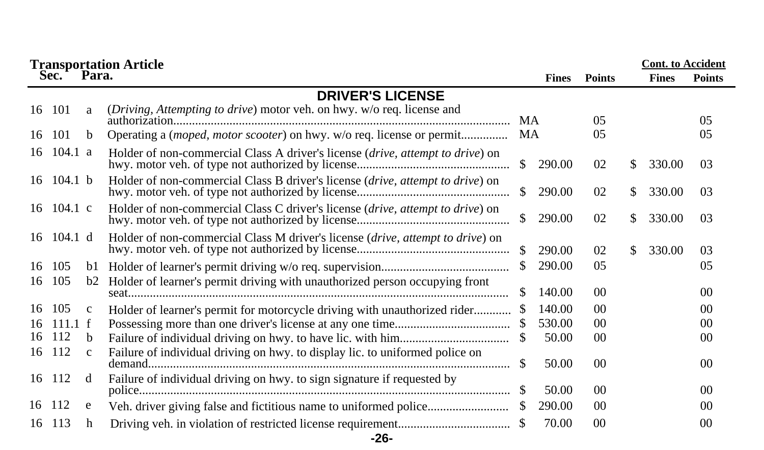|     |                          | <b>Cont.</b> to Accident<br><b>Transportation Article</b> |                                                                                         |               |              |                 |     |              |                 |  |
|-----|--------------------------|-----------------------------------------------------------|-----------------------------------------------------------------------------------------|---------------|--------------|-----------------|-----|--------------|-----------------|--|
|     | Sec.                     | Para.                                                     |                                                                                         |               | <b>Fines</b> | <b>Points</b>   |     | <b>Fines</b> | <b>Points</b>   |  |
|     |                          |                                                           | <b>DRIVER'S LICENSE</b>                                                                 |               |              |                 |     |              |                 |  |
|     | 16 101                   | a                                                         | (Driving, Attempting to drive) motor veh. on hwy. w/o req. license and                  | <b>MA</b>     |              | 0 <sub>5</sub>  |     |              | 05              |  |
| 16  | 101                      | b.                                                        | Operating a (moped, motor scooter) on hwy. w/o req. license or permit                   | MA            |              | 0 <sub>5</sub>  |     |              | 05              |  |
| 16  | 104.1 a                  |                                                           | Holder of non-commercial Class A driver's license (drive, attempt to drive) on          | <sup>\$</sup> | 290.00       | 02              | \$. | 330.00       | 03              |  |
|     | 16 $104.1$ b             |                                                           | Holder of non-commercial Class B driver's license (drive, attempt to drive) on          | <sup>\$</sup> | 290.00       | 02              | \$. | 330.00       | 03              |  |
|     | 16 104.1 c               |                                                           | Holder of non-commercial Class C driver's license ( <i>drive, attempt to drive</i> ) on | <sup>\$</sup> | 290.00       | 02              | \$. | 330.00       | 03              |  |
|     | $16 \quad 104.1 \quad d$ |                                                           | Holder of non-commercial Class M driver's license (drive, attempt to drive) on          | $\mathcal{S}$ | 290.00       | 02              | \$. | 330.00       | 03              |  |
| 16  | 105                      | bl                                                        |                                                                                         | S.            | 290.00       | 0 <sub>5</sub>  |     |              | 0 <sub>5</sub>  |  |
| 16  | 105                      | b2                                                        | Holder of learner's permit driving with unauthorized person occupying front             |               | 140.00       | 0 <sup>0</sup>  |     |              | 00 <sup>2</sup> |  |
| 16  | 105                      | $\mathbf{c}$                                              | Holder of learner's permit for motorcycle driving with unauthorized rider               |               | 140.00       | 0 <sup>0</sup>  |     |              | 00 <sup>2</sup> |  |
| 16  | 111.1 f                  |                                                           |                                                                                         |               | 530.00       | 0 <sup>0</sup>  |     |              | 00 <sup>2</sup> |  |
| 16  | 112                      | <sub>h</sub>                                              |                                                                                         | S.            | 50.00        | 00 <sup>0</sup> |     |              | 00              |  |
| 16  | 112                      | $\mathbf{c}$                                              | Failure of individual driving on hwy. to display lic. to uniformed police on            |               | 50.00        | 0 <sup>0</sup>  |     |              | 00 <sup>2</sup> |  |
| 16  | -112                     | d                                                         | Failure of individual driving on hwy. to sign signature if requested by                 |               | 50.00        | 0 <sup>0</sup>  |     |              | 00 <sup>2</sup> |  |
| 16. | 112                      | e                                                         |                                                                                         |               | 290.00       | 00 <sup>0</sup> |     |              | 00              |  |
| 16  | 113                      | h                                                         | -26-                                                                                    |               | 70.00        | 0 <sup>0</sup>  |     |              | 0 <sup>0</sup>  |  |
|     |                          |                                                           |                                                                                         |               |              |                 |     |              |                 |  |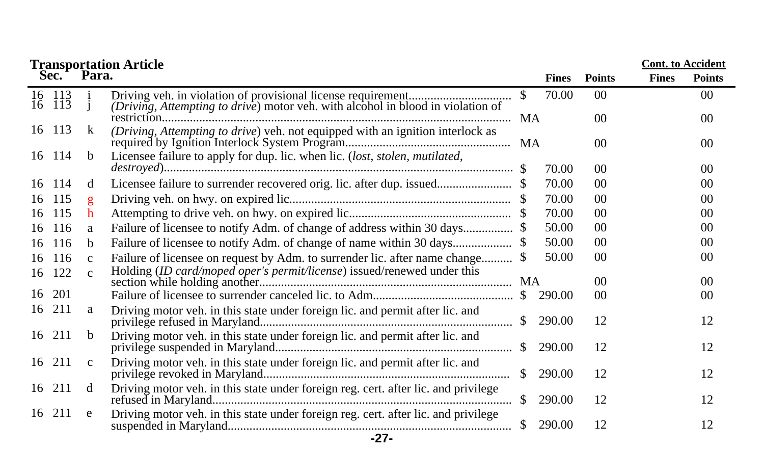|                  |               | <b>Transportation Article</b>                                                      |              |              |                 | <b>Cont.</b> to Accident |                 |
|------------------|---------------|------------------------------------------------------------------------------------|--------------|--------------|-----------------|--------------------------|-----------------|
| Sec.             | Para.         |                                                                                    |              | <b>Fines</b> | <b>Points</b>   | <b>Fines</b>             | <b>Points</b>   |
| 16 113<br>16 113 |               | (Driving, Attempting to drive) motor veh. with alcohol in blood in violation of    | $\mathbb{S}$ | 70.00        | 0 <sup>0</sup>  |                          | 00 <sup>2</sup> |
|                  |               |                                                                                    |              |              | 00 <sup>1</sup> |                          | 00              |
| 16 113           | k             | (Driving, Attempting to drive) veh. not equipped with an ignition interlock as     |              |              | 0 <sup>0</sup>  |                          | 00 <sup>0</sup> |
| 16 114           | <sub>b</sub>  | Licensee failure to apply for dup. lic. when lic. (lost, stolen, mutilated,        |              | 70.00        | 0 <sup>0</sup>  |                          | $00\,$          |
| -114<br>16       | d             |                                                                                    |              | 70.00        | 0 <sup>0</sup>  |                          | 00              |
| 115<br>16        | g             |                                                                                    |              | 70.00        | 0 <sup>0</sup>  |                          | 00              |
| 115<br>16        | h             |                                                                                    |              | 70.00        | $00\,$          |                          | $00\,$          |
| 116<br>16        | a             | Failure of licensee to notify Adm. of change of address within 30 days \$          |              | 50.00        | 0 <sup>0</sup>  |                          | 00              |
| 116<br>16        | b.            |                                                                                    |              | 50.00        | 0 <sup>0</sup>  |                          | 00              |
| -116<br>16       | $\mathbf{C}$  | Failure of licensee on request by Adm. to surrender lic. after name change         |              | 50.00        | 0 <sup>0</sup>  |                          | 00              |
| 16 122           | $\mathcal{C}$ | Holding (ID card/moped oper's permit/license) issued/renewed under this            |              |              | 0 <sup>0</sup>  |                          | 00              |
| 201<br>16        |               |                                                                                    |              | 290.00       | 00 <sup>1</sup> |                          | 00              |
| 211<br>16        | a             | Driving motor veh. in this state under foreign lic. and permit after lic. and      | <sup>S</sup> | 290.00       | 12              |                          | 12              |
| 16 211           | b.            | Driving motor veh. in this state under foreign lic. and permit after lic. and      | <sup>S</sup> | 290.00       | 12              |                          | 12              |
| 16 211           | $\mathbf{c}$  | Driving motor veh. in this state under foreign lic. and permit after lic. and      | S.           | 290.00       | 12              |                          | 12              |
| 16 211           | d             | Driving motor veh. in this state under foreign reg. cert. after lic. and privilege | $\mathbb{S}$ | 290.00       | 12              |                          | 12              |
| 16 211           | e             | Driving motor veh. in this state under foreign reg. cert. after lic. and privilege | <sup>S</sup> | 290.00       | 12              |                          | 12              |
|                  |               | $-27-$                                                                             |              |              |                 |                          |                 |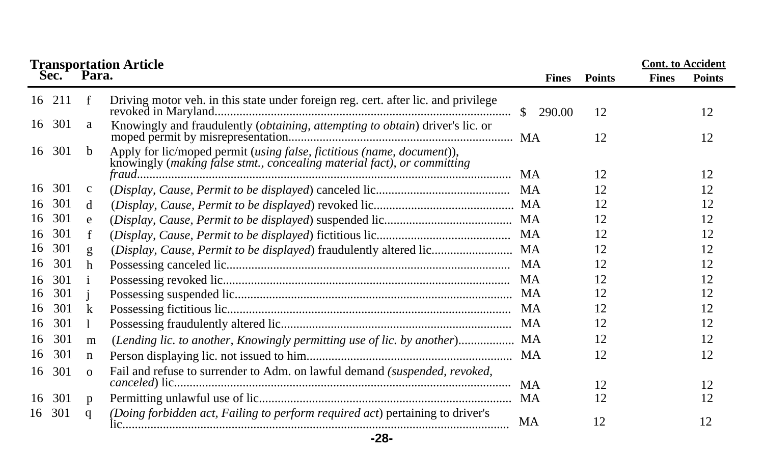|    |        |              | <b>Transportation Article<br/>Sec. Para.</b>                                                                                                      |              |               |              | <b>Cont.</b> to Accident |
|----|--------|--------------|---------------------------------------------------------------------------------------------------------------------------------------------------|--------------|---------------|--------------|--------------------------|
|    |        |              |                                                                                                                                                   | <b>Fines</b> | <b>Points</b> | <b>Fines</b> | <b>Points</b>            |
| 16 | 211    | f            | Driving motor veh. in this state under foreign reg. cert. after lic. and privilege                                                                | \$290.00     | 12            |              | 12                       |
|    | 16 301 | a            | Knowingly and fraudulently (obtaining, attempting to obtain) driver's lic. or                                                                     |              | 12            |              | 12                       |
| 16 | 301    | b            | Apply for lic/moped permit (using false, fictitious (name, document)),<br>knowingly (making false stmt., concealing material fact), or committing |              |               |              |                          |
| 16 | 301    |              |                                                                                                                                                   |              | 12            |              | 12                       |
|    |        | $\mathbf{C}$ |                                                                                                                                                   |              | 12            |              | 12                       |
| 16 | 301    | d            |                                                                                                                                                   |              | 12            |              | 12                       |
| 16 | 301    | e            |                                                                                                                                                   |              | 12            |              | 12                       |
| 16 | 301    |              |                                                                                                                                                   |              | 12            |              | 12                       |
| 16 | 301    | g            |                                                                                                                                                   |              | 12            |              | 12                       |
| 16 | 301    | h            |                                                                                                                                                   |              | 12            |              | 12                       |
| 16 | 301    |              |                                                                                                                                                   |              | 12            |              | 12                       |
| 16 | 301    |              |                                                                                                                                                   |              | 12            |              | 12                       |
| 16 | 301    | k            |                                                                                                                                                   |              | 12            |              | 12                       |
| 16 | 301    |              |                                                                                                                                                   |              | 12            |              | 12                       |
| 16 | 301    | m            | (Lending lic. to another, Knowingly permitting use of lic. by another) MA                                                                         |              | 12            |              | 12                       |
| 16 | 301    | n            |                                                                                                                                                   |              | 12            |              | 12                       |
| 16 | 301    | $\Omega$     | Fail and refuse to surrender to Adm. on lawful demand (suspended, revoked,                                                                        |              |               |              |                          |
|    |        |              |                                                                                                                                                   | <b>MA</b>    | 12            |              | 12                       |
| 16 | 301    | p            |                                                                                                                                                   |              | 12            |              | 12                       |
| 16 | 301    | q            | (Doing forbidden act, Failing to perform required act) pertaining to driver's                                                                     | MA           | 12            |              | 12                       |

**-28-**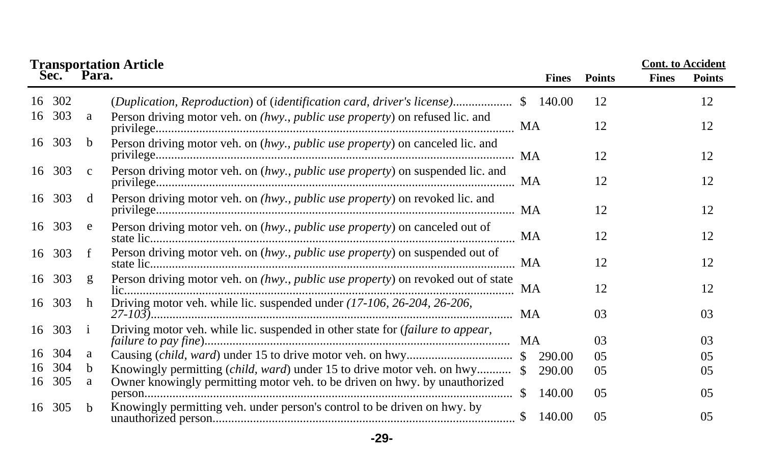|    | Sec.   | Para.        | <b>Transportation Article</b>                                                    |               | <b>Fines</b> | <b>Points</b>  | <b>Cont.</b> to Accident<br><b>Fines</b> | <b>Points</b> |
|----|--------|--------------|----------------------------------------------------------------------------------|---------------|--------------|----------------|------------------------------------------|---------------|
| 16 | 302    |              | (Duplication, Reproduction) of (identification card, driver's license) \$ 140.00 |               |              | 12             |                                          | 12            |
| 16 | 303    | a            | Person driving motor veh. on (hwy., public use property) on refused lic. and     |               |              | 12             |                                          | 12            |
| 16 | 303    | b            | Person driving motor veh. on (hwy., public use property) on canceled lic. and    |               |              | 12             |                                          | 12            |
|    | 16 303 | $\mathbf{c}$ | Person driving motor veh. on (hwy., public use property) on suspended lic. and   |               |              | 12             |                                          | 12            |
|    | 16 303 | d            | Person driving motor veh. on (hwy., public use property) on revoked lic. and     |               |              | 12             |                                          | 12            |
|    | 16 303 | e            | Person driving motor veh. on (hwy., public use property) on canceled out of      | MA            |              | 12             |                                          | 12            |
|    | 16 303 | f            | Person driving motor veh. on (hwy., public use property) on suspended out of     |               |              | 12             |                                          | 12            |
|    | 16 303 | g            | Person driving motor veh. on (hwy., public use property) on revoked out of state | MA            |              | 12             |                                          | 12            |
| 16 | 303    | h            | Driving motor veh. while lic. suspended under (17-106, 26-204, 26-206,           | MA            |              | 03             |                                          | 03            |
| 16 | 303    | $\mathbf{1}$ | Driving motor veh. while lic. suspended in other state for (failure to appear,   |               |              | 03             |                                          | 03            |
| 16 | 304    | a            |                                                                                  |               | 290.00       | 0 <sub>5</sub> |                                          | 05            |
| 16 | 304    | <sub>b</sub> | Knowingly permitting <i>(child, ward)</i> under 15 to drive motor veh. on hwy \$ |               | 290.00       | 05             |                                          | 05            |
| 16 | 305    | a            | Owner knowingly permitting motor veh. to be driven on hwy. by unauthorized       | <sup>\$</sup> | 140.00       | 0 <sub>5</sub> |                                          | 0.5           |
| 16 | 305    | b.           | Knowingly permitting veh. under person's control to be driven on hwy. by         | \$            | 140.00       | 05             |                                          | 05            |

**-29-**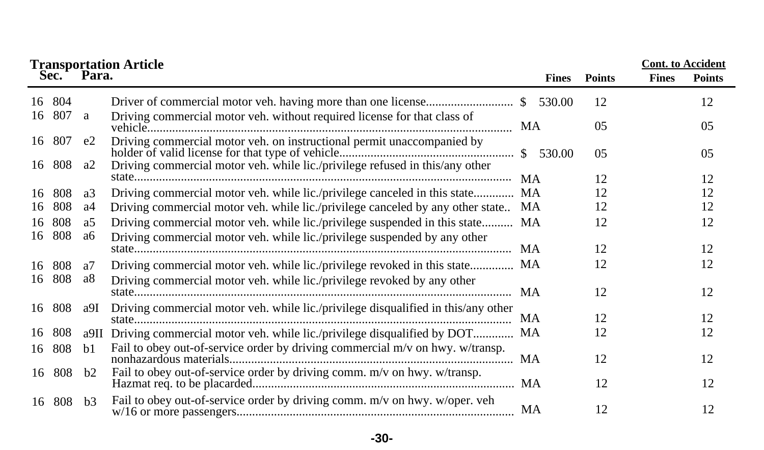|    |                  |                | <b>Transportation Article<br/>Sec. Para.</b>                                      |     |              |                | <b>Cont.</b> to Accident |               |
|----|------------------|----------------|-----------------------------------------------------------------------------------|-----|--------------|----------------|--------------------------|---------------|
|    |                  |                |                                                                                   |     | <b>Fines</b> | <b>Points</b>  | <b>Fines</b>             | <b>Points</b> |
|    | 16 804<br>16 807 |                |                                                                                   |     |              | 12             |                          | 12            |
|    |                  | a              | Driving commercial motor veh. without required license for that class of          | MA  |              | 0 <sub>5</sub> |                          | 05            |
|    | 16 807           | e2             | Driving commercial motor veh. on instructional permit unaccompanied by            |     |              | 05             |                          | 05            |
| 16 | 808              | a2             | Driving commercial motor veh. while lic./privilege refused in this/any other      | MA. |              | 12             |                          | 12            |
| 16 | 808              | a3             | Driving commercial motor veh. while lic./privilege canceled in this state         | MA  |              | 12             |                          | 12            |
| 16 | 808              | a4             | Driving commercial motor veh. while lic./privilege canceled by any other state    | MA. |              | 12             |                          | 12            |
| 16 | 808<br>16 808    | a5<br>aб       | Driving commercial motor veh. while lic./privilege suspended in this state MA     |     |              | 12             |                          | 12            |
|    |                  |                | Driving commercial motor veh. while lic./privilege suspended by any other         |     |              | 12             |                          | 12            |
| 16 | 808              | a7             | Driving commercial motor veh. while lic./privilege revoked in this state MA       |     |              | 12             |                          | 12            |
| 16 | 808              | a8             | Driving commercial motor veh. while lic./privilege revoked by any other           | MA. |              | 12             |                          | 12            |
| 16 | 808              | a9I            | Driving commercial motor veh. while lic./privilege disqualified in this/any other | MA  |              | 12             |                          | 12            |
| 16 | 808              | a9II           | Driving commercial motor veh. while lic./privilege disqualified by DOT            | MA  |              | 12             |                          | 12            |
| 16 | 808              | b1             | Fail to obey out-of-service order by driving commercial m/v on hwy. w/transp.     | MA  |              | 12             |                          | 12            |
| 16 | 808              | b2             | Fail to obey out-of-service order by driving comm. m/v on hwy. w/transp.          |     |              | 12             |                          | 12            |
| 16 | 808              | b <sub>3</sub> | Fail to obey out-of-service order by driving comm. m/v on hwy. w/oper. veh        | MA  |              | 12             |                          | 12            |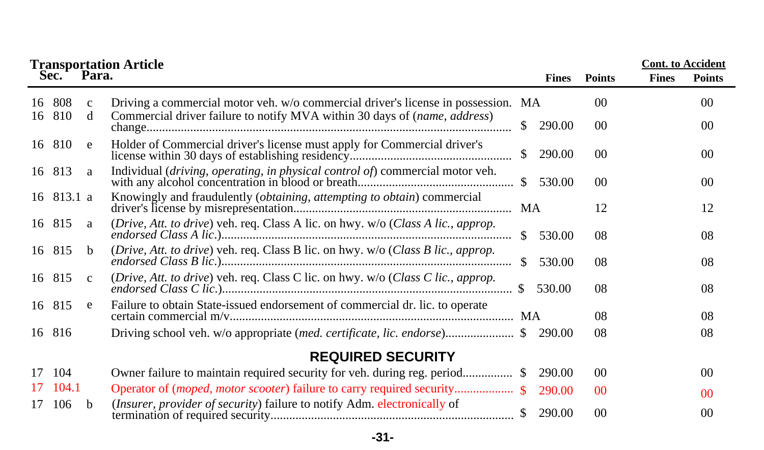|    |               |                   | <b>Transportation Article<br/>Sec. Para.</b>                                                                                                                   |               |              |                 | <b>Cont.</b> to Accident |                 |
|----|---------------|-------------------|----------------------------------------------------------------------------------------------------------------------------------------------------------------|---------------|--------------|-----------------|--------------------------|-----------------|
|    |               |                   |                                                                                                                                                                |               | <b>Fines</b> | <b>Points</b>   | <b>Fines</b>             | <b>Points</b>   |
| 16 | 808<br>16 810 | $\mathbf{C}$<br>d | Driving a commercial motor veh. w/o commercial driver's license in possession. MA<br>Commercial driver failure to notify MVA within 30 days of (name, address) |               |              | 0 <sup>0</sup>  |                          | 00 <sup>0</sup> |
|    |               |                   |                                                                                                                                                                | $\mathbb{S}$  | 290.00       | $00\,$          |                          | 00 <sup>0</sup> |
|    | 16 810        | e                 | Holder of Commercial driver's license must apply for Commercial driver's                                                                                       | $\mathbb{S}$  | 290.00       | $00\,$          |                          | $00\,$          |
|    | 16 813        | a                 | Individual (driving, operating, in physical control of) commercial motor veh.                                                                                  | $\mathcal{S}$ | 530.00       | 00 <sup>2</sup> |                          | 00              |
|    | 16 813.1 a    |                   | Knowingly and fraudulently (obtaining, attempting to obtain) commercial                                                                                        | MA            |              | 12              |                          | 12              |
|    | 16 815        | a                 | (Drive, Att. to drive) veh. req. Class A lic. on hwy. w/o (Class A lic., approp.                                                                               |               | \$530.00     | 08              |                          | 08              |
|    | 16 815        | <sub>b</sub>      | (Drive, Att. to drive) veh. req. Class B lic. on hwy. w/o (Class B lic., approp.                                                                               | $\mathcal{S}$ | 530.00       | 08              |                          | 08              |
|    | 16 815        | $\mathbf{c}$      | (Drive, Att. to drive) veh. req. Class C lic. on hwy. w/o (Class C lic., approp.                                                                               |               | 530.00       | 08              |                          | 08              |
|    | 16 815        | e                 | Failure to obtain State-issued endorsement of commercial dr. lic. to operate                                                                                   |               |              | 08              |                          | 08              |
|    | 16 816        |                   | Driving school veh. w/o appropriate (med. certificate, lic. endorse) \$290.00                                                                                  |               |              | 08              |                          | 08              |
|    |               |                   | <b>REQUIRED SECURITY</b>                                                                                                                                       |               |              |                 |                          |                 |
| 17 | 104           |                   |                                                                                                                                                                |               | 290.00       | 0 <sup>0</sup>  |                          | 00 <sup>2</sup> |
| 17 | 104.1         |                   |                                                                                                                                                                |               | 290.00       | 0 <sup>0</sup>  |                          | 00 <sup>2</sup> |
| 17 | 106           | b                 | (Insurer, provider of security) failure to notify Adm. electronically of                                                                                       |               | 290.00       | 0 <sup>0</sup>  |                          | 0 <sup>0</sup>  |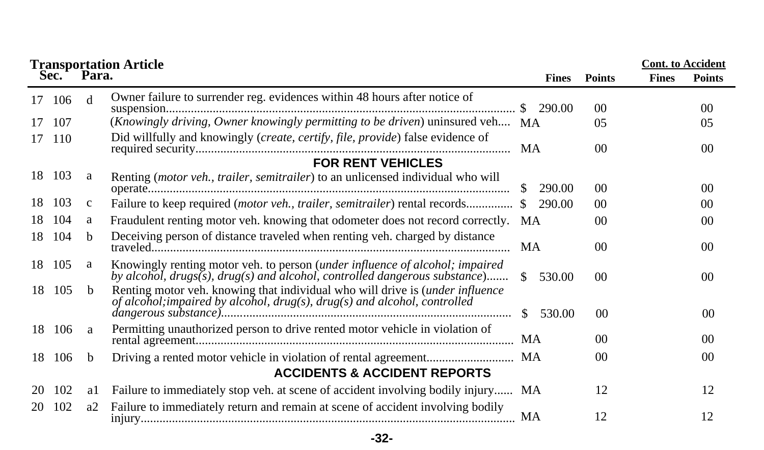|    |      |              | <b>Transportation Article</b>                                                                                                                                            |                         |                 |              | <b>Cont.</b> to Accident |
|----|------|--------------|--------------------------------------------------------------------------------------------------------------------------------------------------------------------------|-------------------------|-----------------|--------------|--------------------------|
|    | Sec. | Para.        |                                                                                                                                                                          | <b>Fines</b>            | <b>Points</b>   | <b>Fines</b> | <b>Points</b>            |
| 17 | 106  | d            | Owner failure to surrender reg. evidences within 48 hours after notice of                                                                                                |                         | $00\,$          |              | 00                       |
| 17 | 107  |              | (Knowingly driving, Owner knowingly permitting to be driven) uninsured veh MA                                                                                            |                         | 05              |              | 05                       |
| 17 | 110  |              | Did willfully and knowingly (create, certify, file, provide) false evidence of                                                                                           | MA                      | 0 <sup>0</sup>  |              | 00                       |
|    |      |              | <b>FOR RENT VEHICLES</b>                                                                                                                                                 |                         |                 |              |                          |
| 18 | 103  | a            | Renting (motor veh., trailer, semitrailer) to an unlicensed individual who will                                                                                          | <sup>\$</sup><br>290.00 | 0 <sup>0</sup>  |              | 00                       |
| 18 | 103  | $\mathbf{C}$ | Failure to keep required (motor veh., trailer, semitrailer) rental records \$                                                                                            | 290.00                  | $00\,$          |              | 0 <sup>0</sup>           |
| 18 | 104  | a            | Fraudulent renting motor veh. knowing that odometer does not record correctly. MA                                                                                        |                         | 0 <sup>0</sup>  |              | 00                       |
| 18 | 104  | <sub>b</sub> | Deceiving person of distance traveled when renting veh. charged by distance                                                                                              | MA                      | $00\,$          |              | 0 <sup>0</sup>           |
| 18 | 105  | a            | Knowingly renting motor veh. to person (under influence of alcohol; impaired<br>by alcohol, drugs(s), drug(s) and alcohol, controlled dangerous substance)               | $\mathcal{S}$<br>530.00 | 00 <sup>1</sup> |              | 0 <sup>0</sup>           |
| 18 | 105  | <sub>b</sub> | Renting motor veh. knowing that individual who will drive is <i>(under influence</i> )<br>of alcohol; impaired by alcohol, $drug(s)$ , $drug(s)$ and alcohol, controlled | 530.00<br><sup>S</sup>  | 0 <sup>0</sup>  |              | 00                       |
| 18 | 106  | a            | Permitting unauthorized person to drive rented motor vehicle in violation of                                                                                             | MA                      | 00 <sup>0</sup> |              | 00 <sup>2</sup>          |
| 18 | 106  | b.           |                                                                                                                                                                          | MA                      | 0 <sup>0</sup>  |              | 00 <sup>2</sup>          |
|    |      |              | <b>ACCIDENTS &amp; ACCIDENT REPORTS</b>                                                                                                                                  |                         |                 |              |                          |
| 20 | 102  | al           | Failure to immediately stop veh. at scene of accident involving bodily injury MA                                                                                         |                         | 12              |              | 12                       |
| 20 | 102  | a2           | Failure to immediately return and remain at scene of accident involving bodily                                                                                           | MA                      | 12              |              | 12                       |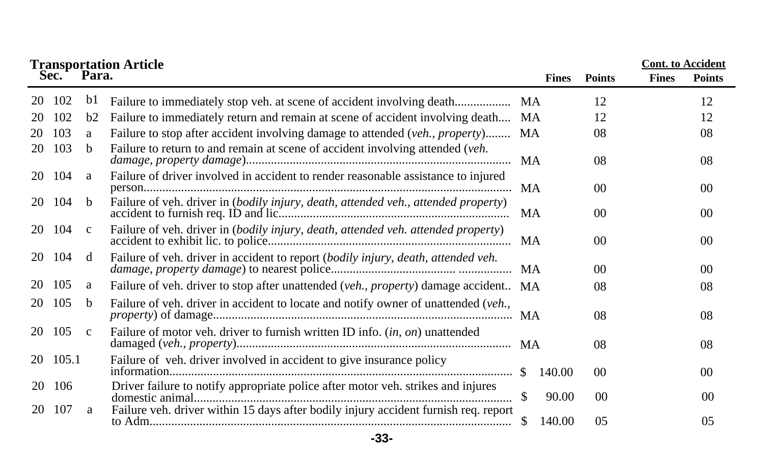|    |       |              | <b>Transportation Article<br/>Sec. Para.</b>                                        |               |              |                 |              | <b>Cont.</b> to Accident |
|----|-------|--------------|-------------------------------------------------------------------------------------|---------------|--------------|-----------------|--------------|--------------------------|
|    |       |              |                                                                                     |               | <b>Fines</b> | <b>Points</b>   | <b>Fines</b> | <b>Points</b>            |
| 20 | 102   | bl           |                                                                                     | MA            |              | 12              |              | 12                       |
| 20 | 102   | b2           | Failure to immediately return and remain at scene of accident involving death       | MA.           |              | 12              |              | 12                       |
| 20 | 103   | a            | Failure to stop after accident involving damage to attended (veh., property)        | <b>MA</b>     |              | 08              |              | 08                       |
| 20 | 103   | b.           | Failure to return to and remain at scene of accident involving attended (veh.       | <b>MA</b>     |              | 08              |              | 08                       |
| 20 | 104   | a            | Failure of driver involved in accident to render reasonable assistance to injured   | MA            |              | 0 <sup>0</sup>  |              | 0 <sup>0</sup>           |
| 20 | 104   | <sub>b</sub> | Failure of veh. driver in (bodily injury, death, attended veh., attended property)  | MA            |              | 0 <sup>0</sup>  |              | 0 <sup>0</sup>           |
| 20 | 104   | $\mathbf c$  | Failure of veh. driver in (bodily injury, death, attended veh. attended property)   | MA            |              | 0 <sup>0</sup>  |              | 0 <sup>0</sup>           |
| 20 | 104   | d            | Failure of veh. driver in accident to report (bodily injury, death, attended veh.   | MA            |              | 0 <sup>0</sup>  |              | 0 <sup>0</sup>           |
| 20 | 105   | a            | Failure of veh. driver to stop after unattended (veh., property) damage accident MA |               |              | 08              |              | 08                       |
| 20 | 105   | b.           | Failure of veh. driver in accident to locate and notify owner of unattended (veh.,  |               |              | 08              |              | 08                       |
| 20 | 105   | $\mathbf{c}$ | Failure of motor veh. driver to furnish written ID info. (in, on) unattended        |               |              | 08              |              | 08                       |
| 20 | 105.1 |              | Failure of veh. driver involved in accident to give insurance policy                | -SS           | 140.00       | 00 <sup>1</sup> |              | 0 <sup>0</sup>           |
| 20 | 106   |              | Driver failure to notify appropriate police after motor veh. strikes and injures    | <sup>\$</sup> | 90.00        | 0 <sup>0</sup>  |              | 00                       |
| 20 | 107   | a            | Failure veh. driver within 15 days after bodily injury accident furnish req. report |               | 140.00       | 0 <sub>5</sub>  |              | 0 <sub>5</sub>           |

**-33-**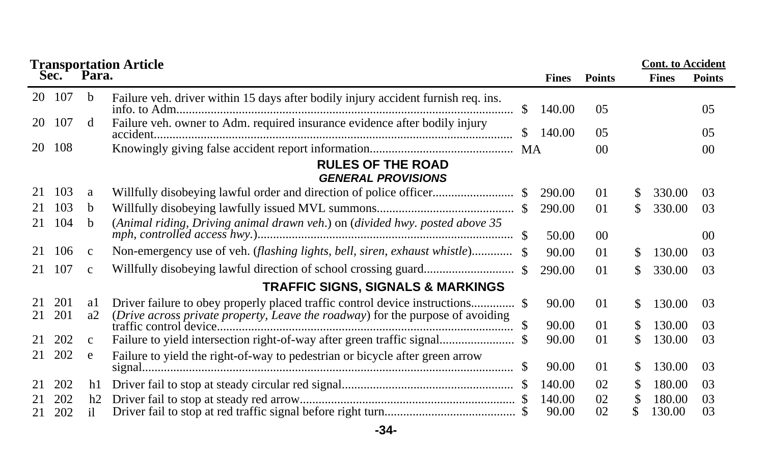|          |            |              | <b>Transportation Article</b>                                                     |    |              |                | <b>Cont.</b> to Accident |              |                |
|----------|------------|--------------|-----------------------------------------------------------------------------------|----|--------------|----------------|--------------------------|--------------|----------------|
|          | Sec.       | Para.        |                                                                                   |    | <b>Fines</b> | <b>Points</b>  |                          | <b>Fines</b> | <b>Points</b>  |
| 20       | 107        | <sub>b</sub> | Failure veh. driver within 15 days after bodily injury accident furnish req. ins. | \$ | 140.00       | 0 <sub>5</sub> |                          |              | 0 <sub>5</sub> |
| 20       | 107        | d            | Failure veh. owner to Adm. required insurance evidence after bodily injury        | S. | 140.00       | 0 <sub>5</sub> |                          |              | 0 <sub>5</sub> |
| 20       | 108        |              |                                                                                   |    |              | 0 <sup>0</sup> |                          |              | 0 <sup>0</sup> |
|          |            |              | <b>RULES OF THE ROAD</b><br><b>GENERAL PROVISIONS</b>                             |    |              |                |                          |              |                |
| 21       | 103        | a            |                                                                                   |    | 290.00       | 01             | S.                       | 330.00       | 03             |
| 21       | 103        | b.           |                                                                                   |    | 290.00       | 01             | S.                       | 330.00       | 03             |
| 21       | 104        | b            | (Animal riding, Driving animal drawn veh.) on (divided hwy. posted above 35       |    | 50.00        | 0 <sup>0</sup> |                          |              | 0 <sup>0</sup> |
| 21       | 106        | $\mathbf{c}$ | Non-emergency use of veh. (flashing lights, bell, siren, exhaust whistle) \$      |    | 90.00        | 01             | S.                       | 130.00       | 03             |
| 21       | 107        | $\mathbf{c}$ |                                                                                   |    | 290.00       | 01             | \$.                      | 330.00       | 03             |
|          |            |              | <b>TRAFFIC SIGNS, SIGNALS &amp; MARKINGS</b>                                      |    |              |                |                          |              |                |
| 21<br>21 | 201<br>201 | al<br>a2     | (Drive across private property, Leave the roadway) for the purpose of avoiding    |    | 90.00        | 01             | \$.                      | 130.00       | 03             |
|          |            |              |                                                                                   |    | 90.00        | 01             | S.                       | 130.00       | 03             |
| 21       | 202        | $\mathbf{C}$ | Failure to yield intersection right-of-way after green traffic signal             |    | 90.00        | 01             | S.                       | 130.00       | 03             |
| 21       | 202        | e            | Failure to yield the right-of-way to pedestrian or bicycle after green arrow      |    | 90.00        | 01             | S                        | 130.00       | 03             |
| 21       | 202        | h1           |                                                                                   |    | 140.00       | 02             | S                        | 180.00       | 03             |
| 21       | 202        | h2           |                                                                                   |    | 140.00       | 02             |                          | 180.00       | 03             |
| 21       | 202        | il           |                                                                                   |    | 90.00        | 02             |                          | 130.00       | 03             |

**-34-**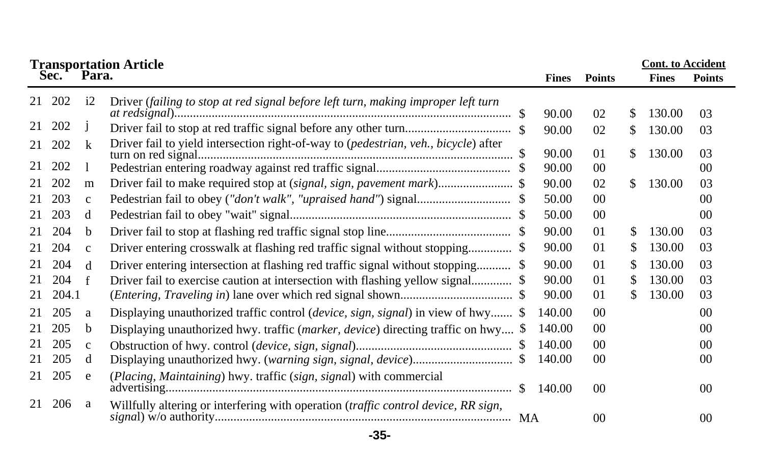|    | Sec.   | Para.        | <b>Transportation Article</b>                                                       | <b>Fines</b> | <b>Points</b>  |     | <b>Cont.</b> to Accident<br><b>Fines</b> | <b>Points</b>   |
|----|--------|--------------|-------------------------------------------------------------------------------------|--------------|----------------|-----|------------------------------------------|-----------------|
|    |        |              |                                                                                     |              |                |     |                                          |                 |
|    | 21 202 | i2           | Driver (failing to stop at red signal before left turn, making improper left turn   | 90.00        | 02             | S   | 130.00                                   | 03              |
| 21 | 202    | $\mathbf{J}$ |                                                                                     | 90.00        | 02             | \$  | 130.00                                   | 03              |
| 21 | 202    | k            | Driver fail to yield intersection right-of-way to (pedestrian, veh., bicycle) after | 90.00        | 01             | \$  | 130.00                                   | 03              |
| 21 | 202    |              |                                                                                     | 90.00        | 0 <sup>0</sup> |     |                                          | 0 <sup>0</sup>  |
| 21 | 202    | m            | Driver fail to make required stop at (signal, sign, pavement mark) \$               | 90.00        | 02             | \$. | 130.00                                   | 03              |
| 21 | 203    | $\mathbf{C}$ |                                                                                     | 50.00        | 0 <sup>0</sup> |     |                                          | 00 <sup>2</sup> |
| 21 | 203    | d            |                                                                                     | 50.00        | 00             |     |                                          | 00              |
| 21 | 204    | b            |                                                                                     | 90.00        | 01             | \$. | 130.00                                   | 03              |
| 21 | 204    | $\mathbf{C}$ | Driver entering crosswalk at flashing red traffic signal without stopping \$        | 90.00        | 01             | S   | 130.00                                   | 03              |
| 21 | 204    | d            | Driver entering intersection at flashing red traffic signal without stopping \$     | 90.00        | 01             | \$  | 130.00                                   | 03              |
| 21 | 204    | f            | Driver fail to exercise caution at intersection with flashing yellow signal \$      | 90.00        | 01             | S   | 130.00                                   | 03              |
| 21 | 204.1  |              |                                                                                     | 90.00        | 01             | S.  | 130.00                                   | 03              |
| 21 | 205    | a            | Displaying unauthorized traffic control (device, sign, signal) in view of hwy \$    | 140.00       | 0 <sup>0</sup> |     |                                          | 0 <sup>0</sup>  |
| 21 | 205    | b            | Displaying unauthorized hwy. traffic (marker, device) directing traffic on hwy \$   | 140.00       | 00             |     |                                          | 00              |
| 21 | 205    | $\mathbf{c}$ |                                                                                     | 140.00       | 0 <sup>0</sup> |     |                                          | 0 <sup>0</sup>  |
| 21 | 205    | d            |                                                                                     | 140.00       | 00             |     |                                          | 00              |
| 21 | 205    | e            | (Placing, Maintaining) hwy. traffic (sign, signal) with commercial                  | 140.00       | 00             |     |                                          | $00\,$          |
| 21 | 206    | a            | Willfully altering or interfering with operation (traffic control device, RR sign,  |              | 00             |     |                                          | $00\,$          |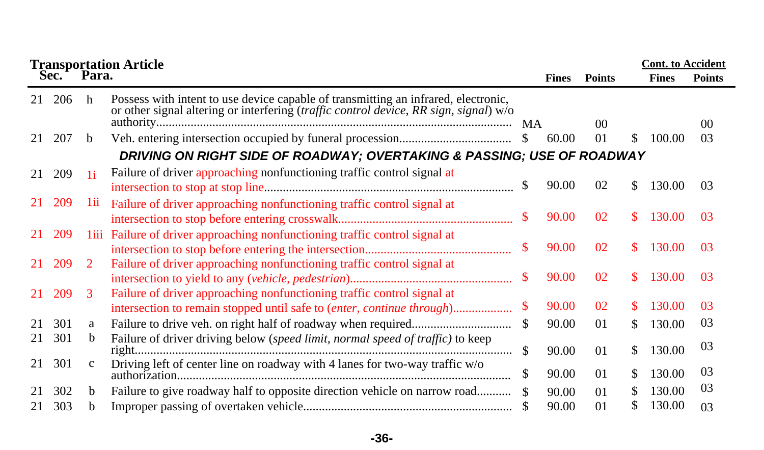|    |     | <b>Transportation Article<br/>Sec. Para.</b> |                                                                                                                                                                             |               | <b>Cont.</b> to Accident |                 |     |              |               |
|----|-----|----------------------------------------------|-----------------------------------------------------------------------------------------------------------------------------------------------------------------------------|---------------|--------------------------|-----------------|-----|--------------|---------------|
|    |     |                                              |                                                                                                                                                                             |               | <b>Fines</b>             | <b>Points</b>   |     | <b>Fines</b> | <b>Points</b> |
| 21 | 206 | h                                            | Possess with intent to use device capable of transmitting an infrared, electronic,<br>or other signal altering or interfering (traffic control device, RR sign, signal) w/o | <b>MA</b>     |                          | 00 <sup>2</sup> |     |              | 00            |
| 21 | 207 | b.                                           |                                                                                                                                                                             | <sup>S</sup>  | 60.00                    | 0 <sub>1</sub>  | \$. | 100.00       | 03            |
|    |     |                                              | DRIVING ON RIGHT SIDE OF ROADWAY; OVERTAKING & PASSING; USE OF ROADWAY                                                                                                      |               |                          |                 |     |              |               |
| 21 | 209 | 1i                                           | Failure of driver approaching nonfunctioning traffic control signal at                                                                                                      | <sup>\$</sup> | 90.00                    | 02              | \$. | 130.00       | 03            |
| 21 | 209 | 111                                          | Failure of driver approaching nonfunctioning traffic control signal at                                                                                                      | S.            | 90.00                    | 02              | S.  | 130.00       | 03            |
| 21 | 209 |                                              | liii Failure of driver approaching nonfunctioning traffic control signal at                                                                                                 | \$            | 90.00                    | 02              | S.  | 130.00       | 03            |
| 21 | 209 | <sup>2</sup>                                 | Failure of driver approaching nonfunctioning traffic control signal at                                                                                                      | \$            | 90.00                    | 02              | S.  | 130.00       | 03            |
| 21 | 209 | 3                                            | Failure of driver approaching nonfunctioning traffic control signal at                                                                                                      | \$            | 90.00                    | 02              | S.  | 130.00       | 03            |
| 21 | 301 | a                                            |                                                                                                                                                                             | \$            | 90.00                    | 01              | S.  | 130.00       | 03            |
| 21 | 301 | b.                                           | Failure of driver driving below (speed limit, normal speed of traffic) to keep                                                                                              | \$.           | 90.00                    | 01              | \$  | 130.00       | 03            |
| 21 | 301 | c                                            | Driving left of center line on roadway with 4 lanes for two-way traffic $\rm w/o$                                                                                           | \$            | 90.00                    | 01              | S.  | 130.00       | 03            |
| 21 | 302 | b.                                           | Failure to give roadway half to opposite direction vehicle on narrow road                                                                                                   |               | 90.00                    | 0 <sub>1</sub>  | S.  | 130.00       | 03            |
| 21 | 303 | h                                            |                                                                                                                                                                             |               | 90.00                    | 0 <sub>1</sub>  |     | 130.00       | 03            |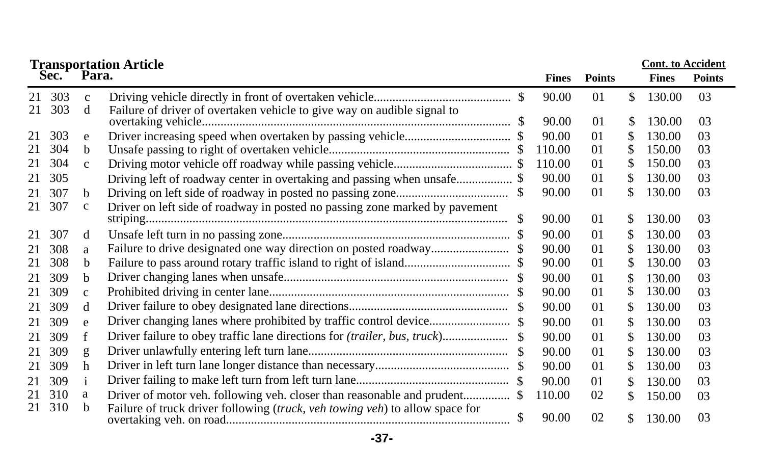|          | <b>Cont. to Accident</b><br><b>Transportation Article</b> |                   |                                                                              |  |              |                |     |              |               |  |
|----------|-----------------------------------------------------------|-------------------|------------------------------------------------------------------------------|--|--------------|----------------|-----|--------------|---------------|--|
|          | Sec. Para.                                                |                   |                                                                              |  | <b>Fines</b> | <b>Points</b>  |     | <b>Fines</b> | <b>Points</b> |  |
| 21<br>21 | 303<br>303                                                | $\mathbf{c}$<br>d | Failure of driver of overtaken vehicle to give way on audible signal to      |  | 90.00        | 01             | \$  | 130.00       | 03            |  |
|          |                                                           |                   | overtaking vehicle                                                           |  | 90.00        | 01             | \$  | 130.00       | 03            |  |
| 21       | 303                                                       | e                 |                                                                              |  | 90.00        | 0 <sub>1</sub> | S   | 130.00       | 03            |  |
| 21       | 304                                                       | b                 |                                                                              |  | 110.00       | 01             | S   | 150.00       | 03            |  |
| 21       | 304                                                       | $\mathbf{C}$      |                                                                              |  | 110.00       | 01             | S   | 150.00       | 03            |  |
| 21       | 305                                                       |                   |                                                                              |  | 90.00        | 01             | \$. | 130.00       | 03            |  |
| 21       | 307                                                       | <sub>b</sub>      |                                                                              |  | 90.00        | 01             | S   | 130.00       | 03            |  |
| 21       | 307                                                       | $\mathbf c$       | Driver on left side of roadway in posted no passing zone marked by pavement  |  | 90.00        | 01             | \$  | 130.00       | 03            |  |
| 21       | 307                                                       | d                 |                                                                              |  | 90.00        | 01             | \$  | 130.00       | 03            |  |
| 21       | 308                                                       | a                 |                                                                              |  | 90.00        | 01             | \$. | 130.00       | 03            |  |
| 21       | 308                                                       | b                 |                                                                              |  | 90.00        | 01             | S   | 130.00       | 03            |  |
| 21       | 309                                                       | <sub>b</sub>      |                                                                              |  | 90.00        | 01             |     | 130.00       | 03            |  |
| 21       | 309                                                       | $\mathbf{c}$      |                                                                              |  | 90.00        | 0 <sub>1</sub> | \$  | 130.00       | 03            |  |
| 21       | 309                                                       | d                 |                                                                              |  | 90.00        | 01             | \$. | 130.00       | 03            |  |
| 21       | 309                                                       | e                 |                                                                              |  | 90.00        | 01             | \$. | 130.00       | 03            |  |
| 21       | 309                                                       | f                 |                                                                              |  | 90.00        | 01             | S   | 130.00       | 03            |  |
| 21       | 309                                                       | g                 |                                                                              |  | 90.00        | 0 <sub>1</sub> | S   | 130.00       | 03            |  |
| 21       | 309                                                       | h                 |                                                                              |  | 90.00        | 01             | \$. | 130.00       | 03            |  |
| 21       | 309                                                       | $\mathbf{i}$      |                                                                              |  | 90.00        | 01             | S.  | 130.00       | 03            |  |
| 21       | 310                                                       | a                 |                                                                              |  | 110.00       | 02             | \$  | 150.00       | 03            |  |
|          | 21 310                                                    | b                 | Failure of truck driver following (truck, veh towing veh) to allow space for |  | 90.00        | 02             | \$  | 130.00       | 03            |  |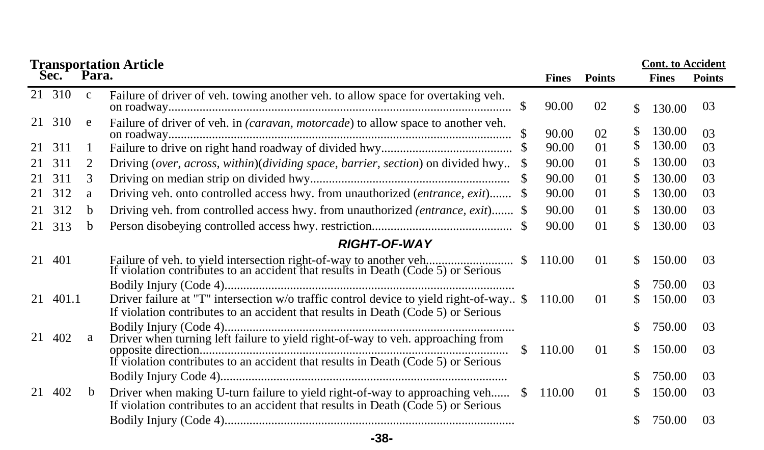| <b>Transportation Article<br/>Sec. Para.</b> |          |              |                                                                                                                                                                             |              |              |               |     |              | <b>Cont.</b> to Accident |
|----------------------------------------------|----------|--------------|-----------------------------------------------------------------------------------------------------------------------------------------------------------------------------|--------------|--------------|---------------|-----|--------------|--------------------------|
|                                              |          |              |                                                                                                                                                                             |              | <b>Fines</b> | <b>Points</b> |     | <b>Fines</b> | <b>Points</b>            |
|                                              | 21 310   | $\mathbf{c}$ | Failure of driver of veh. towing another veh. to allow space for overtaking veh.                                                                                            |              | 90.00        | 02            | \$  | 130.00       | 03                       |
|                                              | 21 310   | e            | Failure of driver of veh. in <i>(caravan, motorcade)</i> to allow space to another veh.                                                                                     |              | 90.00        | 02            | S.  | 130.00       | 0 <sup>3</sup>           |
| 21                                           | 311      | 1            |                                                                                                                                                                             |              | 90.00        | $\Omega$      | S.  | 130.00       | 03                       |
| 21                                           | 311      | 2            | Driving (over, across, within)(dividing space, barrier, section) on divided hwy                                                                                             |              | 90.00        | 01            | S.  | 130.00       | 03                       |
| 21                                           | 311      | 3            |                                                                                                                                                                             | \$           | 90.00        | $\Omega$      | S.  | 130.00       | 03                       |
| 21                                           | 312      | a            | Driving veh. onto controlled access hwy. from unauthorized (entrance, exit)                                                                                                 |              | 90.00        | 01            | S.  | 130.00       | 03                       |
| 21                                           | 312      | b.           | Driving veh. from controlled access hwy. from unauthorized <i>(entrance, exit)</i> . \$                                                                                     |              | 90.00        | 01            | S.  | 130.00       | 03                       |
| 21                                           | 313      | b.           |                                                                                                                                                                             |              | 90.00        | 01            | S.  | 130.00       | 03                       |
|                                              |          |              | <b>RIGHT-OF-WAY</b>                                                                                                                                                         |              |              |               |     |              |                          |
| 21                                           | 401      |              | Failure of veh. to yield intersection right-of-way to another veh<br>If violation contributes to an accident that results in Death (Code 5) or Serious                      | <sup>S</sup> | 110.00       | 01            | S.  | 150.00       | 03                       |
|                                              |          |              |                                                                                                                                                                             |              |              |               |     | 750.00       | 03                       |
|                                              | 21 401.1 |              | Driver failure at "T" intersection w/o traffic control device to yield right-of-way \$<br>If violation contributes to an accident that results in Death (Code 5) or Serious |              | 110.00       | 01            | S.  | 150.00       | 03                       |
| 21                                           | 402      | a            | Driver when turning left failure to yield right-of-way to veh. approaching from                                                                                             |              |              |               | \$. | 750.00       | 03                       |
|                                              |          |              |                                                                                                                                                                             | S.           | 110.00       | 01            | S.  | 150.00       | 03                       |
|                                              |          |              |                                                                                                                                                                             |              |              |               | S.  | 750.00       | 03                       |
| 21                                           | 402      | b            | Driver when making U-turn failure to yield right-of-way to approaching veh<br>If violation contributes to an accident that results in Death (Code 5) or Serious             | S.           | 110.00       | 01            | \$  | 150.00       | 03                       |
|                                              |          |              |                                                                                                                                                                             |              |              |               | S.  | 750.00       | 03                       |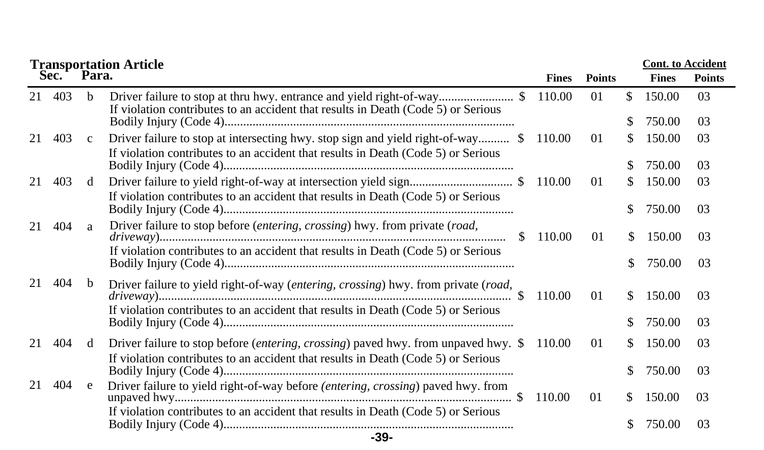|    |      |              | <b>Transportation Article</b>                                                                                                                                                     |              |                |     |              | <b>Cont.</b> to Accident |  |
|----|------|--------------|-----------------------------------------------------------------------------------------------------------------------------------------------------------------------------------|--------------|----------------|-----|--------------|--------------------------|--|
|    | Sec. | Para.        |                                                                                                                                                                                   | <b>Fines</b> | <b>Points</b>  |     | <b>Fines</b> | <b>Points</b>            |  |
| 21 | 403  | <sub>b</sub> | Driver failure to stop at thru hwy. entrance and yield right-of-way\$<br>If violation contributes to an accident that results in Death (Code 5) or Serious                        | 110.00       | 0 <sub>1</sub> | \$. | 150.00       | 03                       |  |
|    |      |              |                                                                                                                                                                                   |              |                | \$  | 750.00       | 03                       |  |
| 21 | 403  | $\mathbf{c}$ | Driver failure to stop at intersecting hwy. stop sign and yield right-of-way \$<br>If violation contributes to an accident that results in Death (Code 5) or Serious              | 110.00       | 01             | S.  | 150.00       | 03                       |  |
|    |      |              |                                                                                                                                                                                   |              |                |     | 750.00       | 03                       |  |
| 21 | 403  | d            | If violation contributes to an accident that results in Death (Code 5) or Serious                                                                                                 | 110.00       | 01             | S.  | 150.00       | 03                       |  |
|    |      |              |                                                                                                                                                                                   |              |                | \$. | 750.00       | 03                       |  |
| 21 | 404  | a            | Driver failure to stop before (entering, crossing) hwy. from private (road,<br><sup>\$</sup><br>If violation contributes to an accident that results in Death (Code 5) or Serious | 110.00       | $\Omega$       | S.  | 150.00       | 03                       |  |
|    |      |              |                                                                                                                                                                                   |              |                | \$  | 750.00       | 03                       |  |
| 21 | 404  | <sub>b</sub> | Driver failure to yield right-of-way (entering, crossing) hwy. from private (road,<br>If violation contributes to an accident that results in Death (Code 5) or Serious           | 110.00       | 01             | S.  | 150.00       | 03                       |  |
|    |      |              |                                                                                                                                                                                   |              |                |     | 750.00       | 03                       |  |
| 21 | 404  | d            | Driver failure to stop before ( <i>entering, crossing</i> ) paved hwy. from unpaved hwy. \$                                                                                       | 110.00       | 01             | S.  | 150.00       | 03                       |  |
|    |      |              | If violation contributes to an accident that results in Death (Code 5) or Serious                                                                                                 |              |                |     | 750.00       | 03                       |  |
| 21 | 404  | e            | Driver failure to yield right-of-way before (entering, crossing) paved hwy. from                                                                                                  | 110.00       | 01             | S.  | 150.00       | 03                       |  |
|    |      |              | If violation contributes to an accident that results in Death (Code 5) or Serious                                                                                                 |              |                |     | 750.00       | 03                       |  |
|    |      |              | $-39-$                                                                                                                                                                            |              |                |     |              |                          |  |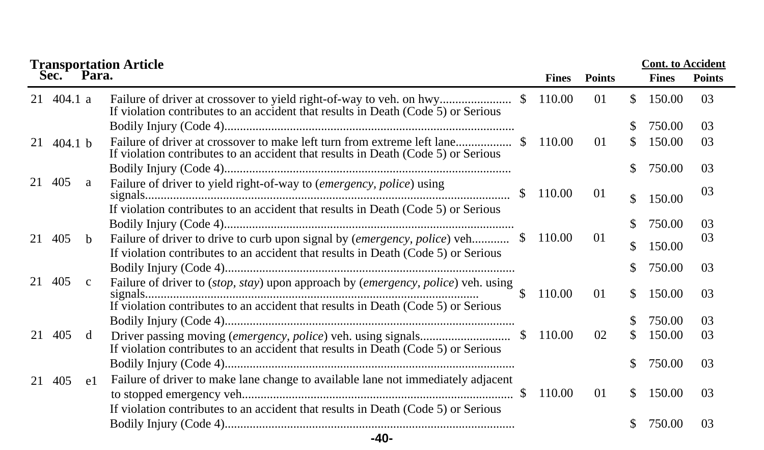|    |                            |              | <b>Transportation Article</b>                                                                                                                                          |               |              | <b>Cont.</b> to Accident |     |              |                |  |
|----|----------------------------|--------------|------------------------------------------------------------------------------------------------------------------------------------------------------------------------|---------------|--------------|--------------------------|-----|--------------|----------------|--|
|    | Sec.                       | Para.        |                                                                                                                                                                        |               | <b>Fines</b> | <b>Points</b>            |     | <b>Fines</b> | <b>Points</b>  |  |
|    | $21 \quad 404.1 \text{ a}$ |              | If violation contributes to an accident that results in Death (Code 5) or Serious                                                                                      |               | 110.00       | 01                       | \$. | 150.00       | 0 <sub>3</sub> |  |
|    |                            |              |                                                                                                                                                                        |               |              |                          | S   | 750.00       | 03             |  |
|    | 21 $404.1 h$               |              | If violation contributes to an accident that results in Death (Code 5) or Serious                                                                                      |               | 110.00       | $\Omega$                 | \$  | 150.00       | 03             |  |
|    |                            |              |                                                                                                                                                                        |               |              |                          | \$  | 750.00       | 0 <sub>3</sub> |  |
| 21 | 405                        | a            | Failure of driver to yield right-of-way to (emergency, police) using                                                                                                   | <sup>\$</sup> | 110.00       | 01                       | \$  | 150.00       | 0 <sub>3</sub> |  |
|    |                            |              | If violation contributes to an accident that results in Death (Code 5) or Serious                                                                                      |               |              |                          | \$  | 750.00       | 03             |  |
| 21 | 405                        | $\mathbf b$  | If violation contributes to an accident that results in Death (Code 5) or Serious                                                                                      |               | 110.00       | 01                       | \$  | 150.00       | 0 <sub>3</sub> |  |
|    |                            |              |                                                                                                                                                                        |               |              |                          | S   | 750.00       | 0 <sub>3</sub> |  |
| 21 | 405                        | $\mathbf{c}$ | Failure of driver to (stop, stay) upon approach by (emergency, police) veh. using<br>If violation contributes to an accident that results in Death (Code 5) or Serious | \$.           | 110.00       | 01                       | \$  | 150.00       | 03             |  |
|    |                            |              |                                                                                                                                                                        |               |              |                          |     | 750.00       | 03             |  |
| 21 | 405                        | d            | If violation contributes to an accident that results in Death (Code 5) or Serious                                                                                      |               | 110.00       | 02                       | \$  | 150.00       | 03             |  |
|    |                            |              |                                                                                                                                                                        |               |              |                          | \$  | 750.00       | 03             |  |
|    | 21 405                     | e1           | Failure of driver to make lane change to available lane not immediately adjacent                                                                                       |               | 110.00       | 01                       | \$. | 150.00       | 03             |  |
|    |                            |              | If violation contributes to an accident that results in Death (Code 5) or Serious                                                                                      |               |              |                          |     |              |                |  |
|    |                            |              |                                                                                                                                                                        |               |              |                          |     | 750.00       | 03             |  |
|    |                            |              | $-40-$                                                                                                                                                                 |               |              |                          |     |              |                |  |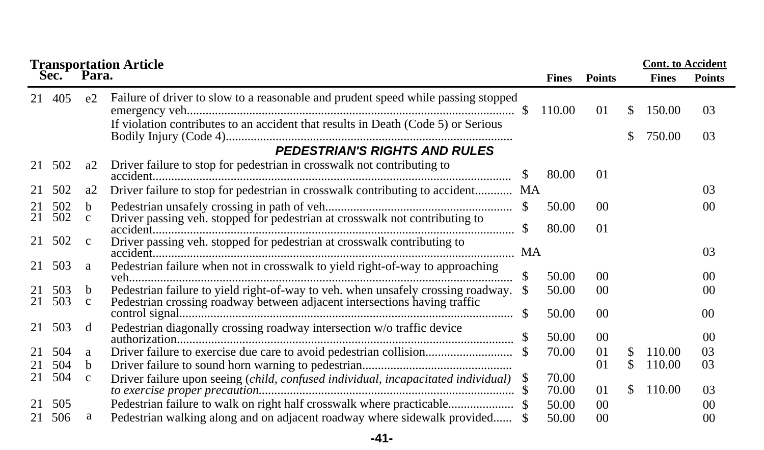|          |            |                    | <b>Transportation Article<br/>Sec. Para.</b>                                      |               |                |                 |     | <b>Cont.</b> to Accident |                 |
|----------|------------|--------------------|-----------------------------------------------------------------------------------|---------------|----------------|-----------------|-----|--------------------------|-----------------|
|          |            |                    |                                                                                   |               | <b>Fines</b>   | <b>Points</b>   |     | <b>Fines</b>             | <b>Points</b>   |
|          | 21 405     | e <sub>2</sub>     | Failure of driver to slow to a reasonable and prudent speed while passing stopped | \$.           | 110.00         | 01              | S.  | 150.00                   | 03              |
|          |            |                    | If violation contributes to an accident that results in Death (Code 5) or Serious |               |                |                 | S.  | 750.00                   | 03              |
|          |            |                    | <b>PEDESTRIAN'S RIGHTS AND RULES</b>                                              |               |                |                 |     |                          |                 |
| 21       | 502        | a <sub>2</sub>     | Driver failure to stop for pedestrian in crosswalk not contributing to            |               | 80.00          | 01              |     |                          |                 |
|          | 502        | a2                 | Driver failure to stop for pedestrian in crosswalk contributing to accident MA    |               |                |                 |     |                          | 03              |
| 21<br>21 | 502<br>502 | b.<br>$\mathbf{c}$ | Driver passing veh. stopped for pedestrian at crosswalk not contributing to       |               | 50.00          | 00 <sup>2</sup> |     |                          | 0 <sup>0</sup>  |
|          |            |                    |                                                                                   |               | 80.00          | $\Omega$        |     |                          |                 |
| 21       | 502        | $\mathbf{c}$       | Driver passing veh. stopped for pedestrian at crosswalk contributing to           |               |                |                 |     |                          | 03              |
| 21       | 503        | a                  | Pedestrian failure when not in crosswalk to yield right-of-way to approaching     | \$            | 50.00          | 0 <sup>0</sup>  |     |                          | 0 <sup>0</sup>  |
|          | 503        | b                  | Pedestrian failure to yield right-of-way to veh. when unsafely crossing roadway.  |               | 50.00          | 00              |     |                          | 0 <sup>0</sup>  |
| 21       | 503        | $\mathbf{c}$       | Pedestrian crossing roadway between adjacent intersections having traffic         | <sup>\$</sup> | 50.00          | 00 <sup>2</sup> |     |                          | 00 <sup>0</sup> |
| 21       | 503        | <sub>d</sub>       | Pedestrian diagonally crossing roadway intersection w/o traffic device            |               | 50.00          | 00 <sup>0</sup> |     |                          | 0 <sup>0</sup>  |
|          | 504        | a                  |                                                                                   |               | 70.00          | 01              | S   | 110.00                   | 03              |
| 21       | 504        | b.                 |                                                                                   |               |                | 01              | \$. | 110.00                   | 03              |
| 21       | 504        | $\mathbf{C}$       | Driver failure upon seeing (child, confused individual, incapacitated individual) | S.            | 70.00<br>70.00 | 01              | S.  | 110.00                   | 03              |
|          | 505        |                    |                                                                                   |               | 50.00          | 0 <sup>0</sup>  |     |                          | 0 <sup>0</sup>  |
| 21       | 506        | a                  | Pedestrian walking along and on adjacent roadway where sidewalk provided \$       |               | 50.00          | 0 <sup>0</sup>  |     |                          | 00              |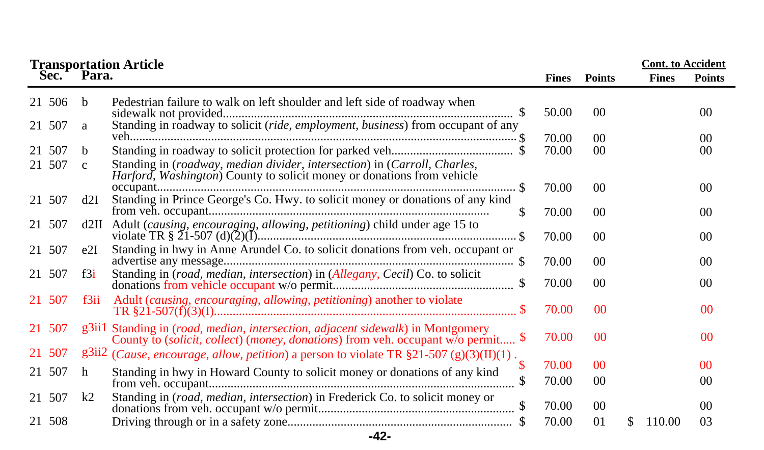|        |                | <b>Transportation Article<br/>Sec. Para.</b>                                                                                                                                                   |              |                 | <b>Cont.</b> to Accident |                 |
|--------|----------------|------------------------------------------------------------------------------------------------------------------------------------------------------------------------------------------------|--------------|-----------------|--------------------------|-----------------|
|        |                |                                                                                                                                                                                                | <b>Fines</b> | <b>Points</b>   | <b>Fines</b>             | <b>Points</b>   |
| 21 506 | b              | Pedestrian failure to walk on left shoulder and left side of roadway when                                                                                                                      | 50.00        | 0 <sup>0</sup>  |                          | 00 <sup>0</sup> |
| 21 507 | a              | Standing in roadway to solicit (ride, employment, business) from occupant of any                                                                                                               | 70.00        | 0 <sup>0</sup>  |                          | 0 <sup>0</sup>  |
| 21 507 | b.             |                                                                                                                                                                                                | 70.00        | 0 <sup>0</sup>  |                          | 00              |
| 21 507 | $\mathbf{c}$   | Standing in (roadway, median divider, intersection) in (Carroll, Charles,<br>Harford, Washington) County to solicit money or donations from vehicle                                            |              |                 |                          |                 |
| 21 507 | d2I            | Standing in Prince George's Co. Hwy. to solicit money or donations of any kind                                                                                                                 | 70.00        | 0 <sup>0</sup>  |                          | 0 <sup>0</sup>  |
|        |                | \$.                                                                                                                                                                                            | 70.00        | 00 <sup>0</sup> |                          | 00 <sup>0</sup> |
| 21 507 |                | d2II Adult (causing, encouraging, allowing, petitioning) child under age 15 to                                                                                                                 | 70.00        | 0 <sup>0</sup>  |                          | 0 <sup>0</sup>  |
| 21 507 | e2I            | Standing in hwy in Anne Arundel Co. to solicit donations from veh. occupant or                                                                                                                 | 70.00        | $00\,$          |                          | 0 <sup>0</sup>  |
| 21 507 | f3i            | Standing in (road, median, intersection) in (Allegany, Cecil) Co. to solicit                                                                                                                   | 70.00        | 00              |                          | 00              |
| 21 507 | f3ii           | Adult (causing, encouraging, allowing, petitioning) another to violate                                                                                                                         | 70.00        | 0 <sup>0</sup>  |                          | 0 <sup>0</sup>  |
| 21 507 |                | g3ii1 Standing in ( <i>road, median, intersection, adjacent sidewalk</i> ) in Montgomery<br>County to ( <i>solicit, collect</i> ) ( <i>money, donations</i> ) from veh. occupant w/o permit \$ | 70.00        | 0 <sup>0</sup>  |                          | 0 <sup>0</sup>  |
| 21 507 |                | $g^{3ii2}$ ( <i>Cause, encourage, allow, petition</i> ) a person to violate TR $\S21-507$ (g)(3)(II)(1).                                                                                       |              |                 |                          |                 |
| 21 507 | h              | \$<br>Standing in hwy in Howard County to solicit money or donations of any kind                                                                                                               | 70.00        | 0 <sup>0</sup>  |                          | 00              |
|        |                |                                                                                                                                                                                                | 70.00        | 0 <sup>0</sup>  |                          | 0 <sup>0</sup>  |
| 21 507 | k <sub>2</sub> | Standing in (road, median, intersection) in Frederick Co. to solicit money or                                                                                                                  | 70.00        | 0 <sup>0</sup>  |                          | 0 <sup>0</sup>  |
| 21 508 |                |                                                                                                                                                                                                | 70.00        | 01              | S.<br>110.00             | 03              |
|        |                | $-42-$                                                                                                                                                                                         |              |                 |                          |                 |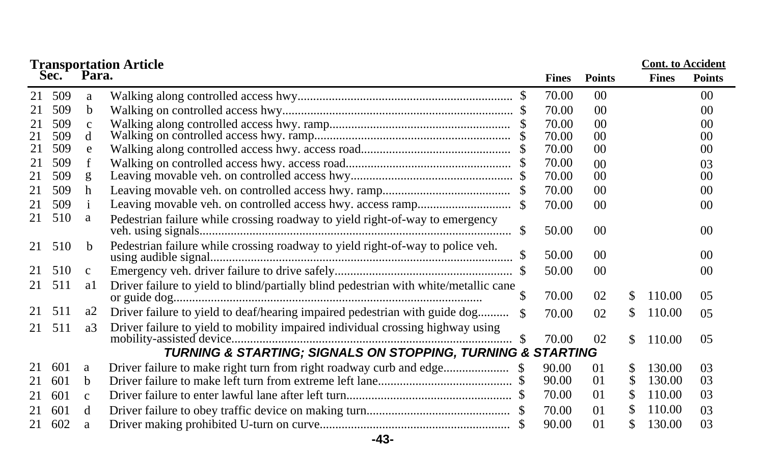| <b>Transportation Article</b> |      |              |                                                                                      |    |              |                 |     |              | <b>Cont.</b> to Accident |  |  |
|-------------------------------|------|--------------|--------------------------------------------------------------------------------------|----|--------------|-----------------|-----|--------------|--------------------------|--|--|
|                               | Sec. | Para.        |                                                                                      |    | <b>Fines</b> | <b>Points</b>   |     | <b>Fines</b> | <b>Points</b>            |  |  |
| 21                            | 509  | a            |                                                                                      |    | 70.00        | 0 <sup>0</sup>  |     |              | 00 <sup>2</sup>          |  |  |
| 21                            | 509  | <sub>b</sub> |                                                                                      |    | 70.00        | 0 <sup>0</sup>  |     |              | 00                       |  |  |
| 21                            | 509  | $\mathbf{C}$ |                                                                                      |    | 70.00        | 0 <sup>0</sup>  |     |              | 00                       |  |  |
| 21                            | 509  | d            |                                                                                      |    | 70.00        | 00              |     |              | 0 <sup>0</sup>           |  |  |
| 21                            | 509  | e            |                                                                                      |    | 70.00        | 00              |     |              | 00                       |  |  |
| 21                            | 509  | f            |                                                                                      |    | 70.00        | 0 <sup>0</sup>  |     |              | 03                       |  |  |
| 21                            | 509  | g            |                                                                                      |    | 70.00        | 00              |     |              | 00 <sup>2</sup>          |  |  |
| 21                            | 509  | h            |                                                                                      |    | 70.00        | 0 <sup>0</sup>  |     |              | 00                       |  |  |
| 21                            | 509  |              |                                                                                      |    | 70.00        | 0 <sup>0</sup>  |     |              | 00                       |  |  |
| 21                            | 510  | a            | Pedestrian failure while crossing roadway to yield right-of-way to emergency         |    |              |                 |     |              |                          |  |  |
|                               |      |              |                                                                                      | -S | 50.00        | 00 <sup>0</sup> |     |              | 00 <sup>2</sup>          |  |  |
| 21                            | 510  | <sub>b</sub> | Pedestrian failure while crossing roadway to yield right-of-way to police veh.       |    | 50.00        | 0 <sup>0</sup>  |     |              | 00 <sup>0</sup>          |  |  |
| 21                            | 510  | $\mathbf{c}$ |                                                                                      |    | 50.00        | 0 <sup>0</sup>  |     |              | 00                       |  |  |
| 21                            | 511  | al           | Driver failure to yield to blind/partially blind pedestrian with white/metallic cane |    | 70.00        | 02              | \$  | 110.00       | 0 <sub>5</sub>           |  |  |
| 21                            | 511  | a2           | Driver failure to yield to deaf/hearing impaired pedestrian with guide dog           |    | 70.00        | 02              | \$  | 110.00       | 0 <sub>5</sub>           |  |  |
| 21                            | 511  | a3           | Driver failure to yield to mobility impaired individual crossing highway using       |    |              |                 |     |              |                          |  |  |
|                               |      |              |                                                                                      | -S | 70.00        | 02              | \$. | 110.00       | 05                       |  |  |
|                               |      |              | TURNING & STARTING; SIGNALS ON STOPPING, TURNING & STARTING                          |    |              |                 |     |              |                          |  |  |
| 21                            | 601  | a            |                                                                                      |    | 90.00        | 01              | \$  | 130.00       | 03                       |  |  |
| 21                            | 601  | b            |                                                                                      |    | 90.00        | 01              | \$. | 130.00       | 03                       |  |  |
| 21                            | 601  | $\mathbf c$  |                                                                                      |    | 70.00        | 01              | \$  | 110.00       | 03                       |  |  |
| 21                            | 601  | d            |                                                                                      |    | 70.00        | $\Omega$        | \$  | 110.00       | 03                       |  |  |
| 21                            | 602  | a            |                                                                                      |    | 90.00        | 0 <sub>1</sub>  | \$  | 130.00       | 03                       |  |  |

**-43-**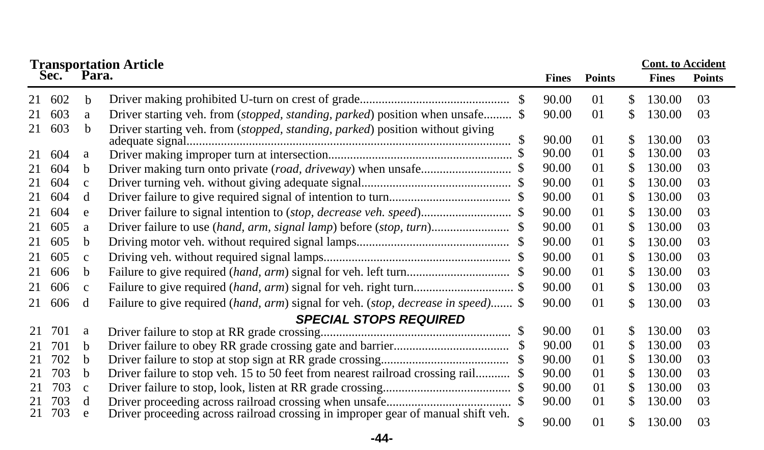|    | <b>Cont.</b> to Accident<br><b>Transportation Article<br/>Sec. Para.</b> |              |                                                                                                  |  |              |                |    |              |               |
|----|--------------------------------------------------------------------------|--------------|--------------------------------------------------------------------------------------------------|--|--------------|----------------|----|--------------|---------------|
|    |                                                                          |              |                                                                                                  |  | <b>Fines</b> | <b>Points</b>  |    | <b>Fines</b> | <b>Points</b> |
| 21 | 602                                                                      | b            |                                                                                                  |  | 90.00        | 01             | \$ | 130.00       | 03            |
| 21 | 603                                                                      | a            | Driver starting veh. from (stopped, standing, parked) position when unsafe \$                    |  | 90.00        | 01             | \$ | 130.00       | 03            |
| 21 | 603                                                                      | b.           | Driver starting veh. from (stopped, standing, parked) position without giving<br>adequate signal |  | 90.00        | 01             | \$ | 130.00       | 03            |
| 21 | 604                                                                      | a            |                                                                                                  |  | 90.00        | 01             | \$ | 130.00       | 03            |
| 21 | 604                                                                      | b            |                                                                                                  |  | 90.00        | 01             | \$ | 130.00       | 03            |
| 21 | 604                                                                      | $\mathbf{C}$ |                                                                                                  |  | 90.00        | 01             | \$ | 130.00       | 03            |
| 21 | 604                                                                      | d            |                                                                                                  |  | 90.00        | 01             | \$ | 130.00       | 03            |
| 21 | 604                                                                      | e            |                                                                                                  |  | 90.00        | 01             | \$ | 130.00       | 03            |
| 21 | 605                                                                      | a            |                                                                                                  |  | 90.00        | 01             | \$ | 130.00       | 03            |
| 21 | 605                                                                      | b            |                                                                                                  |  | 90.00        | 01             | \$ | 130.00       | 03            |
| 21 | 605                                                                      | $\mathbf{C}$ |                                                                                                  |  | 90.00        | 01             | \$ | 130.00       | 03            |
| 21 | 606                                                                      | b            |                                                                                                  |  | 90.00        | 01             | \$ | 130.00       | 03            |
| 21 | 606                                                                      | $\mathbf{C}$ |                                                                                                  |  | 90.00        | 01             | \$ | 130.00       | 03            |
| 21 | 606                                                                      | d            | Failure to give required (hand, arm) signal for veh. (stop, decrease in speed) \$                |  | 90.00        | 01             | \$ | 130.00       | 03            |
|    |                                                                          |              | <b>SPECIAL STOPS REQUIRED</b>                                                                    |  |              |                |    |              |               |
| 21 | 701                                                                      | a            |                                                                                                  |  | 90.00        | 01             | \$ | 130.00       | 03            |
| 21 | 701                                                                      | b            |                                                                                                  |  | 90.00        | 01             | \$ | 130.00       | 03            |
| 21 | 702                                                                      | b            |                                                                                                  |  | 90.00        | 0 <sub>1</sub> | \$ | 130.00       | 03            |
| 21 | 703                                                                      | b            | Driver failure to stop veh. 15 to 50 feet from nearest railroad crossing rail \$                 |  | 90.00        | 01             | \$ | 130.00       | 03            |
| 21 | 703                                                                      | $\mathbf{C}$ |                                                                                                  |  | 90.00        | 0 <sub>1</sub> | \$ | 130.00       | 03            |
| 21 | 703                                                                      | d            |                                                                                                  |  | 90.00        | 01             | \$ | 130.00       | 03            |
| 21 | 703                                                                      | e            | Driver proceeding across railroad crossing in improper gear of manual shift veh.                 |  | 90.00        | 01             | \$ | 130.00       | 03            |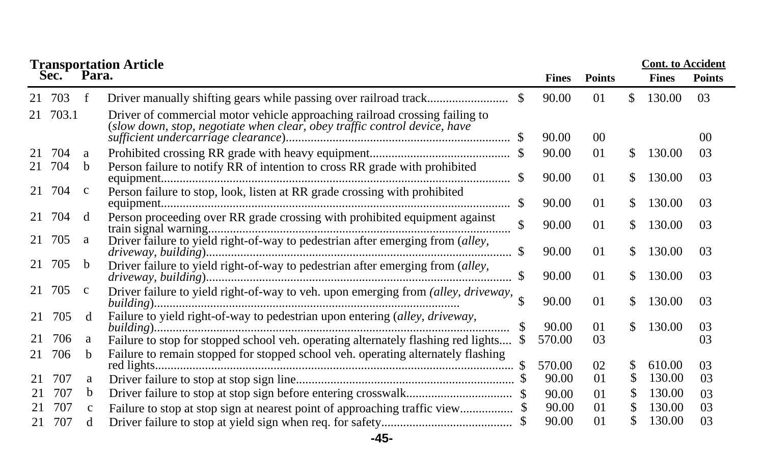|    | <b>Cont. to Accident</b><br><b>Transportation Article</b> |              |                                                                                                                                                          |  |              |               |     |              |                |
|----|-----------------------------------------------------------|--------------|----------------------------------------------------------------------------------------------------------------------------------------------------------|--|--------------|---------------|-----|--------------|----------------|
|    | Sec. Para.                                                |              |                                                                                                                                                          |  | <b>Fines</b> | <b>Points</b> |     | <b>Fines</b> | <b>Points</b>  |
| 21 | 703                                                       | f            |                                                                                                                                                          |  | 90.00        | 01            | \$  | 130.00       | 03             |
|    | 21 703.1                                                  |              | Driver of commercial motor vehicle approaching railroad crossing failing to<br>(slow down, stop, negotiate when clear, obey traffic control device, have |  | 90.00        | 00            |     |              | 0 <sup>0</sup> |
|    |                                                           |              |                                                                                                                                                          |  |              |               |     |              |                |
| 21 | 704                                                       | a            |                                                                                                                                                          |  | 90.00        | 01            | \$. | 130.00       | 03             |
| 21 | 704                                                       | b            | Person failure to notify RR of intention to cross RR grade with prohibited                                                                               |  | 90.00        | 01            | \$  | 130.00       | 03             |
| 21 | 704                                                       | $\mathbf c$  | Person failure to stop, look, listen at RR grade crossing with prohibited                                                                                |  | 90.00        | 01            | \$. | 130.00       | 03             |
| 21 | 704                                                       | d            | Person proceeding over RR grade crossing with prohibited equipment against                                                                               |  | 90.00        | 01            | \$. | 130.00       | 03             |
| 21 | 705                                                       | a            | Driver failure to yield right-of-way to pedestrian after emerging from (alley,                                                                           |  | 90.00        | 01            | \$. | 130.00       | 03             |
|    | 21 705                                                    | b            | Driver failure to yield right-of-way to pedestrian after emerging from (alley,                                                                           |  | 90.00        | 01            | \$  | 130.00       | 03             |
| 21 | 705                                                       | $\mathbf{c}$ | Driver failure to yield right-of-way to veh. upon emerging from (alley, driveway,                                                                        |  | 90.00        | 01            | \$. | 130.00       | 03             |
| 21 | 705                                                       | d            | Failure to yield right-of-way to pedestrian upon entering (alley, driveway,                                                                              |  | 90.00        | 01            | \$. | 130.00       | 03             |
| 21 | 706                                                       | a            | Failure to stop for stopped school veh. operating alternately flashing red lights                                                                        |  | 570.00       | 03            |     |              | 03             |
| 21 | 706                                                       | b.           | Failure to remain stopped for stopped school veh. operating alternately flashing                                                                         |  | 570.00       | 02            | \$  | 610.00       | 0 <sub>3</sub> |
| 21 | 707                                                       | a            |                                                                                                                                                          |  | 90.00        | 01            | \$  | 130.00       | 03             |
| 21 | 707                                                       | b            |                                                                                                                                                          |  | 90.00        | 01            | S   | 130.00       | 03             |
| 21 | 707                                                       | $\mathbf{C}$ |                                                                                                                                                          |  | 90.00        | 01            | S.  | 130.00       | 03             |
| 21 | 707                                                       | d            |                                                                                                                                                          |  | 90.00        | 01            |     | 130.00       | 03             |

## **-45-**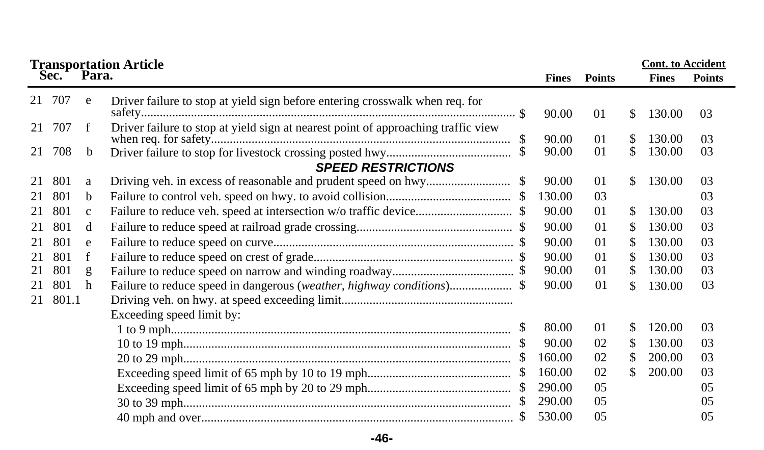| <b>Transportation Article<br/>Sec. Para.</b> |        |             |                                                                                   |    |              |               | <b>Cont.</b> to Accident |              |                |
|----------------------------------------------|--------|-------------|-----------------------------------------------------------------------------------|----|--------------|---------------|--------------------------|--------------|----------------|
|                                              |        |             |                                                                                   |    | <b>Fines</b> | <b>Points</b> |                          | <b>Fines</b> | <b>Points</b>  |
|                                              | 21 707 | e           | Driver failure to stop at yield sign before entering crosswalk when req. for      |    | 90.00        | 01            | \$                       | 130.00       | 03             |
| 21                                           | 707    | f           | Driver failure to stop at yield sign at nearest point of approaching traffic view | \$ | 90.00        | 01            | \$                       | 130.00       | 03             |
| 21                                           | 708    | b           |                                                                                   |    | 90.00        | 01            | \$                       | 130.00       | 03             |
|                                              |        |             | <b>SPEED RESTRICTIONS</b>                                                         |    |              |               |                          |              |                |
| 21                                           | 801    | a           |                                                                                   |    | 90.00        | 01            | \$                       | 130.00       | 03             |
| 21                                           | 801    | b           |                                                                                   |    | 130.00       | 03            |                          |              | 03             |
| 21                                           | 801    | $\mathbf c$ |                                                                                   |    | 90.00        | 01            | \$                       | 130.00       | 03             |
| 21                                           | 801    | d           |                                                                                   |    | 90.00        | 01            | \$                       | 130.00       | 03             |
| 21                                           | 801    | e           |                                                                                   |    | 90.00        | 01            | \$                       | 130.00       | 03             |
| 21                                           | 801    | f           |                                                                                   |    | 90.00        | 01            | \$                       | 130.00       | 03             |
| 21                                           | 801    | g           |                                                                                   |    | 90.00        | 01            | \$                       | 130.00       | 03             |
| 21                                           | 801    | h           |                                                                                   |    | 90.00        | 01            | \$                       | 130.00       | 03             |
| 21                                           | 801.1  |             |                                                                                   |    |              |               |                          |              |                |
|                                              |        |             | Exceeding speed limit by:                                                         |    |              |               |                          |              |                |
|                                              |        |             |                                                                                   |    | 80.00        | 01            | \$                       | 120.00       | 03             |
|                                              |        |             |                                                                                   |    | 90.00        | 02            | S                        | 130.00       | 03             |
|                                              |        |             |                                                                                   |    | 160.00       | 02            | \$                       | 200.00       | 03             |
|                                              |        |             |                                                                                   | \$ | 160.00       | 02            | \$                       | 200.00       | 03             |
|                                              |        |             |                                                                                   |    | 290.00       | 05            |                          |              | 05             |
|                                              |        |             |                                                                                   | S  | 290.00       | 05            |                          |              | 0 <sub>5</sub> |
|                                              |        |             |                                                                                   |    | 530.00       | 05            |                          |              | 05             |

**-46-**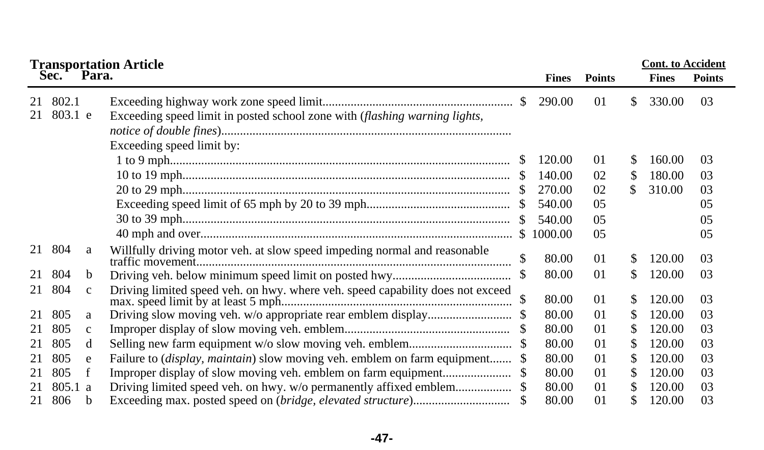|          |                  |              | <b>Transportation Article</b>                                                                           |     |              |                | <b>Cont.</b> to Accident |              |               |
|----------|------------------|--------------|---------------------------------------------------------------------------------------------------------|-----|--------------|----------------|--------------------------|--------------|---------------|
|          | Sec.             | Para.        |                                                                                                         |     | <b>Fines</b> | <b>Points</b>  |                          | <b>Fines</b> | <b>Points</b> |
| 21<br>21 | 802.1<br>803.1 e |              | Exceeding speed limit in posted school zone with (flashing warning lights,<br>Exceeding speed limit by: |     | 290.00       | 01             | \$.                      | 330.00       | 03            |
|          |                  |              |                                                                                                         |     | 120.00       | 01             | S                        | 160.00       | 03            |
|          |                  |              |                                                                                                         |     | 140.00       | 02             | \$.                      | 180.00       | 03            |
|          |                  |              |                                                                                                         |     | 270.00       | 02             | \$.                      | 310.00       | 03            |
|          |                  |              |                                                                                                         |     | 540.00       | 05             |                          |              | 05            |
|          |                  |              |                                                                                                         | -S  | 540.00       | 05             |                          |              | 05            |
|          |                  |              |                                                                                                         |     | \$1000.00    | 05             |                          |              | 05            |
|          | 21 804           | a            | Willfully driving motor veh. at slow speed impeding normal and reasonable                               |     | 80.00        | 01             | \$.                      | 120.00       | 03            |
| 21       | 804              | <sub>b</sub> |                                                                                                         |     | 80.00        | 01             | \$                       | 120.00       | 03            |
| 21       | 804              | $\mathbf{c}$ | Driving limited speed veh. on hwy. where veh. speed capability does not exceed                          |     | 80.00        | 01             | \$                       | 120.00       | 03            |
| 21       | 805              | a            |                                                                                                         |     | 80.00        | 01             | S                        | 120.00       | 03            |
| 21       | 805              | $\mathbf c$  |                                                                                                         | -SS | 80.00        | 0 <sub>1</sub> | S                        | 120.00       | 03            |
| 21       | 805              | d            |                                                                                                         |     | 80.00        | 01             | \$                       | 120.00       | 03            |
| 21       | 805              | e            | Failure to <i>(display, maintain)</i> slow moving veh. emblem on farm equipment \$                      |     | 80.00        | 01             | \$                       | 120.00       | 03            |
| 21       | 805              | f            |                                                                                                         |     | 80.00        | 01             | \$                       | 120.00       | 03            |
| 21       | 805.1 a          |              |                                                                                                         |     | 80.00        | 01             | S                        | 120.00       | 03            |
| 21       | 806              | b            |                                                                                                         |     | 80.00        | 01             |                          | 120.00       | 03            |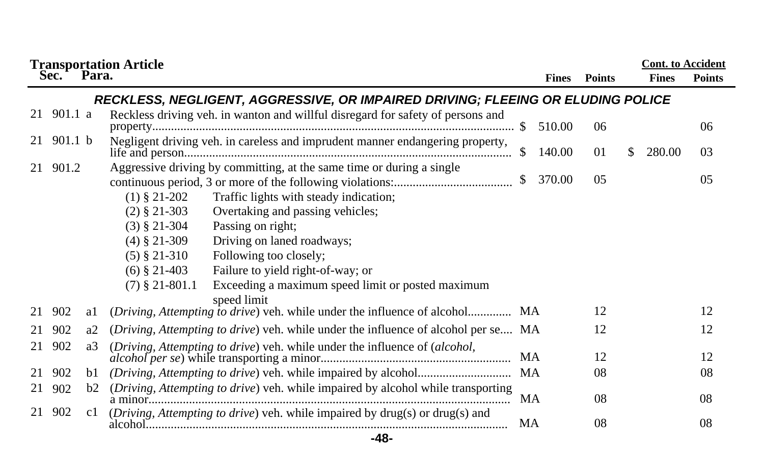|    |                |    | <b>Transportation Article<br/>Sec. Para.</b>                                         |           |              |               | <b>Cont. to Accident</b> |               |
|----|----------------|----|--------------------------------------------------------------------------------------|-----------|--------------|---------------|--------------------------|---------------|
|    |                |    |                                                                                      |           | <b>Fines</b> | <b>Points</b> | <b>Fines</b>             | <b>Points</b> |
|    |                |    | RECKLESS, NEGLIGENT, AGGRESSIVE, OR IMPAIRED DRIVING; FLEEING OR ELUDING POLICE      |           |              |               |                          |               |
|    | $21\;901.1\;a$ |    | Reckless driving veh. in wanton and willful disregard for safety of persons and      |           | 510.00       | 06            |                          | 06            |
|    | $21$ 901.1 b   |    | Negligent driving veh. in careless and imprudent manner endangering property,        | \$.       | 140.00       | 01            | \$<br>280.00             | 03            |
|    | 21 901.2       |    | Aggressive driving by committing, at the same time or during a single                | \$        | 370.00       | 05            |                          | 05            |
|    |                |    | $(1)$ § 21-202<br>Traffic lights with steady indication;                             |           |              |               |                          |               |
|    |                |    | Overtaking and passing vehicles;<br>$(2)$ § 21-303                                   |           |              |               |                          |               |
|    |                |    | $(3)$ § 21-304<br>Passing on right;                                                  |           |              |               |                          |               |
|    |                |    | $(4)$ § 21-309<br>Driving on laned roadways;                                         |           |              |               |                          |               |
|    |                |    | Following too closely;<br>$(5)$ § 21-310                                             |           |              |               |                          |               |
|    |                |    | $(6)$ § 21-403<br>Failure to yield right-of-way; or                                  |           |              |               |                          |               |
|    |                |    | Exceeding a maximum speed limit or posted maximum<br>$(7)$ § 21-801.1<br>speed limit |           |              |               |                          |               |
| 21 | 902            | al | (Driving, Attempting to drive) veh. while under the influence of alcohol MA          |           |              | 12            |                          | 12            |
| 21 | 902            | a2 | (Driving, Attempting to drive) veh. while under the influence of alcohol per se MA   |           |              | 12            |                          | 12            |
| 21 | 902            | a3 | (Driving, Attempting to drive) veh. while under the influence of (alcohol,           | <b>MA</b> |              | 12            |                          | 12            |
| 21 | 902            | b1 |                                                                                      | <b>MA</b> |              | 08            |                          | 08            |
| 21 | 902            | b2 | (Driving, Attempting to drive) veh. while impaired by alcohol while transporting     | <b>MA</b> |              | 08            |                          | 08            |
| 21 | 902            | c1 | (Driving, Attempting to drive) veh. while impaired by drug(s) or drug(s) and         | MA        |              | 08            |                          | 08            |

## **-48-**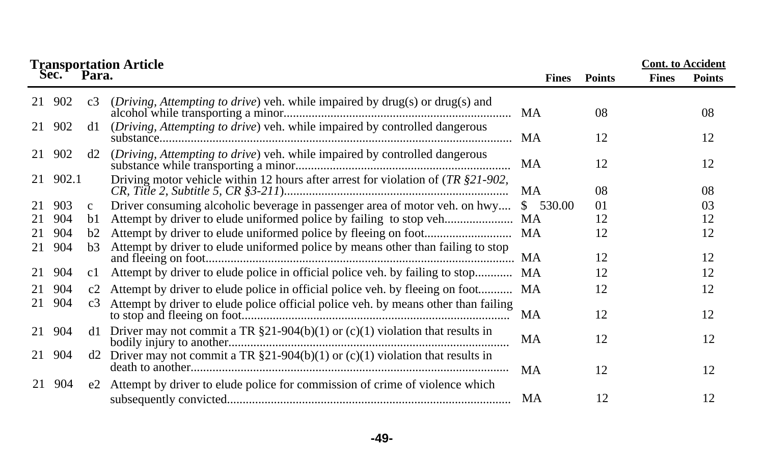| <b>Transportation Article</b> |          |              |                                                                                               |              |               |              |               |  |
|-------------------------------|----------|--------------|-----------------------------------------------------------------------------------------------|--------------|---------------|--------------|---------------|--|
|                               | Sec.     | Para.        |                                                                                               | <b>Fines</b> | <b>Points</b> | <b>Fines</b> | <b>Points</b> |  |
| 21                            | 902      | c3           | ( <i>Driving</i> , <i>Attempting to drive</i> ) veh. while impaired by drug(s) or drug(s) and |              | 08            |              | 08            |  |
|                               | 21 902   | d1           | (Driving, Attempting to drive) veh. while impaired by controlled dangerous                    |              | 12            |              | 12            |  |
| 21                            | 902      | d2           | (Driving, Attempting to drive) veh. while impaired by controlled dangerous                    | MA           | 12            |              | 12            |  |
|                               | 21 902.1 |              | Driving motor vehicle within 12 hours after arrest for violation of $(TR \text{ } $21-902,$   | <b>MA</b>    | 08            |              | 08            |  |
| 21                            | 903      | $\mathbf{c}$ | Driver consuming alcoholic beverage in passenger area of motor veh. on hwy                    | \$ 530.00    | 01            |              | 03            |  |
| 21                            | 904      | b1           |                                                                                               | MA           | 12            |              | 12            |  |
| 21                            | 904      | b2           |                                                                                               |              | 12            |              | 12            |  |
| 21                            | 904      | b3           | Attempt by driver to elude uniformed police by means other than failing to stop               |              | 12            |              | 12            |  |
| 21                            | 904      | c1           | Attempt by driver to elude police in official police veh. by failing to stop                  | <b>MA</b>    | 12            |              | 12            |  |
| 21                            | 904      |              | c2 Attempt by driver to elude police in official police veh. by fleeing on foot MA            |              | 12            |              | 12            |  |
| 21                            | 904      | c3           | Attempt by driver to elude police official police veh. by means other than failing            | MA           | 12            |              | 12            |  |
| 21                            | 904      | d1.          | Driver may not commit a TR $\S21-904(b)(1)$ or (c)(1) violation that results in               | MA           | 12            |              | 12            |  |
| 21                            | 904      |              | d2 Driver may not commit a TR $\S21-904(b)(1)$ or (c)(1) violation that results in            | MA           | 12            |              | 12            |  |
| 21                            | 904      |              | e2 Attempt by driver to elude police for commission of crime of violence which                | MA           | 12            |              | 12            |  |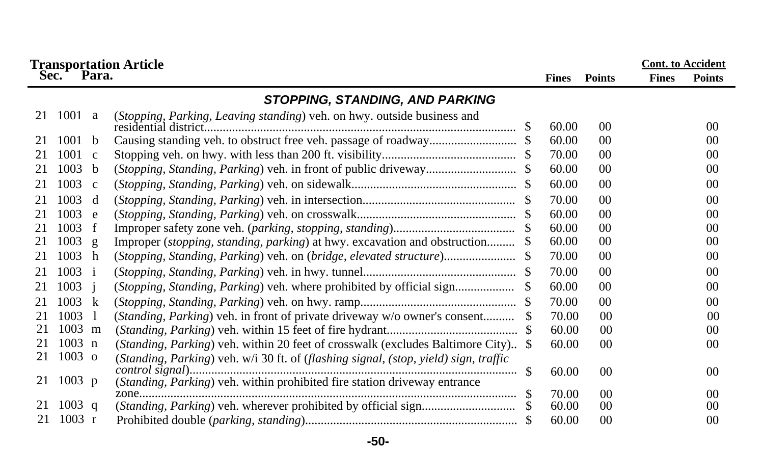|    |                  |                | <b>Transportation Article</b>                                                        |              |                      |              | <b>Cont.</b> to Accident |
|----|------------------|----------------|--------------------------------------------------------------------------------------|--------------|----------------------|--------------|--------------------------|
|    | Sec.             | Para.          |                                                                                      | <b>Fines</b> | <b>Points</b>        | <b>Fines</b> | <b>Points</b>            |
|    |                  |                | STOPPING, STANDING, AND PARKING                                                      |              |                      |              |                          |
| 21 | 1001             | a              | (Stopping, Parking, Leaving standing) veh. on hwy. outside business and              | 60.00        | 00 <sup>0</sup>      |              | 00 <sup>2</sup>          |
| 21 | 1001             | - b            |                                                                                      | 60.00        | 00 <sup>0</sup>      |              | 00 <sup>0</sup>          |
| 21 | 1001             | $\mathbf{C}$   |                                                                                      | 70.00        | 00                   |              | 00 <sup>2</sup>          |
| 21 | 1003             | b              |                                                                                      | 60.00        | 00                   |              | 00                       |
| 21 | 1003             | $\mathbf{c}$   |                                                                                      | 60.00        | 00                   |              | 00                       |
| 21 | 1003             | d              |                                                                                      | 70.00        | 0 <sup>0</sup>       |              | 00 <sup>0</sup>          |
| 21 | 1003             | e              |                                                                                      | 60.00        | 00 <sup>0</sup>      |              | 00 <sup>0</sup>          |
| 21 | 1003             | f              |                                                                                      | 60.00        | 00 <sup>0</sup>      |              | 00                       |
| 21 | 1003             | $\mathbf{g}$   | Improper ( <i>stopping, standing, parking</i> ) at hwy. excavation and obstruction   | 60.00        | 00                   |              | 00                       |
| 21 | 1003             | h              | (Stopping, Standing, Parking) veh. on (bridge, elevated structure)                   | 70.00        | 00                   |              | 00                       |
| 21 | 1003             | $\mathbf{i}$   |                                                                                      | 70.00        | 00                   |              | 00                       |
| 21 | 1003             | $\overline{1}$ | (Stopping, Standing, Parking) veh. where prohibited by official sign                 | 60.00        | 00                   |              | 00                       |
| 21 | 1003             | k              |                                                                                      | 70.00        | 00 <sup>0</sup>      |              | 00 <sup>2</sup>          |
| 21 | 1003             | - 1            | (Standing, Parking) veh. in front of private driveway w/o owner's consent            | 70.00        | 0 <sup>0</sup>       |              | 00                       |
| 21 | 1003 m           |                |                                                                                      | 60.00        | 00                   |              | 00                       |
| 21 | $1003$ n         |                | (Standing, Parking) veh. within 20 feet of crosswalk (excludes Baltimore City) \$    | 60.00        | 00                   |              | 00                       |
| 21 | $1003$ o         |                | (Standing, Parking) veh. w/i 30 ft. of (flashing signal, (stop, yield) sign, traffic |              |                      |              |                          |
|    |                  |                |                                                                                      | 60.00        | 00                   |              | 00 <sup>2</sup>          |
| 21 | 1003 p           |                | (Standing, Parking) veh. within prohibited fire station driveway entrance            |              |                      |              |                          |
| 21 | $1003 \text{ q}$ |                |                                                                                      | 70.00        | 0 <sup>0</sup><br>00 |              | 00<br>00                 |
| 21 | 1003 r           |                |                                                                                      | 60.00        | 00                   |              |                          |
|    |                  |                |                                                                                      | 60.00        |                      |              | 00                       |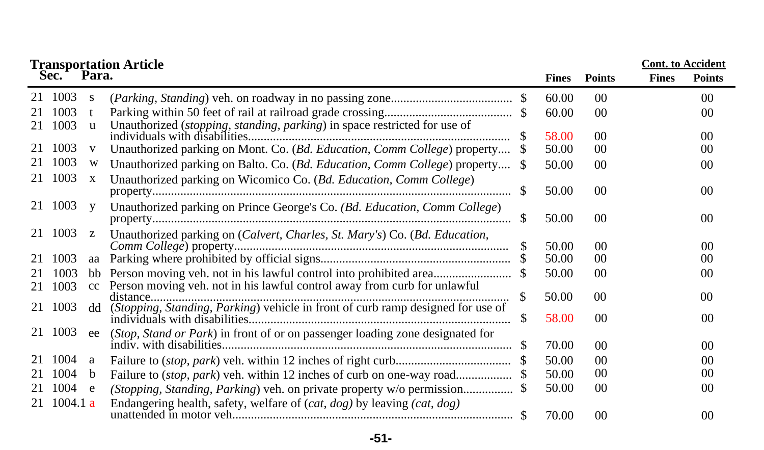| <b>Cont.</b> to Accident<br><b>Transportation Article<br/>Sec. Para.</b> |          |     |                                                                                 |     |              |                 |              |                 |  |
|--------------------------------------------------------------------------|----------|-----|---------------------------------------------------------------------------------|-----|--------------|-----------------|--------------|-----------------|--|
|                                                                          |          |     |                                                                                 |     | <b>Fines</b> | <b>Points</b>   | <b>Fines</b> | <b>Points</b>   |  |
|                                                                          | 1003     | S   |                                                                                 |     | 60.00        | $00\,$          |              | 00 <sup>0</sup> |  |
|                                                                          | 1003     |     |                                                                                 |     | 60.00        | 0 <sup>0</sup>  |              | 0 <sup>0</sup>  |  |
| 21                                                                       | 1003     | u   | Unauthorized (stopping, standing, parking) in space restricted for use of       |     | 58.00        | 00 <sup>0</sup> |              | 00              |  |
| 21                                                                       | 1003     | V   | Unauthorized parking on Mont. Co. (Bd. Education, Comm College) property        |     | 50.00        | 0 <sup>0</sup>  |              | 00              |  |
| 21                                                                       | 1003     | W   | Unauthorized parking on Balto. Co. (Bd. Education, Comm College) property \$    |     | 50.00        | 00 <sup>0</sup> |              | 00              |  |
| 21                                                                       | 1003     | X   | Unauthorized parking on Wicomico Co. (Bd. Education, Comm College)              |     |              |                 |              |                 |  |
|                                                                          |          |     |                                                                                 |     | 50.00        | 00 <sup>0</sup> |              | $00\,$          |  |
|                                                                          | 21 1003  | y   | Unauthorized parking on Prince George's Co. (Bd. Education, Comm College)       |     |              |                 |              |                 |  |
|                                                                          |          |     |                                                                                 | \$. | 50.00        | 0 <sup>0</sup>  |              | 00 <sup>0</sup> |  |
| 21                                                                       | 1003     | z   | Unauthorized parking on (Calvert, Charles, St. Mary's) Co. (Bd. Education,      |     |              |                 |              |                 |  |
|                                                                          |          |     |                                                                                 |     | 50.00        | 0 <sup>0</sup>  |              | 0 <sup>0</sup>  |  |
| 21                                                                       | 1003     | aa  |                                                                                 |     | 50.00        | 00              |              | 00              |  |
|                                                                          | 1003     | bb  |                                                                                 |     | 50.00        | 00 <sup>0</sup> |              | 00              |  |
| 21                                                                       | 1003     | cc  | Person moving veh. not in his lawful control away from curb for unlawful        |     |              |                 |              |                 |  |
|                                                                          |          |     | distance                                                                        |     | 50.00        | $00\,$          |              | 00 <sup>0</sup> |  |
|                                                                          | 21 1003  | dd  | (Stopping, Standing, Parking) vehicle in front of curb ramp designed for use of |     | 58.00        | 00              |              | 00              |  |
|                                                                          | 21 1003  | ee  | (Stop, Stand or Park) in front of or on passenger loading zone designated for   |     |              |                 |              |                 |  |
|                                                                          |          |     |                                                                                 |     | 70.00        | 00              |              | 0 <sup>0</sup>  |  |
|                                                                          | 1004     | a   |                                                                                 |     | 50.00        | 00              |              | 0 <sup>0</sup>  |  |
|                                                                          | 1004     | b.  | Failure to (stop, park) veh. within 12 inches of curb on one-way road           |     | 50.00        | 00              |              | 00              |  |
| 21                                                                       | 1004     | e e |                                                                                 |     | 50.00        | 0 <sup>0</sup>  |              | 00              |  |
| 21                                                                       | 1004.1 a |     | Endangering health, safety, welfare of $(cat, dog)$ by leaving $(cat, dog)$     |     |              |                 |              |                 |  |
|                                                                          |          |     |                                                                                 |     | 70.00        | 00              |              | 0 <sup>0</sup>  |  |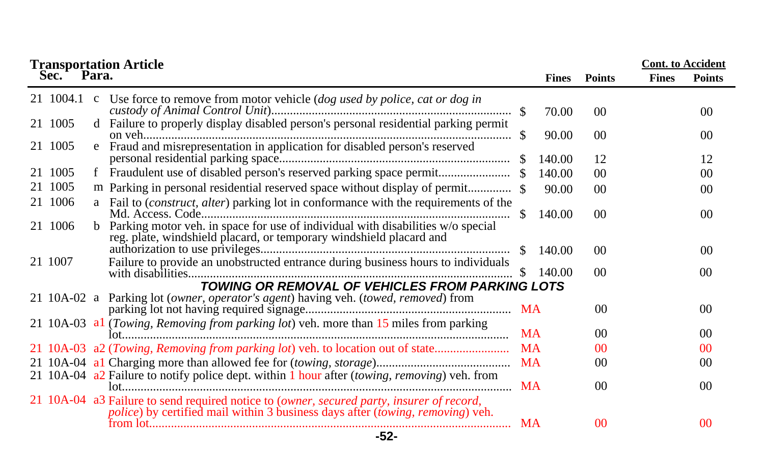| <b>Transportation Article<br/>Sec. Para.</b>                                                                                                                                |               |                  |                       | <b>Cont.</b> to Accident |                                   |
|-----------------------------------------------------------------------------------------------------------------------------------------------------------------------------|---------------|------------------|-----------------------|--------------------------|-----------------------------------|
|                                                                                                                                                                             |               | <b>Fines</b>     | <b>Points</b>         | <b>Fines</b>             | <b>Points</b>                     |
| 21 1004.1<br>Use force to remove from motor vehicle (dog used by police, cat or dog in<br>$\mathbf c$                                                                       |               | 70.00            | 00 <sup>2</sup>       |                          | 00 <sup>0</sup>                   |
| d Failure to properly display disabled person's personal residential parking permit<br>21 1005                                                                              | <sup>\$</sup> | 90.00            | 00                    |                          | 00 <sup>0</sup>                   |
| Fraud and misrepresentation in application for disabled person's reserved<br>21 1005<br>e                                                                                   | -S            | 140.00           | 12                    |                          | 12                                |
| 21 1005                                                                                                                                                                     |               | 140.00           | 00                    |                          | 00 <sup>0</sup>                   |
| 1005<br>21.                                                                                                                                                                 |               | 90.00            | $00\,$                |                          | 00 <sup>0</sup>                   |
| a Fail to (construct, alter) parking lot in conformance with the requirements of the<br>21 1006                                                                             | -SS           | 140.00           | 00 <sup>2</sup>       |                          | 00 <sup>0</sup>                   |
| Parking motor veh. in space for use of individual with disabilities w/o special<br>21 1006<br>reg. plate, windshield placard, or temporary windshield placard and           |               |                  |                       |                          |                                   |
| Failure to provide an unobstructed entrance during business hours to individuals<br>21 1007                                                                                 | -SS           | 140.00<br>140.00 | 00<br>00 <sup>2</sup> |                          | 00 <sup>2</sup><br>0 <sup>0</sup> |
| TOWING OR REMOVAL OF VEHICLES FROM PARKING LOTS                                                                                                                             | S             |                  |                       |                          |                                   |
| 21 10A-02 a Parking lot (owner, operator's agent) having veh. (towed, removed) from                                                                                         |               |                  | 00                    |                          | 0 <sup>0</sup>                    |
| 21 10A-03 al (Towing, Removing from parking lot) veh. more than 15 miles from parking                                                                                       |               | <b>MA</b>        | 0 <sup>0</sup>        |                          | 0 <sup>0</sup>                    |
| 21 10A-03 a2 (Towing, Removing from parking lot) veh. to location out of state                                                                                              | <b>MA</b>     |                  | 00                    |                          | 0 <sup>0</sup>                    |
|                                                                                                                                                                             | <b>MA</b>     |                  | 0 <sup>0</sup>        |                          | 00                                |
| 21 10A-04 a2 Failure to notify police dept. within 1 hour after (towing, removing) veh. from                                                                                |               | <b>MA</b>        | 0 <sup>0</sup>        |                          | 0 <sup>0</sup>                    |
| 21 10A-04 a3 Failure to send required notice to (owner, secured party, insurer of record,<br>police) by certified mail within 3 business days after (towing, removing) veh. |               | <b>MA</b>        | 0 <sup>0</sup>        |                          | 0 <sup>0</sup>                    |
| $-52-$                                                                                                                                                                      |               |                  |                       |                          |                                   |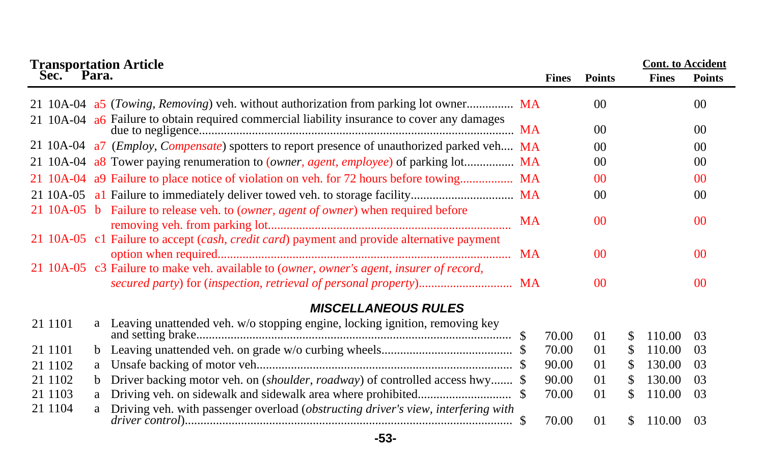| <b>Transportation Article<br/>Sec. Para.</b> |    |                                                                                                      |    |              |                |     | <b>Cont.</b> to Accident |                 |
|----------------------------------------------|----|------------------------------------------------------------------------------------------------------|----|--------------|----------------|-----|--------------------------|-----------------|
|                                              |    |                                                                                                      |    | <b>Fines</b> | <b>Points</b>  |     | <b>Fines</b>             | <b>Points</b>   |
|                                              |    | 21 10A-04 a5 ( <i>Towing, Removing</i> ) veh. without authorization from parking lot owner MA        |    |              | 00             |     |                          | 0 <sup>0</sup>  |
|                                              |    | 21 10A-04 a6 Failure to obtain required commercial liability insurance to cover any damages          |    |              | 00             |     |                          | 00 <sup>2</sup> |
|                                              |    | 21 10A-04 a7 ( <i>Employ, Compensate</i> ) spotters to report presence of unauthorized parked veh MA |    |              | 00             |     |                          | 0 <sup>0</sup>  |
|                                              |    | 21 10A-04 a8 Tower paying renumeration to ( <i>owner, agent, employee</i> ) of parking lot MA        |    |              | 00             |     |                          | 0 <sup>0</sup>  |
|                                              |    | 21 10A-04 a9 Failure to place notice of violation on veh. for 72 hours before towing MA              |    |              | 0 <sup>0</sup> |     |                          | 0 <sup>0</sup>  |
|                                              |    |                                                                                                      |    |              | 00             |     |                          | 00              |
|                                              |    | 21 10A-05 b Failure to release veh. to (owner, agent of owner) when required before                  | MA |              | 0 <sup>0</sup> |     |                          | 0 <sup>0</sup>  |
|                                              |    | 21 10A-05 c1 Failure to accept (cash, credit card) payment and provide alternative payment           |    |              | 0 <sup>0</sup> |     |                          | 0 <sup>0</sup>  |
|                                              |    | 21 10A-05 c3 Failure to make veh. available to (owner, owner's agent, insurer of record,             |    |              | 0 <sup>0</sup> |     |                          | 0 <sup>0</sup>  |
|                                              |    | <b>MISCELLANEOUS RULES</b>                                                                           |    |              |                |     |                          |                 |
| 21 1101                                      |    | a Leaving unattended veh. w/o stopping engine, locking ignition, removing key                        |    | 70.00        | 01             | S   | 110.00                   | 0 <sup>3</sup>  |
| 21 1101                                      |    |                                                                                                      |    | 70.00        | 01             | \$. | 110.00                   | 0 <sup>3</sup>  |
| 21 1102                                      | a  |                                                                                                      |    | 90.00        | 01             | \$  | 130.00                   | -03             |
| 21 1102                                      | b. | Driver backing motor veh. on (shoulder, roadway) of controlled access hwy \$                         |    | 90.00        | 01             | \$. | 130.00                   | 0 <sup>3</sup>  |
| 21 1103                                      |    |                                                                                                      |    | 70.00        | 01             | \$  | 110.00                   | -03             |
| 21 1104                                      |    | a Driving veh. with passenger overload (obstructing driver's view, interfering with                  |    | 70.00        | 01             | \$. | 110.00                   | 0 <sup>3</sup>  |

**-53-**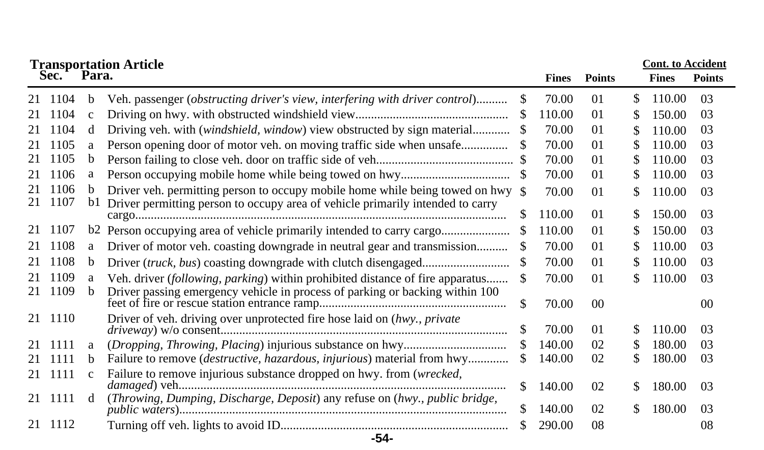|    | Sec.    | Para.        | <b>Transportation Article</b>                                                                |     | <b>Fines</b> | <b>Points</b> |     | <b>Cont.</b> to Accident<br><b>Fines</b> | <b>Points</b> |
|----|---------|--------------|----------------------------------------------------------------------------------------------|-----|--------------|---------------|-----|------------------------------------------|---------------|
|    | 21 1104 | b            | Veh. passenger ( <i>obstructing driver's view</i> , <i>interfering with driver control</i> ) | S   | 70.00        | 01            | \$. | 110.00                                   | 03            |
| 21 | 1104    | $\mathbf{c}$ |                                                                                              |     | 110.00       | 01            | \$. | 150.00                                   | 03            |
| 21 | 1104    | d            | Driving veh. with (windshield, window) view obstructed by sign material                      |     | 70.00        | 01            |     | 110.00                                   | 03            |
| 21 | 1105    | a            | Person opening door of motor veh. on moving traffic side when unsafe                         |     | 70.00        | 01            |     | 110.00                                   | 03            |
| 21 | 1105    | b            |                                                                                              |     | 70.00        | $\Omega$      |     | 110.00                                   | 03            |
| 21 | 1106    | a            |                                                                                              |     | 70.00        | 01            |     | 110.00                                   | 03            |
|    | 21 1106 | b.           | Driver veh. permitting person to occupy mobile home while being towed on hwy \$              |     | 70.00        | $\Omega$      |     | 110.00                                   | -03           |
|    | 21 1107 | bl           | Driver permitting person to occupy area of vehicle primarily intended to carry               | S.  | 110.00       | 01            | S.  | 150.00                                   | -03           |
| 21 | 1107    |              |                                                                                              |     | 110.00       | $\Omega$      |     | 150.00                                   | 03            |
| 21 | 1108    | a            | Driver of motor veh. coasting downgrade in neutral gear and transmission                     |     | 70.00        | $\Omega$      |     | 110.00                                   | 03            |
| 21 | 1108    | b            |                                                                                              | \$. | 70.00        | $\Omega$      |     | 110.00                                   | 03            |
| 21 | 1109    | a            | Veh. driver (following, parking) within prohibited distance of fire apparatus                | S.  | 70.00        | $\Omega$      |     | 110.00                                   | 03            |
| 21 | 1109    | $\mathbf b$  | Driver passing emergency vehicle in process of parking or backing within 100                 | \$. | 70.00        | 00            |     |                                          | 00            |
|    | 21 1110 |              | Driver of veh. driving over unprotected fire hose laid on (hwy., private                     | \$. | 70.00        | $\Omega$      | S.  | 110.00                                   | 03            |
| 21 | 1111    | a            |                                                                                              |     | 140.00       | 02            | S.  | 180.00                                   | 03            |
|    | 21 1111 | b            | Failure to remove (destructive, hazardous, injurious) material from hwy                      | \$. | 140.00       | 02            |     | 180.00                                   | 03            |
|    | 21 1111 | $\mathbf{C}$ | Failure to remove injurious substance dropped on hwy. from (wrecked,                         |     |              |               |     |                                          |               |
|    |         |              |                                                                                              | \$. | 140.00       | 02            | S.  | 180.00                                   | -03           |
|    | 21 1111 | d            | (Throwing, Dumping, Discharge, Deposit) any refuse on (hwy., public bridge,                  | S.  | 140.00       | 02            | \$. | 180.00                                   | 03            |
|    | 21 1112 |              |                                                                                              |     | 290.00       | 08            |     |                                          | 08            |

## **-54-**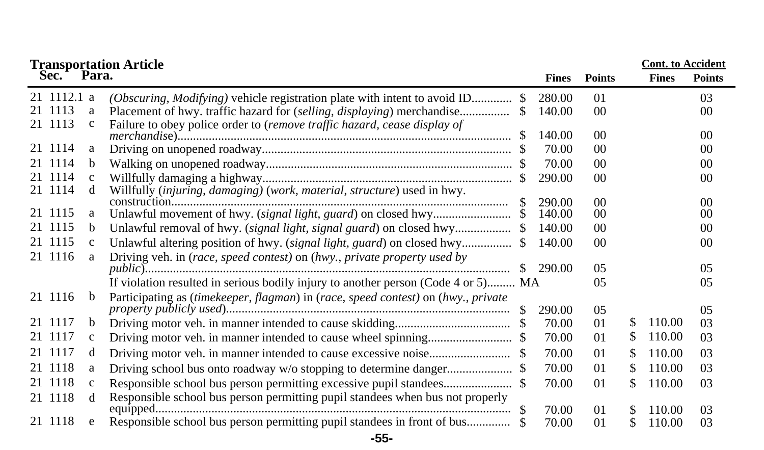|             |              | <b>Transportation Article<br/>Sec. Para.</b>                                      |     |              |                 |               | <b>Cont.</b> to Accident |               |
|-------------|--------------|-----------------------------------------------------------------------------------|-----|--------------|-----------------|---------------|--------------------------|---------------|
|             |              |                                                                                   |     | <b>Fines</b> | <b>Points</b>   |               | <b>Fines</b>             | <b>Points</b> |
| 21 1112.1 a |              | (Obscuring, Modifying) vehicle registration plate with intent to avoid ID         |     | 280.00       | 01              |               |                          | 03            |
| 21 1113     | a            |                                                                                   |     | 140.00       | 00 <sup>°</sup> |               |                          | 00            |
| 21 1113     | $\mathbf{C}$ | Failure to obey police order to (remove traffic hazard, cease display of          |     |              |                 |               |                          |               |
|             |              |                                                                                   |     | 140.00       | 0 <sup>0</sup>  |               |                          | 00            |
| 21 1114     | a            |                                                                                   |     | 70.00        | 00              |               |                          | 00            |
| 21 1114     | b            |                                                                                   |     | 70.00        | 0 <sup>0</sup>  |               |                          | 00            |
| 21 1114     | $\mathbf{c}$ |                                                                                   |     | 290.00       | 00              |               |                          | 00            |
| 21 1114     | d            | Willfully (injuring, damaging) (work, material, structure) used in hwy.           |     |              |                 |               |                          |               |
| 21 1115     |              |                                                                                   |     | 290.00       | 0 <sup>0</sup>  |               |                          | 00            |
| 21 1115     | a            |                                                                                   |     | 140.00       | 00              |               |                          | 00            |
|             | b.           | Unlawful removal of hwy. (signal light, signal guard) on closed hwy               |     | 140.00       | 00 <sup>2</sup> |               |                          | 00            |
| 21 1115     | $\mathbf{c}$ | Unlawful altering position of hwy. (signal light, guard) on closed hwy            |     | 140.00       | 00 <sup>°</sup> |               |                          | 00            |
| 21 1116     | a            | Driving veh. in (race, speed contest) on (hwy., private property used by          |     |              |                 |               |                          |               |
|             |              |                                                                                   |     | 290.00       | 0 <sub>5</sub>  |               |                          | 0.5           |
|             |              | If violation resulted in serious bodily injury to another person (Code 4 or 5) MA |     |              | 05              |               |                          | 05            |
| 21 1116     | b.           | Participating as (timekeeper, flagman) in (race, speed contest) on (hwy., private |     |              |                 |               |                          |               |
|             |              |                                                                                   |     | 290.00       | 05              |               |                          | 05            |
| 21 1117     | b            |                                                                                   |     | 70.00        | 01              | S             | 110.00                   | 03            |
| 21 1117     | $\mathbf{C}$ |                                                                                   |     | 70.00        | 01              | S             | 110.00                   | 03            |
| 21 1117     | d            |                                                                                   |     | 70.00        | 01              | \$            | 110.00                   | 03            |
| 21 1118     | a            |                                                                                   |     | 70.00        | 01              | \$            | 110.00                   | 03            |
| 21 1118     | $\mathbf{c}$ |                                                                                   |     | 70.00        | 01              | \$            | 110.00                   | 03            |
| 21 1118     | <sub>d</sub> | Responsible school bus person permitting pupil standees when bus not properly     |     |              |                 |               |                          |               |
|             |              |                                                                                   | -SS | 70.00        | 01              | S             | 110.00                   | 03            |
| 21 1118     | e            | Responsible school bus person permitting pupil standees in front of bus           |     | 70.00        | 01              | $\mathcal{S}$ | 110.00                   | 03            |
|             |              | $-55-$                                                                            |     |              |                 |               |                          |               |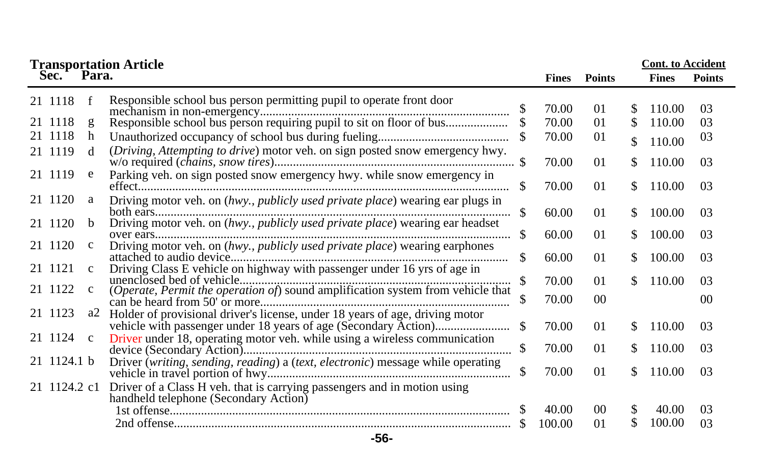|              |              | <b>Transportation Article</b>                                                   |     |              |                | <b>Cont.</b> to Accident |              |               |
|--------------|--------------|---------------------------------------------------------------------------------|-----|--------------|----------------|--------------------------|--------------|---------------|
| Sec. Para.   |              |                                                                                 |     | <b>Fines</b> | <b>Points</b>  |                          | <b>Fines</b> | <b>Points</b> |
| 21 1118      |              | Responsible school bus person permitting pupil to operate front door            |     | 70.00        | 01             | S.                       | 110.00       | 03            |
| 21 1118      | g            | Responsible school bus person requiring pupil to sit on floor of bus            |     | 70.00        | 01             | \$.                      | 110.00       | 03            |
| 21 1118      | h            |                                                                                 |     | 70.00        | 01             | \$                       | 110.00       | 03            |
| 21 1119      | <sub>d</sub> | (Driving, Attempting to drive) motor veh. on sign posted snow emergency hwy.    |     | 70.00        | 01             | \$.                      | 110.00       | 03            |
| 21 1119      | e            | Parking veh. on sign posted snow emergency hwy. while snow emergency in         | \$. | 70.00        | 01             | \$.                      | 110.00       | 03            |
| 21 1120      | a            | Driving motor veh. on (hwy., publicly used private place) wearing ear plugs in  |     |              |                |                          |              |               |
| 21 1120      | <sub>b</sub> | Driving motor veh. on (hwy., publicly used private place) wearing ear headset   | S.  | 60.00        | 01             | \$.                      | 100.00       | 03            |
| 21 1120      | $\mathbf c$  | Driving motor veh. on (hwy., publicly used private place) wearing earphones     | \$. | 60.00        | 01             | \$.                      | 100.00       | 03            |
|              |              |                                                                                 | \$. | 60.00        | 01             | \$.                      | 100.00       | 03            |
| 21 1121      | $\mathbf{c}$ | Driving Class E vehicle on highway with passenger under 16 yrs of age in        |     | 70.00        | 01             | S.                       | 110.00       | 03            |
| 21 1122      | $\mathbf c$  | (Operate, Permit the operation of) sound amplification system from vehicle that |     | 70.00        | 0 <sup>0</sup> |                          |              | 00            |
| 21 1123      | a2           | Holder of provisional driver's license, under 18 years of age, driving motor    |     |              |                |                          |              |               |
| 21 1124      | $\mathbf{c}$ | Driver under 18, operating motor veh. while using a wireless communication      |     | 70.00        | 01             | \$                       | 110.00       | 03            |
|              |              |                                                                                 | \$  | 70.00        | 01             | \$.                      | 110.00       | 03            |
| 21 1124.1 b  |              | Driver (writing, sending, reading) a (text, electronic) message while operating | \$  | 70.00        | 01             | S.                       | 110.00       | 03            |
| 21 1124.2 c1 |              | Driver of a Class H veh. that is carrying passengers and in motion using        |     |              |                |                          |              |               |
|              |              | handheld telephone (Secondary Action)                                           |     | 40.00        | 0 <sup>0</sup> | \$                       | 40.00        | 03            |
|              |              |                                                                                 |     | 100.00       | 01             | \$                       | 100.00       | 03            |
|              |              | $-56-$                                                                          |     |              |                |                          |              |               |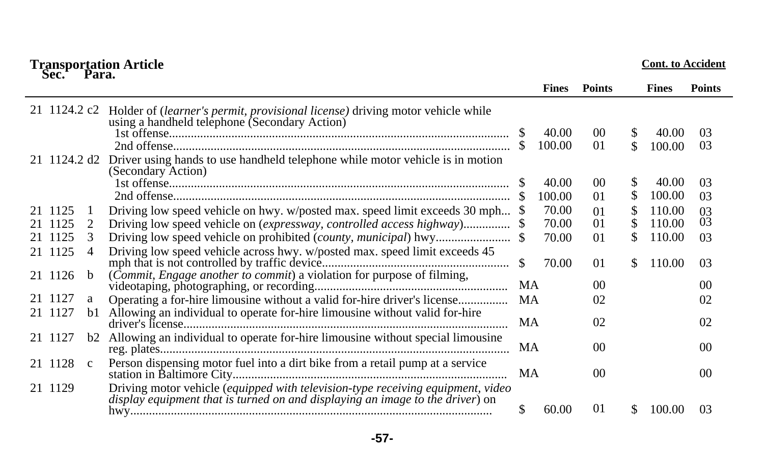| Sec.         | Para.        | <b>Transportation Article</b>                                                                                                                                    |               |              |                |     | <b>Cont. to Accident</b> |                |
|--------------|--------------|------------------------------------------------------------------------------------------------------------------------------------------------------------------|---------------|--------------|----------------|-----|--------------------------|----------------|
|              |              |                                                                                                                                                                  |               | <b>Fines</b> | <b>Points</b>  |     | <b>Fines</b>             | <b>Points</b>  |
| 21 1124.2 c2 |              | Holder of (learner's permit, provisional license) driving motor vehicle while<br>using a handheld telephone (Secondary Action)                                   |               |              |                |     |                          |                |
|              |              |                                                                                                                                                                  |               | 40.00        | 00             | \$  | 40.00                    | 03             |
|              |              |                                                                                                                                                                  |               | 100.00       | 01             | \$  | 100.00                   | 03             |
| 21 1124.2 d2 |              | Driver using hands to use handheld telephone while motor vehicle is in motion<br>(Secondary Action)                                                              |               |              |                |     |                          |                |
|              |              |                                                                                                                                                                  |               | 40.00        | 00             | \$  | 40.00                    | 03             |
|              |              |                                                                                                                                                                  |               | 100.00       | 01             | S   | 100.00                   | 03             |
| 21 1125      |              | Driving low speed vehicle on hwy. w/posted max. speed limit exceeds 30 mph \$                                                                                    |               | 70.00        | $\Omega$       | S   | 110.00                   | 03             |
| 21 1125      | 2            | Driving low speed vehicle on (expressway, controlled access highway) \$                                                                                          |               | 70.00        | 01             | \$. | 110.00                   | 03             |
| 21 1125      | 3            |                                                                                                                                                                  |               | 70.00        | 0 <sub>1</sub> | S.  | 110.00                   | 03             |
| 21 1125      | 4            | Driving low speed vehicle across hwy. w/posted max. speed limit exceeds 45                                                                                       | <sup>\$</sup> | 70.00        | 01             | \$  | 110.00                   | 03             |
| 21 1126      | h            | (Commit, Engage another to commit) a violation for purpose of filming,                                                                                           | MA            |              | 0 <sup>0</sup> |     |                          | 00             |
| 21 1127      | a            | Operating a for-hire limousine without a valid for-hire driver's license                                                                                         | MA            |              | 02             |     |                          | 02             |
| 21 1127      |              | b1 Allowing an individual to operate for-hire limousine without valid for-hire                                                                                   | MA            |              | 02             |     |                          | 02             |
| 21 1127      |              | b2 Allowing an individual to operate for-hire limousine without special limousine                                                                                | МA            |              | 0 <sup>0</sup> |     |                          | 00             |
| 21 1128      | $\mathbf{c}$ | Person dispensing motor fuel into a dirt bike from a retail pump at a service                                                                                    | MA            |              | 0 <sup>0</sup> |     |                          | 0 <sup>0</sup> |
| 21 1129      |              | Driving motor vehicle (equipped with television-type receiving equipment, video<br>display equipment that is turned on and displaying an image to the driver) on | \$            | 60.00        | 01             | \$  | 100.00                   | 03             |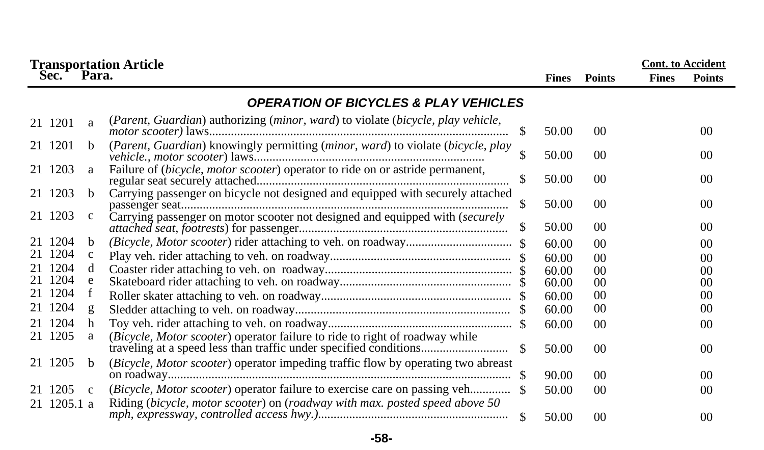|             |              | <b>Transportation Article<br/>Sec. Para.</b>                                                                                                     |     |              |                 | <b>Cont.</b> to Accident |               |
|-------------|--------------|--------------------------------------------------------------------------------------------------------------------------------------------------|-----|--------------|-----------------|--------------------------|---------------|
|             |              |                                                                                                                                                  |     | <b>Fines</b> | <b>Points</b>   | <b>Fines</b>             | <b>Points</b> |
|             |              | <b>OPERATION OF BICYCLES &amp; PLAY VEHICLES</b>                                                                                                 |     |              |                 |                          |               |
| 21 1201     | a            | (Parent, Guardian) authorizing (minor, ward) to violate (bicycle, play vehicle,                                                                  | \$. | 50.00        | 0 <sup>0</sup>  |                          | 00            |
| 21 1201     | h.           | (Parent, Guardian) knowingly permitting (minor, ward) to violate (bicycle, play                                                                  |     | 50.00        | 0 <sup>0</sup>  |                          | 00            |
| 21 1203     | a            | Failure of (bicycle, motor scooter) operator to ride on or astride permanent,                                                                    |     | 50.00        | 0 <sup>0</sup>  |                          | 00            |
| 21 1203     | h.           | Carrying passenger on bicycle not designed and equipped with securely attached                                                                   | S   | 50.00        | $00\,$          |                          | 00            |
| 21 1203     | C            | Carrying passenger on motor scooter not designed and equipped with (securely                                                                     | \$  | 50.00        | 0 <sup>0</sup>  |                          | 00            |
| 21 1204     | <sub>b</sub> |                                                                                                                                                  |     | 60.00        | 0 <sup>0</sup>  |                          | 00            |
| 21 1204     | $\mathbf c$  |                                                                                                                                                  |     | 60.00        | 0 <sup>0</sup>  |                          | 00            |
| 21 1204     | d.           |                                                                                                                                                  |     | 60.00        | 0 <sup>0</sup>  |                          | 00            |
| 21 1204     | e            |                                                                                                                                                  |     | 60.00        | $00\,$          |                          | 00            |
| 21 1204     | f            |                                                                                                                                                  |     | 60.00        | 00              |                          | 00            |
| 21 1204     | g            |                                                                                                                                                  |     | 60.00        | 0 <sup>0</sup>  |                          | 00            |
| 21 1204     | h            |                                                                                                                                                  |     | 60.00        | 0 <sup>0</sup>  |                          | 00            |
| 21 1205     | a            | (Bicycle, Motor scooter) operator failure to ride to right of roadway while<br>traveling at a speed less than traffic under specified conditions | -S  | 50.00        | 0 <sup>0</sup>  |                          | 00            |
| 21 1205     | <sub>h</sub> | (Bicycle, Motor scooter) operator impeding traffic flow by operating two abreast                                                                 |     | 90.00        | 0 <sup>0</sup>  |                          | 00            |
| 21 1205     | $\mathbf{c}$ |                                                                                                                                                  |     | 50.00        | 00 <sup>1</sup> |                          | 00            |
| 21 1205.1 a |              | Riding (bicycle, motor scooter) on (roadway with max. posted speed above 50                                                                      |     | 50.00        | 0 <sup>0</sup>  |                          | 00            |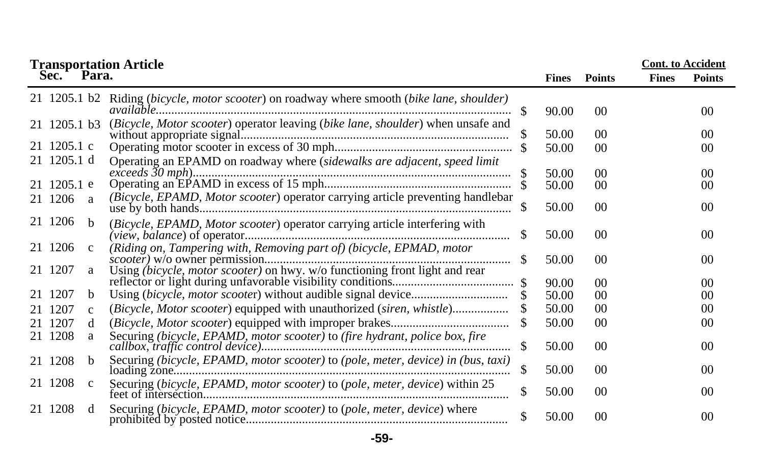|                            | <b>Transportation Article<br/>Sec. Para.</b> |                                                                                                                                                     |     |                |                      |              | <b>Cont.</b> to Accident |
|----------------------------|----------------------------------------------|-----------------------------------------------------------------------------------------------------------------------------------------------------|-----|----------------|----------------------|--------------|--------------------------|
|                            |                                              |                                                                                                                                                     |     | <b>Fines</b>   | <b>Points</b>        | <b>Fines</b> | <b>Points</b>            |
| 21 1205.1 b2               |                                              | Riding (bicycle, motor scooter) on roadway where smooth (bike lane, shoulder)                                                                       | -SS | 90.00          | 0 <sup>0</sup>       |              | 00                       |
| 21 1205.1 b3               |                                              | (Bicycle, Motor scooter) operator leaving (bike lane, shoulder) when unsafe and                                                                     |     | 50.00          | 0 <sup>0</sup>       |              | 00                       |
| 21 1205.1 c                |                                              |                                                                                                                                                     |     | 50.00          | 0 <sup>0</sup>       |              | 00                       |
| 21 1205.1 d<br>21 1205.1 e |                                              | Operating an EPAMD on roadway where (sidewalks are adjacent, speed limit                                                                            |     | 50.00<br>50.00 | 0 <sup>0</sup><br>00 |              | 00<br>00                 |
| 21 1206                    | <sub>a</sub>                                 | (Bicycle, EPAMD, Motor scooter) operator carrying article preventing handlebar                                                                      | \$  | 50.00          | 0 <sup>0</sup>       |              | 00 <sup>0</sup>          |
| 21 1206                    | h                                            | (Bicycle, EPAMD, Motor scooter) operator carrying article interfering with                                                                          | -S  | 50.00          | 00                   |              | 00                       |
| 21 1206<br>21 1207         | $\mathbf c$<br>a                             | (Riding on, Tampering with, Removing part of) (bicycle, EPMAD, motor<br>Using (bicycle, motor scooter) on hwy. w/o functioning front light and rear |     | 50.00          | 0 <sup>0</sup>       |              | 00                       |
|                            |                                              |                                                                                                                                                     |     | 90.00          | 0 <sup>0</sup>       |              | 00                       |
| 21 1207                    | b.                                           |                                                                                                                                                     |     | 50.00          | 0 <sup>0</sup>       |              | 00                       |
| 21 1207                    | $\mathbf{C}$                                 | (Bicycle, Motor scooter) equipped with unauthorized (siren, whistle)                                                                                |     | 50.00          | 0 <sup>0</sup>       |              | 00                       |
| 21 1207                    | d                                            |                                                                                                                                                     |     | 50.00          | 0 <sup>0</sup>       |              | 00                       |
| 21 1208                    | a                                            | Securing (bicycle, EPAMD, motor scooter) to (fire hydrant, police box, fire                                                                         | S   | 50.00          | 0 <sup>0</sup>       |              | 00                       |
| 21 1208                    | <sub>b</sub>                                 | Securing (bicycle, EPAMD, motor scooter) to (pole, meter, device) in (bus, taxi)                                                                    | \$  | 50.00          | 0 <sup>0</sup>       |              | 00                       |
| 21 1208                    | $\mathbf c$                                  | Securing (bicycle, EPAMD, motor scooter) to (pole, meter, device) within 25                                                                         | \$  | 50.00          | 00                   |              | 00 <sup>0</sup>          |
| 21 1208                    | d                                            | Securing (bicycle, EPAMD, motor scooter) to (pole, meter, device) where                                                                             |     | 50.00          | 0 <sup>0</sup>       |              | 00                       |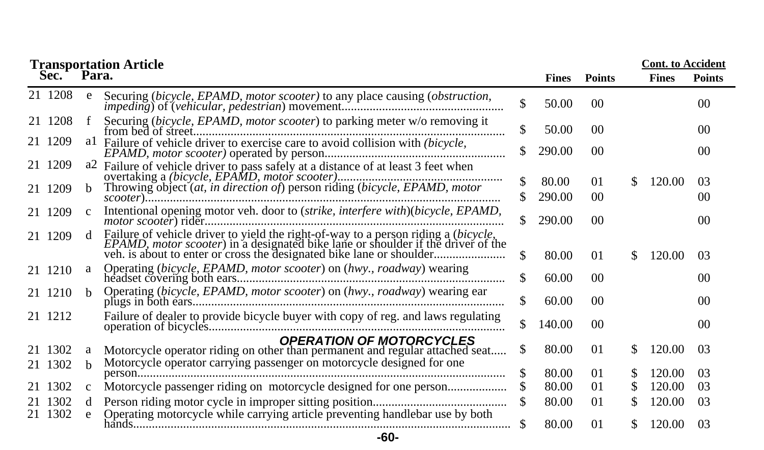|         |              | <b>Transportation Article</b>                                                                                   |    |              |                 |     | <b>Cont.</b> to Accident |                 |
|---------|--------------|-----------------------------------------------------------------------------------------------------------------|----|--------------|-----------------|-----|--------------------------|-----------------|
| Sec.    | Para.        |                                                                                                                 |    | <b>Fines</b> | <b>Points</b>   |     | <b>Fines</b>             | <b>Points</b>   |
| 21 1208 | e            |                                                                                                                 | \$ | 50.00        | 00 <sup>0</sup> |     |                          | 00 <sup>1</sup> |
| 21 1208 |              | Securing (bicycle, EPAMD, motor scooter) to parking meter w/o removing it                                       | \$ | 50.00        | 00 <sup>0</sup> |     |                          | 00 <sup>1</sup> |
| 21 1209 |              | a1 Failure of vehicle driver to exercise care to avoid collision with (bicycle,                                 | \$ | 290.00       | 00 <sup>0</sup> |     |                          | 00 <sup>2</sup> |
| 21 1209 | a2           |                                                                                                                 | \$ | 80.00        | 01              | S.  | 120.00                   | 03              |
| 21 1209 | h.           | Throwing object (at, in direction of) person riding (bicycle, EPAMD, motor                                      |    | 290.00       | 00 <sup>0</sup> |     |                          | 00              |
| 21 1209 | $\mathbf{c}$ | Intentional opening motor veh. door to (strike, interfere with)(bicycle, EPAMD,                                 | S. | 290.00       | 00 <sup>0</sup> |     |                          | 0 <sup>0</sup>  |
| 21 1209 |              | Failure of vehicle driver to yield the right-of-way to a person riding a (bicycle,                              | \$ | 80.00        | 01              | \$. | 120.00                   | 03              |
| 21 1210 | a            | Operating (bicycle, EPAMD, motor scooter) on (hwy., roadway) wearing                                            | \$ | 60.00        | 00 <sup>0</sup> |     |                          | 00              |
| 21 1210 | <sub>h</sub> | Operating (bicycle, EPAMD, motor scooter) on (hwy., roadway) wearing ear                                        | \$ | 60.00        | 00 <sup>0</sup> |     |                          | 00 <sup>2</sup> |
| 21 1212 |              | Failure of dealer to provide bicycle buyer with copy of reg. and laws regulating                                | \$ | 140.00       | 0 <sup>0</sup>  |     |                          | 00 <sup>1</sup> |
| 21 1302 |              | <b>OPERATION OF MOTORCYCLES</b><br>Motorcycle operator riding on other than permanent and regular attached seat | \$ | 80.00        | 01              | S.  | 120.00                   | 0 <sup>3</sup>  |
| 21 1302 | h            | Motorcycle operator carrying passenger on motorcycle designed for one                                           | \$ | 80.00        | 01              | S   | 120.00                   | 03              |
| 21 1302 | c            | Motorcycle passenger riding on motorcycle designed for one person                                               |    | 80.00        | 01              | S.  | 120.00                   | 03              |
| 21 1302 | d            |                                                                                                                 | \$ | 80.00        | 01              | S.  | 120.00                   | 03              |
| 21 1302 | e            | Operating motorcycle while carrying article preventing handlebar use by both                                    | \$ | 80.00        | 01              | S.  | 120.00                   | 03              |
|         |              | $-60-$                                                                                                          |    |              |                 |     |                          |                 |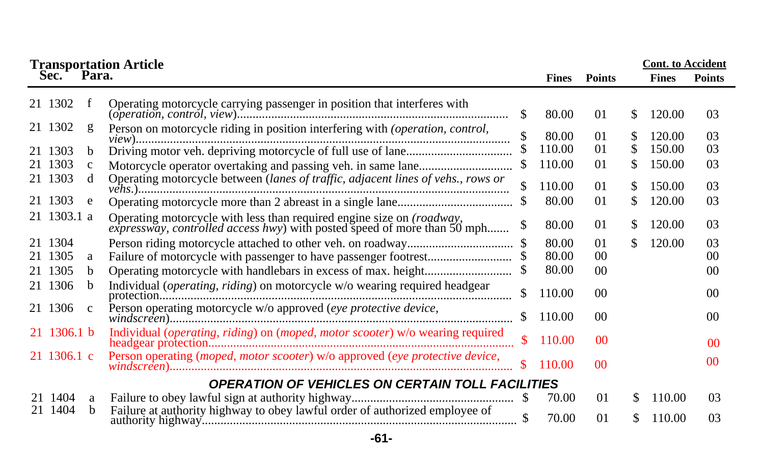| <b>Transportation Article</b> |             |               |                                                                                                                                                |               |              |                |     | <b>Cont.</b> to Accident |                |
|-------------------------------|-------------|---------------|------------------------------------------------------------------------------------------------------------------------------------------------|---------------|--------------|----------------|-----|--------------------------|----------------|
|                               | Sec.        | Para.         |                                                                                                                                                |               | <b>Fines</b> | <b>Points</b>  |     | <b>Fines</b>             | <b>Points</b>  |
|                               | 21 1302     | f             | Operating motorcycle carrying passenger in position that interferes with                                                                       | \$            | 80.00        | 01             | S.  | 120.00                   | 03             |
|                               | 21 1302     |               | Person on motorcycle riding in position interfering with (operation, control,                                                                  |               | 80.00        | 01             | S.  | 120.00                   | 03             |
|                               | 21 1303     | h.            |                                                                                                                                                |               | 110.00       | 0 <sub>1</sub> | \$. | 150.00                   | 03             |
|                               | 1303        | c             |                                                                                                                                                | \$            | 110.00       | 01             | \$  | 150.00                   | 03             |
|                               | 21 1303     | <sub>d</sub>  | Operating motorcycle between (lanes of traffic, adjacent lines of vehs., rows or                                                               |               | 110.00       | 01             | S.  | 150.00                   | 03             |
|                               | 21 1303     | e             |                                                                                                                                                |               | 80.00        | 0 <sub>1</sub> | S.  | 120.00                   | 03             |
|                               | 21 1303.1 a |               | Operating motorcycle with less than required engine size on (roadway, expressway, controlled access hwy) with posted speed of more than 50 mph | \$            | 80.00        | 01             | S.  | 120.00                   | 03             |
|                               | 1304        |               |                                                                                                                                                |               | 80.00        | 01             | \$  | 120.00                   | 03             |
|                               | 1305        | a             |                                                                                                                                                |               | 80.00        | 00             |     |                          | $00\,$         |
| 21.                           | 1305        | b.            |                                                                                                                                                |               | 80.00        | 00             |     |                          | 00             |
|                               | 21 1306     | b             | Individual (operating, riding) on motorcycle w/o wearing required headgear                                                                     | \$            | 110.00       | 0 <sup>0</sup> |     |                          | $00\,$         |
|                               | 21 1306     | $\mathcal{C}$ | Person operating motorcycle w/o approved (eye protective device,                                                                               | S.            | 110.00       | 0 <sup>0</sup> |     |                          | 0 <sup>0</sup> |
|                               | 21 1306.1 b |               | Individual (operating, riding) on (moped, motor scooter) w/o wearing required                                                                  | <sup>\$</sup> | 110.00       | 0 <sup>0</sup> |     |                          | 0 <sup>0</sup> |
|                               | 21 1306.1 c |               |                                                                                                                                                |               | 110.00       | 0 <sup>0</sup> |     |                          | 0 <sup>0</sup> |
|                               |             |               | <b>OPERATION OF VEHICLES ON CERTAIN TOLL FACILITIES</b>                                                                                        |               |              |                |     |                          |                |
|                               | 21 1404     | a             |                                                                                                                                                | -85           | 70.00        | 0 <sub>1</sub> | \$. | 110.00                   | 03             |
|                               | 21 1404     | b             | Failure at authority highway to obey lawful order of authorized employee of                                                                    |               | 70.00        | 0 <sub>1</sub> | S.  | 110.00                   | 03             |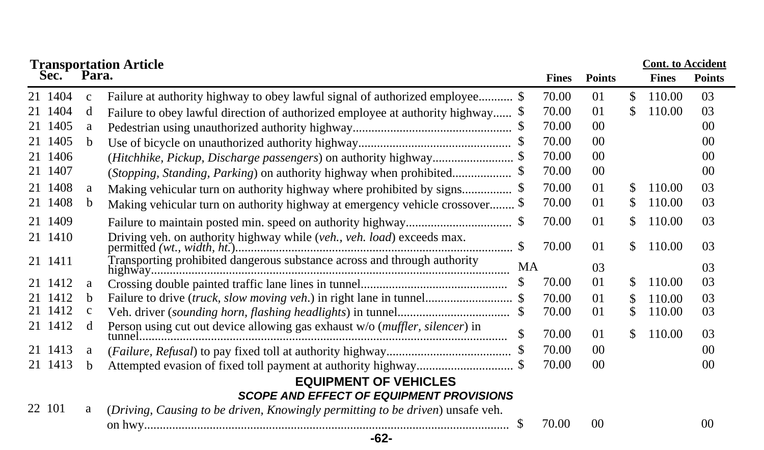| <b>Transportation Article</b> |              |                                                                                 |    |              |                |     | <b>Cont.</b> to Accident |                 |
|-------------------------------|--------------|---------------------------------------------------------------------------------|----|--------------|----------------|-----|--------------------------|-----------------|
| Sec.                          | Para.        |                                                                                 |    | <b>Fines</b> | <b>Points</b>  |     | <b>Fines</b>             | <b>Points</b>   |
| 21 1404                       | $\mathbf{c}$ | Failure at authority highway to obey lawful signal of authorized employee \$    |    | 70.00        | 01             | \$. | 110.00                   | 0 <sup>3</sup>  |
| 21 1404                       | d            | Failure to obey lawful direction of authorized employee at authority highway \$ |    | 70.00        | 01             | S   | 110.00                   | 0 <sup>3</sup>  |
| 21 1405                       | a            |                                                                                 |    | 70.00        | 0 <sup>0</sup> |     |                          | 00 <sup>0</sup> |
| 21 1405                       | <sub>b</sub> |                                                                                 |    | 70.00        | 0 <sup>0</sup> |     |                          | $00\,$          |
| 21 1406                       |              |                                                                                 |    | 70.00        | 0 <sup>0</sup> |     |                          | 00 <sup>0</sup> |
| 21 1407                       |              | (Stopping, Standing, Parking) on authority highway when prohibited              |    | 70.00        | 0 <sup>0</sup> |     |                          | 0 <sup>0</sup>  |
| 21 1408                       | a            |                                                                                 |    | 70.00        | 01             | \$. | 110.00                   | 0 <sup>3</sup>  |
| 21 1408                       | b.           | Making vehicular turn on authority highway at emergency vehicle crossover \$    |    | 70.00        | 01             | S   | 110.00                   | 03              |
| 21 1409                       |              |                                                                                 |    | 70.00        | 01             | \$  | 110.00                   | 03              |
| 21 1410                       |              |                                                                                 |    | 70.00        | 01             | \$. | 110.00                   | 03              |
| 21 1411                       |              | Transporting prohibited dangerous substance across and through authority        | MA |              | 03             |     |                          | 03              |
| 21 1412                       | a            |                                                                                 | S  | 70.00        | 01             | \$. | 110.00                   | 03              |
| 21 1412                       | b.           |                                                                                 |    | 70.00        | 01             | \$  | 110.00                   | 03              |
| 21 1412                       | $\mathbf{c}$ |                                                                                 |    | 70.00        | 01             | \$  | 110.00                   | 03              |
| 21 1412                       | d            | Person using cut out device allowing gas exhaust w/o (muffler, silencer) in     |    | 70.00        | 01             | \$. | 110.00                   | 03              |
| 21 1413                       | a            |                                                                                 |    | 70.00        | 0 <sup>0</sup> |     |                          | 00 <sup>2</sup> |
| 21 1413                       | h            |                                                                                 |    | 70.00        | 0 <sup>0</sup> |     |                          | 00 <sup>0</sup> |
|                               |              | <b>EQUIPMENT OF VEHICLES</b>                                                    |    |              |                |     |                          |                 |
|                               |              | <b>SCOPE AND EFFECT OF EQUIPMENT PROVISIONS</b>                                 |    |              |                |     |                          |                 |
| 22 101                        | a            | (Driving, Causing to be driven, Knowingly permitting to be driven) unsafe veh.  |    |              |                |     |                          |                 |
|                               |              |                                                                                 | \$ | 70.00        | 0 <sup>0</sup> |     |                          | 0 <sup>0</sup>  |
|                               |              | $-62-$                                                                          |    |              |                |     |                          |                 |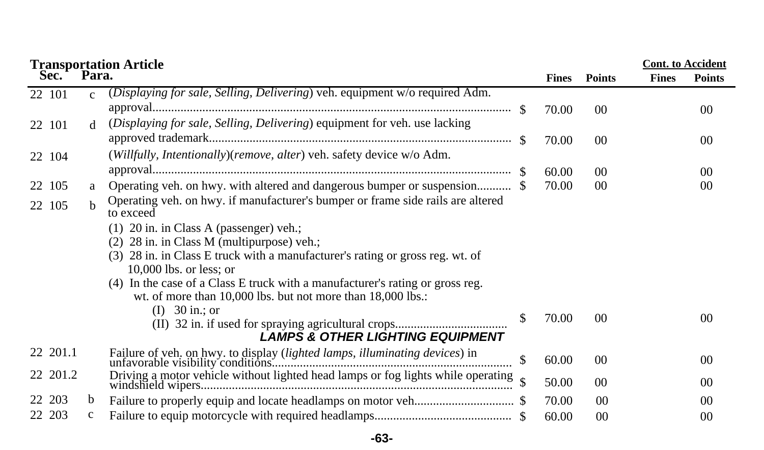|           |               | <b>Transportation Article<br/>Sec. Para.</b>                                     |              |                 |              | <b>Cont.</b> to Accident |
|-----------|---------------|----------------------------------------------------------------------------------|--------------|-----------------|--------------|--------------------------|
|           |               |                                                                                  | <b>Fines</b> | <b>Points</b>   | <b>Fines</b> | <b>Points</b>            |
| 22 101    | $\mathcal{C}$ | (Displaying for sale, Selling, Delivering) veh. equipment w/o required Adm.      |              |                 |              |                          |
|           |               |                                                                                  | 70.00        | 00 <sup>0</sup> |              | 0 <sup>0</sup>           |
| 22 101    | <sub>d</sub>  | (Displaying for sale, Selling, Delivering) equipment for veh. use lacking        |              |                 |              |                          |
|           |               |                                                                                  | 70.00        | 00 <sup>0</sup> |              | 00                       |
| 22 104    |               | (Willfully, Intentionally)(remove, alter) veh. safety device w/o Adm.            |              |                 |              |                          |
|           |               |                                                                                  | 60.00        | 00 <sup>0</sup> |              | 00                       |
| 22 105    | a             |                                                                                  | 70.00        | 00 <sup>0</sup> |              | 00                       |
| 22 105    | h.            | Operating veh. on hwy. if manufacturer's bumper or frame side rails are altered  |              |                 |              |                          |
|           |               | to exceed                                                                        |              |                 |              |                          |
|           |               | 20 in. in Class A (passenger) veh.;<br>(1)                                       |              |                 |              |                          |
|           |               | $(2)$ 28 in. in Class M (multipurpose) veh.;                                     |              |                 |              |                          |
|           |               | (3) 28 in. in Class E truck with a manufacturer's rating or gross reg. wt. of    |              |                 |              |                          |
|           |               | $10,000$ lbs. or less; or                                                        |              |                 |              |                          |
|           |               | (4) In the case of a Class E truck with a manufacturer's rating or gross reg.    |              |                 |              |                          |
|           |               | wt. of more than $10,000$ lbs. but not more than $18,000$ lbs.:                  |              |                 |              |                          |
|           |               | (I) $30 \text{ in.}; \text{ or}$                                                 | 70.00        | 0 <sup>0</sup>  |              | 0 <sup>0</sup>           |
|           |               |                                                                                  |              |                 |              |                          |
|           |               | <b>LAMPS &amp; OTHER LIGHTING EQUIPMENT</b>                                      |              |                 |              |                          |
| 22 201.1  |               |                                                                                  |              |                 |              | 0 <sup>0</sup>           |
|           |               |                                                                                  | 60.00        | 00              |              |                          |
| 22 201.2  |               | Driving a motor vehicle without lighted head lamps or fog lights while operating | 50.00        | 00 <sup>0</sup> |              | 0 <sup>0</sup>           |
| 203<br>22 | b             |                                                                                  | 70.00        | 00              |              | 0 <sup>0</sup>           |
| 22 203    | $\mathbf{c}$  |                                                                                  | 60.00        | 0 <sup>0</sup>  |              | 0 <sup>0</sup>           |

**-63-**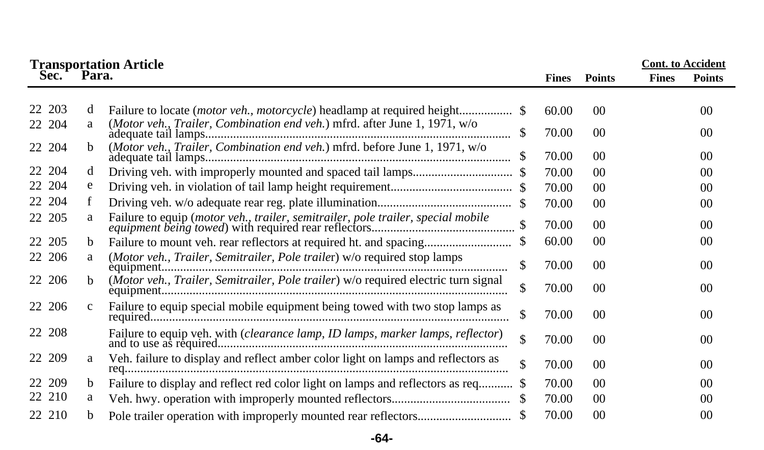|        | <b>Transportation Article</b><br>Para.<br>Sec.<br><b>Fines</b> |                                                                                    |    |       |                 |              | <b>Cont.</b> to Accident<br><b>Points</b> |
|--------|----------------------------------------------------------------|------------------------------------------------------------------------------------|----|-------|-----------------|--------------|-------------------------------------------|
|        |                                                                |                                                                                    |    |       | <b>Points</b>   | <b>Fines</b> |                                           |
| 203    | d                                                              |                                                                                    |    | 60.00 | 0 <sup>0</sup>  |              | 0 <sup>0</sup>                            |
| 22 204 | a                                                              | (Motor veh., Trailer, Combination end veh.) mfrd. after June 1, 1971, w/o          |    | 70.00 | 00              |              | 00                                        |
| 22 204 | <sub>b</sub>                                                   | (Motor veh., Trailer, Combination end veh.) mfrd. before June 1, 1971, w/o         | \$ | 70.00 | 00              |              | 00                                        |
| 22 204 | d                                                              |                                                                                    |    | 70.00 | 00              |              | 0 <sup>0</sup>                            |
| 22 204 | e                                                              |                                                                                    |    | 70.00 | 00              |              | 00                                        |
| 22 204 | f                                                              |                                                                                    |    | 70.00 | 00 <sup>2</sup> |              | 00                                        |
| 22 205 | a                                                              |                                                                                    |    | 70.00 | 0 <sup>0</sup>  |              | 00                                        |
| 22 205 | b                                                              | Failure to mount veh. rear reflectors at required ht. and spacing                  |    | 60.00 | $00\,$          |              | 00                                        |
| 22 206 | a                                                              | (Motor veh., Trailer, Semitrailer, Pole trailer) w/o required stop lamps           | \$ | 70.00 | 00              |              | 00                                        |
| 22 206 | b.                                                             | (Motor veh., Trailer, Semitrailer, Pole trailer) w/o required electric turn signal | \$ | 70.00 | 00              |              | 0 <sup>0</sup>                            |
| 22 206 | $\mathbf{c}$                                                   | Failure to equip special mobile equipment being towed with two stop lamps as       | \$ | 70.00 | 0 <sup>0</sup>  |              | 00                                        |
| 22 208 |                                                                | Failure to equip veh. with (clearance lamp, ID lamps, marker lamps, reflector)     | \$ | 70.00 | 00 <sup>0</sup> |              | 00                                        |
| 22 209 | a                                                              | Veh. failure to display and reflect amber color light on lamps and reflectors as   |    | 70.00 | 00              |              | 00                                        |
| 22 209 | b                                                              |                                                                                    |    | 70.00 | 0 <sup>0</sup>  |              | 00                                        |
| 22 210 | a                                                              |                                                                                    |    | 70.00 | $00\,$          |              | 00                                        |
| 22 210 | b.                                                             |                                                                                    |    | 70.00 | 0 <sup>0</sup>  |              | 0 <sup>0</sup>                            |

## **-64-**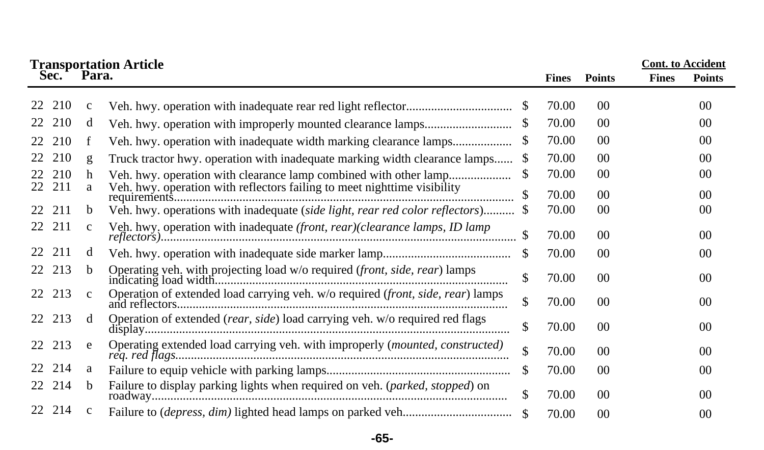| Sec.      | Para.        | <b>Transportation Article</b>                                                   |     | <b>Fines</b> | <b>Points</b>   | <b>Cont.</b> to Accident<br><b>Fines</b> | <b>Points</b>  |
|-----------|--------------|---------------------------------------------------------------------------------|-----|--------------|-----------------|------------------------------------------|----------------|
|           |              |                                                                                 |     |              |                 |                                          |                |
| 210<br>22 | $\mathbf{C}$ |                                                                                 | \$. | 70.00        | 00 <sup>2</sup> |                                          | 00             |
| 210       | d            |                                                                                 |     | 70.00        | 00              |                                          | 00             |
| 210<br>22 | f            |                                                                                 |     | 70.00        | 00              |                                          | 00             |
| 210       | g            | Truck tractor hwy. operation with inadequate marking width clearance lamps      | S   | 70.00        | 0 <sup>0</sup>  |                                          | 0 <sup>0</sup> |
| 210       | h            |                                                                                 | S   | 70.00        | 00 <sup>0</sup> |                                          | 00             |
| 211<br>22 | a            | Veh. hwy. operation with reflectors failing to meet nighttime visibility        |     | 70.00        | 00 <sup>0</sup> |                                          | 00             |
| 211<br>22 | b.           | Veh. hwy. operations with inadequate (side light, rear red color reflectors)    |     | 70.00        | $00\,$          |                                          | 00             |
| 211<br>22 | $\mathbf{C}$ | Veh. hwy. operation with inadequate (front, rear)(clearance lamps, ID lamp      |     | 70.00        | 0 <sup>0</sup>  |                                          | 0 <sup>0</sup> |
| 211<br>22 | d            |                                                                                 | S   | 70.00        | 0 <sup>0</sup>  |                                          | 00             |
| 213<br>22 | <sub>b</sub> | Operating veh. with projecting load w/o required (front, side, rear) lamps      | \$  | 70.00        | 00 <sup>0</sup> |                                          | 0 <sup>0</sup> |
| 213<br>22 | $\mathbf{c}$ | Operation of extended load carrying veh. w/o required (front, side, rear) lamps | \$  | 70.00        | 0 <sup>0</sup>  |                                          | 0 <sup>0</sup> |
| 213<br>22 | d            | Operation of extended (rear, side) load carrying veh. w/o required red flags    | \$  | 70.00        | 00 <sup>0</sup> |                                          | 0 <sup>0</sup> |
| 22 213    | e            | Operating extended load carrying veh. with improperly (mounted, constructed)    | \$  | 70.00        | 00 <sup>0</sup> |                                          | 00             |
| 214<br>22 | a            |                                                                                 | \$. | 70.00        | 0 <sup>0</sup>  |                                          | 0 <sup>0</sup> |
| 214<br>22 | b            | Failure to display parking lights when required on veh. (parked, stopped) on    | \$  | 70.00        | 00 <sup>0</sup> |                                          | 0 <sup>0</sup> |
| 214<br>22 | C            |                                                                                 |     | 70.00        | 00 <sup>0</sup> |                                          | 0 <sup>0</sup> |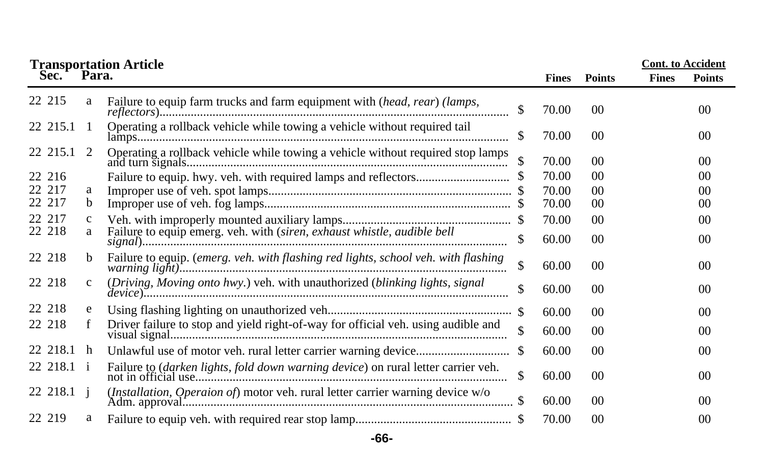|            |              | <b>Transportation Article<br/>Sec. Para.</b>                                       |               |              |                | <b>Cont.</b> to Accident |                |
|------------|--------------|------------------------------------------------------------------------------------|---------------|--------------|----------------|--------------------------|----------------|
|            |              |                                                                                    |               | <b>Fines</b> | <b>Points</b>  | <b>Fines</b>             | <b>Points</b>  |
| 22 215     | a            | Failure to equip farm trucks and farm equipment with (head, rear) (lamps,          | \$            | 70.00        | 0 <sup>0</sup> |                          | 00             |
| 22 215.1 1 |              | Operating a rollback vehicle while towing a vehicle without required tail          |               | 70.00        | 0 <sup>0</sup> |                          | 0 <sup>0</sup> |
| 22 215.1 2 |              | Operating a rollback vehicle while towing a vehicle without required stop lamps    |               | 70.00        | 0 <sup>0</sup> |                          | 0 <sup>0</sup> |
| 22 216     |              |                                                                                    |               | 70.00        | 0 <sup>0</sup> |                          | 0 <sup>0</sup> |
| 22 217     | a            |                                                                                    |               | 70.00        | 0 <sup>0</sup> |                          | 0 <sup>0</sup> |
| 22 217     | b            |                                                                                    |               | 70.00        | 0 <sup>0</sup> |                          | 00             |
| 22 217     | $\mathbf c$  |                                                                                    |               | 70.00        | 0 <sup>0</sup> |                          | 0 <sup>0</sup> |
| 22 218     | a            | Failure to equip emerg. veh. with (siren, exhaust whistle, audible bell            | \$            | 60.00        | 00             |                          | 0 <sup>0</sup> |
| 22 218     | b.           | Failure to equip. (emerg. veh. with flashing red lights, school veh. with flashing | $\mathcal{S}$ | 60.00        | 0 <sup>0</sup> |                          | 0 <sup>0</sup> |
| 22 218     | $\mathbf{C}$ | (Driving, Moving onto hwy.) veh. with unauthorized (blinking lights, signal        |               | 60.00        | 0 <sup>0</sup> |                          | 00             |
| 22 218     | e            |                                                                                    |               | 60.00        | 0 <sup>0</sup> |                          | 0 <sup>0</sup> |
| 22 218     | f            | Driver failure to stop and yield right-of-way for official veh. using audible and  |               | 60.00        | 0 <sup>0</sup> |                          | 00             |
| 22 218.1   | h            |                                                                                    |               | 60.00        | 0 <sup>0</sup> |                          | 00             |
| 22 218.1 i |              | Failure to (darken lights, fold down warning device) on rural letter carrier veh.  | \$            | 60.00        | 0 <sup>0</sup> |                          | 0 <sup>0</sup> |
| 22 218.1 i |              | (Installation, Operaion of) motor veh. rural letter carrier warning device w/o     |               | 60.00        | 0 <sup>0</sup> |                          | 0 <sup>0</sup> |
| 22 219     | a            |                                                                                    |               | 70.00        | 0 <sup>0</sup> |                          | 0 <sup>0</sup> |

# **-66-**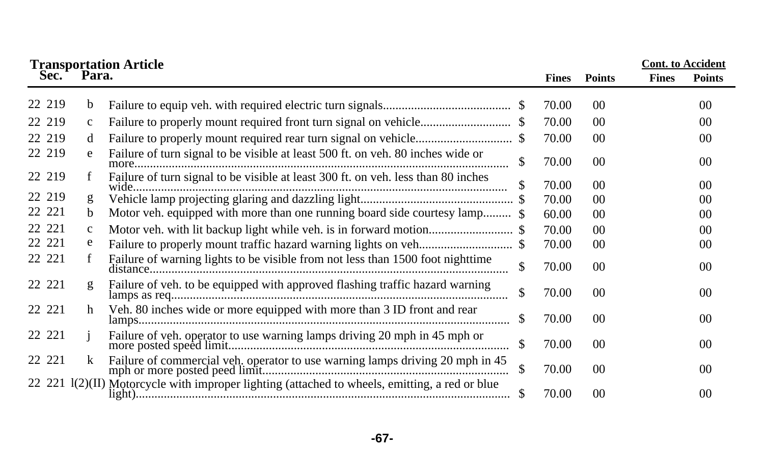| <b>Cont.</b> to Accident<br><b>Transportation Article<br/>Sec. Para.</b> |              |                                                                                                  |              |                 |              |                |
|--------------------------------------------------------------------------|--------------|--------------------------------------------------------------------------------------------------|--------------|-----------------|--------------|----------------|
|                                                                          |              |                                                                                                  | <b>Fines</b> | <b>Points</b>   | <b>Fines</b> | <b>Points</b>  |
| 22 219                                                                   | b            |                                                                                                  | 70.00        | 00              |              | 00             |
| 22 219                                                                   | $\mathbf{c}$ |                                                                                                  | 70.00        | $00\,$          |              | 00             |
| 22 219                                                                   | d            |                                                                                                  | 70.00        | $00\,$          |              | 00             |
| 22 219                                                                   | e            | Failure of turn signal to be visible at least 500 ft. on veh. 80 inches wide or<br>S             | 70.00        | $00\,$          |              | 00             |
| 22 219                                                                   | f            | Failure of turn signal to be visible at least 300 ft. on veh. less than 80 inches                | 70.00        | 00 <sup>1</sup> |              | 0 <sup>0</sup> |
| 22 219                                                                   | g            |                                                                                                  | 70.00        | 0 <sup>0</sup>  |              | 00             |
| 22 221                                                                   | $\mathbf b$  | Motor veh. equipped with more than one running board side courtesy lamp \$                       | 60.00        | 0 <sup>0</sup>  |              | 0 <sup>0</sup> |
| 22 221                                                                   | $\mathbf{C}$ |                                                                                                  | 70.00        | 0 <sup>0</sup>  |              | 0 <sup>0</sup> |
| 22 221                                                                   | e            |                                                                                                  | 70.00        | $00\,$          |              | 00             |
| 22 221                                                                   | f            | Failure of warning lights to be visible from not less than 1500 foot nighttime<br>\$             | 70.00        | $00\,$          |              | 0 <sup>0</sup> |
| 22 221                                                                   | g            | Failure of veh. to be equipped with approved flashing traffic hazard warning<br>\$               | 70.00        | 0 <sup>0</sup>  |              | 0 <sup>0</sup> |
| 22 221                                                                   | h            | Veh. 80 inches wide or more equipped with more than 3 ID front and rear<br>- \$                  | 70.00        | $00\,$          |              | 0 <sup>0</sup> |
| 22 221                                                                   |              | Failure of veh. operator to use warning lamps driving 20 mph in 45 mph or<br>\$                  | 70.00        | 00 <sup>1</sup> |              | 0 <sup>0</sup> |
| 22 221                                                                   | k            | Failure of commercial veh. operator to use warning lamps driving 20 mph in 45<br>\$              | 70.00        | $00\,$          |              | 00             |
|                                                                          |              | 22 221 $I(2)(II)$ Motorcycle with improper lighting (attached to wheels, emitting, a red or blue | 70.00        | 0 <sup>0</sup>  |              | 00             |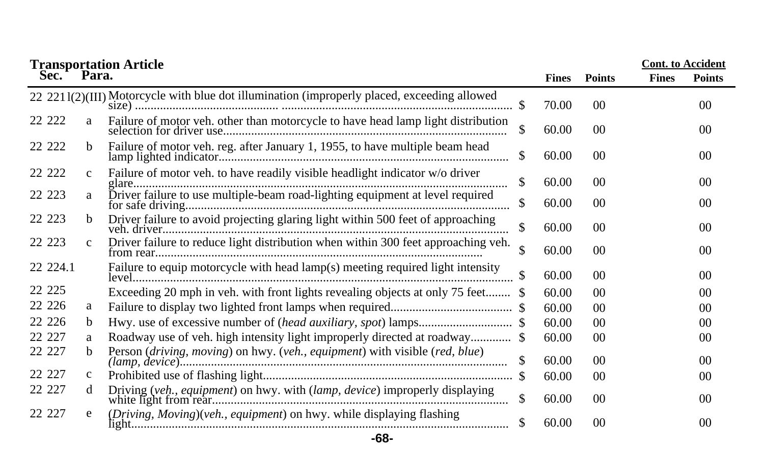|          |              | <b>Transportation Article</b>                                                               |              |                 |              | <b>Cont.</b> to Accident |
|----------|--------------|---------------------------------------------------------------------------------------------|--------------|-----------------|--------------|--------------------------|
| Sec.     | Para.        |                                                                                             | <b>Fines</b> | <b>Points</b>   | <b>Fines</b> | <b>Points</b>            |
|          |              | 22 2211(2)(III) Motorcycle with blue dot illumination (improperly placed, exceeding allowed | 70.00        | $00\,$          |              | 0 <sup>0</sup>           |
| 22 222   | a            | Failure of motor veh. other than motorcycle to have head lamp light distribution            | \$<br>60.00  | 00 <sup>0</sup> |              | 0 <sup>0</sup>           |
| 22 222   | b.           | Failure of motor veh. reg. after January 1, 1955, to have multiple beam head                | \$<br>60.00  | 00 <sup>0</sup> |              | 0 <sup>0</sup>           |
| 22 222   | $\mathbf{C}$ | Failure of motor veh. to have readily visible headlight indicator w/o driver                | \$<br>60.00  | 00 <sup>0</sup> |              | 00                       |
| 22 223   | a            | Driver failure to use multiple-beam road-lighting equipment at level required               | \$<br>60.00  | 00              |              | 00                       |
| 22 223   | $\mathbf b$  | Driver failure to avoid projecting glaring light within 500 feet of approaching             | \$<br>60.00  | 00 <sup>°</sup> |              | 0 <sup>0</sup>           |
| 22 223   | $\mathbf{c}$ | Driver failure to reduce light distribution when within 300 feet approaching veh.           | \$<br>60.00  | 00 <sup>0</sup> |              | 0 <sup>0</sup>           |
| 22 224.1 |              | Failure to equip motorcycle with head lamp(s) meeting required light intensity              | 60.00        | 0 <sup>0</sup>  |              | 0 <sup>0</sup>           |
| 22 2 2 5 |              | Exceeding 20 mph in veh. with front lights revealing objects at only 75 feet \$             | 60.00        | 00              |              | 0 <sup>0</sup>           |
| 22 2 2 6 | a            |                                                                                             | 60.00        | 00 <sup>0</sup> |              | 0 <sup>0</sup>           |
| 22 2 2 6 | $\mathbf b$  |                                                                                             | 60.00        | 00 <sup>0</sup> |              | 0 <sup>0</sup>           |
| 22 227   | a            | Roadway use of veh. high intensity light improperly directed at roadway \$                  | 60.00        | 00 <sup>°</sup> |              | 0 <sup>0</sup>           |
| 22 227   | b.           | Person (driving, moving) on hwy. (veh., equipment) with visible (red, blue)                 | 60.00        | 00 <sup>0</sup> |              | 0 <sup>0</sup>           |
| 22 227   | $\mathbf{c}$ |                                                                                             | 60.00        | 00              |              | 00                       |
| 22 227   | d            | Driving (veh., equipment) on hwy. with (lamp, device) improperly displaying                 | \$<br>60.00  | 00 <sup>0</sup> |              | 0 <sup>0</sup>           |
| 22 227   | e            | (Driving, Moving)(veh., equipment) on hwy. while displaying flashing                        | 60.00        | 00 <sup>0</sup> |              | 0 <sup>0</sup>           |

# **-68-**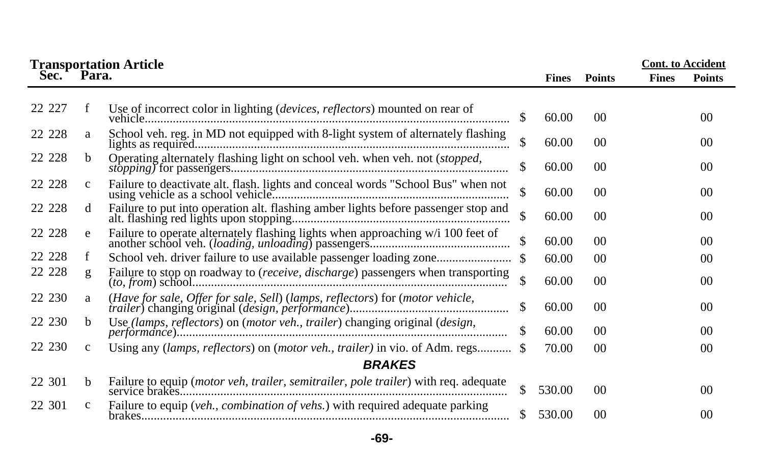|        | <b>Transportation Article</b> |                                                                                      |               |              |                | <b>Cont.</b> to Accident |                 |
|--------|-------------------------------|--------------------------------------------------------------------------------------|---------------|--------------|----------------|--------------------------|-----------------|
| Sec.   | Para.                         |                                                                                      |               | <b>Fines</b> | <b>Points</b>  | <b>Fines</b>             | <b>Points</b>   |
|        |                               |                                                                                      |               |              |                |                          |                 |
| 22 227 | f                             | Use of incorrect color in lighting ( <i>devices, reflectors</i> ) mounted on rear of | \$.           | 60.00        | 0 <sup>0</sup> |                          | 0 <sup>0</sup>  |
| 22 228 | a                             | School veh. reg. in MD not equipped with 8-light system of alternately flashing      | \$            | 60.00        | 0 <sup>0</sup> |                          | 0 <sup>0</sup>  |
| 22 228 | <sub>b</sub>                  | Operating alternately flashing light on school veh. when veh. not (stopped,          | \$            | 60.00        | 0 <sup>0</sup> |                          | 0 <sup>0</sup>  |
| 22 228 | $\mathbf{C}$                  | Failure to deactivate alt. flash. lights and conceal words "School Bus" when not     | \$            | 60.00        | 00             |                          | $00\,$          |
| 22 228 | d                             |                                                                                      | \$            | 60.00        | 0 <sup>0</sup> |                          | 0 <sup>0</sup>  |
| 22 228 | e                             | Failure to operate alternately flashing lights when approaching w/i 100 feet of      | $\sqrt{3}$    | 60.00        | 0 <sup>0</sup> |                          | 0 <sup>0</sup>  |
| 22 228 | f                             |                                                                                      |               | 60.00        | 0 <sup>0</sup> |                          | 0 <sup>0</sup>  |
| 22 228 | g                             | Failure to stop on roadway to (receive, discharge) passengers when transporting      | $\mathbb{S}$  | 60.00        | 0 <sup>0</sup> |                          | 0 <sup>0</sup>  |
| 22 230 | a                             |                                                                                      | <sup>\$</sup> | 60.00        | 0 <sup>0</sup> |                          | $00\,$          |
| 22 230 | <sub>b</sub>                  | Use (lamps, reflectors) on (motor veh., trailer) changing original (design,          | <sup>\$</sup> | 60.00        | 0 <sup>0</sup> |                          | 00 <sup>0</sup> |
| 22 230 | $\mathbf c$                   | Using any (lamps, reflectors) on (motor veh., trailer) in vio. of Adm. regs \$       |               | 70.00        | 00             |                          | 0 <sup>0</sup>  |
|        |                               | <b>BRAKES</b>                                                                        |               |              |                |                          |                 |
| 22 301 | b                             |                                                                                      | <sup>\$</sup> | 530.00       | 0 <sup>0</sup> |                          | 0 <sup>0</sup>  |
| 22 301 | $\mathbf c$                   | Failure to equip (veh., combination of vehs.) with required adequate parking         | <sup>S</sup>  | 530.00       | 00             |                          | $00\,$          |

## **-69-**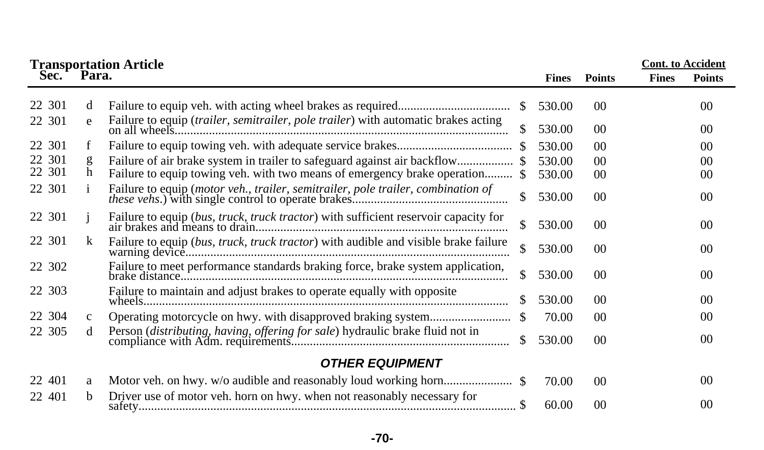|                  |              | <b>Transportation Article<br/>Sec. Para.</b>                                                                                                         |                  |                 |              | <b>Cont. to Accident</b> |
|------------------|--------------|------------------------------------------------------------------------------------------------------------------------------------------------------|------------------|-----------------|--------------|--------------------------|
|                  |              |                                                                                                                                                      | <b>Fines</b>     | <b>Points</b>   | <b>Fines</b> | <b>Points</b>            |
| 22 301           | d            |                                                                                                                                                      | 530.00<br>-SS    | 00 <sup>0</sup> |              | 00 <sup>0</sup>          |
| 22 301           | e            | Failure to equip (trailer, semitrailer, pole trailer) with automatic brakes acting                                                                   | 530.00           | $00\,$          |              | 00                       |
| 22 301           | f            |                                                                                                                                                      | 530.00           | 00 <sup>0</sup> |              | 00 <sup>0</sup>          |
| 22 301<br>22 301 | g<br>h       | Failure of air brake system in trailer to safeguard against air backflow<br>Failure to equip towing veh. with two means of emergency brake operation | 530.00<br>530.00 | 00<br>00        |              | 00 <sup>2</sup><br>00    |
| 22 301           | 1            | Failure to equip (motor veh., trailer, semitrailer, pole trailer, combination of                                                                     | 530.00           | 0 <sup>0</sup>  |              | 00 <sup>0</sup>          |
| 22 301           |              |                                                                                                                                                      | \$<br>530.00     | 0 <sup>0</sup>  |              | 00                       |
| 22 301           | k            | Failure to equip (bus, truck, truck tractor) with audible and visible brake failure                                                                  | 530.00           | 0 <sup>0</sup>  |              | 00 <sup>0</sup>          |
| 22 302           |              | Failure to meet performance standards braking force, brake system application,                                                                       | \$<br>530.00     | 0 <sup>0</sup>  |              | 00 <sup>0</sup>          |
| 22 303           |              | Failure to maintain and adjust brakes to operate equally with opposite                                                                               | 530.00           | 00 <sup>0</sup> |              | 00                       |
| 22 304           | $\mathbf{c}$ |                                                                                                                                                      | 70.00            | 00 <sup>0</sup> |              | 00                       |
| 22 305           | d            |                                                                                                                                                      | 530.00<br>S.     | 00 <sup>0</sup> |              | 00                       |
|                  |              | <b>OTHER EQUIPMENT</b>                                                                                                                               |                  |                 |              |                          |
| 22 401           | a            |                                                                                                                                                      | 70.00            | 0 <sup>0</sup>  |              | 00 <sup>0</sup>          |
| 22 401           | h.           | Driver use of motor veh. horn on hwy. when not reasonably necessary for                                                                              | 60.00            | 00              |              | 00                       |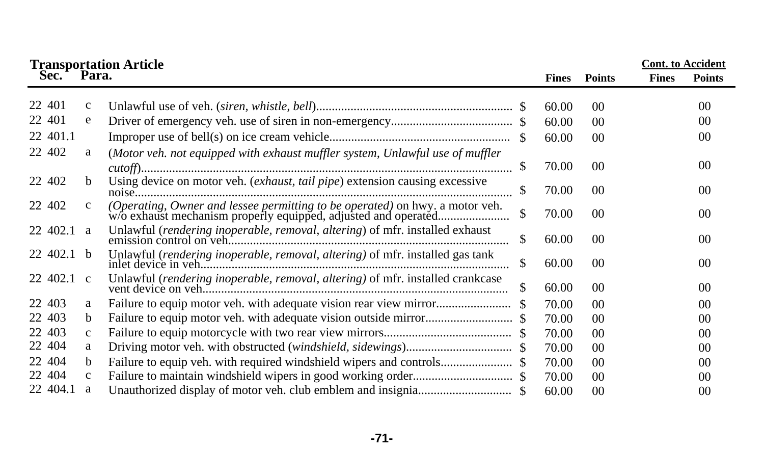|              |              | <b>Transportation Article</b>                                                  |              |              |                 |              | <b>Cont.</b> to Accident |  |
|--------------|--------------|--------------------------------------------------------------------------------|--------------|--------------|-----------------|--------------|--------------------------|--|
| Sec.         | Para.        |                                                                                |              | <b>Fines</b> | <b>Points</b>   | <b>Fines</b> | <b>Points</b>            |  |
| 22 401       | $\mathbf{c}$ |                                                                                |              | 60.00        | 00 <sup>0</sup> |              | 00                       |  |
| 22 401       | e            |                                                                                |              | 60.00        | 00              |              | 00                       |  |
| 22 401.1     |              |                                                                                |              | 60.00        | 00 <sup>0</sup> |              | 00                       |  |
| 22 402       | a            | (Motor veh. not equipped with exhaust muffler system, Unlawful use of muffler  |              |              |                 |              |                          |  |
|              |              |                                                                                | <sup>S</sup> | 70.00        | $00\,$          |              | 00                       |  |
| 22 402       | b.           | Using device on motor veh. (exhaust, tail pipe) extension causing excessive    |              | 70.00        | 00 <sup>2</sup> |              | 00                       |  |
| 22 402       | $\mathbf{c}$ |                                                                                | \$           | 70.00        | 00 <sup>2</sup> |              | 00                       |  |
| 22 402.1 a   |              | Unlawful (rendering inoperable, removal, altering) of mfr. installed exhaust   | \$           | 60.00        | $00\,$          |              | 0 <sup>0</sup>           |  |
| $22,402.1$ b |              | Unlawful (rendering inoperable, removal, altering) of mfr. installed gas tank  | S.           | 60.00        | 00 <sup>0</sup> |              | 0 <sup>0</sup>           |  |
| 22 402.1 c   |              | Unlawful (rendering inoperable, removal, altering) of mfr. installed crankcase |              | 60.00        | 00 <sup>2</sup> |              | 00                       |  |
| 22 403       | a            |                                                                                |              | 70.00        | 00 <sup>0</sup> |              | 0 <sup>0</sup>           |  |
| 22 403       | b.           |                                                                                |              | 70.00        | 00 <sup>0</sup> |              | 00                       |  |
| 22 403       | $\mathbf{c}$ |                                                                                |              | 70.00        | 00 <sup>0</sup> |              | 0 <sup>0</sup>           |  |
| 22 404       | a            |                                                                                |              | 70.00        | 00              |              | 00                       |  |
| 22 404       | b.           |                                                                                |              | 70.00        | 00 <sup>0</sup> |              | 00                       |  |
| 22 404       | $\mathbf c$  |                                                                                |              | 70.00        | 00 <sup>0</sup> |              | 00                       |  |
| 22 404.1     | a            |                                                                                |              | 60.00        | 00              |              | 0 <sup>0</sup>           |  |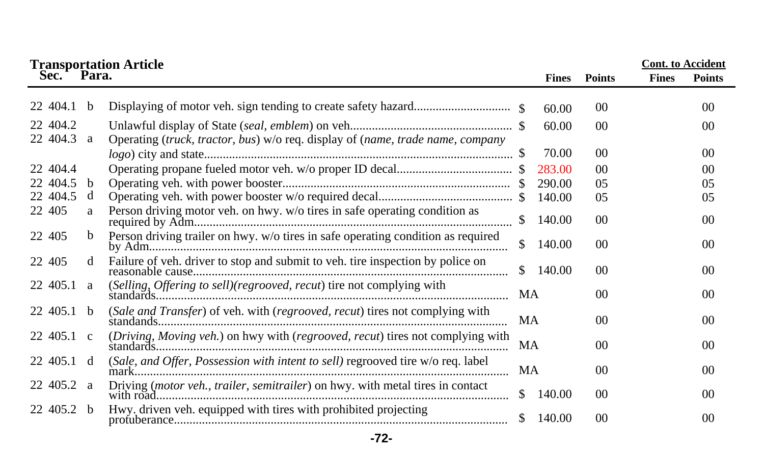| Sec.           | Para.       | <b>Transportation Article</b>                                                    |               | <b>Fines</b> | <b>Points</b>   | <b>Cont.</b> to Accident<br><b>Fines</b><br><b>Points</b> |                 |
|----------------|-------------|----------------------------------------------------------------------------------|---------------|--------------|-----------------|-----------------------------------------------------------|-----------------|
|                |             |                                                                                  |               |              |                 |                                                           |                 |
| 22 404.1       | b           |                                                                                  |               | 60.00        | 00              |                                                           | 00 <sup>0</sup> |
| 22 404.2       |             |                                                                                  |               | 60.00        | 00 <sup>2</sup> |                                                           | 00 <sup>0</sup> |
| 22 404.3       | a           | Operating (truck, tractor, bus) w/o req. display of (name, trade name, company   |               |              |                 |                                                           |                 |
|                |             |                                                                                  |               | 70.00        | 0 <sup>0</sup>  |                                                           | 0 <sup>0</sup>  |
| 22 404.4       |             |                                                                                  |               | 283.00       | 00 <sup>0</sup> |                                                           | 0 <sup>0</sup>  |
| 22 404.5       | b           |                                                                                  |               | 290.00       | 0 <sub>5</sub>  |                                                           | 05              |
| 22 404.5       | d           |                                                                                  |               | 140.00       | 0 <sub>5</sub>  |                                                           | 05              |
| 22 405         | a           | Person driving motor veh. on hwy. w/o tires in safe operating condition as       | $\mathcal{S}$ | 140.00       | 0 <sup>0</sup>  |                                                           | 0 <sup>0</sup>  |
| 22 405         | $\mathbf b$ | Person driving trailer on hwy. w/o tires in safe operating condition as required | \$            | 140.00       | 00 <sup>1</sup> |                                                           | 0 <sup>0</sup>  |
| 22 405         | d           | Failure of veh. driver to stop and submit to veh. tire inspection by police on   | S.            | 140.00       | 00 <sup>0</sup> |                                                           | 00 <sup>0</sup> |
| $22\,405.1\ a$ |             | (Selling, Offering to sell)(regrooved, recut) tire not complying with            | MA            |              | 00 <sup>0</sup> |                                                           | 0 <sup>0</sup>  |
| 22 405.1 b     |             | (Sale and Transfer) of veh. with (regrooved, recut) tires not complying with     | MA            |              | 0 <sup>0</sup>  |                                                           | 00              |
| 22 405.1 c     |             | (Driving, Moving veh.) on hwy with (regrooved, recut) tires not complying with   | MA            |              | 00 <sup>0</sup> |                                                           | 00 <sup>0</sup> |
| 22 405.1 d     |             | (Sale, and Offer, Possession with intent to sell) regrooved tire w/o req. label  | MA            |              | 0 <sup>0</sup>  |                                                           | 0 <sup>0</sup>  |
| $22\,405.2\ a$ |             | Driving (motor veh., trailer, semitrailer) on hwy. with metal tires in contact   | S.            | 140.00       | 00 <sup>0</sup> |                                                           | 00 <sup>0</sup> |
| 22 405.2 b     |             | Hwy. driven veh. equipped with tires with prohibited projecting                  |               | 140.00       | 00 <sup>0</sup> |                                                           | 0 <sup>0</sup>  |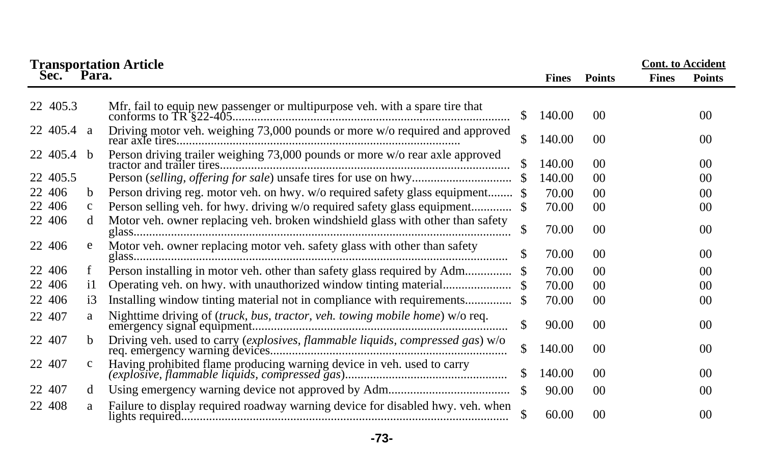|            | <b>Transportation Article<br/>Sec. Para.</b> |                                                                                |     |              |                | <b>Cont.</b> to Accident |                |
|------------|----------------------------------------------|--------------------------------------------------------------------------------|-----|--------------|----------------|--------------------------|----------------|
|            |                                              |                                                                                |     | <b>Fines</b> | <b>Points</b>  | <b>Fines</b>             | <b>Points</b>  |
| 22 405.3   |                                              |                                                                                | S.  | 140.00       | 00             |                          | 00             |
| 22 405.4 a |                                              | Driving motor veh. weighing 73,000 pounds or more w/o required and approved    | \$  | 140.00       | 00             |                          | 0 <sup>0</sup> |
| 22 405.4 b |                                              |                                                                                | \$. | 140.00       | 00             |                          | 0 <sup>0</sup> |
| 22 405.5   |                                              |                                                                                |     | 140.00       | 00             |                          | 0 <sup>0</sup> |
| 22 406     | b                                            | Person driving reg. motor veh. on hwy. w/o required safety glass equipment \$  |     | 70.00        | 0 <sup>0</sup> |                          | 0 <sup>0</sup> |
| 22 406     | $\mathbf c$                                  | Person selling veh. for hwy. driving w/o required safety glass equipment       |     | 70.00        | 0 <sup>0</sup> |                          | 00             |
| 22 406     | d                                            | Motor veh. owner replacing veh. broken windshield glass with other than safety |     | 70.00        | 00             |                          | 0 <sup>0</sup> |
| 22 406     | e                                            | Motor veh. owner replacing motor veh. safety glass with other than safety      | \$  | 70.00        | 0 <sup>0</sup> |                          | 00             |
| 22 406     | f                                            | Person installing in motor veh. other than safety glass required by Adm        |     | 70.00        | 00             |                          | 0 <sup>0</sup> |
| 22 406     | i1                                           |                                                                                |     | 70.00        | 00             |                          | 0 <sup>0</sup> |
| 22 406     | $\overline{13}$                              | Installing window tinting material not in compliance with requirements         |     | 70.00        | 00             |                          | 0 <sup>0</sup> |
| 22 407     | a                                            | Nighttime driving of (truck, bus, tractor, veh. towing mobile home) w/o req.   | S   | 90.00        | 0 <sup>0</sup> |                          | 00             |
| 22 407     | b                                            |                                                                                | \$  | 140.00       | 00             |                          | 0 <sup>0</sup> |
| 22 407     | c                                            |                                                                                |     | 140.00       | 00             |                          | 0 <sup>0</sup> |
| 22 407     | d                                            |                                                                                | -S  | 90.00        | 00             |                          | 0 <sup>0</sup> |
| 22 408     | a                                            | Failure to display required roadway warning device for disabled hwy. veh. when | \$  | 60.00        | 00             |                          | 00             |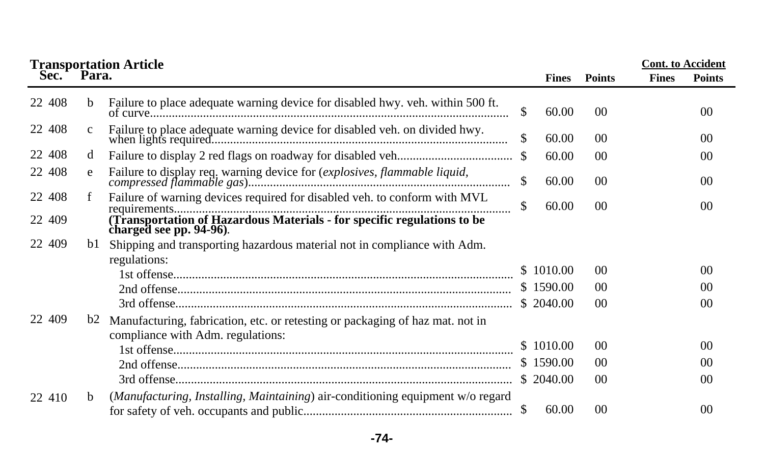|        | <b>Transportation Article</b> |                                                                                                                    |    |              |                 | <b>Cont.</b> to Accident |                 |
|--------|-------------------------------|--------------------------------------------------------------------------------------------------------------------|----|--------------|-----------------|--------------------------|-----------------|
| Sec.   | Para.                         |                                                                                                                    |    | <b>Fines</b> | <b>Points</b>   | <b>Fines</b>             | <b>Points</b>   |
| 22 408 | <sub>b</sub>                  | Failure to place adequate warning device for disabled hwy. veh. within 500 ft.                                     | \$ | 60.00        | 0 <sup>0</sup>  |                          | 00 <sup>0</sup> |
| 22 408 | $\mathbf{c}$                  | Failure to place adequate warning device for disabled veh. on divided hwy.                                         | \$ | 60.00        | 0 <sup>0</sup>  |                          | 00 <sup>0</sup> |
| 22 408 | d                             |                                                                                                                    |    | 60.00        | 0 <sup>0</sup>  |                          | 00 <sup>0</sup> |
| 22 408 | e                             |                                                                                                                    |    | 60.00        | 0 <sup>0</sup>  |                          | 00 <sup>0</sup> |
| 22 408 | f                             | Failure of warning devices required for disabled veh. to conform with MVL                                          | \$ | 60.00        | 00 <sup>1</sup> |                          | 00 <sup>0</sup> |
| 22 409 |                               | (Transportation of Hazardous Materials - for specific regulations to be<br>charged see pp. 94-96).                 |    |              |                 |                          |                 |
| 22 409 | bl                            | Shipping and transporting hazardous material not in compliance with Adm.                                           |    |              |                 |                          |                 |
|        |                               | regulations:                                                                                                       |    |              |                 |                          |                 |
|        |                               |                                                                                                                    |    | \$1010.00    | 0 <sup>0</sup>  |                          | 00 <sup>0</sup> |
|        |                               |                                                                                                                    |    | \$1590.00    | 0 <sup>0</sup>  |                          | 00 <sup>2</sup> |
|        |                               |                                                                                                                    |    |              | 0 <sup>0</sup>  |                          | 00 <sup>0</sup> |
| 22 409 | b2                            | Manufacturing, fabrication, etc. or retesting or packaging of haz mat. not in<br>compliance with Adm. regulations: |    |              |                 |                          |                 |
|        |                               |                                                                                                                    |    | \$1010.00    | 0 <sup>0</sup>  |                          | 00 <sup>2</sup> |
|        |                               |                                                                                                                    |    | \$1590.00    | 0 <sup>0</sup>  |                          | 00 <sup>0</sup> |
|        |                               |                                                                                                                    |    | \$2040.00    | 0 <sup>0</sup>  |                          | 00 <sup>0</sup> |
| 22 410 | b.                            | (Manufacturing, Installing, Maintaining) air-conditioning equipment w/o regard                                     | \$ | 60.00        | 0 <sup>0</sup>  |                          | 00 <sup>0</sup> |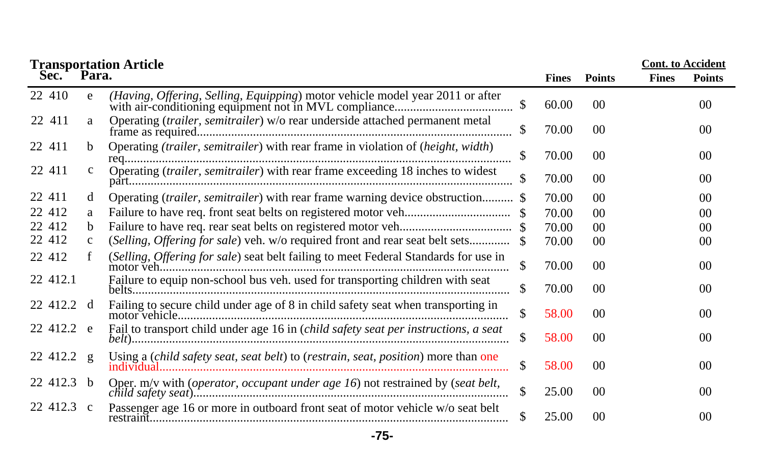| <b>Transportation Article</b> |              |                                                                                     |              |              |                 |              | <b>Cont.</b> to Accident |
|-------------------------------|--------------|-------------------------------------------------------------------------------------|--------------|--------------|-----------------|--------------|--------------------------|
| Sec.                          | Para.        |                                                                                     |              | <b>Fines</b> | <b>Points</b>   | <b>Fines</b> | <b>Points</b>            |
| 22 410                        | e            | (Having, Offering, Selling, Equipping) motor vehicle model year 2011 or after       |              | 60.00        | $00\,$          |              | 0 <sup>0</sup>           |
| 22 411                        | a            | Operating (trailer, semitrailer) w/o rear underside attached permanent metal        | \$           | 70.00        | $00\,$          |              | 00                       |
| 22 411                        | b.           | Operating (trailer, semitrailer) with rear frame in violation of (height, width)    | \$           | 70.00        | $00\,$          |              | 00                       |
| 22 411                        | $\mathbf{c}$ | Operating (trailer, semitrailer) with rear frame exceeding 18 inches to widest      |              | 70.00        | 00 <sup>0</sup> |              | 00                       |
| 22 411                        | d            | Operating (trailer, semitrailer) with rear frame warning device obstruction \$      |              | 70.00        | 00 <sup>0</sup> |              | 00                       |
| 22 412                        | a            |                                                                                     |              | 70.00        | 00 <sup>0</sup> |              | 0 <sup>0</sup>           |
| 22 412                        | b            |                                                                                     |              | 70.00        | 00 <sup>0</sup> |              | 00                       |
| 22 412                        | $\mathbf{c}$ |                                                                                     |              | 70.00        | 00 <sup>0</sup> |              | 00                       |
| 22 412                        |              | (Selling, Offering for sale) seat belt failing to meet Federal Standards for use in | \$.          | 70.00        | 0 <sup>0</sup>  |              | 0 <sup>0</sup>           |
| 22 412.1                      |              | Failure to equip non-school bus veh. used for transporting children with seat       |              | 70.00        | 00 <sup>0</sup> |              | 00                       |
| 22 412.2 d                    |              | Failing to secure child under age of 8 in child safety seat when transporting in    | $\mathbb{S}$ | 58.00        | 00 <sup>0</sup> |              | 00                       |
| 22 412.2 e                    |              | Fail to transport child under age 16 in (child safety seat per instructions, a seat | S            | 58.00        | 00 <sup>0</sup> |              | $00\,$                   |
| 22 412.2 g                    |              | Using a (child safety seat, seat belt) to (restrain, seat, position) more than one  |              | 58.00        | $00\,$          |              | 00                       |
| 22 412.3 b                    |              | Oper. m/v with (operator, occupant under age 16) not restrained by (seat belt,      | $\mathbb{S}$ | 25.00        | 00 <sup>0</sup> |              | 00                       |
| 22 412.3 c                    |              | Passenger age 16 or more in outboard front seat of motor vehicle w/o seat belt      |              | 25.00        | 00 <sup>0</sup> |              | 0 <sup>0</sup>           |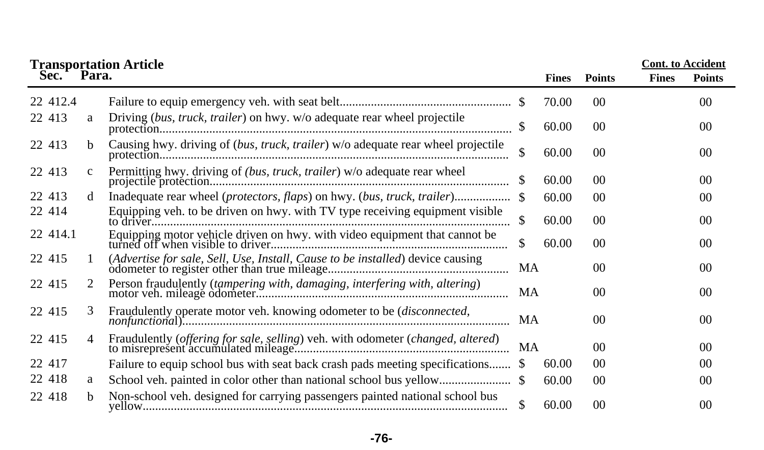|            | <b>Transportation Article</b> |                                                                                  |    |              |                | <b>Cont. to Accident</b> |                |
|------------|-------------------------------|----------------------------------------------------------------------------------|----|--------------|----------------|--------------------------|----------------|
| Sec. Para. |                               |                                                                                  |    | <b>Fines</b> | <b>Points</b>  | <b>Fines</b>             | <b>Points</b>  |
| 22 412.4   |                               |                                                                                  |    | 70.00        | 00             |                          | 00             |
| 22 413     | a                             | Driving (bus, truck, trailer) on hwy. w/o adequate rear wheel projectile         |    | 60.00        | 00             |                          | 0 <sup>0</sup> |
| 22 413     | b.                            | Causing hwy. driving of (bus, truck, trailer) w/o adequate rear wheel projectile | \$ | 60.00        | 00             |                          | 0 <sup>0</sup> |
| 22 413     | $\mathbf{c}$                  | Permitting hwy. driving of (bus, truck, trailer) w/o adequate rear wheel         |    | 60.00        | 00             |                          | 0 <sup>0</sup> |
| 22 413     | d                             |                                                                                  |    | 60.00        | 00             |                          | 00             |
| 22 414     |                               | Equipping veh. to be driven on hwy. with TV type receiving equipment visible     | \$ | 60.00        | 0 <sup>0</sup> |                          | 0 <sup>0</sup> |
| 22 414.1   |                               | Equipping motor vehicle driven on hwy. with video equipment that cannot be       | \$ | 60.00        | 00             |                          | 00             |
| 22 415     |                               |                                                                                  | MA |              | 00             |                          | 0 <sup>0</sup> |
| 22 415     | 2                             |                                                                                  | MA |              | 00             |                          | 00             |
| 22 415     | 3                             | Fraudulently operate motor veh. knowing odometer to be (disconnected,            | MA |              | 00             |                          | 00             |
| 22 415     | $\overline{4}$                | Fraudulently (offering for sale, selling) veh. with odometer (changed, altered)  | MA |              | 0 <sup>0</sup> |                          | 0 <sup>0</sup> |
| 22 417     |                               | Failure to equip school bus with seat back crash pads meeting specifications \$  |    | 60.00        | 0 <sup>0</sup> |                          | 0 <sup>0</sup> |
| 22 418     | a                             |                                                                                  |    | 60.00        | 00             |                          | 0 <sup>0</sup> |
| 22 418     | h.                            | Non-school veh. designed for carrying passengers painted national school bus     | \$ | 60.00        | 0 <sup>0</sup> |                          | 0 <sup>0</sup> |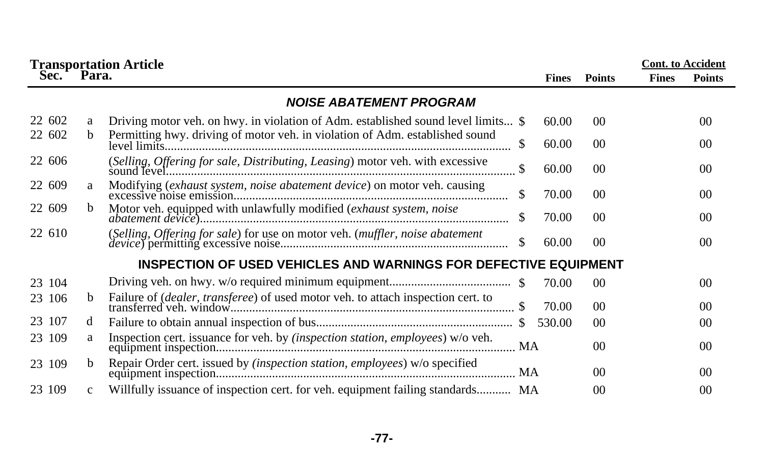|        | <b>Transportation Article</b> |                                                                                                |              |                 | <b>Cont.</b> to Accident |                |  |
|--------|-------------------------------|------------------------------------------------------------------------------------------------|--------------|-----------------|--------------------------|----------------|--|
| Sec.   | Para.                         |                                                                                                | <b>Fines</b> | <b>Points</b>   | <b>Fines</b>             | <b>Points</b>  |  |
|        |                               | <b>NOISE ABATEMENT PROGRAM</b>                                                                 |              |                 |                          |                |  |
| 22 602 | a                             | Driving motor veh. on hwy. in violation of Adm. established sound level limits \$              | 60.00        | $00\,$          |                          | 0 <sup>0</sup> |  |
| 22 602 | b.                            | Permitting hwy. driving of motor veh. in violation of Adm. established sound<br>\$             | 60.00        | $00\,$          |                          | 0 <sup>0</sup> |  |
| 22 606 |                               | (Selling, Offering for sale, Distributing, Leasing) motor veh. with excessive<br><sup>\$</sup> | 60.00        | 00 <sup>°</sup> |                          | 0 <sup>0</sup> |  |
| 22 609 | a                             | Modifying (exhaust system, noise abatement device) on motor veh. causing<br>\$.                | 70.00        | 00 <sup>°</sup> |                          | 0 <sup>0</sup> |  |
| 22 609 | b.                            | Motor veh. equipped with unlawfully modified (exhaust system, noise<br><sup>\$</sup>           | 70.00        | 00 <sup>°</sup> |                          | 0 <sup>0</sup> |  |
| 22 610 |                               | (Selling, Offering for sale) for use on motor veh. (muffler, noise abatement<br><sup>\$</sup>  | 60.00        | $00\,$          |                          | 0 <sup>0</sup> |  |
|        |                               | <b>INSPECTION OF USED VEHICLES AND WARNINGS FOR DEFECTIVE EQUIPMENT</b>                        |              |                 |                          |                |  |
| 23 104 |                               |                                                                                                | 70.00        | 00              |                          | 0 <sup>0</sup> |  |
| 23 106 | h.                            |                                                                                                | 70.00        | 0 <sup>0</sup>  |                          | 0 <sup>0</sup> |  |
| 23 107 | d                             |                                                                                                | 530.00       | $00\,$          |                          | 00             |  |
| 23 109 | a                             | Inspection cert. issuance for veh. by <i>(inspection station, employees)</i> w/o veh.          |              | 0 <sup>0</sup>  |                          | 00             |  |
| 23 109 | b.                            | Repair Order cert. issued by <i>(inspection station, employees)</i> w/o specified              |              | 00              |                          | 0 <sup>0</sup> |  |
| 23 109 | $\mathbf{c}$                  | Willfully issuance of inspection cert. for veh. equipment failing standards MA                 |              | 0 <sup>0</sup>  |                          | 00             |  |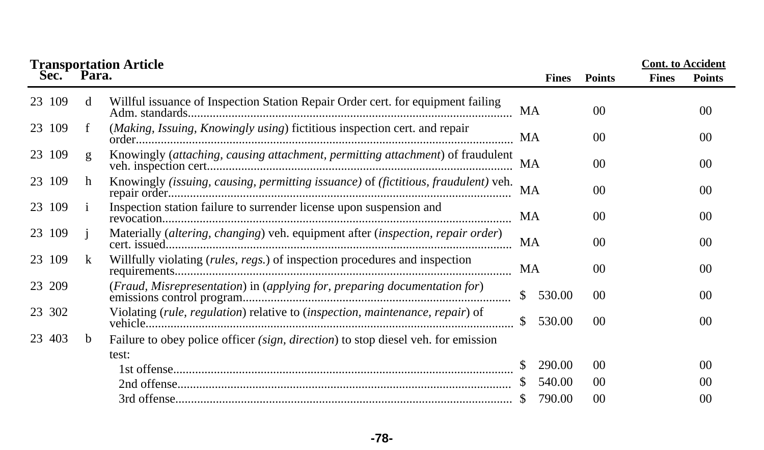|            |              | <b>Transportation Article</b>                                                            |                        |                 |              | <b>Cont. to Accident</b> |
|------------|--------------|------------------------------------------------------------------------------------------|------------------------|-----------------|--------------|--------------------------|
| Sec. Para. |              |                                                                                          | <b>Fines</b>           | <b>Points</b>   | <b>Fines</b> | <b>Points</b>            |
| 23 109     | d            | Willful issuance of Inspection Station Repair Order cert. for equipment failing          | MA                     | 00              |              | 0 <sup>0</sup>           |
| 23 109     | f            | (Making, Issuing, Knowingly using) fictitious inspection cert. and repair                | MA                     | 0 <sup>0</sup>  |              | 0 <sup>0</sup>           |
| 23 109     | g            | Knowingly (attaching, causing attachment, permitting attachment) of fraudulent           | MA                     | 0 <sup>0</sup>  |              | 0 <sup>0</sup>           |
| 23 109     | h            | Knowingly (issuing, causing, permitting issuance) of (fictitious, fraudulent) veh.       | MA                     | 00 <sup>0</sup> |              | 0 <sup>0</sup>           |
| 23 109     | $\mathbf{1}$ | Inspection station failure to surrender license upon suspension and                      | MA                     | 00              |              | 0 <sup>0</sup>           |
| 23 109     |              | Materially (altering, changing) veh. equipment after (inspection, repair order)          | <b>MA</b>              | 00              |              | 0 <sup>0</sup>           |
| 23 109     | k            | Willfully violating (rules, regs.) of inspection procedures and inspection               | MA                     | 0 <sup>0</sup>  |              | 0 <sup>0</sup>           |
| 23 209     |              | (Fraud, Misrepresentation) in (applying for, preparing documentation for)                | 530.00<br><sup>S</sup> | 00              |              | 0 <sup>0</sup>           |
| 23 302     |              | Violating (rule, regulation) relative to (inspection, maintenance, repair) of            | \$<br>530.00           | 00              |              | 0 <sup>0</sup>           |
| 23 403     | b            | Failure to obey police officer <i>(sign, direction)</i> to stop diesel veh. for emission |                        |                 |              |                          |
|            |              | test:                                                                                    |                        |                 |              |                          |
|            |              |                                                                                          | 290.00                 | 00              |              | 0 <sup>0</sup>           |
|            |              |                                                                                          | 540.00                 | 00              |              | 00                       |
|            |              |                                                                                          | 790.00                 | 00              |              | 00                       |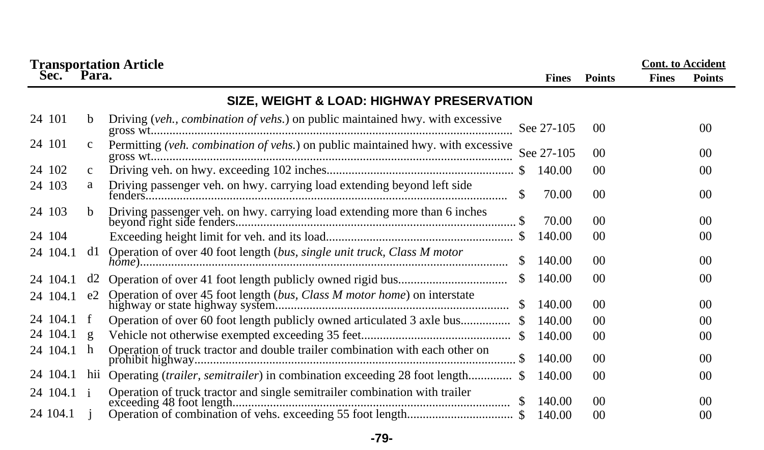|                   | <b>Transportation Article<br/>Sec. Para.</b> |                                                                                 |              |              |                 | <b>Cont.</b> to Accident |                 |
|-------------------|----------------------------------------------|---------------------------------------------------------------------------------|--------------|--------------|-----------------|--------------------------|-----------------|
|                   |                                              |                                                                                 |              | <b>Fines</b> | <b>Points</b>   | <b>Fines</b>             | <b>Points</b>   |
|                   |                                              | SIZE, WEIGHT & LOAD: HIGHWAY PRESERVATION                                       |              |              |                 |                          |                 |
| 24 101            | b.                                           | Driving (veh., combination of vehs.) on public maintained hwy. with excessive   |              | See 27-105   | 0 <sup>0</sup>  |                          | 00 <sup>2</sup> |
| 24 101            | $\mathbf{c}$                                 | Permitting (veh. combination of vehs.) on public maintained hwy. with excessive |              | See 27-105   | 00 <sup>0</sup> |                          | 00 <sup>2</sup> |
| 24 102            | $\mathbf{C}$                                 |                                                                                 |              | 140.00       | 00 <sup>0</sup> |                          | 00 <sup>0</sup> |
| 24 103            | a                                            | Driving passenger veh. on hwy. carrying load extending beyond left side         | \$.          | 70.00        | 00 <sup>0</sup> |                          | 00 <sup>0</sup> |
| 24 103            | b                                            |                                                                                 |              | 70.00        | 0 <sup>0</sup>  |                          | 00 <sup>0</sup> |
| 24 104            |                                              |                                                                                 |              | 140.00       | 0 <sup>0</sup>  |                          | 00 <sup>2</sup> |
| 24 104.1          | d1.                                          | Operation of over 40 foot length (bus, single unit truck, Class M motor         |              | 140.00       | 00 <sup>0</sup> |                          | 00 <sup>0</sup> |
| 24 104.1          | d2                                           |                                                                                 | <sup>S</sup> | 140.00       | 00 <sup>0</sup> |                          | 00 <sup>2</sup> |
| 24 104.1          | e2                                           |                                                                                 |              | 140.00       | 0 <sup>0</sup>  |                          | 00 <sup>0</sup> |
| $24 \t104.1 \t f$ |                                              |                                                                                 |              | 140.00       | 00 <sup>0</sup> |                          | 00 <sup>0</sup> |
| 24 104.1          | $\mathbf{g}$                                 |                                                                                 |              | 140.00       | 00              |                          | 00              |
| 24 104.1          | h                                            | Operation of truck tractor and double trailer combination with each other on    |              | 140.00       | 0 <sup>0</sup>  |                          | 00 <sup>0</sup> |
| 24 104.1          | hii                                          | Operating (trailer, semitrailer) in combination exceeding 28 foot length \$     |              | 140.00       | 00              |                          | 00              |
| 24 104.1 i        |                                              | Operation of truck tractor and single semitrailer combination with trailer      |              | 140.00       | 00 <sup>0</sup> |                          | 00 <sup>2</sup> |
| 24 104.1          |                                              |                                                                                 |              |              | $00\,$          |                          | 00 <sup>2</sup> |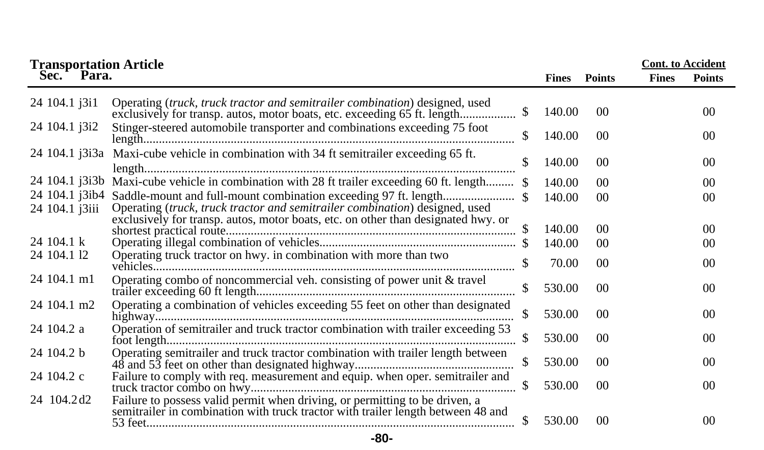|                                  | <b>Transportation Article<br/>Sec. Para.</b>                                                                                                                    |    |              |                 |              | <b>Cont.</b> to Accident |
|----------------------------------|-----------------------------------------------------------------------------------------------------------------------------------------------------------------|----|--------------|-----------------|--------------|--------------------------|
|                                  |                                                                                                                                                                 |    | <b>Fines</b> | <b>Points</b>   | <b>Fines</b> | <b>Points</b>            |
| 24 104.1 j3i1                    | Operating (truck, truck tractor and semitrailer combination) designed, used<br>exclusively for transp. autos, motor boats, etc. exceeding 65 ft. length         | \$ | 140.00       | 00 <sup>2</sup> |              | 00                       |
| 24 104.1 j3i2                    | Stinger-steered automobile transporter and combinations exceeding 75 foot                                                                                       | \$ | 140.00       | 00 <sup>2</sup> |              | 0 <sup>0</sup>           |
|                                  | 24 104.1 j3i3a Maxi-cube vehicle in combination with 34 ft semitrailer exceeding 65 ft.                                                                         |    | 140.00       | 00 <sup>2</sup> |              | 00                       |
|                                  | 24 104.1 j3i3b Maxi-cube vehicle in combination with 28 ft trailer exceeding 60 ft. length \$                                                                   |    | 140.00       | 0 <sup>0</sup>  |              | 0 <sup>0</sup>           |
| 24 104.1 j3ib4<br>24 104.1 j3iii | Operating (truck, truck tractor and semitrailer combination) designed, used                                                                                     |    | 140.00       | 00 <sup>0</sup> |              | 0 <sup>0</sup>           |
|                                  | exclusively for transp. autos, motor boats, etc. on other than designated hwy. or                                                                               |    | 140.00       | 00 <sup>2</sup> |              | 0 <sup>0</sup>           |
| $24104.1 \text{ k}$              |                                                                                                                                                                 |    | 140.00       | 00 <sup>2</sup> |              | 00                       |
| 24 104.1 12                      | Operating truck tractor on hwy. in combination with more than two                                                                                               |    | 70.00        | 0 <sup>0</sup>  |              | 0 <sup>0</sup>           |
| 24 104.1 m1                      | Operating combo of noncommercial veh. consisting of power unit & travel                                                                                         |    | 530.00       | 00              |              | 0 <sup>0</sup>           |
| 24 104.1 m2                      | Operating a combination of vehicles exceeding 55 feet on other than designated                                                                                  | \$ | 530.00       | 00 <sup>2</sup> |              | 0 <sup>0</sup>           |
| 24 104.2 a                       | Operation of semitrailer and truck tractor combination with trailer exceeding 53                                                                                |    | 530.00       | 0 <sup>0</sup>  |              | 0 <sup>0</sup>           |
| 24 104.2 b                       | Operating semitrailer and truck tractor combination with trailer length between                                                                                 |    | 530.00       | 00 <sup>2</sup> |              | 0 <sup>0</sup>           |
| 24 104.2 c                       | Failure to comply with req. measurement and equip. when oper. semitrailer and                                                                                   | \$ | 530.00       | 00 <sup>0</sup> |              | 00 <sup>0</sup>          |
| 24 104.2 d2                      | Failure to possess valid permit when driving, or permitting to be driven, a<br>semitrailer in combination with truck tractor with trailer length between 48 and |    | 530.00       | 0 <sup>0</sup>  |              | 00                       |

**-80-**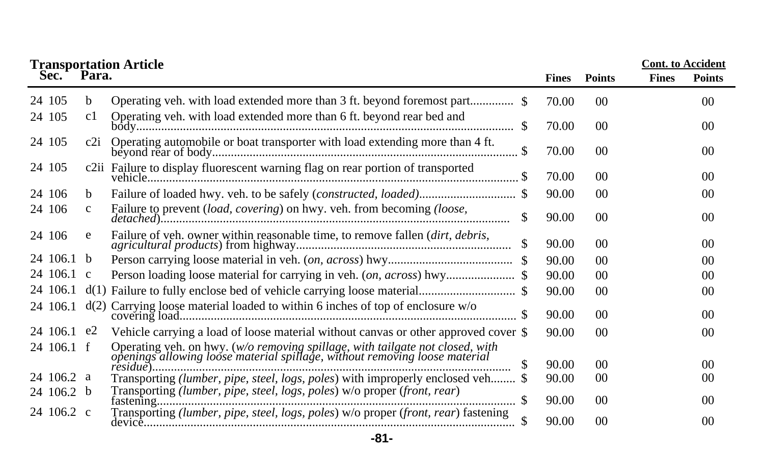|             |              | <b>Transportation Article<br/>Sec. Para.</b>                                                                                                                                                      |              |                 | <b>Cont.</b> to Accident |                |
|-------------|--------------|---------------------------------------------------------------------------------------------------------------------------------------------------------------------------------------------------|--------------|-----------------|--------------------------|----------------|
|             |              |                                                                                                                                                                                                   | <b>Fines</b> | <b>Points</b>   | <b>Fines</b>             | <b>Points</b>  |
| 24 105      | b            |                                                                                                                                                                                                   | 70.00        | 00 <sup>0</sup> |                          | 0 <sup>0</sup> |
| 24 105      | c1           | Operating veh. with load extended more than 6 ft. beyond rear bed and<br>\$.                                                                                                                      | 70.00        | 00 <sup>0</sup> |                          | 0 <sup>0</sup> |
| 24 105      | c2i          | Operating automobile or boat transporter with load extending more than 4 ft.                                                                                                                      | 70.00        | 0 <sup>0</sup>  |                          | 0 <sup>0</sup> |
| 24 105      |              | c2ii Failure to display fluorescent warning flag on rear portion of transported                                                                                                                   | 70.00        | 00 <sup>2</sup> |                          | 0 <sup>0</sup> |
| 24 106      | b            |                                                                                                                                                                                                   | 90.00        | $00\,$          |                          | $00\,$         |
| 24 106      | $\mathbf{c}$ | Failure to prevent (load, covering) on hwy. veh. from becoming (loose,<br>\$                                                                                                                      | 90.00        | 00 <sup>0</sup> |                          | $00\,$         |
| 24 106      | e            | Failure of veh. owner within reasonable time, to remove fallen (dirt, debris,                                                                                                                     | 90.00        | 00 <sup>0</sup> |                          | 0 <sup>0</sup> |
| 24 106.1    | b            |                                                                                                                                                                                                   | 90.00        | 00              |                          | 00             |
| 24 106.1 c  |              |                                                                                                                                                                                                   | 90.00        | 00 <sup>2</sup> |                          | 0 <sup>0</sup> |
| 24 106.1    | d(1)         |                                                                                                                                                                                                   | 90.00        | 00 <sup>2</sup> |                          | 00             |
| 24 106.1    | d(2)         | Carrying loose material loaded to within 6 inches of top of enclosure w/o                                                                                                                         | 90.00        | $00\,$          |                          | 0 <sup>0</sup> |
| 24 106.1 e2 |              | Vehicle carrying a load of loose material without canvas or other approved cover \$                                                                                                               | 90.00        | 00 <sup>0</sup> |                          | 00             |
| 24 106.1 f  |              | Operating veh. on hwy. (w/o removing spillage, with tailgate not closed, with openings allowing loose material spillage, without removing loose material<br>$r \cdot i \cdot d \cdot \cdot \cdot$ | 90.00        | 00 <sup>0</sup> |                          | $00\,$         |
| 24 106.2 a  |              | Transporting (lumber, pipe, steel, logs, poles) with improperly enclosed veh \$                                                                                                                   | 90.00        | 00              |                          | 00             |
| 24 106.2 b  |              | Transporting (lumber, pipe, steel, logs, poles) w/o proper (front, rear)                                                                                                                          | 90.00        | 0 <sup>0</sup>  |                          | 0 <sup>0</sup> |
| 24 106.2 c  |              | Transporting (lumber, pipe, steel, logs, poles) w/o proper (front, rear) fastening                                                                                                                | 90.00        | 0 <sup>0</sup>  |                          | $00\,$         |

**-81-**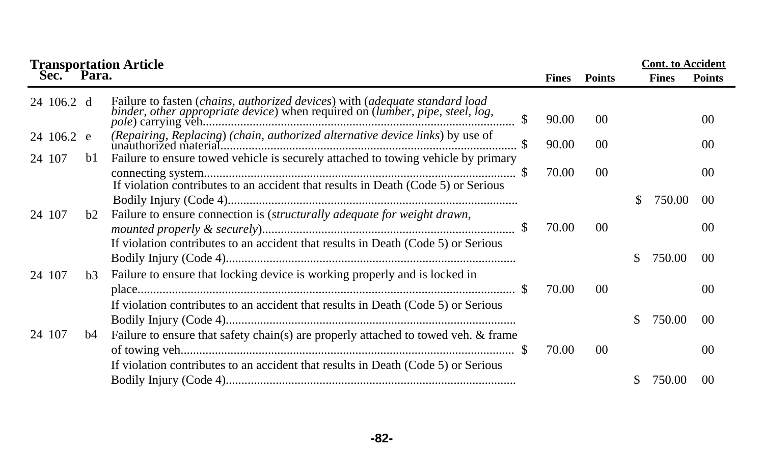|            |                | <b>Transportation Article</b>                                                                                                                                 |              | <b>Cont.</b> to Accident |    |              |                |
|------------|----------------|---------------------------------------------------------------------------------------------------------------------------------------------------------------|--------------|--------------------------|----|--------------|----------------|
| Sec.       | Para.          |                                                                                                                                                               | <b>Fines</b> | <b>Points</b>            |    | <b>Fines</b> | <b>Points</b>  |
| 24 106.2 d |                | Failure to fasten (chains, authorized devices) with (adequate standard load binder, other appropriate device) when required on (lumber, pipe, steel, log,     | 90.00        | 00 <sup>0</sup>          |    |              | 0 <sup>0</sup> |
| 24 106.2 e |                |                                                                                                                                                               | 90.00        | 0 <sup>0</sup>           |    |              | 0 <sup>0</sup> |
| 24 107     | b1             | Failure to ensure towed vehicle is securely attached to towing vehicle by primary                                                                             | 70.00        | 0 <sup>0</sup>           |    |              | 0 <sup>0</sup> |
| 24 107     | b2             | If violation contributes to an accident that results in Death (Code 5) or Serious<br>Failure to ensure connection is (structurally adequate for weight drawn, |              |                          | S. | 750.00       | 0 <sup>0</sup> |
|            |                |                                                                                                                                                               | 70.00        | 0 <sup>0</sup>           |    |              | 0 <sup>0</sup> |
|            |                | If violation contributes to an accident that results in Death (Code 5) or Serious                                                                             |              |                          | S. | 750.00       | 0 <sup>0</sup> |
| 24 107     | b <sub>3</sub> | Failure to ensure that locking device is working properly and is locked in                                                                                    | 70.00        | 0 <sup>0</sup>           |    |              | 0 <sup>0</sup> |
|            |                | If violation contributes to an accident that results in Death (Code 5) or Serious                                                                             |              |                          | S. | 750.00       | 00             |
| 24 107     | b4             | Failure to ensure that safety chain(s) are properly attached to towed veh. & frame                                                                            | 70.00        | 0 <sup>0</sup>           |    |              | 0 <sup>0</sup> |
|            |                | If violation contributes to an accident that results in Death (Code 5) or Serious                                                                             |              |                          |    | 750.00       | 00             |

**-82-**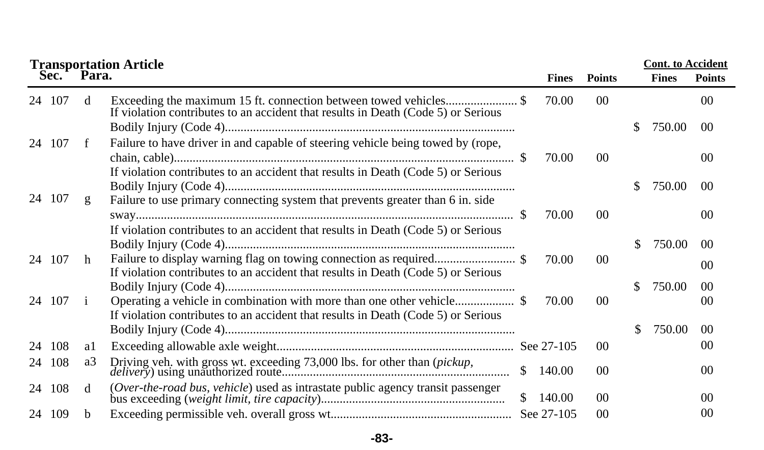|    | <b>Transportation Article</b> |              |                                                                                                                                                                      |              |              |                 |     |              | <b>Cont.</b> to Accident |  |  |
|----|-------------------------------|--------------|----------------------------------------------------------------------------------------------------------------------------------------------------------------------|--------------|--------------|-----------------|-----|--------------|--------------------------|--|--|
|    | Sec. <sup>1</sup>             | Para.        |                                                                                                                                                                      |              | <b>Fines</b> | <b>Points</b>   |     | <b>Fines</b> | <b>Points</b>            |  |  |
|    | 24 107                        | d            | Exceeding the maximum 15 ft. connection between towed vehicles\$<br>If violation contributes to an accident that results in Death (Code 5) or Serious                |              | 70.00        | 00 <sup>0</sup> |     |              | 00 <sup>0</sup>          |  |  |
|    |                               |              |                                                                                                                                                                      |              |              |                 | \$. | 750.00       | 00 <sup>0</sup>          |  |  |
|    | 24 107                        | f            | Failure to have driver in and capable of steering vehicle being towed by (rope,<br>If violation contributes to an accident that results in Death (Code 5) or Serious |              | 70.00        | 0 <sup>0</sup>  |     |              | 00 <sup>2</sup>          |  |  |
|    |                               |              |                                                                                                                                                                      |              |              |                 | S.  | 750.00       | 00                       |  |  |
|    | 24 107                        | g            | Failure to use primary connecting system that prevents greater than 6 in. side                                                                                       |              | 70.00        | 0 <sup>0</sup>  |     |              | 00 <sup>0</sup>          |  |  |
|    |                               |              | If violation contributes to an accident that results in Death (Code 5) or Serious                                                                                    |              |              |                 |     |              |                          |  |  |
|    |                               |              |                                                                                                                                                                      |              |              |                 | \$  | 750.00       | 0 <sup>0</sup>           |  |  |
|    | 24 107                        | h            | If violation contributes to an accident that results in Death (Code 5) or Serious                                                                                    |              | 70.00        | 0 <sup>0</sup>  |     |              | 00                       |  |  |
|    |                               |              |                                                                                                                                                                      |              |              |                 | S.  | 750.00       | 00 <sup>2</sup>          |  |  |
|    | 24 107                        | $\mathbf{1}$ | If violation contributes to an accident that results in Death (Code 5) or Serious                                                                                    |              | 70.00        | 0 <sup>0</sup>  |     |              | 00                       |  |  |
|    |                               |              |                                                                                                                                                                      |              |              |                 | S.  | 750.00       | 00 <sup>0</sup>          |  |  |
| 24 | -108                          | al           |                                                                                                                                                                      |              |              | 0 <sup>0</sup>  |     |              | 00                       |  |  |
|    | 24 108                        | a3           |                                                                                                                                                                      | \$           | 140.00       | 0 <sup>0</sup>  |     |              | 00 <sup>0</sup>          |  |  |
|    | 24 108                        | d            | (Over-the-road bus, vehicle) used as intrastate public agency transit passenger                                                                                      | $\mathbb{S}$ | 140.00       | 00 <sup>2</sup> |     |              | 00 <sup>0</sup>          |  |  |
|    | 24 109                        | b            |                                                                                                                                                                      |              | See 27-105   | 00              |     |              | 0 <sup>0</sup>           |  |  |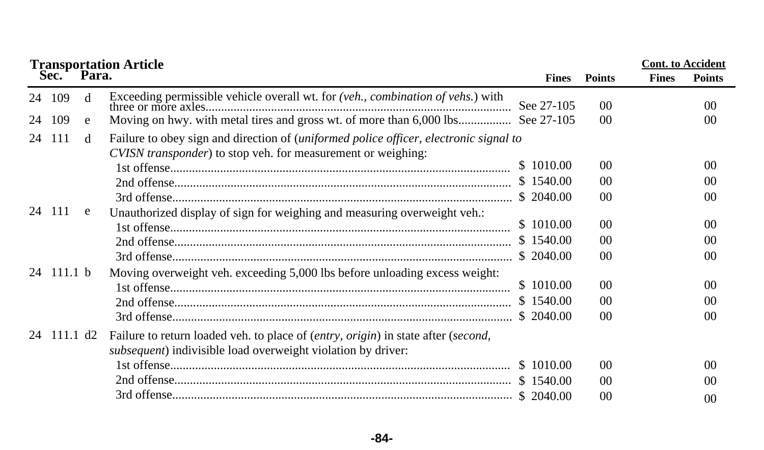|    | <b>Transportation Article</b> |              | <b>Cont.</b> to Accident                                                                                                                              |                        |                                        |              |                                        |
|----|-------------------------------|--------------|-------------------------------------------------------------------------------------------------------------------------------------------------------|------------------------|----------------------------------------|--------------|----------------------------------------|
|    | Sec.                          | Para.        |                                                                                                                                                       | <b>Fines</b>           | <b>Points</b>                          | <b>Fines</b> | <b>Points</b>                          |
|    | 24 109                        | <sub>d</sub> | Exceeding permissible vehicle overall wt. for (veh., combination of vehs.) with                                                                       |                        | $00\,$                                 |              | 00 <sup>2</sup>                        |
| 24 | 109                           | e            |                                                                                                                                                       |                        | 0 <sup>0</sup>                         |              | 00                                     |
|    | 24 111                        | d            | Failure to obey sign and direction of (uniformed police officer, electronic signal to<br>CVISN transponder) to stop veh. for measurement or weighing: |                        |                                        |              |                                        |
|    |                               |              |                                                                                                                                                       | \$1010.00              | 0 <sup>0</sup>                         |              | 00                                     |
|    |                               |              |                                                                                                                                                       | \$1540.00              | 0 <sup>0</sup>                         |              | 00                                     |
|    |                               |              |                                                                                                                                                       |                        | 0 <sup>0</sup>                         |              | 0 <sup>0</sup>                         |
|    | 24 111                        | e            | Unauthorized display of sign for weighing and measuring overweight veh.:                                                                              | \$1010.00<br>\$1540.00 | 0 <sup>0</sup><br>00<br>0 <sup>0</sup> |              | 0 <sup>0</sup><br>00<br>0 <sup>0</sup> |
|    | 24 111.1 b                    |              | Moving overweight veh. exceeding 5,000 lbs before unloading excess weight:                                                                            | \$1010.00              | 0 <sup>0</sup>                         |              | 00                                     |
|    |                               |              |                                                                                                                                                       | \$1540.00<br>\$2040.00 | 00<br>0 <sup>0</sup>                   |              | 00<br>00                               |
|    | 24 111.1 d2                   |              | Failure to return loaded veh. to place of (entry, origin) in state after (second,<br>subsequent) indivisible load overweight violation by driver:     |                        |                                        |              |                                        |
|    |                               |              |                                                                                                                                                       |                        | 0 <sup>0</sup>                         |              | 0 <sup>0</sup>                         |
|    |                               |              |                                                                                                                                                       |                        | 00                                     |              | 00                                     |
|    |                               |              |                                                                                                                                                       |                        | 0 <sup>0</sup>                         |              | 00                                     |

**-84-**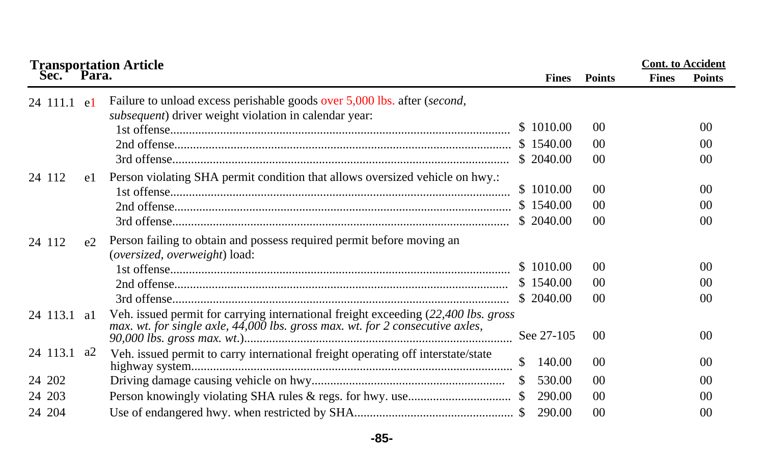|                          | <b>Transportation Article<br/>Sec. Para.</b>                                                                                                                        |              |                                        | <b>Cont.</b> to Accident |                                  |
|--------------------------|---------------------------------------------------------------------------------------------------------------------------------------------------------------------|--------------|----------------------------------------|--------------------------|----------------------------------|
|                          |                                                                                                                                                                     | <b>Fines</b> | <b>Points</b>                          | <b>Fines</b>             | <b>Points</b>                    |
| 24 111.1 e1              | Failure to unload excess perishable goods over 5,000 lbs. after (second,<br>subsequent) driver weight violation in calendar year:                                   | \$1010.00    | 00<br>0 <sup>0</sup>                   |                          | 0 <sup>0</sup><br>0 <sup>0</sup> |
|                          |                                                                                                                                                                     |              | 0 <sup>0</sup>                         |                          | 0 <sup>0</sup>                   |
| 24 112<br>e1             | Person violating SHA permit condition that allows oversized vehicle on hwy.:                                                                                        | \$1010.00    | 0 <sup>0</sup><br>0 <sup>0</sup><br>00 |                          | 0 <sup>0</sup><br>00<br>00       |
| 24 112<br>e <sub>2</sub> | Person failing to obtain and possess required permit before moving an<br>(oversized, overweight) load:                                                              |              |                                        |                          |                                  |
|                          |                                                                                                                                                                     | \$1010.00    | 00                                     |                          | 00                               |
|                          |                                                                                                                                                                     | \$1540.00    | 00                                     |                          | 00                               |
|                          |                                                                                                                                                                     | \$2040.00    | 00                                     |                          | 0 <sup>0</sup>                   |
| 24 113.1 a1              | Veh. issued permit for carrying international freight exceeding (22,400 lbs. gross<br>max. wt. for single axle, 44,000 lbs. gross max. wt. for 2 consecutive axles, | See 27-105   | 00                                     |                          | 0 <sup>0</sup>                   |
| 24 113.1 a2              | Veh. issued permit to carry international freight operating off interstate/state                                                                                    | 140.00<br>\$ | 00                                     |                          | 0 <sup>0</sup>                   |
| 24 202                   |                                                                                                                                                                     | 530.00       | 0 <sup>0</sup>                         |                          | 00                               |
| 24 203                   |                                                                                                                                                                     | 290.00       | 00                                     |                          | 00                               |
| 24 204                   |                                                                                                                                                                     | 290.00       | 0 <sup>0</sup>                         |                          | 0 <sup>0</sup>                   |

**-85-**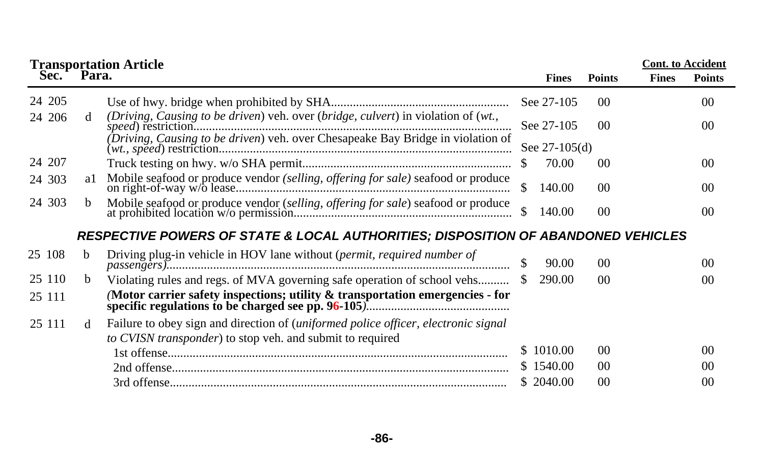|         |              | <b>Transportation Article<br/>Sec. Para.</b>                                                 |    |                 |                 | <b>Cont.</b> to Accident |                |
|---------|--------------|----------------------------------------------------------------------------------------------|----|-----------------|-----------------|--------------------------|----------------|
|         |              |                                                                                              |    | <b>Fines</b>    | <b>Points</b>   | <b>Fines</b>             | <b>Points</b>  |
| 24 205  |              |                                                                                              |    | See 27-105      | 00              |                          | 0 <sup>0</sup> |
| 24 20 6 | d            | (Driving, Causing to be driven) veh. over (bridge, culvert) in violation of (wt.,            |    | See 27-105      | 0 <sup>0</sup>  |                          | 00             |
|         |              | $(Driving, \textit{Causing to be driven})$ veh. over Chesapeake Bay Bridge in violation of   |    | See $27-105(d)$ |                 |                          |                |
| 24 207  |              |                                                                                              |    | 70.00           | $00\,$          |                          | 0 <sup>0</sup> |
| 24 303  | a1           | Mobile seafood or produce vendor (selling, offering for sale) seafood or produce             | S  | 140.00          | 00 <sup>°</sup> |                          | 0 <sup>0</sup> |
| 24 303  | b            |                                                                                              | \$ | 140.00          | 0 <sup>0</sup>  |                          | 0 <sup>0</sup> |
|         |              | <b>RESPECTIVE POWERS OF STATE &amp; LOCAL AUTHORITIES; DISPOSITION OF ABANDONED VEHICLES</b> |    |                 |                 |                          |                |
| 25 108  | h            | Driving plug-in vehicle in HOV lane without (permit, required number of                      | \$ | 90.00           | 0 <sup>0</sup>  |                          | 0 <sup>0</sup> |
| 25 110  | b.           | Violating rules and regs. of MVA governing safe operation of school vehs                     |    | 290.00          | 0 <sup>0</sup>  |                          | 0 <sup>0</sup> |
| 25 111  |              | (Motor carrier safety inspections; utility & transportation emergencies - for                |    |                 |                 |                          |                |
| 25 111  | <sub>d</sub> | Failure to obey sign and direction of <i>(uniformed police officer, electronic signal</i> )  |    |                 |                 |                          |                |
|         |              | to CVISN transponder) to stop veh. and submit to required                                    |    |                 |                 |                          |                |
|         |              |                                                                                              |    | \$1010.00       | 00 <sup>°</sup> |                          | 0 <sup>0</sup> |
|         |              |                                                                                              |    | \$1540.00       | 00 <sup>°</sup> |                          | 0 <sup>0</sup> |
|         |              |                                                                                              |    | \$ 2040.00      | 0 <sup>0</sup>  |                          | 0 <sup>0</sup> |

**-86-**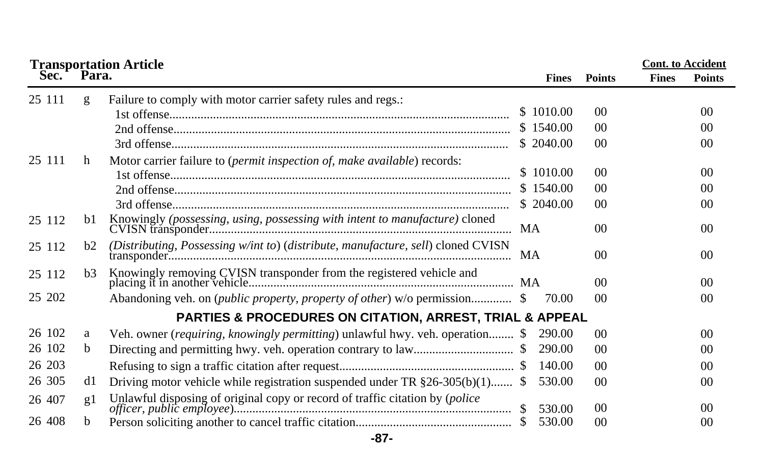| <b>Transportation Article<br/>Sec. Para.</b> |                |                                                                                       |  |              |                |              | <b>Cont.</b> to Accident |
|----------------------------------------------|----------------|---------------------------------------------------------------------------------------|--|--------------|----------------|--------------|--------------------------|
|                                              |                |                                                                                       |  | <b>Fines</b> | <b>Points</b>  | <b>Fines</b> | <b>Points</b>            |
| 25 111                                       | g              | Failure to comply with motor carrier safety rules and regs.:                          |  |              |                |              |                          |
|                                              |                |                                                                                       |  | \$1010.00    | 0 <sup>0</sup> |              | 0 <sup>0</sup>           |
|                                              |                |                                                                                       |  | \$1540.00    | 00             |              | 00                       |
|                                              |                |                                                                                       |  | \$2040.00    | 0 <sup>0</sup> |              | 0 <sup>0</sup>           |
| 25 111                                       | h              | Motor carrier failure to (permit inspection of, make available) records:              |  |              |                |              |                          |
|                                              |                |                                                                                       |  | \$1010.00    | 0 <sup>0</sup> |              | 00                       |
|                                              |                |                                                                                       |  | \$1540.00    | 00             |              | 0 <sup>0</sup>           |
|                                              |                |                                                                                       |  | \$ 2040.00   | 0 <sup>0</sup> |              | 0 <sup>0</sup>           |
| 25 112                                       | b1             |                                                                                       |  |              | 0 <sup>0</sup> |              | 00                       |
| 25 112                                       | b <sub>2</sub> | (Distributing, Possessing w/int to) (distribute, manufacture, sell) cloned CVISN      |  |              | 0 <sup>0</sup> |              | 0 <sup>0</sup>           |
| 25 112                                       | b3             |                                                                                       |  |              | 0 <sup>0</sup> |              | 0 <sup>0</sup>           |
| 25 202                                       |                | Abandoning veh. on <i>(public property, property of other)</i> w/o permission \$      |  | 70.00        | 0 <sup>0</sup> |              | 0 <sup>0</sup>           |
|                                              |                | <b>PARTIES &amp; PROCEDURES ON CITATION, ARREST, TRIAL &amp; APPEAL</b>               |  |              |                |              |                          |
| 26 102                                       | a              | Veh. owner ( <i>requiring, knowingly permitting</i> ) unlawful hwy. veh. operation \$ |  | 290.00       | 0 <sup>0</sup> |              | 00                       |
| 26 102                                       | b              |                                                                                       |  | 290.00       | 0 <sup>0</sup> |              | 0 <sup>0</sup>           |
| 26 203                                       |                |                                                                                       |  | 140.00       | 0 <sup>0</sup> |              | 00                       |
| 26 30 5                                      | d1             | Driving motor vehicle while registration suspended under TR $\S26-305(b)(1)$ \$       |  | 530.00       | 0 <sup>0</sup> |              | 0 <sup>0</sup>           |
| 26 407                                       | g1             |                                                                                       |  | 530.00       | 00             |              | 0 <sup>0</sup>           |
| 26 408                                       | b              |                                                                                       |  | 530.00       | 0 <sup>0</sup> |              | 0 <sup>0</sup>           |

**-87-**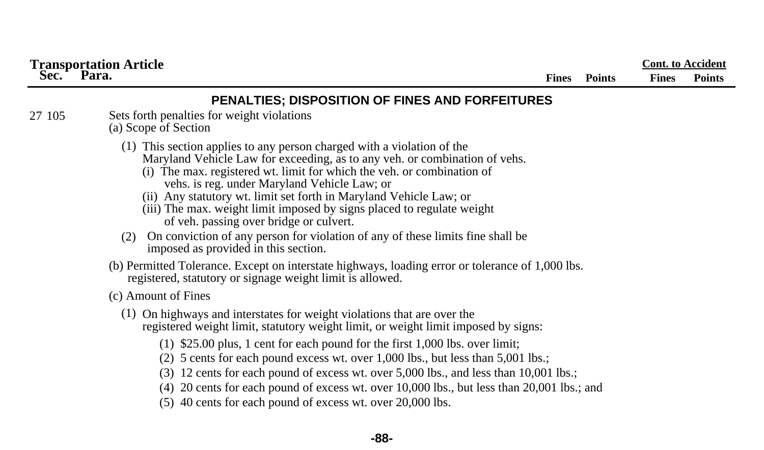|        | <b>Transportation Article</b>                                                                                                                                                                                                                                                                                                                                                                                                                                                                                                                                                                              |              |               |              | <b>Cont.</b> to Accident |
|--------|------------------------------------------------------------------------------------------------------------------------------------------------------------------------------------------------------------------------------------------------------------------------------------------------------------------------------------------------------------------------------------------------------------------------------------------------------------------------------------------------------------------------------------------------------------------------------------------------------------|--------------|---------------|--------------|--------------------------|
| Sec.   | Para.                                                                                                                                                                                                                                                                                                                                                                                                                                                                                                                                                                                                      | <b>Fines</b> | <b>Points</b> | <b>Fines</b> | <b>Points</b>            |
|        | PENALTIES; DISPOSITION OF FINES AND FORFEITURES                                                                                                                                                                                                                                                                                                                                                                                                                                                                                                                                                            |              |               |              |                          |
| 27 105 | Sets forth penalties for weight violations<br>(a) Scope of Section                                                                                                                                                                                                                                                                                                                                                                                                                                                                                                                                         |              |               |              |                          |
|        | (1) This section applies to any person charged with a violation of the<br>Maryland Vehicle Law for exceeding, as to any veh. or combination of vehs.<br>(i) The max. registered wt. limit for which the veh. or combination of<br>vehs. is reg. under Maryland Vehicle Law; or<br>(ii) Any statutory wt. limit set forth in Maryland Vehicle Law; or<br>(iii) The max. weight limit imposed by signs placed to regulate weight<br>of veh. passing over bridge or culvert.<br>On conviction of any person for violation of any of these limits fine shall be<br>(2)<br>imposed as provided in this section. |              |               |              |                          |
|        | (b) Permitted Tolerance. Except on interstate highways, loading error or tolerance of 1,000 lbs.<br>registered, statutory or signage weight limit is allowed.                                                                                                                                                                                                                                                                                                                                                                                                                                              |              |               |              |                          |
|        | (c) Amount of Fines                                                                                                                                                                                                                                                                                                                                                                                                                                                                                                                                                                                        |              |               |              |                          |
|        | (1) On highways and interstates for weight violations that are over the<br>registered weight limit, statutory weight limit, or weight limit imposed by signs:<br>$(1)$ \$25.00 plus, 1 cent for each pound for the first 1,000 lbs. over limit;<br>$(2)$ 5 cents for each pound excess wt. over 1,000 lbs., but less than 5,001 lbs.;<br>$(3)$ 12 cents for each pound of excess wt. over 5,000 lbs., and less than 10,001 lbs.;                                                                                                                                                                           |              |               |              |                          |
|        | $(4)$ 20 cents for each pound of excess wt. over 10,000 lbs., but less than 20,001 lbs.; and<br>$(5)$ 40 cents for each pound of excess wt. over 20,000 lbs.                                                                                                                                                                                                                                                                                                                                                                                                                                               |              |               |              |                          |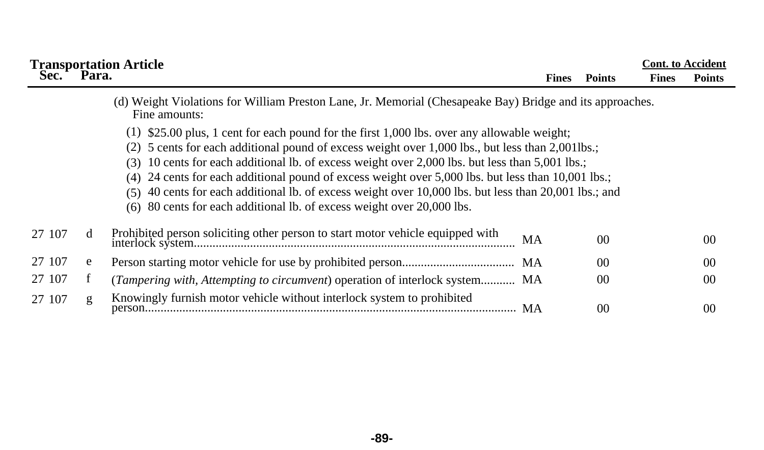|        |       | <b>Transportation Article</b>                                                                                                                                                                                                                                                                                                                                                                                                                                                                                                                                                             |              |                | <b>Cont.</b> to Accident |                 |
|--------|-------|-------------------------------------------------------------------------------------------------------------------------------------------------------------------------------------------------------------------------------------------------------------------------------------------------------------------------------------------------------------------------------------------------------------------------------------------------------------------------------------------------------------------------------------------------------------------------------------------|--------------|----------------|--------------------------|-----------------|
| Sec.   | Para. |                                                                                                                                                                                                                                                                                                                                                                                                                                                                                                                                                                                           | <b>Fines</b> | <b>Points</b>  | <b>Fines</b>             | <b>Points</b>   |
|        |       | (d) Weight Violations for William Preston Lane, Jr. Memorial (Chesapeake Bay) Bridge and its approaches.<br>Fine amounts:                                                                                                                                                                                                                                                                                                                                                                                                                                                                 |              |                |                          |                 |
|        |       | $(1)$ \$25.00 plus, 1 cent for each pound for the first 1,000 lbs. over any allowable weight;<br>5 cents for each additional pound of excess weight over 1,000 lbs., but less than 2,001lbs.;<br>(3) 10 cents for each additional lb. of excess weight over 2,000 lbs. but less than 5,001 lbs.;<br>(4) 24 cents for each additional pound of excess weight over 5,000 lbs. but less than 10,001 lbs.;<br>(5) 40 cents for each additional lb. of excess weight over 10,000 lbs. but less than 20,001 lbs.; and<br>(6) 80 cents for each additional lb. of excess weight over 20,000 lbs. |              |                |                          |                 |
| 27 107 | d     | Prohibited person soliciting other person to start motor vehicle equipped with                                                                                                                                                                                                                                                                                                                                                                                                                                                                                                            | MA           | 0 <sup>0</sup> |                          | 00 <sup>2</sup> |
| 27 107 | e     |                                                                                                                                                                                                                                                                                                                                                                                                                                                                                                                                                                                           |              | 0 <sup>0</sup> |                          | 00 <sup>2</sup> |
| 27 107 | f     | ( <i>Tampering with, Attempting to circumvent</i> ) operation of interlock system MA                                                                                                                                                                                                                                                                                                                                                                                                                                                                                                      |              | 0 <sup>0</sup> |                          | 00 <sup>2</sup> |
| 27 107 | g     | Knowingly furnish motor vehicle without interlock system to prohibited<br>MA                                                                                                                                                                                                                                                                                                                                                                                                                                                                                                              |              | 0 <sup>0</sup> |                          | 00 <sup>2</sup> |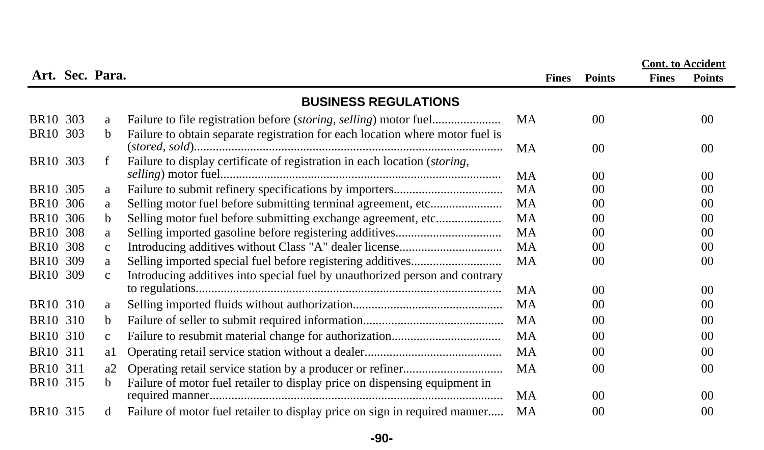|                      |     |                 |                                                                                    |           |              |                |              | <b>Cont.</b> to Accident |
|----------------------|-----|-----------------|------------------------------------------------------------------------------------|-----------|--------------|----------------|--------------|--------------------------|
|                      |     | Art. Sec. Para. |                                                                                    |           | <b>Fines</b> | <b>Points</b>  | <b>Fines</b> | <b>Points</b>            |
|                      |     |                 | <b>BUSINESS REGULATIONS</b>                                                        |           |              |                |              |                          |
| BR10 303             |     | a               |                                                                                    | MA        |              | 0 <sup>0</sup> |              | 00                       |
| BR <sub>10</sub> 303 |     | b               | Failure to obtain separate registration for each location where motor fuel is      |           |              |                |              |                          |
|                      |     |                 |                                                                                    | MA        |              | 00             |              | 00                       |
| BR <sub>10</sub> 303 |     | f               | Failure to display certificate of registration in each location ( <i>storing</i> , |           |              |                |              |                          |
|                      |     |                 |                                                                                    | <b>MA</b> |              | 00             |              | 00                       |
| BR <sub>10</sub> 305 |     | a               |                                                                                    | <b>MA</b> |              | 0 <sup>0</sup> |              | 0 <sup>0</sup>           |
| BR <sub>10</sub>     | 306 | a               | Selling motor fuel before submitting terminal agreement, etc                       | MA        |              | 00             |              | 0 <sup>0</sup>           |
| <b>BR10</b>          | 306 | b               | Selling motor fuel before submitting exchange agreement, etc                       | <b>MA</b> |              | 00             |              | 0 <sup>0</sup>           |
| <b>BR10</b>          | 308 | a               |                                                                                    | <b>MA</b> |              | 00             |              | 0 <sup>0</sup>           |
| <b>BR10</b>          | 308 | $\mathbf{C}$    |                                                                                    | <b>MA</b> |              | 0 <sup>0</sup> |              | 0 <sup>0</sup>           |
| BR <sub>10</sub> 309 |     | a               |                                                                                    | <b>MA</b> |              | 0 <sup>0</sup> |              | 0 <sup>0</sup>           |
| BR10 309             |     | $\mathbf{C}$    | Introducing additives into special fuel by unauthorized person and contrary        |           |              |                |              |                          |
|                      |     |                 |                                                                                    | MA        |              | 00             |              | 00                       |
| BR <sub>10</sub> 310 |     | a               |                                                                                    | MA        |              | 0 <sup>0</sup> |              | 0 <sup>0</sup>           |
| BR10 310             |     | b               |                                                                                    | MA        |              | 0 <sup>0</sup> |              | 0 <sup>0</sup>           |
| BR10 310             |     | $\mathbf{C}$    |                                                                                    | MA        |              | 0 <sup>0</sup> |              | 00                       |
| BR10 311             |     | al              |                                                                                    | MA        |              | 0 <sup>0</sup> |              | 00                       |
| BR10 311             |     | a2              |                                                                                    | MA        |              | 00             |              | 0 <sup>0</sup>           |
| BR10 315             |     | b               | Failure of motor fuel retailer to display price on dispensing equipment in         |           |              |                |              |                          |
|                      |     |                 |                                                                                    | MA        |              | 0 <sup>0</sup> |              | 00                       |
| BR <sub>10</sub> 315 |     | d               | Failure of motor fuel retailer to display price on sign in required manner         | MA        |              | 0 <sup>0</sup> |              | 0 <sup>0</sup>           |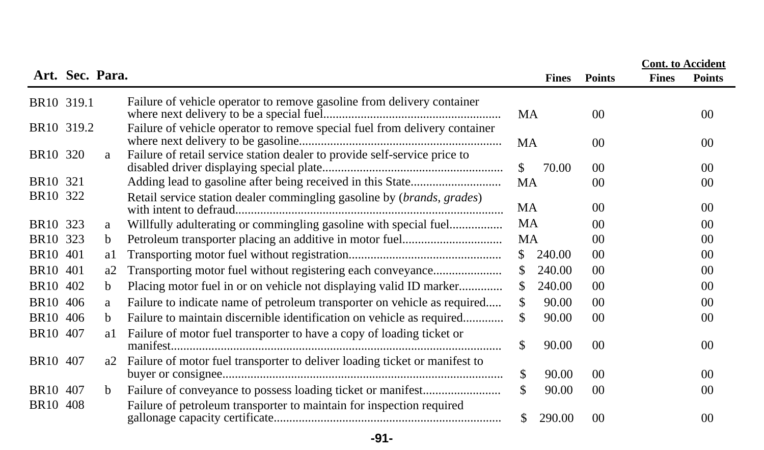|                        |                 |             |                                                                               |               |              |                | <b>Cont.</b> to Accident |                 |
|------------------------|-----------------|-------------|-------------------------------------------------------------------------------|---------------|--------------|----------------|--------------------------|-----------------|
|                        | Art. Sec. Para. |             |                                                                               |               | <b>Fines</b> | <b>Points</b>  | <b>Fines</b>             | <b>Points</b>   |
| BR10 319.1             |                 |             | Failure of vehicle operator to remove gasoline from delivery container        | MA            |              | 0 <sup>0</sup> |                          | 00              |
| BR <sub>10</sub> 319.2 |                 |             | Failure of vehicle operator to remove special fuel from delivery container    | MA            |              | 00             |                          | 00              |
| BR <sub>10</sub> 320   |                 | a           | Failure of retail service station dealer to provide self-service price to     | \$            | 70.00        | 00             |                          | 00 <sup>0</sup> |
| BR <sub>10</sub> 321   |                 |             |                                                                               | MA            |              | 00             |                          | 00              |
| BR10 322               |                 |             | Retail service station dealer commingling gasoline by (brands, grades)        | MA            |              | 0 <sup>0</sup> |                          | 00              |
| BR <sub>10</sub> 323   |                 | a           | Willfully adulterating or commingling gasoline with special fuel              | MA            |              | 0 <sup>0</sup> |                          | 00              |
| BR10 323               |                 | $\mathbf b$ |                                                                               | MA            |              | 0 <sup>0</sup> |                          | 00              |
| BR <sub>10</sub> 401   |                 | al          |                                                                               | <sup>\$</sup> | 240.00       | 00             |                          | 00              |
| BR10 401               |                 | a2          | Transporting motor fuel without registering each conveyance                   | \$.           | 240.00       | 00             |                          | 00              |
| BR10 402               |                 | b           | Placing motor fuel in or on vehicle not displaying valid ID marker            | \$.           | 240.00       | $00\,$         |                          | 00              |
| BR10 406               |                 | a           | Failure to indicate name of petroleum transporter on vehicle as required      | \$            | 90.00        | 0 <sup>0</sup> |                          | 00              |
| <b>BR10</b>            | 406             | b.          | Failure to maintain discernible identification on vehicle as required         | S             | 90.00        | 0 <sup>0</sup> |                          | 00              |
| BR10 407               |                 | al          | Failure of motor fuel transporter to have a copy of loading ticket or         | \$            | 90.00        | 0 <sup>0</sup> |                          | 00              |
| BR <sub>10</sub> 407   |                 |             | a2 Failure of motor fuel transporter to deliver loading ticket or manifest to | \$.           | 90.00        | 0 <sup>0</sup> |                          | 00 <sup>2</sup> |
| BR <sub>10</sub> 407   |                 | b           |                                                                               | \$.           | 90.00        | 00             |                          | 00              |
| BR <sub>10</sub>       | 408             |             | Failure of petroleum transporter to maintain for inspection required          | S.            | 290.00       | $00\,$         |                          | $00\,$          |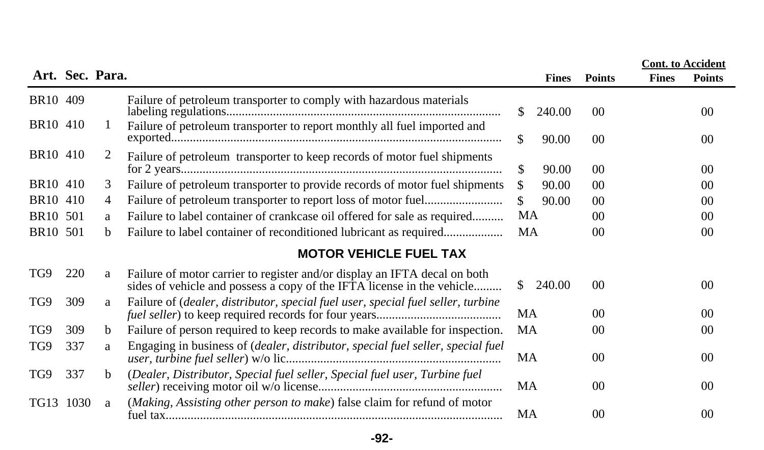|                      |      |                 |                                                                                                                                                     |           |              |                | <b>Cont.</b> to Accident |                 |
|----------------------|------|-----------------|-----------------------------------------------------------------------------------------------------------------------------------------------------|-----------|--------------|----------------|--------------------------|-----------------|
|                      |      | Art. Sec. Para. |                                                                                                                                                     |           | <b>Fines</b> | <b>Points</b>  | <b>Fines</b>             | <b>Points</b>   |
| BR10 409             |      |                 | Failure of petroleum transporter to comply with hazardous materials                                                                                 | S.        | 240.00       | 00             |                          | 00 <sup>2</sup> |
| BR10 410             |      | 1               | Failure of petroleum transporter to report monthly all fuel imported and                                                                            | \$.       | 90.00        | 00             |                          | 00              |
| BR <sub>10</sub> 410 |      | 2               | Failure of petroleum transporter to keep records of motor fuel shipments                                                                            | \$        | 90.00        | 00             |                          | 00 <sup>2</sup> |
| BR10 410             |      | 3               | Failure of petroleum transporter to provide records of motor fuel shipments                                                                         | \$.       | 90.00        | 00             |                          | 00              |
| BR10 410             |      | 4               |                                                                                                                                                     | \$.       | 90.00        | 0 <sup>0</sup> |                          | 00              |
| <b>BR10</b>          | 501  | a               | Failure to label container of crankcase oil offered for sale as required                                                                            | MA        |              | 00             |                          | 00              |
| BR10 501             |      | b               | Failure to label container of reconditioned lubricant as required                                                                                   | MA        |              | 00             |                          | 00              |
|                      |      |                 | <b>MOTOR VEHICLE FUEL TAX</b>                                                                                                                       |           |              |                |                          |                 |
| TG9                  | 220  | a               | Failure of motor carrier to register and/or display an IFTA decal on both<br>sides of vehicle and possess a copy of the IFTA license in the vehicle | S.        | 240.00       | 0 <sup>0</sup> |                          | 0 <sup>0</sup>  |
| TG9                  | 309  | a               | Failure of <i>(dealer, distributor, special fuel user, special fuel seller, turbine</i>                                                             | MA        |              | 0 <sup>0</sup> |                          | 00              |
| TG9                  | 309  | b               | Failure of person required to keep records to make available for inspection.                                                                        | MA        |              | 00             |                          | 00              |
| TG9                  | 337  | a               | Engaging in business of (dealer, distributor, special fuel seller, special fuel                                                                     | MA        |              | 0 <sup>0</sup> |                          | 00              |
| TG9                  | 337  | b               | (Dealer, Distributor, Special fuel seller, Special fuel user, Turbine fuel                                                                          | <b>MA</b> |              | 0 <sup>0</sup> |                          | 00 <sup>0</sup> |
| TG13                 | 1030 | a               | (Making, Assisting other person to make) false claim for refund of motor                                                                            | MA        |              | 0 <sup>0</sup> |                          | 00              |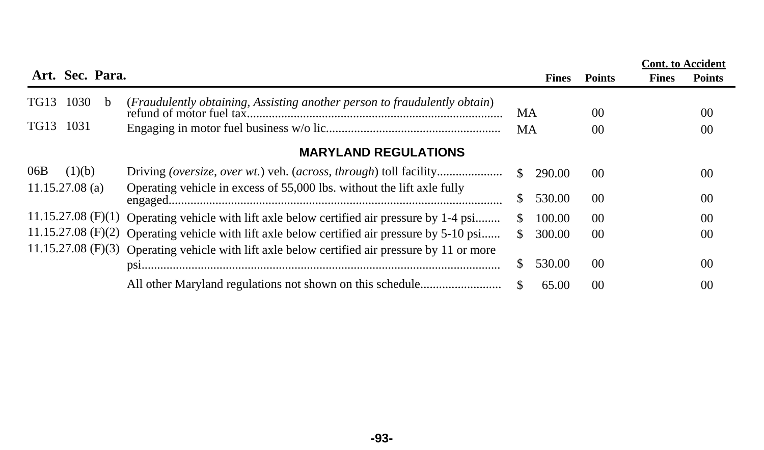|                      |        |                 |                                                                                                |               |        |                | <b>Cont.</b> to Accident |                 |
|----------------------|--------|-----------------|------------------------------------------------------------------------------------------------|---------------|--------|----------------|--------------------------|-----------------|
|                      |        | Art. Sec. Para. |                                                                                                |               | Fines  | <b>Points</b>  | <b>Fines</b>             | <b>Points</b>   |
| <b>TG13</b>          | 1030   | <sub>b</sub>    | (Fraudulently obtaining, Assisting another person to fraudulently obtain)                      | МA            |        | 00             |                          | 00 <sup>2</sup> |
| TG13 1031            |        |                 |                                                                                                | MA            |        | 00             |                          | 00 <sup>2</sup> |
|                      |        |                 | <b>MARYLAND REGULATIONS</b>                                                                    |               |        |                |                          |                 |
| 06B                  | (1)(b) |                 |                                                                                                | $\mathcal{S}$ | 290.00 | 0 <sup>0</sup> |                          | 00              |
| $11.15.27.08$ (a)    |        |                 | Operating vehicle in excess of 55,000 lbs. without the lift axle fully                         | S.            | 530.00 | 0 <sup>0</sup> |                          | 0 <sup>0</sup>  |
| $11.15.27.08$ (F)(1) |        |                 | Operating vehicle with lift axle below certified air pressure by 1-4 psi                       | \$.           | 100.00 | 0 <sup>0</sup> |                          | 0 <sup>0</sup>  |
| $11.15.27.08$ (F)(2) |        |                 | Operating vehicle with lift axle below certified air pressure by 5-10 psi                      | S.            | 300.00 | 00             |                          | 00 <sup>2</sup> |
|                      |        |                 | 11.15.27.08 (F)(3) Operating vehicle with lift axle below certified air pressure by 11 or more |               |        |                |                          |                 |
|                      |        |                 |                                                                                                | S.            | 530.00 | 00             |                          | 0 <sup>0</sup>  |
|                      |        |                 |                                                                                                | \$.           | 65.00  | 0 <sup>0</sup> |                          | 00              |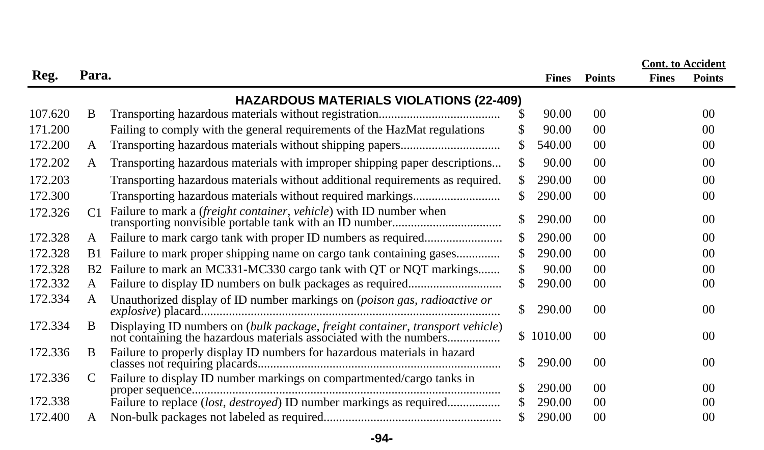|         |                |                                                                               |               |              |                 |              | <b>Cont.</b> to Accident |
|---------|----------------|-------------------------------------------------------------------------------|---------------|--------------|-----------------|--------------|--------------------------|
| Reg.    | Para.          |                                                                               |               | <b>Fines</b> | <b>Points</b>   | <b>Fines</b> | <b>Points</b>            |
|         |                | <b>HAZARDOUS MATERIALS VIOLATIONS (22-409)</b>                                |               |              |                 |              |                          |
| 107.620 | B              |                                                                               | S             | 90.00        | 00              |              | 00 <sup>2</sup>          |
| 171.200 |                | Failing to comply with the general requirements of the HazMat regulations     |               | 90.00        | 00 <sup>0</sup> |              | 00 <sup>0</sup>          |
| 172.200 | A              |                                                                               | \$.           | 540.00       | 00 <sup>0</sup> |              | 00                       |
| 172.202 | A              | Transporting hazardous materials with improper shipping paper descriptions    | \$            | 90.00        | 0 <sup>0</sup>  |              | 00 <sup>2</sup>          |
| 172.203 |                | Transporting hazardous materials without additional requirements as required. | \$.           | 290.00       | 0 <sup>0</sup>  |              | 00                       |
| 172.300 |                |                                                                               | \$.           | 290.00       | 00              |              | 00                       |
| 172.326 | C <sub>1</sub> | Failure to mark a <i>(freight container, vehicle)</i> with ID number when     |               | 290.00       | 0 <sup>0</sup>  |              | 00                       |
| 172.328 | A              |                                                                               | \$.           | 290.00       | 0 <sup>0</sup>  |              | 00                       |
| 172.328 | <b>B</b> 1     | Failure to mark proper shipping name on cargo tank containing gases           | \$.           | 290.00       | 00              |              | 00                       |
| 172.328 | B <sub>2</sub> | Failure to mark an MC331-MC330 cargo tank with QT or NQT markings             | \$            | 90.00        | 0 <sup>0</sup>  |              | 00                       |
| 172.332 | A              |                                                                               |               | 290.00       | 00              |              | 00                       |
| 172.334 | A              | Unauthorized display of ID number markings on (poison gas, radioactive or     | <sup>\$</sup> | 290.00       | 00 <sup>0</sup> |              | 00                       |
| 172.334 | B              | Displaying ID numbers on (bulk package, freight container, transport vehicle) |               | \$1010.00    | 0 <sup>0</sup>  |              | 00 <sup>0</sup>          |
| 172.336 | B              | Failure to properly display ID numbers for hazardous materials in hazard      | \$            | 290.00       | $00\,$          |              | 00 <sup>2</sup>          |
| 172.336 | C              | Failure to display ID number markings on compartmented/cargo tanks in         | \$            | 290.00       | 00 <sup>0</sup> |              | 00 <sup>2</sup>          |
| 172.338 |                | Failure to replace (lost, destroyed) ID number markings as required           |               | 290.00       | 00              |              | 00 <sup>0</sup>          |
| 172.400 | A              |                                                                               |               | 290.00       | 00              |              | $00\,$                   |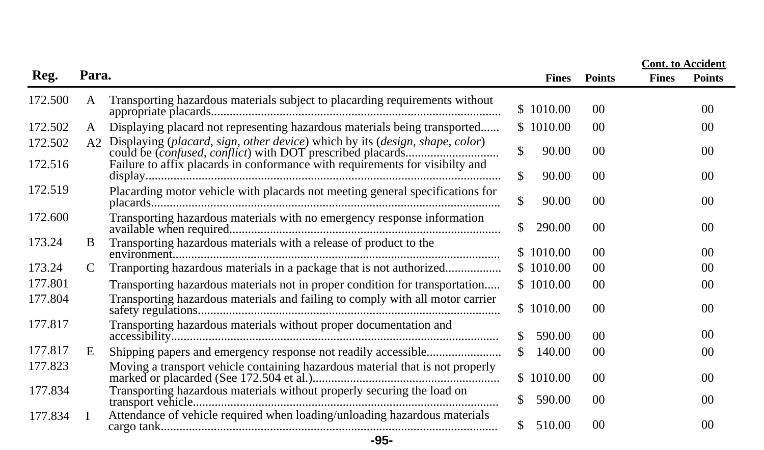|         |                |                                                                               |    |              |                |              | <b>Cont.</b> to Accident |
|---------|----------------|-------------------------------------------------------------------------------|----|--------------|----------------|--------------|--------------------------|
| Reg.    | Para.          |                                                                               |    | <b>Fines</b> | <b>Points</b>  | <b>Fines</b> | <b>Points</b>            |
| 172.500 | A              | Transporting hazardous materials subject to placarding requirements without   |    | \$1010.00    | 00             |              | 00 <sup>0</sup>          |
| 172.502 | A              | Displaying placard not representing hazardous materials being transported     |    | \$1010.00    | 0 <sup>0</sup> |              | 00 <sup>0</sup>          |
| 172.502 | A <sub>2</sub> | Displaying (placard, sign, other device) which by its (design, shape, color)  | \$ | 90.00        | 00             |              | 00 <sup>0</sup>          |
| 172.516 |                | Failure to affix placards in conformance with requirements for visibilty and  | \$ | 90.00        | 00             |              | 00                       |
| 172.519 |                | Placarding motor vehicle with placards not meeting general specifications for | \$ | 90.00        | 0 <sup>0</sup> |              | 0 <sup>0</sup>           |
| 172.600 |                | Transporting hazardous materials with no emergency response information       | \$ | 290.00       | 00             |              | 00 <sup>0</sup>          |
| 173.24  | B              | Transporting hazardous materials with a release of product to the             |    | \$1010.00    | 0 <sup>0</sup> |              | 00 <sup>0</sup>          |
| 173.24  | C              | Tranporting hazardous materials in a package that is not authorized           |    | \$1010.00    | 0 <sup>0</sup> |              | 00 <sup>0</sup>          |
| 177.801 |                | Transporting hazardous materials not in proper condition for transportation   |    | \$1010.00    | -00            |              | 00                       |
| 177.804 |                | Transporting hazardous materials and failing to comply with all motor carrier |    | \$1010.00    | 00             |              | 00 <sup>0</sup>          |
| 177.817 |                | Transporting hazardous materials without proper documentation and             | \$ | 590.00       | 00             |              | 00                       |
| 177.817 | E              | Shipping papers and emergency response not readily accessible                 | S. | 140.00       | 0 <sup>0</sup> |              | 00 <sup>0</sup>          |
| 177.823 |                | Moving a transport vehicle containing hazardous material that is not properly |    | \$1010.00    | 00             |              | 00 <sup>0</sup>          |
| 177.834 |                | Transporting hazardous materials without properly securing the load on        |    | 590.00       | 00             |              | 00 <sup>0</sup>          |
| 177.834 | $\mathbf{I}$   | Attendance of vehicle required when loading/unloading hazardous materials     | \$ | 510.00       | 0 <sup>0</sup> |              | 00 <sup>2</sup>          |
|         |                | $-95-$                                                                        |    |              |                |              |                          |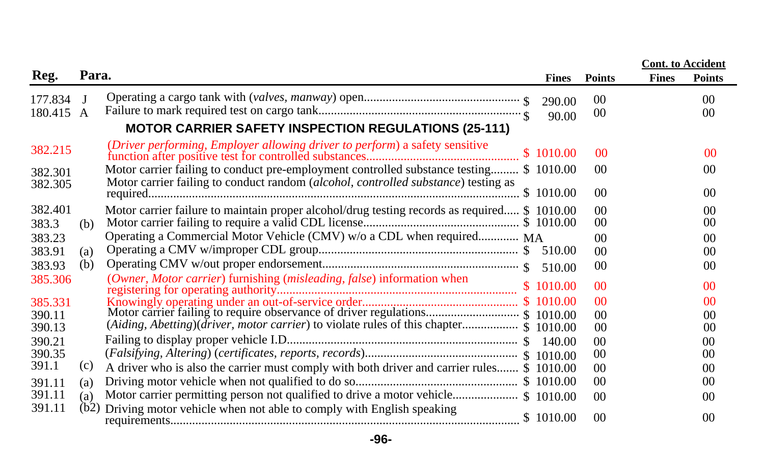|                      |       |                                                                                                                                                                                      |                 |                      | <b>Cont.</b> to Accident |                          |
|----------------------|-------|--------------------------------------------------------------------------------------------------------------------------------------------------------------------------------------|-----------------|----------------------|--------------------------|--------------------------|
| Reg.                 | Para. |                                                                                                                                                                                      | <b>Fines</b>    | <b>Points</b>        | <b>Fines</b>             | <b>Points</b>            |
| 177.834<br>180.415 A |       |                                                                                                                                                                                      | 290.00<br>90.00 | $00\,$<br>00         |                          | 0 <sup>0</sup><br>$00\,$ |
|                      |       | <b>MOTOR CARRIER SAFETY INSPECTION REGULATIONS (25-111)</b>                                                                                                                          |                 |                      |                          |                          |
| 382.215              |       | (Driver performing, Employer allowing driver to perform) a safety sensitive                                                                                                          |                 | 0 <sup>0</sup>       |                          | 00                       |
| 382.301<br>382.305   |       | Motor carrier failing to conduct pre-employment controlled substance testing \$ 1010.00<br>Motor carrier failing to conduct random <i>(alcohol, controlled substance)</i> testing as |                 | 00                   |                          | 00                       |
|                      |       |                                                                                                                                                                                      |                 | 00                   |                          | 0 <sup>0</sup>           |
| 382.401<br>383.3     | (b)   | Motor carrier failure to maintain proper alcohol/drug testing records as required \$ 1010.00                                                                                         |                 | 0 <sup>0</sup><br>00 |                          | 0 <sup>0</sup><br>00     |
| 383.23               |       | Operating a Commercial Motor Vehicle (CMV) w/o a CDL when required MA                                                                                                                |                 | 00                   |                          | 0 <sup>0</sup>           |
| 383.91               | (a)   |                                                                                                                                                                                      |                 | 00 <sup>2</sup>      |                          | 00                       |
| 383.93               | (b)   |                                                                                                                                                                                      |                 | 00                   |                          | 0 <sup>0</sup>           |
| 385.306              |       | (Owner, Motor carrier) furnishing (misleading, false) information when                                                                                                               |                 | 0 <sup>0</sup>       |                          | 00                       |
| 385.331              |       |                                                                                                                                                                                      |                 | 0 <sup>0</sup>       |                          | 0 <sup>0</sup>           |
| 390.11<br>390.13     |       | (Aiding, Abetting)( $\bar{d}$ river, motor carrier) to violate rules of this chapter \$ 1010.00                                                                                      |                 | 00<br>00             |                          | $00\,$<br>$00\,$         |
| 390.21               |       |                                                                                                                                                                                      |                 | 00                   |                          | 0 <sup>0</sup>           |
| 390.35               |       |                                                                                                                                                                                      |                 | $00\,$               |                          | 0 <sup>0</sup>           |
| 391.1                | (c)   | A driver who is also the carrier must comply with both driver and carrier rules \$ 1010.00                                                                                           |                 | 0 <sup>0</sup>       |                          | 0 <sup>0</sup>           |
| 391.11               | (a)   |                                                                                                                                                                                      |                 | $00\,$               |                          | 00                       |
| 391.11               | (a)   |                                                                                                                                                                                      |                 | 0 <sup>0</sup>       |                          | 0 <sup>0</sup>           |
| 391.11               | (b2)  | Driving motor vehicle when not able to comply with English speaking                                                                                                                  |                 | 0 <sup>0</sup>       |                          | 0 <sup>0</sup>           |

**-96-**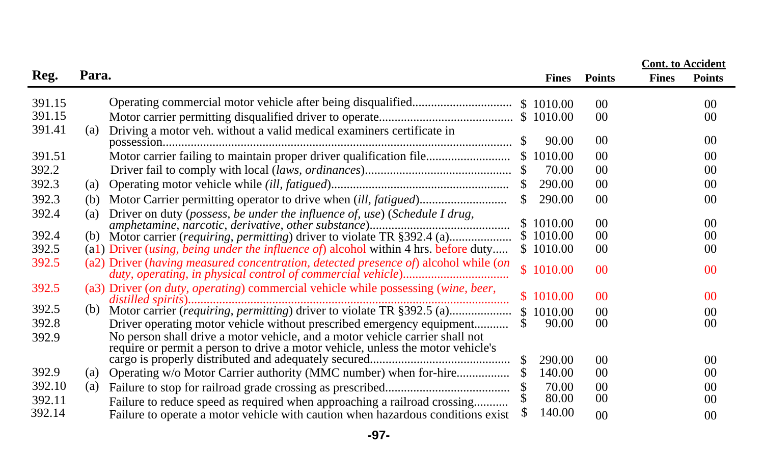|                  |       |                                                                                                                                                                 |               |              |                                   | <b>Cont.</b> to Accident |                      |
|------------------|-------|-----------------------------------------------------------------------------------------------------------------------------------------------------------------|---------------|--------------|-----------------------------------|--------------------------|----------------------|
| Reg.             | Para. |                                                                                                                                                                 |               | <b>Fines</b> | <b>Points</b>                     | <b>Fines</b>             | <b>Points</b>        |
| 391.15<br>391.15 |       |                                                                                                                                                                 |               |              | 0 <sup>0</sup><br>00 <sup>0</sup> |                          | 00<br>0 <sup>0</sup> |
| 391.41           | (a)   | Driving a motor veh. without a valid medical examiners certificate in                                                                                           |               | 90.00        | 0 <sup>0</sup>                    |                          | 0 <sup>0</sup>       |
| 391.51           |       | Motor carrier failing to maintain proper driver qualification file                                                                                              |               | \$1010.00    | 0 <sup>0</sup>                    |                          | 00                   |
| 392.2            |       |                                                                                                                                                                 |               | 70.00        | 0 <sup>0</sup>                    |                          | 00                   |
| 392.3            | (a)   |                                                                                                                                                                 | S.            | 290.00       | 00 <sup>0</sup>                   |                          | 0 <sup>0</sup>       |
| 392.3            | (b)   |                                                                                                                                                                 | \$            | 290.00       | 0 <sup>0</sup>                    |                          | 0 <sup>0</sup>       |
| 392.4            | (a)   | Driver on duty (possess, be under the influence of, use) (Schedule I drug,                                                                                      |               | \$1010.00    | 00                                |                          | 00                   |
| 392.4            | (b)   |                                                                                                                                                                 |               | \$1010.00    | 0 <sup>0</sup>                    |                          | 00                   |
| 392.5            |       | (a1) Driver <i>(using, being under the influence of)</i> alcohol within 4 hrs. before duty                                                                      |               | \$1010.00    | $00\,$                            |                          | 00                   |
| 392.5            |       | (a2) Driver (having measured concentration, detected presence of) alcohol while (on                                                                             |               | \$1010.00    | 0 <sup>0</sup>                    |                          | 0 <sup>0</sup>       |
| 392.5            |       | (a3) Driver (on duty, operating) commercial vehicle while possessing (wine, beer,                                                                               |               | \$1010.00    | 0 <sup>0</sup>                    |                          | 0 <sup>0</sup>       |
| 392.5            | (b)   |                                                                                                                                                                 |               | \$1010.00    | 0 <sup>0</sup>                    |                          | 00                   |
| 392.8            |       | Driver operating motor vehicle without prescribed emergency equipment                                                                                           | S.            | 90.00        | 00 <sup>0</sup>                   |                          | 0 <sup>0</sup>       |
| 392.9            |       | No person shall drive a motor vehicle, and a motor vehicle carrier shall not<br>require or permit a person to drive a motor vehicle, unless the motor vehicle's | <sup>\$</sup> | 290.00       | $00\,$                            |                          | 00                   |
| 392.9            | (a)   | Operating w/o Motor Carrier authority (MMC number) when for-hire                                                                                                |               | 140.00       | 00                                |                          | 00                   |
| 392.10           | (a)   |                                                                                                                                                                 |               | 70.00        | 0 <sup>0</sup>                    |                          | 00                   |
| 392.11           |       | Failure to reduce speed as required when approaching a railroad crossing                                                                                        |               | 80.00        | $00\,$                            |                          | 0 <sup>0</sup>       |
| 392.14           |       | Failure to operate a motor vehicle with caution when hazardous conditions exist                                                                                 |               | 140.00       | 0 <sup>0</sup>                    |                          | 00                   |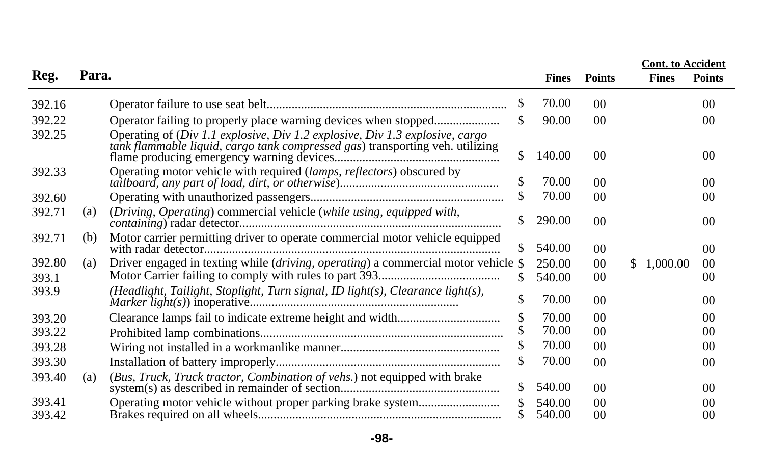|        |       |                                                                                                                                                               |     |              |                |                | <b>Cont. to Accident</b> |
|--------|-------|---------------------------------------------------------------------------------------------------------------------------------------------------------------|-----|--------------|----------------|----------------|--------------------------|
| Reg.   | Para. |                                                                                                                                                               |     | <b>Fines</b> | <b>Points</b>  | <b>Fines</b>   | <b>Points</b>            |
| 392.16 |       |                                                                                                                                                               | \$  | 70.00        | 00             |                | 0 <sup>0</sup>           |
| 392.22 |       |                                                                                                                                                               | \$  | 90.00        | 00             |                | 0 <sup>0</sup>           |
| 392.25 |       | Operating of (Div 1.1 explosive, Div 1.2 explosive, Div 1.3 explosive, cargo<br>tank flammable liquid, cargo tank compressed gas) transporting veh. utilizing | \$  | 140.00       | 00             |                | 0 <sup>0</sup>           |
| 392.33 |       | Operating motor vehicle with required (lamps, reflectors) obscured by                                                                                         | \$  | 70.00        | 00             |                | 0 <sup>0</sup>           |
| 392.60 |       |                                                                                                                                                               | \$  | 70.00        | 00             |                | 0 <sup>0</sup>           |
| 392.71 | (a)   | (Driving, Operating) commercial vehicle (while using, equipped with,                                                                                          | \$  | 290.00       | 00             |                | 0 <sup>0</sup>           |
| 392.71 | (b)   | Motor carrier permitting driver to operate commercial motor vehicle equipped                                                                                  | \$  | 540.00       | 00             |                | 0 <sup>0</sup>           |
| 392.80 | (a)   | Driver engaged in texting while (driving, operating) a commercial motor vehicle $$$                                                                           |     | 250.00       | 00             | \$<br>1,000.00 | $00\,$                   |
| 393.1  |       |                                                                                                                                                               | \$. | 540.00       | 00             |                | 00                       |
| 393.9  |       | (Headlight, Tailight, Stoplight, Turn signal, ID light(s), Clearance light(s),                                                                                | \$  | 70.00        | 00             |                | 0 <sup>0</sup>           |
| 393.20 |       |                                                                                                                                                               | \$  | 70.00        | 00             |                | 0 <sup>0</sup>           |
| 393.22 |       |                                                                                                                                                               |     | 70.00        | 0 <sup>0</sup> |                | 00                       |
| 393.28 |       |                                                                                                                                                               |     | 70.00        | 0 <sup>0</sup> |                | 00                       |
| 393.30 |       |                                                                                                                                                               | \$  | 70.00        | 0 <sup>0</sup> |                | 00                       |
| 393.40 | (a)   | (Bus, Truck, Truck tractor, Combination of vehs.) not equipped with brake                                                                                     | \$  | 540.00       | 00             |                | 0 <sup>0</sup>           |
| 393.41 |       | Operating motor vehicle without proper parking brake system                                                                                                   |     | 540.00       | 0 <sup>0</sup> |                | 00                       |
| 393.42 |       |                                                                                                                                                               |     | 540.00       | 00             |                | 00                       |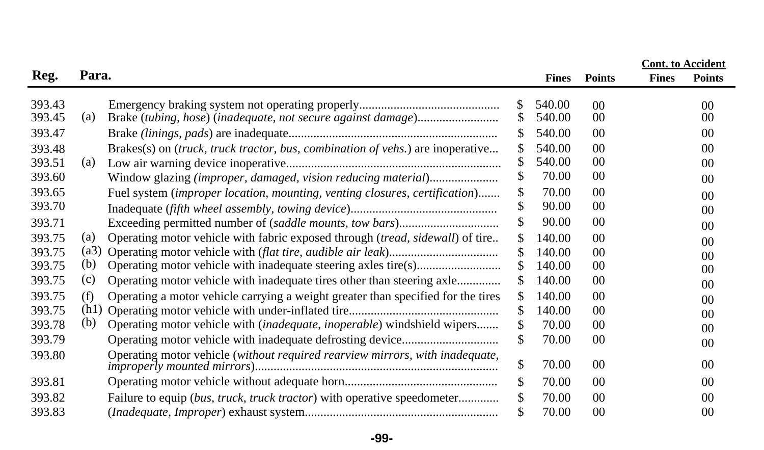|                  |       |                                                                                  |          |                  |                       | <b>Cont.</b> to Accident |                       |
|------------------|-------|----------------------------------------------------------------------------------|----------|------------------|-----------------------|--------------------------|-----------------------|
| Reg.             | Para. |                                                                                  |          | <b>Fines</b>     | <b>Points</b>         | <b>Fines</b>             | <b>Points</b>         |
| 393.43<br>393.45 | (a)   | Brake (tubing, hose) (inadequate, not secure against damage)                     | \$<br>\$ | 540.00<br>540.00 | 00 <sup>0</sup><br>00 |                          | 00<br>00 <sup>2</sup> |
| 393.47           |       |                                                                                  | \$       | 540.00           | 00                    |                          | 00                    |
| 393.48           |       | Brakes(s) on (truck, truck tractor, bus, combination of vehs.) are inoperative   | \$       | 540.00           | 0 <sup>0</sup>        |                          | 00                    |
| 393.51           | (a)   |                                                                                  | \$       | 540.00           | 00                    |                          | 00                    |
| 393.60           |       | Window glazing (improper, damaged, vision reducing material)                     | \$       | 70.00            | 00                    |                          | $00\,$                |
| 393.65           |       | Fuel system (improper location, mounting, venting closures, certification)       | \$       | 70.00            | 00                    |                          | $00\,$                |
| 393.70           |       |                                                                                  | \$       | 90.00            | 00                    |                          | 00                    |
| 393.71           |       |                                                                                  | \$       | 90.00            | 00                    |                          | 00                    |
| 393.75           | (a)   | Operating motor vehicle with fabric exposed through (tread, sidewall) of tire    | \$       | 140.00           | 00                    |                          | $00\,$                |
| 393.75           | (a3)  |                                                                                  | \$       | 140.00           | 00                    |                          | 00                    |
| 393.75           | (b)   |                                                                                  | \$       | 140.00           | 00                    |                          | 00                    |
| 393.75           | (c)   | Operating motor vehicle with inadequate tires other than steering axle           | \$       | 140.00           | 00                    |                          | 00                    |
| 393.75           | (f)   | Operating a motor vehicle carrying a weight greater than specified for the tires | \$       | 140.00           | 00                    |                          | 00                    |
| 393.75           | (h1)  |                                                                                  | \$       | 140.00           | 00                    |                          | 00                    |
| 393.78           | (b)   | Operating motor vehicle with (inadequate, inoperable) windshield wipers          | \$       | 70.00            | 00                    |                          | 00                    |
| 393.79           |       |                                                                                  | \$       | 70.00            | $00\,$                |                          | 00                    |
| 393.80           |       | Operating motor vehicle (without required rearview mirrors, with inadequate,     | \$       | 70.00            | $00\,$                |                          | 00                    |
| 393.81           |       |                                                                                  | \$       | 70.00            | 0 <sup>0</sup>        |                          | 00                    |
| 393.82           |       | Failure to equip (bus, truck, truck tractor) with operative speedometer          | \$       | 70.00            | 00                    |                          | 00                    |
| 393.83           |       |                                                                                  |          | 70.00            | 00                    |                          | 00                    |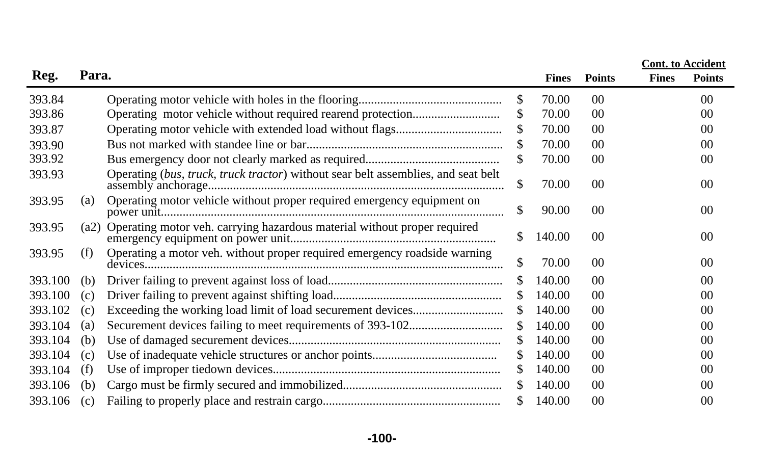|         |       |                                                                                   |     |              |                | <b>Cont.</b> to Accident |               |
|---------|-------|-----------------------------------------------------------------------------------|-----|--------------|----------------|--------------------------|---------------|
| Reg.    | Para. |                                                                                   |     | <b>Fines</b> | <b>Points</b>  | <b>Fines</b>             | <b>Points</b> |
| 393.84  |       |                                                                                   | \$  | 70.00        | 0 <sup>0</sup> |                          | 00            |
| 393.86  |       |                                                                                   | \$  | 70.00        | 00             |                          | 00            |
| 393.87  |       |                                                                                   | S   | 70.00        | 00             |                          | 00            |
| 393.90  |       |                                                                                   | \$  | 70.00        | 0 <sup>0</sup> |                          | 00            |
| 393.92  |       |                                                                                   | \$  | 70.00        | 0 <sup>0</sup> |                          | 00            |
| 393.93  |       | Operating (bus, truck, truck tractor) without sear belt assemblies, and seat belt | \$  | 70.00        | 00             |                          | 00            |
| 393.95  | (a)   | Operating motor vehicle without proper required emergency equipment on            | \$  | 90.00        | 0 <sup>0</sup> |                          | 00            |
| 393.95  | (a2)  | Operating motor veh. carrying hazardous material without proper required          | \$  | 140.00       | 0 <sup>0</sup> |                          | 00            |
| 393.95  | (f)   | Operating a motor veh. without proper required emergency roadside warning         | \$  | 70.00        | 00             |                          | 00            |
| 393.100 | (b)   |                                                                                   | S   | 140.00       | 0 <sup>0</sup> |                          | 00            |
| 393.100 | (c)   |                                                                                   | S   | 140.00       | 0 <sup>0</sup> |                          | 00            |
| 393.102 | (c)   |                                                                                   | S   | 140.00       | 0 <sup>0</sup> |                          | 00            |
| 393.104 | (a)   |                                                                                   | \$  | 140.00       | 0 <sup>0</sup> |                          | 00            |
| 393.104 | (b)   |                                                                                   | S   | 140.00       | 0 <sup>0</sup> |                          | 00            |
| 393.104 | (c)   |                                                                                   | \$  | 140.00       | 0 <sup>0</sup> |                          | 00            |
| 393.104 | (f)   |                                                                                   | S   | 140.00       | 0 <sup>0</sup> |                          | 00            |
| 393.106 | (b)   |                                                                                   |     | 140.00       | 00             |                          | 00            |
| 393.106 | (c)   |                                                                                   | \$. | 140.00       | 00             |                          | 00            |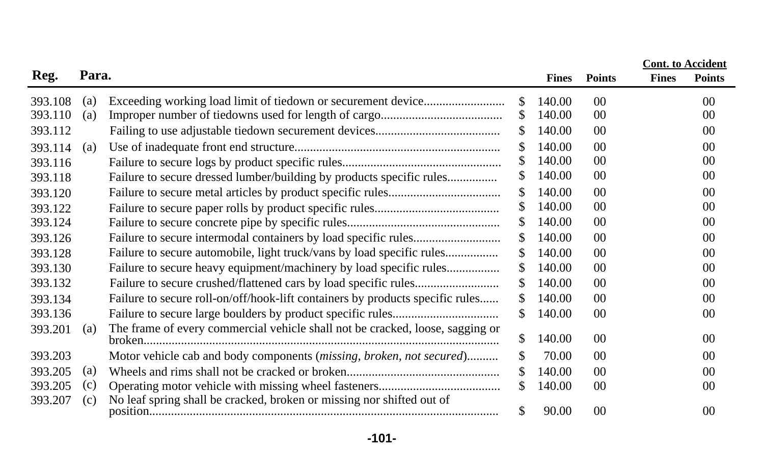|         |       |                                                                               |     |              |                 | <b>Cont.</b> to Accident |                 |
|---------|-------|-------------------------------------------------------------------------------|-----|--------------|-----------------|--------------------------|-----------------|
| Reg.    | Para. |                                                                               |     | <b>Fines</b> | <b>Points</b>   | <b>Fines</b>             | <b>Points</b>   |
| 393.108 | (a)   |                                                                               | \$  | 140.00       | $00\,$          |                          | 00 <sup>°</sup> |
| 393.110 | (a)   |                                                                               | S   | 140.00       | 00              |                          | 00              |
| 393.112 |       |                                                                               | \$. | 140.00       | $00\,$          |                          | 00 <sup>2</sup> |
| 393.114 | (a)   |                                                                               | \$. | 140.00       | $00\,$          |                          | 00              |
| 393.116 |       |                                                                               | \$. | 140.00       | 00 <sup>0</sup> |                          | 00 <sup>2</sup> |
| 393.118 |       | Failure to secure dressed lumber/building by products specific rules          | \$  | 140.00       | 00              |                          | 00 <sup>2</sup> |
| 393.120 |       |                                                                               | \$  | 140.00       | $00\,$          |                          | 00              |
| 393.122 |       |                                                                               |     | 140.00       | $00\,$          |                          | 0 <sup>0</sup>  |
| 393.124 |       |                                                                               | \$. | 140.00       | $00\,$          |                          | 00 <sup>2</sup> |
| 393.126 |       |                                                                               | \$. | 140.00       | 00              |                          | 00              |
| 393.128 |       |                                                                               | \$  | 140.00       | $00\,$          |                          | 00              |
| 393.130 |       | Failure to secure heavy equipment/machinery by load specific rules            | \$. | 140.00       | 00              |                          | 00              |
| 393.132 |       |                                                                               | \$  | 140.00       | $00\,$          |                          | 00 <sup>2</sup> |
| 393.134 |       | Failure to secure roll-on/off/hook-lift containers by products specific rules | \$  | 140.00       | $00\,$          |                          | 00 <sup>2</sup> |
| 393.136 |       |                                                                               | \$. | 140.00       | $00\,$          |                          | 00 <sup>2</sup> |
| 393.201 | (a)   | The frame of every commercial vehicle shall not be cracked, loose, sagging or | \$  | 140.00       | $00\,$          |                          | 00 <sup>0</sup> |
| 393.203 |       | Motor vehicle cab and body components (missing, broken, not secured)          | \$  | 70.00        | $00\,$          |                          | 00 <sup>2</sup> |
| 393.205 | (a)   |                                                                               | \$. | 140.00       | $00\,$          |                          | 00              |
| 393.205 | (c)   |                                                                               | \$. | 140.00       | $00\,$          |                          | 00              |
| 393.207 | (c)   | No leaf spring shall be cracked, broken or missing nor shifted out of         | \$  | 90.00        | $00\,$          |                          | $00\,$          |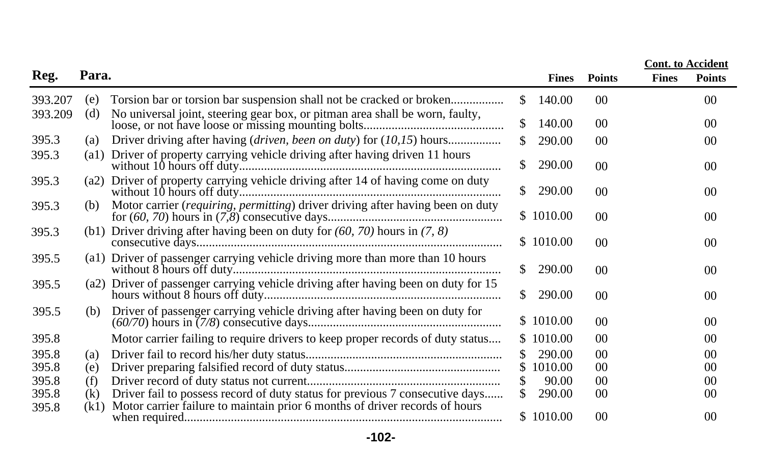|         |       |                                                                                    |               |              |                 |              | <b>Cont.</b> to Accident |
|---------|-------|------------------------------------------------------------------------------------|---------------|--------------|-----------------|--------------|--------------------------|
| Reg.    | Para. |                                                                                    |               | <b>Fines</b> | <b>Points</b>   | <b>Fines</b> | <b>Points</b>            |
| 393.207 | (e)   |                                                                                    | S.            | 140.00       | 00              |              | $00\,$                   |
| 393.209 | (d)   | No universal joint, steering gear box, or pitman area shall be worn, faulty,       |               | 140.00       | 00              |              | 0 <sup>0</sup>           |
| 395.3   | (a)   |                                                                                    | <sup>\$</sup> | 290.00       | 00              |              | 00                       |
| 395.3   |       | (a1) Driver of property carrying vehicle driving after having driven 11 hours      | <sup>\$</sup> | 290.00       | 0 <sup>0</sup>  |              | 00                       |
| 395.3   | (a2)  | Driver of property carrying vehicle driving after 14 of having come on duty        | <sup>\$</sup> | 290.00       | 00 <sup>0</sup> |              | 00                       |
| 395.3   | (b)   | Motor carrier (requiring, permitting) driver driving after having been on duty     |               | \$1010.00    | 00 <sup>0</sup> |              | 00                       |
| 395.3   |       | (b1) Driver driving after having been on duty for $(60, 70)$ hours in $(7, 8)$     |               | \$1010.00    | 00 <sup>2</sup> |              | 00                       |
| 395.5   |       | (a1) Driver of passenger carrying vehicle driving more than more than 10 hours     | <sup>\$</sup> | 290.00       | 00 <sup>0</sup> |              | 0 <sup>0</sup>           |
| 395.5   |       | (a2) Driver of passenger carrying vehicle driving after having been on duty for 15 | <sup>\$</sup> | 290.00       | 00              |              | 0 <sup>0</sup>           |
| 395.5   | (b)   | Driver of passenger carrying vehicle driving after having been on duty for         |               | \$1010.00    | 00              |              | 00                       |
| 395.8   |       | Motor carrier failing to require drivers to keep proper records of duty status     |               | \$1010.00    | 00              |              | 00                       |
| 395.8   | (a)   |                                                                                    | <sup>\$</sup> | 290.00       | 00              |              | 00                       |
| 395.8   | (e)   |                                                                                    | <sup>\$</sup> | 1010.00      | 00              |              | 0 <sup>0</sup>           |
| 395.8   | (f)   |                                                                                    |               | 90.00        | 00              |              | 0 <sup>0</sup>           |
| 395.8   | (k)   | Driver fail to possess record of duty status for previous 7 consecutive days       |               | 290.00       | 0 <sup>0</sup>  |              | 0 <sup>0</sup>           |
| 395.8   | (k1)  | Motor carrier failure to maintain prior 6 months of driver records of hours        |               | \$1010.00    | 00              |              | 00                       |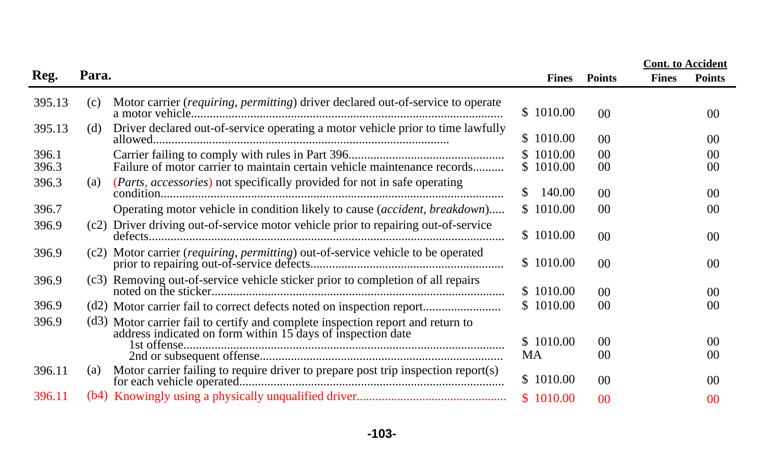|                |       |                                                                                                                                             |               |                        |                                  |              | <b>Cont.</b> to Accident          |
|----------------|-------|---------------------------------------------------------------------------------------------------------------------------------------------|---------------|------------------------|----------------------------------|--------------|-----------------------------------|
| Reg.           | Para. |                                                                                                                                             |               | <b>Fines</b>           | <b>Points</b>                    | <b>Fines</b> | <b>Points</b>                     |
| 395.13         | (c)   | Motor carrier (requiring, permitting) driver declared out-of-service to operate                                                             |               | \$1010.00              | 0 <sup>0</sup>                   |              | 00 <sup>0</sup>                   |
| 395.13         | (d)   | Driver declared out-of-service operating a motor vehicle prior to time lawfully                                                             |               | \$1010.00              | 00                               |              | 00 <sup>2</sup>                   |
| 396.1<br>396.3 |       | Failure of motor carrier to maintain certain vehicle maintenance records                                                                    |               | \$1010.00<br>\$1010.00 | 0 <sup>0</sup><br>00             |              | 00<br>00 <sup>2</sup>             |
| 396.3          | (a)   | ( <i>Parts, accessories</i> ) not specifically provided for not in safe operating                                                           | <sup>\$</sup> | 140.00                 | 00 <sup>°</sup>                  |              | 00 <sup>0</sup>                   |
| 396.7          |       | Operating motor vehicle in condition likely to cause (accident, breakdown)                                                                  |               | \$1010.00              | 0 <sup>0</sup>                   |              | 00 <sup>0</sup>                   |
| 396.9          |       | (c2) Driver driving out-of-service motor vehicle prior to repairing out-of-service                                                          |               | \$1010.00              | 00 <sup>°</sup>                  |              | 00 <sup>0</sup>                   |
| 396.9          |       | (c2) Motor carrier ( <i>requiring, permitting</i> ) out-of-service vehicle to be operated                                                   |               | \$1010.00              | $00\,$                           |              | 00 <sup>0</sup>                   |
| 396.9          |       | (c3) Removing out-of-service vehicle sticker prior to completion of all repairs                                                             |               | \$1010.00              | 00                               |              | 00 <sup>0</sup>                   |
| 396.9          |       |                                                                                                                                             |               | \$1010.00              | 0 <sup>0</sup>                   |              | 00 <sup>0</sup>                   |
| 396.9          |       | (d3) Motor carrier fail to certify and complete inspection report and return to address indicated on form within 15 days of inspection date |               | \$1010.00<br>MA        | 0 <sup>0</sup><br>0 <sup>0</sup> |              | 00 <sup>2</sup><br>0 <sup>0</sup> |
| 396.11         | (a)   | Motor carrier failing to require driver to prepare post trip inspection report(s)                                                           |               | \$1010.00              | 0 <sup>0</sup>                   |              | 0 <sup>0</sup>                    |
| 396.11         |       |                                                                                                                                             |               | \$1010.00              | 0 <sup>0</sup>                   |              | 0 <sup>0</sup>                    |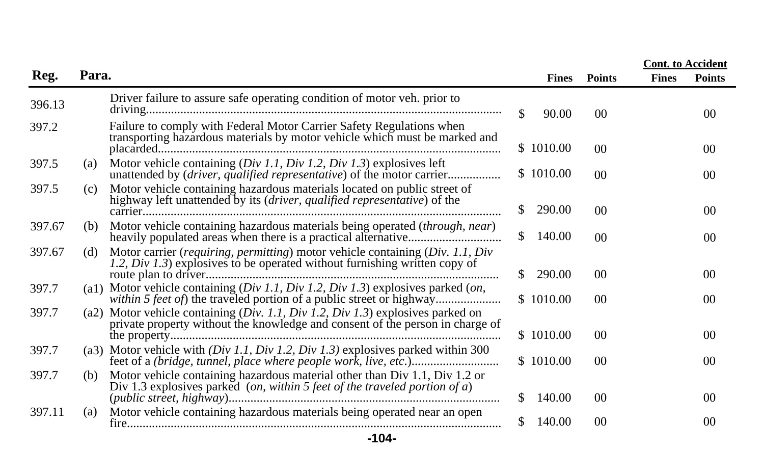|        |                                                                                                                                                                     |     |              |                 |              | <b>Cont.</b> to Accident |
|--------|---------------------------------------------------------------------------------------------------------------------------------------------------------------------|-----|--------------|-----------------|--------------|--------------------------|
| Reg.   | Para.                                                                                                                                                               |     | <b>Fines</b> | <b>Points</b>   | <b>Fines</b> | <b>Points</b>            |
| 396.13 | Driver failure to assure safe operating condition of motor veh. prior to                                                                                            | S.  | 90.00        | 00 <sup>0</sup> |              | 00                       |
| 397.2  | Failure to comply with Federal Motor Carrier Safety Regulations when<br>transporting hazardous materials by motor vehicle which must be marked and                  |     | \$1010.00    | 0 <sup>0</sup>  |              | 00 <sup>0</sup>          |
| 397.5  | Motor vehicle containing $(Div\ I.1, Div\ I.2, Div\ I.3)$ explosives left<br>(a)<br>unattended by (driver, qualified representative) of the motor carrier           |     | \$1010.00    | 00              |              | 00 <sup>0</sup>          |
| 397.5  | Motor vehicle containing hazardous materials located on public street of<br>(c)<br>highway left unattended by its (driver, qualified representative) of the         | S.  | 290.00       | 0 <sup>0</sup>  |              | 00                       |
| 397.67 | Motor vehicle containing hazardous materials being operated (through, near)<br>(b)                                                                                  | S.  | 140.00       | 00 <sup>0</sup> |              | 00                       |
| 397.67 | Motor carrier (requiring, permitting) motor vehicle containing (Div. 1.1, Div<br>(d)<br>1.2, Div 1.3) explosives to be operated without furnishing written copy of  |     | \$290.00     | 0 <sup>0</sup>  |              | 00 <sup>0</sup>          |
| 397.7  | (a1) Motor vehicle containing $(Div 1.1, Div 1.2, Div 1.3)$ explosives parked $(on,$                                                                                |     | \$1010.00    | 0 <sup>0</sup>  |              | 00 <sup>0</sup>          |
| 397.7  | Motor vehicle containing (Div. 1.1, Div 1.2, Div 1.3) explosives parked on<br>(a2)<br>private property without the knowledge and consent of the person in charge of |     | \$1010.00    | 00              |              | 00 <sup>0</sup>          |
| 397.7  | (a3) Motor vehicle with $(Div 1.1, Div 1.2, Div 1.3)$ explosives parked within 300                                                                                  |     | \$1010.00    | 00              |              | $00\,$                   |
| 397.7  | Motor vehicle containing hazardous material other than Div 1.1, Div 1.2 or<br>(b)<br>Div 1.3 explosives parked (on, within 5 feet of the traveled portion of $a$ )  |     |              |                 |              |                          |
|        |                                                                                                                                                                     | \$. | 140.00       | 00              |              | 00 <sup>0</sup>          |
| 397.11 | Motor vehicle containing hazardous materials being operated near an open<br>(a)                                                                                     | \$  | 140.00       | 00              |              | $00\,$                   |

**-104-**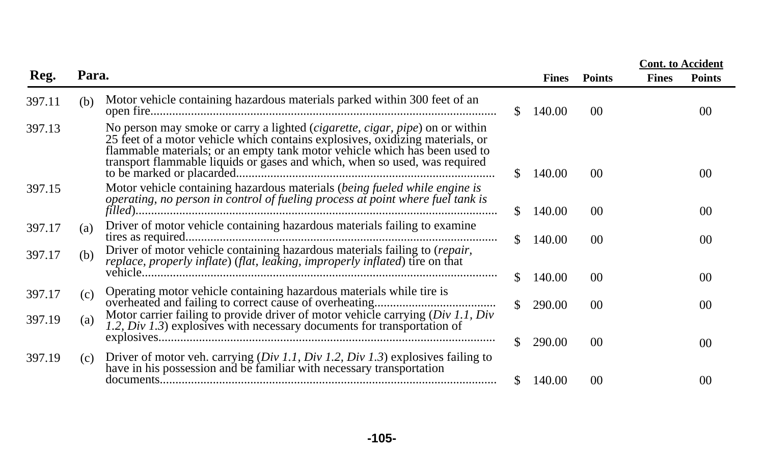|        |       |                                                                                                                                                                                                                                                                                                                           |     |              |                 | <b>Cont.</b> to Accident |                |
|--------|-------|---------------------------------------------------------------------------------------------------------------------------------------------------------------------------------------------------------------------------------------------------------------------------------------------------------------------------|-----|--------------|-----------------|--------------------------|----------------|
| Reg.   | Para. |                                                                                                                                                                                                                                                                                                                           |     | <b>Fines</b> | <b>Points</b>   | <b>Fines</b>             | <b>Points</b>  |
| 397.11 | (b)   | Motor vehicle containing hazardous materials parked within 300 feet of an                                                                                                                                                                                                                                                 | SS. | 140.00       | 00 <sup>0</sup> |                          | 00             |
| 397.13 |       | No person may smoke or carry a lighted (cigarette, cigar, pipe) on or within<br>25 feet of a motor vehicle which contains explosives, oxidizing materials, or<br>flammable materials; or an empty tank motor vehicle which has been used to<br>transport flammable liquids or gases and which, when so used, was required | \$. | 140.00       | 0 <sup>0</sup>  |                          | (0()           |
| 397.15 |       | Motor vehicle containing hazardous materials (being fueled while engine is<br>operating, no person in control of fueling process at point where fuel tank is                                                                                                                                                              | S.  | 140.00       | 00 <sup>°</sup> |                          | 0 <sup>0</sup> |
| 397.17 | (a)   | Driver of motor vehicle containing hazardous materials failing to examine                                                                                                                                                                                                                                                 | SS. | 140.00       | 00              |                          | 00             |
| 397.17 | (b)   | Driver of motor vehicle containing hazardous materials failing to (repair,<br>replace, properly inflate) (flat, leaking, improperly inflated) tire on that                                                                                                                                                                |     |              |                 |                          |                |
|        |       |                                                                                                                                                                                                                                                                                                                           | S.  | 140.00       | 00 <sup>0</sup> |                          | 0 <sup>0</sup> |
| 397.17 | (c)   | Operating motor vehicle containing hazardous materials while tire is                                                                                                                                                                                                                                                      | S.  | 290.00       | 00 <sup>0</sup> |                          | 00             |
| 397.19 | (a)   | Motor carrier failing to provide driver of motor vehicle carrying $(Div 1.1, Div)$<br>1.2, Div 1.3) explosives with necessary documents for transportation of                                                                                                                                                             |     |              |                 |                          |                |
| 397.19 | (c)   | Driver of motor veh. carrying $(Div 1.1, Div 1.2, Div 1.3)$ explosives failing to have in his possession and be familiar with necessary transportation                                                                                                                                                                    | SS. | 290.00       | 0 <sup>0</sup>  |                          | 00             |
|        |       |                                                                                                                                                                                                                                                                                                                           | \$. | 140.00       | 0 <sup>0</sup>  |                          | 00             |